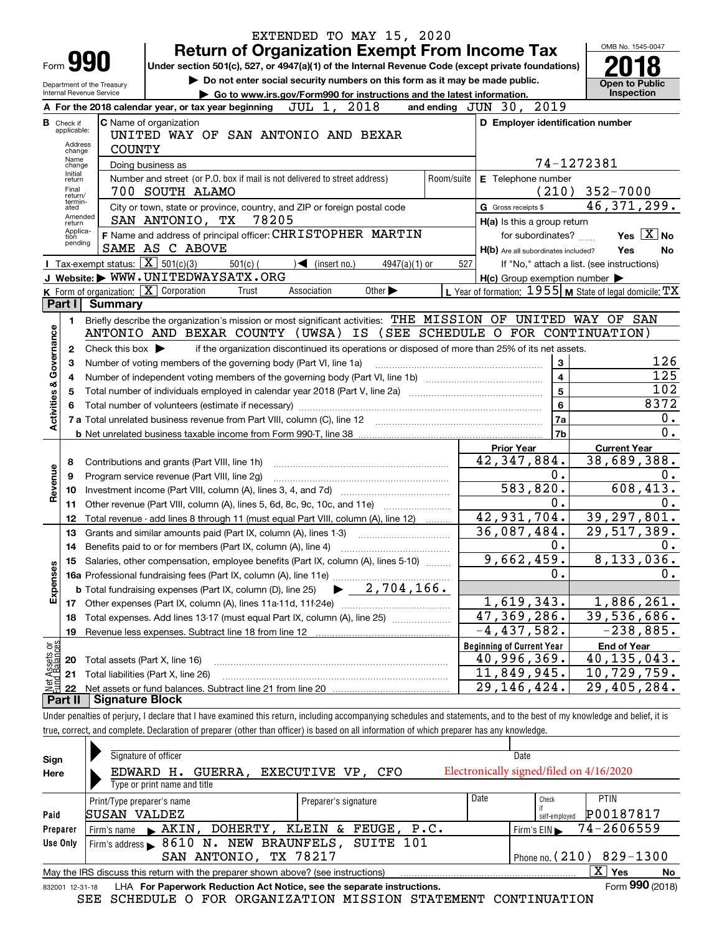|                                                                                                                                    |                                                   |                                                                                              |                                                                                                                                                                                      |                                                                                                 | EXTENDED TO MAY 15, 2020 |  |                             |                 |  |                       |                                                     |                   |                                                           |                  |
|------------------------------------------------------------------------------------------------------------------------------------|---------------------------------------------------|----------------------------------------------------------------------------------------------|--------------------------------------------------------------------------------------------------------------------------------------------------------------------------------------|-------------------------------------------------------------------------------------------------|--------------------------|--|-----------------------------|-----------------|--|-----------------------|-----------------------------------------------------|-------------------|-----------------------------------------------------------|------------------|
|                                                                                                                                    |                                                   |                                                                                              |                                                                                                                                                                                      | <b>Return of Organization Exempt From Income Tax</b>                                            |                          |  |                             |                 |  |                       |                                                     |                   | OMB No. 1545-0047                                         |                  |
|                                                                                                                                    |                                                   | Form <b>990</b>                                                                              | Under section 501(c), 527, or 4947(a)(1) of the Internal Revenue Code (except private foundations)                                                                                   |                                                                                                 |                          |  |                             |                 |  |                       |                                                     |                   |                                                           |                  |
| Do not enter social security numbers on this form as it may be made public.<br>Department of the Treasury                          |                                                   |                                                                                              |                                                                                                                                                                                      |                                                                                                 |                          |  |                             |                 |  | <b>Open to Public</b> |                                                     |                   |                                                           |                  |
|                                                                                                                                    |                                                   | <b>Internal Revenue Service</b>                                                              |                                                                                                                                                                                      | Go to www.irs.gov/Form990 for instructions and the latest information.                          |                          |  |                             |                 |  |                       |                                                     |                   | Inspection                                                |                  |
|                                                                                                                                    |                                                   |                                                                                              | A For the 2018 calendar year, or tax year beginning $JUL$ 1, $2018$                                                                                                                  |                                                                                                 |                          |  |                             |                 |  |                       | and ending JUN 30, 2019                             |                   |                                                           |                  |
| C Name of organization<br>D Employer identification number<br>Check if<br>в                                                        |                                                   |                                                                                              |                                                                                                                                                                                      |                                                                                                 |                          |  |                             |                 |  |                       |                                                     |                   |                                                           |                  |
|                                                                                                                                    | applicable:                                       |                                                                                              | UNITED WAY OF SAN ANTONIO AND BEXAR                                                                                                                                                  |                                                                                                 |                          |  |                             |                 |  |                       |                                                     |                   |                                                           |                  |
|                                                                                                                                    | Address<br>change                                 | <b>COUNTY</b>                                                                                |                                                                                                                                                                                      |                                                                                                 |                          |  |                             |                 |  |                       |                                                     |                   |                                                           |                  |
|                                                                                                                                    | Name<br>74-1272381<br>Doing business as<br>change |                                                                                              |                                                                                                                                                                                      |                                                                                                 |                          |  |                             |                 |  |                       |                                                     |                   |                                                           |                  |
| Initial<br>Room/suite   E Telephone number<br>Number and street (or P.O. box if mail is not delivered to street address)<br>return |                                                   |                                                                                              |                                                                                                                                                                                      |                                                                                                 |                          |  |                             |                 |  |                       |                                                     |                   |                                                           |                  |
| Final<br>(210)<br>700 SOUTH ALAMO<br>return/<br>termin-                                                                            |                                                   |                                                                                              |                                                                                                                                                                                      |                                                                                                 |                          |  |                             |                 |  | $352 - 7000$          |                                                     |                   |                                                           |                  |
|                                                                                                                                    | ated                                              |                                                                                              | City or town, state or province, country, and ZIP or foreign postal code                                                                                                             |                                                                                                 |                          |  |                             |                 |  |                       | G Gross receipts \$                                 |                   | 46, 371, 299.                                             |                  |
|                                                                                                                                    | Amended<br>return<br>Applica-                     |                                                                                              | SAN ANTONIO, TX                                                                                                                                                                      | 78205                                                                                           |                          |  |                             |                 |  |                       | H(a) Is this a group return                         |                   |                                                           |                  |
|                                                                                                                                    | tion<br>pending                                   |                                                                                              | F Name and address of principal officer: CHRISTOPHER MARTIN                                                                                                                          |                                                                                                 |                          |  |                             |                 |  |                       |                                                     | for subordinates? |                                                           | Yes $X$ No       |
|                                                                                                                                    |                                                   |                                                                                              | SAME AS C ABOVE                                                                                                                                                                      |                                                                                                 |                          |  |                             |                 |  |                       | H(b) Are all subordinates included?                 |                   | Yes                                                       | No               |
|                                                                                                                                    |                                                   | Tax-exempt status: $\boxed{\mathbf{X}}$ 501(c)(3)                                            |                                                                                                                                                                                      | $501(c)$ (                                                                                      | $\sqrt{ }$ (insert no.)  |  |                             | $4947(a)(1)$ or |  | 527                   |                                                     |                   | If "No," attach a list. (see instructions)                |                  |
|                                                                                                                                    |                                                   |                                                                                              | J Website: WWW.UNITEDWAYSATX.ORG                                                                                                                                                     |                                                                                                 |                          |  |                             |                 |  |                       | $H(c)$ Group exemption number $\blacktriangleright$ |                   |                                                           |                  |
|                                                                                                                                    | Part I                                            | <b>Summary</b>                                                                               | K Form of organization: X Corporation                                                                                                                                                | Trust                                                                                           | Association              |  | Other $\blacktriangleright$ |                 |  |                       |                                                     |                   | L Year of formation: $1955$ M State of legal domicile: TX |                  |
|                                                                                                                                    |                                                   |                                                                                              |                                                                                                                                                                                      |                                                                                                 |                          |  |                             |                 |  |                       |                                                     |                   |                                                           |                  |
|                                                                                                                                    | 1                                                 |                                                                                              | Briefly describe the organization's mission or most significant activities: THE MISSION OF UNITED WAY OF SAN<br>ANTONIO AND BEXAR COUNTY (UWSA) IS (SEE SCHEDULE O FOR CONTINUATION) |                                                                                                 |                          |  |                             |                 |  |                       |                                                     |                   |                                                           |                  |
|                                                                                                                                    |                                                   |                                                                                              |                                                                                                                                                                                      |                                                                                                 |                          |  |                             |                 |  |                       |                                                     |                   |                                                           |                  |
|                                                                                                                                    | 2                                                 | Check this box $\blacktriangleright$                                                         |                                                                                                                                                                                      | if the organization discontinued its operations or disposed of more than 25% of its net assets. |                          |  |                             |                 |  |                       |                                                     | 3                 |                                                           | 126              |
|                                                                                                                                    | з                                                 | Number of voting members of the governing body (Part VI, line 1a)<br>$\overline{\mathbf{4}}$ |                                                                                                                                                                                      |                                                                                                 |                          |  |                             |                 |  |                       |                                                     |                   | 125                                                       |                  |
|                                                                                                                                    | 4<br>5                                            |                                                                                              |                                                                                                                                                                                      |                                                                                                 |                          |  |                             |                 |  |                       |                                                     | $\overline{5}$    |                                                           | 102              |
| Activities & Governance                                                                                                            |                                                   |                                                                                              |                                                                                                                                                                                      |                                                                                                 |                          |  |                             |                 |  |                       |                                                     | $6\phantom{a}$    |                                                           | 8372             |
|                                                                                                                                    |                                                   |                                                                                              |                                                                                                                                                                                      |                                                                                                 |                          |  |                             |                 |  |                       |                                                     | 7a                |                                                           | 0.               |
|                                                                                                                                    |                                                   |                                                                                              |                                                                                                                                                                                      |                                                                                                 |                          |  |                             |                 |  |                       |                                                     | 7b                |                                                           | $\overline{0}$ . |
|                                                                                                                                    |                                                   |                                                                                              |                                                                                                                                                                                      |                                                                                                 |                          |  |                             |                 |  |                       | <b>Prior Year</b>                                   |                   | <b>Current Year</b>                                       |                  |
|                                                                                                                                    | 8                                                 |                                                                                              |                                                                                                                                                                                      |                                                                                                 |                          |  |                             |                 |  |                       | 42,347,884.                                         |                   | 38,689,388.                                               |                  |
|                                                                                                                                    | 9                                                 |                                                                                              | Program service revenue (Part VIII, line 2g)                                                                                                                                         |                                                                                                 |                          |  |                             |                 |  |                       |                                                     | 0.                |                                                           | 0.               |
| Revenue                                                                                                                            | 10                                                |                                                                                              |                                                                                                                                                                                      |                                                                                                 |                          |  |                             |                 |  |                       |                                                     | 583,820.          |                                                           | 608,413.         |
|                                                                                                                                    | 11                                                |                                                                                              | Other revenue (Part VIII, column (A), lines 5, 6d, 8c, 9c, 10c, and 11e)                                                                                                             |                                                                                                 |                          |  |                             |                 |  |                       |                                                     | Ω.                |                                                           | Ω.               |
|                                                                                                                                    | 12                                                |                                                                                              | Total revenue - add lines 8 through 11 (must equal Part VIII, column (A), line 12)                                                                                                   |                                                                                                 |                          |  |                             |                 |  |                       | 42,931,704.                                         |                   | 39,297,801.                                               |                  |
|                                                                                                                                    | 13                                                |                                                                                              | Grants and similar amounts paid (Part IX, column (A), lines 1-3)                                                                                                                     |                                                                                                 |                          |  |                             |                 |  |                       | 36,087,484.                                         |                   | 29,517,389.                                               |                  |
|                                                                                                                                    | 14                                                |                                                                                              | Benefits paid to or for members (Part IX, column (A), line 4)                                                                                                                        |                                                                                                 |                          |  |                             |                 |  |                       |                                                     | 0.                |                                                           | 0.               |
|                                                                                                                                    |                                                   |                                                                                              | Salaries, other compensation, employee benefits (Part IX, column (A), lines 5-10)                                                                                                    |                                                                                                 |                          |  |                             |                 |  |                       | 9,662,459.                                          |                   | 8, 133, 036.                                              |                  |
| Expenses                                                                                                                           |                                                   |                                                                                              | 16a Professional fundraising fees (Part IX, column (A), line 11e)                                                                                                                    |                                                                                                 |                          |  |                             |                 |  |                       |                                                     | 0.                |                                                           | 0.               |
|                                                                                                                                    |                                                   |                                                                                              | <b>b</b> Total fundraising expenses (Part IX, column (D), line 25)                                                                                                                   |                                                                                                 |                          |  | $-2,704,166.$               |                 |  |                       |                                                     |                   |                                                           |                  |
|                                                                                                                                    |                                                   |                                                                                              |                                                                                                                                                                                      |                                                                                                 |                          |  |                             |                 |  |                       | 1,619,343.                                          |                   | 1,886,261.                                                |                  |
|                                                                                                                                    | 18                                                |                                                                                              | Total expenses. Add lines 13-17 (must equal Part IX, column (A), line 25)                                                                                                            |                                                                                                 |                          |  |                             |                 |  |                       | $\overline{47,369,286}$ .                           |                   | 39, 536, 686.                                             |                  |
|                                                                                                                                    | 19                                                |                                                                                              | Revenue less expenses. Subtract line 18 from line 12                                                                                                                                 |                                                                                                 |                          |  |                             |                 |  |                       | $-4,437,582.$                                       |                   |                                                           | $-238,885.$      |
| Net Assets or<br>Eund Balances                                                                                                     |                                                   |                                                                                              |                                                                                                                                                                                      |                                                                                                 |                          |  |                             |                 |  |                       | <b>Beginning of Current Year</b>                    |                   | <b>End of Year</b>                                        |                  |
|                                                                                                                                    | 20                                                | Total assets (Part X, line 16)                                                               |                                                                                                                                                                                      |                                                                                                 |                          |  |                             |                 |  |                       | 40,996,369.                                         |                   | 40, 135, 043.                                             |                  |
|                                                                                                                                    | 21                                                |                                                                                              | Total liabilities (Part X, line 26)                                                                                                                                                  |                                                                                                 |                          |  |                             |                 |  |                       | 11,849,945.                                         |                   | 10,729, 759.                                              |                  |
|                                                                                                                                    | 22                                                | Signature Block                                                                              |                                                                                                                                                                                      |                                                                                                 |                          |  |                             |                 |  |                       | $\overline{29}$ , 146, 424.                         |                   | $\overline{29}$ , 405, 284.                               |                  |
|                                                                                                                                    | Part II                                           |                                                                                              |                                                                                                                                                                                      |                                                                                                 |                          |  |                             |                 |  |                       |                                                     |                   |                                                           |                  |
|                                                                                                                                    |                                                   |                                                                                              | Under penalties of perjury, I declare that I have examined this return, including accompanying schedules and statements, and to the best of my knowledge and belief, it is           |                                                                                                 |                          |  |                             |                 |  |                       |                                                     |                   |                                                           |                  |
|                                                                                                                                    |                                                   |                                                                                              | true, correct, and complete. Declaration of preparer (other than officer) is based on all information of which preparer has any knowledge.                                           |                                                                                                 |                          |  |                             |                 |  |                       |                                                     |                   |                                                           |                  |
| Sian                                                                                                                               |                                                   |                                                                                              | Signature of officer                                                                                                                                                                 |                                                                                                 |                          |  |                             |                 |  |                       | Date                                                |                   |                                                           |                  |
|                                                                                                                                    |                                                   |                                                                                              |                                                                                                                                                                                      |                                                                                                 |                          |  |                             |                 |  |                       |                                                     |                   |                                                           |                  |

| Sign            |                                                                                   | Signature of officer |                                          |                  |  |  |  |  |  |  |
|-----------------|-----------------------------------------------------------------------------------|----------------------|------------------------------------------|------------------|--|--|--|--|--|--|
| Here            | GUERRA,<br>EDWARD H.                                                              | EXECUTIVE VP, CFO    | Electronically signed/filed on 4/16/2020 |                  |  |  |  |  |  |  |
|                 | Type or print name and title                                                      |                      |                                          |                  |  |  |  |  |  |  |
|                 | Print/Type preparer's name                                                        | Preparer's signature | Date<br>Check                            | PTIN             |  |  |  |  |  |  |
| Paid            | SUSAN VALDEZ                                                                      |                      | self-employed                            | P00187817        |  |  |  |  |  |  |
| Preparer        | Firm's name AKIN, DOHERTY, KLEIN & FEUGE, P.C.                                    |                      | Firm's $EIN$                             | 74-2606559       |  |  |  |  |  |  |
| Use Only        | Firm's address > 8610 N. NEW BRAUNFELS, SUITE 101                                 |                      |                                          |                  |  |  |  |  |  |  |
|                 | Phone no. $(210)$ 829-1300<br>SAN ANTONIO, TX 78217                               |                      |                                          |                  |  |  |  |  |  |  |
|                 | May the IRS discuss this return with the preparer shown above? (see instructions) |                      |                                          | X.<br>Yes<br>No. |  |  |  |  |  |  |
| 832001 12-31-18 | LHA For Paperwork Reduction Act Notice, see the separate instructions.            |                      |                                          | Form 990 (2018)  |  |  |  |  |  |  |

Form (2018) SEE SCHEDULE O FOR ORGANIZATION MISSION STATEMENT CONTINUATION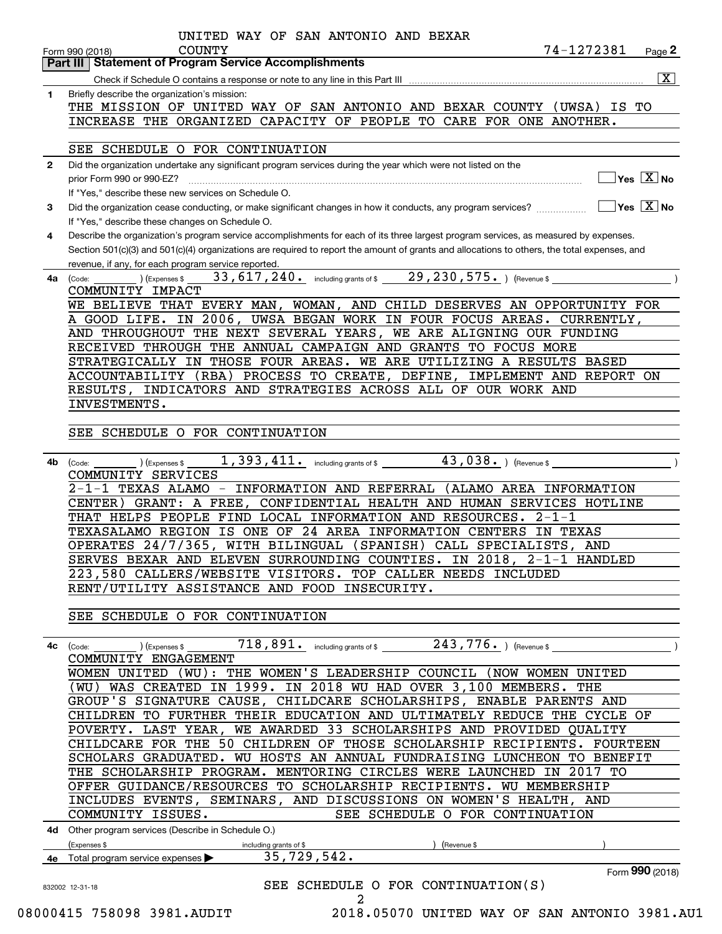|              | 74-1272381<br><b>COUNTY</b><br>Page 2<br>Form 990 (2018)<br><b>Part III   Statement of Program Service Accomplishments</b>                                            |  |  |  |  |  |  |  |  |  |
|--------------|-----------------------------------------------------------------------------------------------------------------------------------------------------------------------|--|--|--|--|--|--|--|--|--|
|              | $\overline{\mathbf{x}}$                                                                                                                                               |  |  |  |  |  |  |  |  |  |
| 1            | Briefly describe the organization's mission:                                                                                                                          |  |  |  |  |  |  |  |  |  |
|              | THE MISSION OF UNITED WAY OF SAN ANTONIO AND BEXAR COUNTY (UWSA) IS TO                                                                                                |  |  |  |  |  |  |  |  |  |
|              | INCREASE THE ORGANIZED CAPACITY OF PEOPLE TO CARE FOR ONE ANOTHER.                                                                                                    |  |  |  |  |  |  |  |  |  |
|              |                                                                                                                                                                       |  |  |  |  |  |  |  |  |  |
|              | SEE SCHEDULE O FOR CONTINUATION                                                                                                                                       |  |  |  |  |  |  |  |  |  |
| $\mathbf{2}$ | Did the organization undertake any significant program services during the year which were not listed on the                                                          |  |  |  |  |  |  |  |  |  |
|              | $Yes \quad X$ No<br>prior Form 990 or 990-EZ?                                                                                                                         |  |  |  |  |  |  |  |  |  |
|              | If "Yes," describe these new services on Schedule O.                                                                                                                  |  |  |  |  |  |  |  |  |  |
| 3            | $\overline{\mathsf{Y}}$ es $\overline{\mathsf{X}}$ No<br>Did the organization cease conducting, or make significant changes in how it conducts, any program services? |  |  |  |  |  |  |  |  |  |
|              | If "Yes," describe these changes on Schedule O.                                                                                                                       |  |  |  |  |  |  |  |  |  |
| 4            | Describe the organization's program service accomplishments for each of its three largest program services, as measured by expenses.                                  |  |  |  |  |  |  |  |  |  |
|              | Section 501(c)(3) and 501(c)(4) organizations are required to report the amount of grants and allocations to others, the total expenses, and                          |  |  |  |  |  |  |  |  |  |
|              | revenue, if any, for each program service reported.                                                                                                                   |  |  |  |  |  |  |  |  |  |
| 4a           | 33, 617, 240. including grants of \$29, 230, 575. ) (Revenue \$<br>) (Expenses \$<br>(Code:                                                                           |  |  |  |  |  |  |  |  |  |
|              | COMMUNITY IMPACT                                                                                                                                                      |  |  |  |  |  |  |  |  |  |
|              | WE BELIEVE THAT EVERY MAN, WOMAN, AND CHILD DESERVES AN OPPORTUNITY FOR                                                                                               |  |  |  |  |  |  |  |  |  |
|              | IN 2006, UWSA BEGAN WORK IN FOUR FOCUS AREAS. CURRENTLY,<br>A GOOD LIFE.                                                                                              |  |  |  |  |  |  |  |  |  |
|              | AND THROUGHOUT THE NEXT SEVERAL YEARS, WE ARE ALIGNING OUR FUNDING                                                                                                    |  |  |  |  |  |  |  |  |  |
|              | RECEIVED THROUGH THE ANNUAL CAMPAIGN AND GRANTS TO FOCUS MORE                                                                                                         |  |  |  |  |  |  |  |  |  |
|              | STRATEGICALLY IN THOSE FOUR AREAS. WE ARE UTILIZING A RESULTS BASED                                                                                                   |  |  |  |  |  |  |  |  |  |
|              | PROCESS TO CREATE, DEFINE,<br>ACCOUNTABILITY (RBA)<br>IMPLEMENT AND REPORT ON                                                                                         |  |  |  |  |  |  |  |  |  |
|              | RESULTS, INDICATORS AND STRATEGIES ACROSS ALL OF OUR WORK AND                                                                                                         |  |  |  |  |  |  |  |  |  |
|              | INVESTMENTS.                                                                                                                                                          |  |  |  |  |  |  |  |  |  |
|              | SEE SCHEDULE O FOR CONTINUATION                                                                                                                                       |  |  |  |  |  |  |  |  |  |
|              |                                                                                                                                                                       |  |  |  |  |  |  |  |  |  |
|              | 1, 393, 411. including grants of \$ 43, 038. The venue \$                                                                                                             |  |  |  |  |  |  |  |  |  |
| 4b           | (Expenses \$<br>(Code:<br>COMMUNITY SERVICES                                                                                                                          |  |  |  |  |  |  |  |  |  |
|              | INFORMATION AND REFERRAL (ALAMO AREA INFORMATION<br>2-1-1 TEXAS ALAMO -                                                                                               |  |  |  |  |  |  |  |  |  |
|              | CONFIDENTIAL HEALTH AND HUMAN SERVICES HOTLINE<br>GRANT: A FREE,<br>CENTER)                                                                                           |  |  |  |  |  |  |  |  |  |
|              | THAT HELPS PEOPLE FIND LOCAL INFORMATION AND RESOURCES.<br>$2 - 1 - 1$                                                                                                |  |  |  |  |  |  |  |  |  |
|              | TEXASALAMO REGION IS ONE OF 24 AREA INFORMATION CENTERS<br>IN TEXAS                                                                                                   |  |  |  |  |  |  |  |  |  |
|              | OPERATES 24/7/365, WITH BILINGUAL (SPANISH) CALL SPECIALISTS, AND                                                                                                     |  |  |  |  |  |  |  |  |  |
|              | SERVES BEXAR AND ELEVEN SURROUNDING COUNTIES. IN 2018, 2-1-1 HANDLED                                                                                                  |  |  |  |  |  |  |  |  |  |
|              | 223,580 CALLERS/WEBSITE VISITORS. TOP CALLER NEEDS INCLUDED                                                                                                           |  |  |  |  |  |  |  |  |  |
|              | RENT/UTILITY ASSISTANCE AND FOOD INSECURITY.                                                                                                                          |  |  |  |  |  |  |  |  |  |
|              |                                                                                                                                                                       |  |  |  |  |  |  |  |  |  |
|              | SEE SCHEDULE O FOR CONTINUATION                                                                                                                                       |  |  |  |  |  |  |  |  |  |
|              |                                                                                                                                                                       |  |  |  |  |  |  |  |  |  |
| 4с           | (Code: $(243, 776)$ ) (Expenses \$ 718, 891. including grants of \$ 243, 776. ) (Revenue \$                                                                           |  |  |  |  |  |  |  |  |  |
|              | COMMUNITY ENGAGEMENT                                                                                                                                                  |  |  |  |  |  |  |  |  |  |
|              | WOMEN UNITED (WU): THE WOMEN'S LEADERSHIP COUNCIL (NOW WOMEN UNITED                                                                                                   |  |  |  |  |  |  |  |  |  |
|              | (WU) WAS CREATED IN 1999. IN 2018 WU HAD OVER 3,100 MEMBERS. THE                                                                                                      |  |  |  |  |  |  |  |  |  |
|              | GROUP'S SIGNATURE CAUSE, CHILDCARE SCHOLARSHIPS, ENABLE PARENTS AND                                                                                                   |  |  |  |  |  |  |  |  |  |
|              | CHILDREN TO FURTHER THEIR EDUCATION AND ULTIMATELY REDUCE THE CYCLE OF                                                                                                |  |  |  |  |  |  |  |  |  |
|              | POVERTY. LAST YEAR, WE AWARDED 33 SCHOLARSHIPS AND PROVIDED QUALITY                                                                                                   |  |  |  |  |  |  |  |  |  |
|              | CHILDCARE FOR THE 50 CHILDREN OF THOSE SCHOLARSHIP RECIPIENTS. FOURTEEN                                                                                               |  |  |  |  |  |  |  |  |  |
|              | SCHOLARS GRADUATED. WU HOSTS AN ANNUAL FUNDRAISING LUNCHEON TO BENEFIT                                                                                                |  |  |  |  |  |  |  |  |  |
|              |                                                                                                                                                                       |  |  |  |  |  |  |  |  |  |
|              | THE SCHOLARSHIP PROGRAM. MENTORING CIRCLES WERE LAUNCHED IN 2017 TO                                                                                                   |  |  |  |  |  |  |  |  |  |
|              | OFFER GUIDANCE/RESOURCES TO SCHOLARSHIP RECIPIENTS. WU MEMBERSHIP                                                                                                     |  |  |  |  |  |  |  |  |  |
|              | INCLUDES EVENTS, SEMINARS, AND DISCUSSIONS ON WOMEN'S HEALTH, AND                                                                                                     |  |  |  |  |  |  |  |  |  |
|              | COMMUNITY ISSUES.<br>SEE SCHEDULE O FOR CONTINUATION                                                                                                                  |  |  |  |  |  |  |  |  |  |
|              | 4d Other program services (Describe in Schedule O.)                                                                                                                   |  |  |  |  |  |  |  |  |  |
|              | (Expenses \$<br>including grants of \$<br>(Revenue \$                                                                                                                 |  |  |  |  |  |  |  |  |  |
|              | 35,729,542.<br>4e Total program service expenses                                                                                                                      |  |  |  |  |  |  |  |  |  |
|              | Form 990 (2018)<br>SEE SCHEDULE O FOR CONTINUATION(S)<br>832002 12-31-18                                                                                              |  |  |  |  |  |  |  |  |  |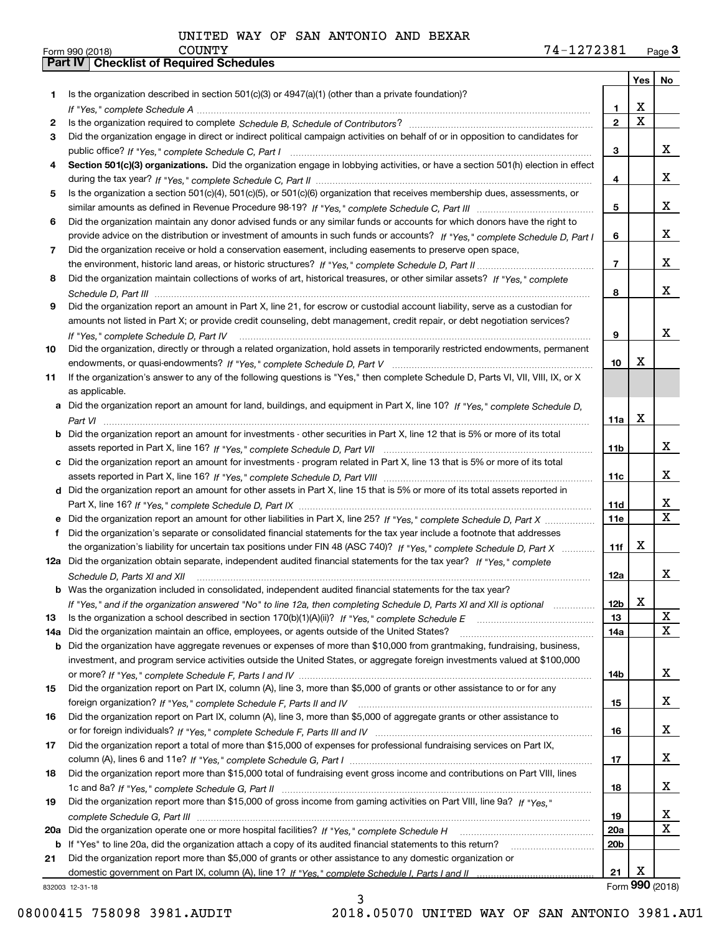|     |                                                                                                                                      |                 | Yes                     | No           |
|-----|--------------------------------------------------------------------------------------------------------------------------------------|-----------------|-------------------------|--------------|
| 1   | Is the organization described in section $501(c)(3)$ or $4947(a)(1)$ (other than a private foundation)?                              |                 |                         |              |
|     |                                                                                                                                      | 1               | X                       |              |
| 2   |                                                                                                                                      | $\overline{2}$  | $\overline{\mathbf{x}}$ |              |
| 3   | Did the organization engage in direct or indirect political campaign activities on behalf of or in opposition to candidates for      |                 |                         |              |
|     |                                                                                                                                      | 3               |                         | x            |
| 4   | Section 501(c)(3) organizations. Did the organization engage in lobbying activities, or have a section 501(h) election in effect     |                 |                         |              |
|     |                                                                                                                                      | 4               |                         | x            |
| 5   | Is the organization a section 501(c)(4), 501(c)(5), or 501(c)(6) organization that receives membership dues, assessments, or         |                 |                         |              |
|     |                                                                                                                                      | 5               |                         | x            |
| 6   | Did the organization maintain any donor advised funds or any similar funds or accounts for which donors have the right to            |                 |                         | x            |
|     | provide advice on the distribution or investment of amounts in such funds or accounts? If "Yes," complete Schedule D, Part I         | 6               |                         |              |
| 7   | Did the organization receive or hold a conservation easement, including easements to preserve open space,                            | $\overline{7}$  |                         | X            |
|     |                                                                                                                                      |                 |                         |              |
| 8   | Did the organization maintain collections of works of art, historical treasures, or other similar assets? If "Yes," complete         | 8               |                         | X            |
| 9   | Did the organization report an amount in Part X, line 21, for escrow or custodial account liability, serve as a custodian for        |                 |                         |              |
|     | amounts not listed in Part X; or provide credit counseling, debt management, credit repair, or debt negotiation services?            |                 |                         |              |
|     | If "Yes," complete Schedule D, Part IV                                                                                               | 9               |                         | х            |
| 10  | Did the organization, directly or through a related organization, hold assets in temporarily restricted endowments, permanent        |                 |                         |              |
|     |                                                                                                                                      | 10              | х                       |              |
| 11  | If the organization's answer to any of the following questions is "Yes," then complete Schedule D, Parts VI, VII, VIII, IX, or X     |                 |                         |              |
|     | as applicable.                                                                                                                       |                 |                         |              |
| a   | Did the organization report an amount for land, buildings, and equipment in Part X, line 10? If "Yes." complete Schedule D.          |                 |                         |              |
|     |                                                                                                                                      | 11a             | X                       |              |
|     | <b>b</b> Did the organization report an amount for investments - other securities in Part X, line 12 that is 5% or more of its total |                 |                         |              |
|     |                                                                                                                                      | 11 <sub>b</sub> |                         | X            |
| c   | Did the organization report an amount for investments - program related in Part X, line 13 that is 5% or more of its total           |                 |                         |              |
|     |                                                                                                                                      | 11c             |                         | x            |
|     | d Did the organization report an amount for other assets in Part X, line 15 that is 5% or more of its total assets reported in       |                 |                         |              |
|     |                                                                                                                                      | 11d             |                         | X            |
|     | Did the organization report an amount for other liabilities in Part X, line 25? If "Yes," complete Schedule D, Part X                | 11e             |                         | $\mathbf{x}$ |
| f   | Did the organization's separate or consolidated financial statements for the tax year include a footnote that addresses              |                 |                         |              |
|     | the organization's liability for uncertain tax positions under FIN 48 (ASC 740)? If "Yes," complete Schedule D, Part X               | 11f             | х                       |              |
|     | 12a Did the organization obtain separate, independent audited financial statements for the tax year? If "Yes," complete              |                 |                         |              |
|     | Schedule D, Parts XI and XII                                                                                                         | 12a             |                         | x            |
|     | <b>b</b> Was the organization included in consolidated, independent audited financial statements for the tax year?                   |                 |                         |              |
|     | If "Yes," and if the organization answered "No" to line 12a, then completing Schedule D, Parts XI and XII is optional                | 12D             | ▵                       |              |
| 13  |                                                                                                                                      | 13              |                         | X            |
| 14a | Did the organization maintain an office, employees, or agents outside of the United States?                                          | 14a             |                         | X            |
| b   | Did the organization have aggregate revenues or expenses of more than \$10,000 from grantmaking, fundraising, business,              |                 |                         |              |
|     | investment, and program service activities outside the United States, or aggregate foreign investments valued at \$100,000           |                 |                         |              |
|     |                                                                                                                                      | 14b             |                         | x            |
| 15  | Did the organization report on Part IX, column (A), line 3, more than \$5,000 of grants or other assistance to or for any            |                 |                         |              |
|     |                                                                                                                                      | 15              |                         | x            |
| 16  | Did the organization report on Part IX, column (A), line 3, more than \$5,000 of aggregate grants or other assistance to             |                 |                         |              |
|     |                                                                                                                                      | 16              |                         | x            |
| 17  | Did the organization report a total of more than \$15,000 of expenses for professional fundraising services on Part IX,              |                 |                         | x            |
|     | Did the organization report more than \$15,000 total of fundraising event gross income and contributions on Part VIII, lines         | 17              |                         |              |
| 18  |                                                                                                                                      | 18              |                         | x            |
| 19  | Did the organization report more than \$15,000 of gross income from gaming activities on Part VIII, line 9a? If "Yes."               |                 |                         |              |
|     |                                                                                                                                      | 19              |                         | X            |
| 20a |                                                                                                                                      | 20a             |                         | $\mathbf X$  |
|     | b If "Yes" to line 20a, did the organization attach a copy of its audited financial statements to this return?                       | 20 <sub>b</sub> |                         |              |
| 21  | Did the organization report more than \$5,000 of grants or other assistance to any domestic organization or                          |                 |                         |              |
|     |                                                                                                                                      | 21              | Х                       |              |
|     |                                                                                                                                      |                 |                         |              |

3

08000415 758098 3981.AUDIT 2018.05070 UNITED WAY OF SAN ANTONIO 3981.AU1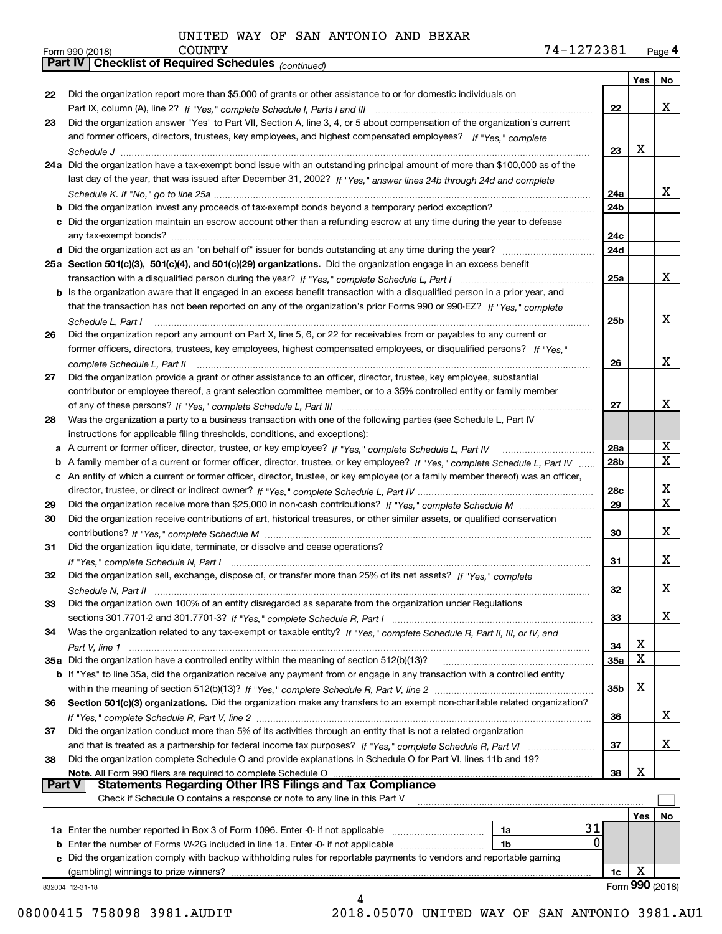|               | Parl IV  <br>Crieckist of Required Scriedules (continued)                                                                          |                 |     |                 |  |  |
|---------------|------------------------------------------------------------------------------------------------------------------------------------|-----------------|-----|-----------------|--|--|
|               |                                                                                                                                    |                 | Yes | No              |  |  |
| 22            | Did the organization report more than \$5,000 of grants or other assistance to or for domestic individuals on                      |                 |     |                 |  |  |
|               |                                                                                                                                    | 22              |     | x               |  |  |
| 23            | Did the organization answer "Yes" to Part VII, Section A, line 3, 4, or 5 about compensation of the organization's current         |                 |     |                 |  |  |
|               | and former officers, directors, trustees, key employees, and highest compensated employees? If "Yes," complete                     |                 |     |                 |  |  |
|               |                                                                                                                                    | 23              | x   |                 |  |  |
|               | 24a Did the organization have a tax-exempt bond issue with an outstanding principal amount of more than \$100,000 as of the        |                 |     |                 |  |  |
|               | last day of the year, that was issued after December 31, 2002? If "Yes," answer lines 24b through 24d and complete                 |                 |     |                 |  |  |
|               |                                                                                                                                    | 24a             |     | X.              |  |  |
|               |                                                                                                                                    | 24b             |     |                 |  |  |
|               | c Did the organization maintain an escrow account other than a refunding escrow at any time during the year to defease             |                 |     |                 |  |  |
|               |                                                                                                                                    | 24c             |     |                 |  |  |
|               |                                                                                                                                    | 24d             |     |                 |  |  |
|               | 25a Section 501(c)(3), 501(c)(4), and 501(c)(29) organizations. Did the organization engage in an excess benefit                   |                 |     |                 |  |  |
|               |                                                                                                                                    | 25a             |     | x               |  |  |
|               | b Is the organization aware that it engaged in an excess benefit transaction with a disqualified person in a prior year, and       |                 |     |                 |  |  |
|               | that the transaction has not been reported on any of the organization's prior Forms 990 or 990-EZ? If "Yes," complete              |                 |     |                 |  |  |
|               | Schedule L, Part I                                                                                                                 | 25b             |     | x               |  |  |
| 26            | Did the organization report any amount on Part X, line 5, 6, or 22 for receivables from or payables to any current or              |                 |     |                 |  |  |
|               | former officers, directors, trustees, key employees, highest compensated employees, or disqualified persons? If "Yes."             |                 |     |                 |  |  |
|               |                                                                                                                                    | 26              |     | x               |  |  |
| 27            | Did the organization provide a grant or other assistance to an officer, director, trustee, key employee, substantial               |                 |     |                 |  |  |
|               | contributor or employee thereof, a grant selection committee member, or to a 35% controlled entity or family member                | 27              |     | х               |  |  |
|               |                                                                                                                                    |                 |     |                 |  |  |
| 28            | Was the organization a party to a business transaction with one of the following parties (see Schedule L, Part IV                  |                 |     |                 |  |  |
|               | instructions for applicable filing thresholds, conditions, and exceptions):                                                        |                 |     |                 |  |  |
|               | a A current or former officer, director, trustee, or key employee? If "Yes," complete Schedule L, Part IV                          | 28a             |     | х               |  |  |
|               | b A family member of a current or former officer, director, trustee, or key employee? If "Yes," complete Schedule L, Part IV       | 28 <sub>b</sub> |     | X               |  |  |
|               | c An entity of which a current or former officer, director, trustee, or key employee (or a family member thereof) was an officer,  |                 |     |                 |  |  |
|               |                                                                                                                                    | 28c             |     | х               |  |  |
| 29            |                                                                                                                                    | 29              |     | X               |  |  |
| 30            | Did the organization receive contributions of art, historical treasures, or other similar assets, or qualified conservation        |                 |     |                 |  |  |
|               |                                                                                                                                    | 30              |     | X               |  |  |
| 31            | Did the organization liquidate, terminate, or dissolve and cease operations?                                                       |                 |     |                 |  |  |
|               |                                                                                                                                    | 31              |     | x               |  |  |
| 32            | Did the organization sell, exchange, dispose of, or transfer more than 25% of its net assets? If "Yes," complete                   |                 |     |                 |  |  |
|               | Schedule N. Part II                                                                                                                | 32              |     | х               |  |  |
| 33            | Did the organization own 100% of an entity disregarded as separate from the organization under Regulations                         |                 |     |                 |  |  |
|               |                                                                                                                                    | 33              |     | x               |  |  |
| 34            | Was the organization related to any tax-exempt or taxable entity? If "Yes," complete Schedule R, Part II, III, or IV, and          |                 |     |                 |  |  |
|               |                                                                                                                                    | 34              | х   |                 |  |  |
|               | 35a Did the organization have a controlled entity within the meaning of section 512(b)(13)?                                        | 35a             | х   |                 |  |  |
|               | <b>b</b> If "Yes" to line 35a, did the organization receive any payment from or engage in any transaction with a controlled entity |                 |     |                 |  |  |
|               |                                                                                                                                    | 35b             | х   |                 |  |  |
| 36            | Section 501(c)(3) organizations. Did the organization make any transfers to an exempt non-charitable related organization?         |                 |     |                 |  |  |
|               |                                                                                                                                    | 36              |     | x               |  |  |
| 37            | Did the organization conduct more than 5% of its activities through an entity that is not a related organization                   |                 |     |                 |  |  |
|               | and that is treated as a partnership for federal income tax purposes? If "Yes," complete Schedule R, Part VI                       | 37              |     | x               |  |  |
| 38            | Did the organization complete Schedule O and provide explanations in Schedule O for Part VI, lines 11b and 19?                     |                 |     |                 |  |  |
| <b>Part V</b> | Note. All Form 990 filers are required to complete Schedule O<br><b>Statements Regarding Other IRS Filings and Tax Compliance</b>  | 38              | х   |                 |  |  |
|               | Check if Schedule O contains a response or note to any line in this Part V                                                         |                 |     |                 |  |  |
|               |                                                                                                                                    |                 |     |                 |  |  |
|               |                                                                                                                                    |                 | Yes | No              |  |  |
|               | 31<br>1a<br>0                                                                                                                      |                 |     |                 |  |  |
|               | <b>b</b> Enter the number of Forms W-2G included in line 1a. Enter -0- if not applicable<br>1b                                     |                 |     |                 |  |  |
|               | c Did the organization comply with backup withholding rules for reportable payments to vendors and reportable gaming               |                 | Χ   |                 |  |  |
|               | (gambling) winnings to prize winners?                                                                                              | 1c              |     | Form 990 (2018) |  |  |
|               | 832004 12-31-18                                                                                                                    |                 |     |                 |  |  |

08000415 758098 3981.AUDIT 2018.05070 UNITED WAY OF SAN ANTONIO 3981.AU1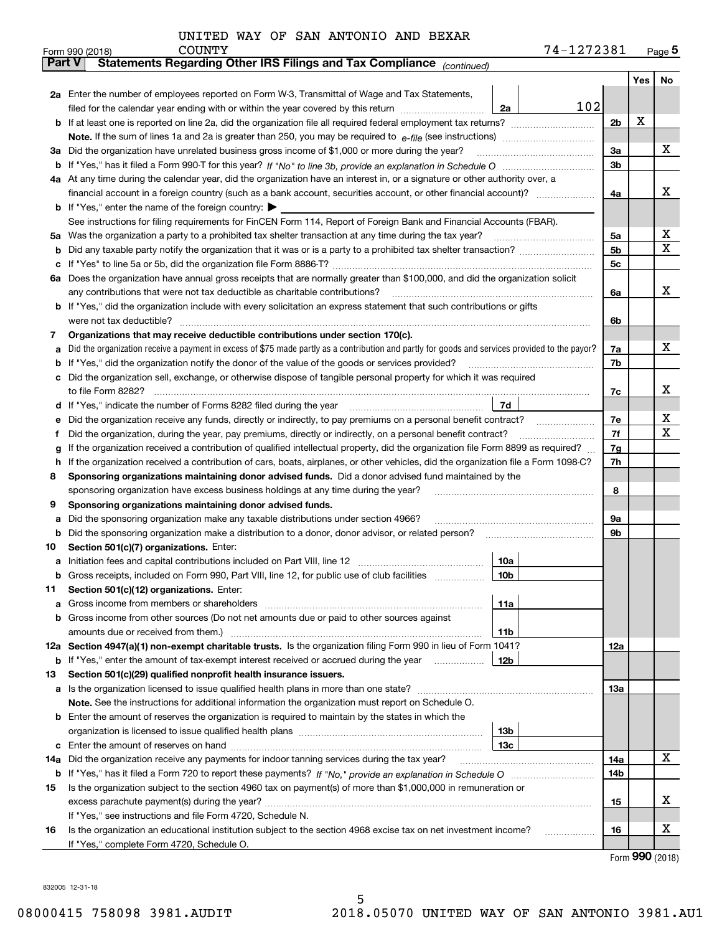| UNITED WAY OF SAN ANTONIO AND BEXAR |  |
|-------------------------------------|--|
|-------------------------------------|--|

|               |                                                                                                                                    | COUNTY<br>Form 990 (2018)                                                                                                                                    |                 | 74-1272381 |                |     | Page 5 |  |  |
|---------------|------------------------------------------------------------------------------------------------------------------------------------|--------------------------------------------------------------------------------------------------------------------------------------------------------------|-----------------|------------|----------------|-----|--------|--|--|
| <b>Part V</b> |                                                                                                                                    | Statements Regarding Other IRS Filings and Tax Compliance (continued)                                                                                        |                 |            |                |     |        |  |  |
|               |                                                                                                                                    |                                                                                                                                                              |                 |            |                | Yes | No     |  |  |
|               |                                                                                                                                    | 2a Enter the number of employees reported on Form W-3, Transmittal of Wage and Tax Statements,                                                               |                 |            |                |     |        |  |  |
|               |                                                                                                                                    | filed for the calendar year ending with or within the year covered by this return                                                                            | 2a              | 102        |                |     |        |  |  |
| b             |                                                                                                                                    |                                                                                                                                                              |                 |            | 2 <sub>b</sub> | x   |        |  |  |
|               |                                                                                                                                    |                                                                                                                                                              |                 |            |                |     |        |  |  |
| За            |                                                                                                                                    | Did the organization have unrelated business gross income of \$1,000 or more during the year?                                                                |                 |            | 3a             |     | x      |  |  |
| b             |                                                                                                                                    |                                                                                                                                                              |                 |            | 3b             |     |        |  |  |
|               |                                                                                                                                    | 4a At any time during the calendar year, did the organization have an interest in, or a signature or other authority over, a                                 |                 |            |                |     |        |  |  |
|               |                                                                                                                                    | financial account in a foreign country (such as a bank account, securities account, or other financial account)?                                             |                 |            | 4a             |     | х      |  |  |
|               |                                                                                                                                    | <b>b</b> If "Yes," enter the name of the foreign country: $\blacktriangleright$                                                                              |                 |            |                |     |        |  |  |
|               |                                                                                                                                    | See instructions for filing requirements for FinCEN Form 114, Report of Foreign Bank and Financial Accounts (FBAR).                                          |                 |            |                |     |        |  |  |
| 5a            |                                                                                                                                    | Was the organization a party to a prohibited tax shelter transaction at any time during the tax year?                                                        |                 |            | 5a             |     | х      |  |  |
| b             |                                                                                                                                    |                                                                                                                                                              |                 |            | 5b             |     | X      |  |  |
| с             |                                                                                                                                    |                                                                                                                                                              |                 |            | 5с             |     |        |  |  |
| 6a            |                                                                                                                                    | Does the organization have annual gross receipts that are normally greater than \$100,000, and did the organization solicit                                  |                 |            |                |     |        |  |  |
|               |                                                                                                                                    |                                                                                                                                                              |                 |            | 6a             |     | x      |  |  |
| b             |                                                                                                                                    | If "Yes," did the organization include with every solicitation an express statement that such contributions or gifts                                         |                 |            |                |     |        |  |  |
|               |                                                                                                                                    | were not tax deductible?                                                                                                                                     |                 |            | 6b             |     |        |  |  |
| 7             |                                                                                                                                    | Organizations that may receive deductible contributions under section 170(c).                                                                                |                 |            |                |     |        |  |  |
| a             |                                                                                                                                    | Did the organization receive a payment in excess of \$75 made partly as a contribution and partly for goods and services provided to the payor?              |                 |            | 7a             |     | x      |  |  |
| b             |                                                                                                                                    | If "Yes," did the organization notify the donor of the value of the goods or services provided?                                                              |                 |            | 7b             |     |        |  |  |
| с             |                                                                                                                                    | Did the organization sell, exchange, or otherwise dispose of tangible personal property for which it was required                                            |                 |            |                |     | х      |  |  |
|               |                                                                                                                                    | to file Form 8282?                                                                                                                                           | 7d              |            | 7c             |     |        |  |  |
| d<br>е        |                                                                                                                                    | Did the organization receive any funds, directly or indirectly, to pay premiums on a personal benefit contract?                                              |                 |            | 7e             |     | х      |  |  |
| f             | Did the organization, during the year, pay premiums, directly or indirectly, on a personal benefit contract?                       |                                                                                                                                                              |                 |            |                |     |        |  |  |
| g             | If the organization received a contribution of qualified intellectual property, did the organization file Form 8899 as required?   |                                                                                                                                                              |                 |            |                |     |        |  |  |
| h             | If the organization received a contribution of cars, boats, airplanes, or other vehicles, did the organization file a Form 1098-C? |                                                                                                                                                              |                 |            |                |     |        |  |  |
| 8             | Sponsoring organizations maintaining donor advised funds. Did a donor advised fund maintained by the                               |                                                                                                                                                              |                 |            |                |     |        |  |  |
|               | sponsoring organization have excess business holdings at any time during the year?                                                 |                                                                                                                                                              |                 |            |                |     |        |  |  |
| 9             |                                                                                                                                    | Sponsoring organizations maintaining donor advised funds.                                                                                                    |                 |            | 8              |     |        |  |  |
| а             |                                                                                                                                    | Did the sponsoring organization make any taxable distributions under section 4966?                                                                           |                 |            | 9а             |     |        |  |  |
| b             |                                                                                                                                    | Did the sponsoring organization make a distribution to a donor, donor advisor, or related person?                                                            |                 |            | 9b             |     |        |  |  |
| 10            |                                                                                                                                    | Section 501(c)(7) organizations. Enter:                                                                                                                      |                 |            |                |     |        |  |  |
| а             |                                                                                                                                    |                                                                                                                                                              | 10a             |            |                |     |        |  |  |
|               |                                                                                                                                    | Gross receipts, included on Form 990, Part VIII, line 12, for public use of club facilities                                                                  | 10 <sub>b</sub> |            |                |     |        |  |  |
| 11            |                                                                                                                                    | Section 501(c)(12) organizations. Enter:                                                                                                                     |                 |            |                |     |        |  |  |
| a             |                                                                                                                                    | Gross income from members or shareholders                                                                                                                    | 11a             |            |                |     |        |  |  |
| b             |                                                                                                                                    | Gross income from other sources (Do not net amounts due or paid to other sources against                                                                     |                 |            |                |     |        |  |  |
|               |                                                                                                                                    | amounts due or received from them.)                                                                                                                          | 11b             |            |                |     |        |  |  |
|               |                                                                                                                                    | 12a Section 4947(a)(1) non-exempt charitable trusts. Is the organization filing Form 990 in lieu of Form 1041?                                               |                 |            | 12a            |     |        |  |  |
|               |                                                                                                                                    | <b>b</b> If "Yes," enter the amount of tax-exempt interest received or accrued during the year                                                               | 12b             |            |                |     |        |  |  |
| 13            |                                                                                                                                    | Section 501(c)(29) qualified nonprofit health insurance issuers.                                                                                             |                 |            |                |     |        |  |  |
| a             |                                                                                                                                    | Is the organization licensed to issue qualified health plans in more than one state?                                                                         |                 |            | 13a            |     |        |  |  |
|               |                                                                                                                                    | Note. See the instructions for additional information the organization must report on Schedule O.                                                            |                 |            |                |     |        |  |  |
| b             |                                                                                                                                    | Enter the amount of reserves the organization is required to maintain by the states in which the                                                             |                 |            |                |     |        |  |  |
|               |                                                                                                                                    |                                                                                                                                                              | 13 <sub>b</sub> |            |                |     |        |  |  |
| с             |                                                                                                                                    |                                                                                                                                                              | 13 <sub>c</sub> |            |                |     |        |  |  |
| 14a           |                                                                                                                                    | Did the organization receive any payments for indoor tanning services during the tax year?                                                                   |                 |            | 14a            |     | x      |  |  |
|               |                                                                                                                                    |                                                                                                                                                              |                 |            | 14b            |     |        |  |  |
| 15            |                                                                                                                                    | Is the organization subject to the section 4960 tax on payment(s) of more than \$1,000,000 in remuneration or                                                |                 |            |                |     |        |  |  |
|               |                                                                                                                                    |                                                                                                                                                              |                 |            | 15             |     | х      |  |  |
|               |                                                                                                                                    | If "Yes," see instructions and file Form 4720, Schedule N.                                                                                                   |                 |            |                |     | х      |  |  |
| 16            |                                                                                                                                    | Is the organization an educational institution subject to the section 4968 excise tax on net investment income?<br>If "Yes," complete Form 4720, Schedule O. |                 |            | 16             |     |        |  |  |
|               |                                                                                                                                    |                                                                                                                                                              |                 |            |                |     |        |  |  |

Form (2018) **990**

832005 12-31-18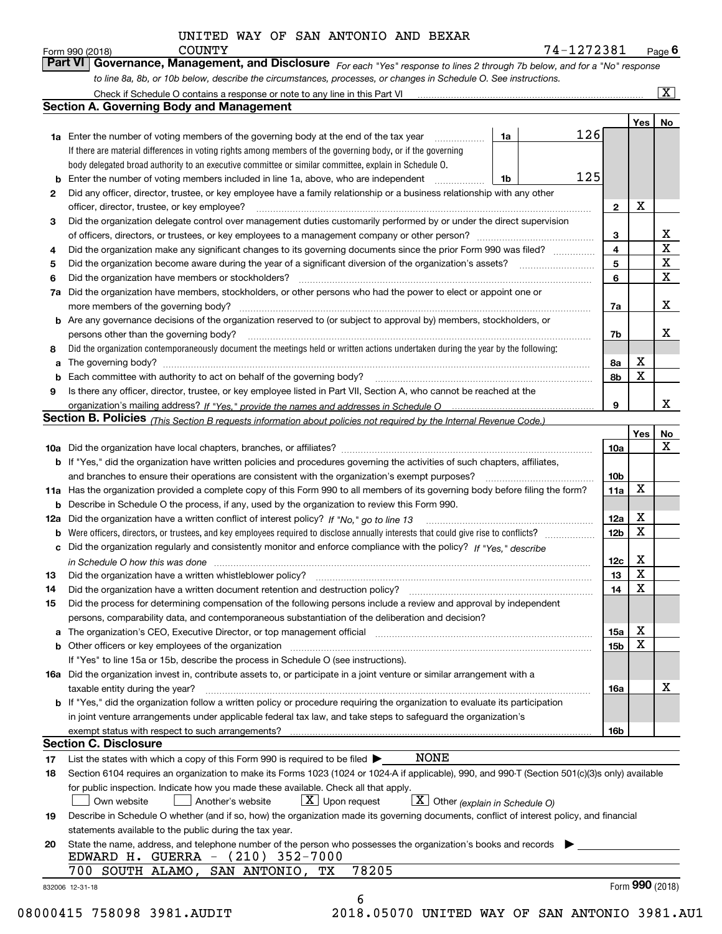| UNITED WAY OF SAN ANTONIO AND BEXAR |  |
|-------------------------------------|--|
|-------------------------------------|--|

*For each "Yes" response to lines 2 through 7b below, and for a "No" response to line 8a, 8b, or 10b below, describe the circumstances, processes, or changes in Schedule O. See instructions.* Form 990 (2018) **COUNTY**<br>**Part VI** | Governance, Management, and Disclosure *For each* "Yes" response to lines 2 through 7b below, and for a "No" response Check if Schedule O contains a response or note to any line in this Part VI

|    |                                                                                                                                                                               |                |  |     |                 | Yes   No |                         |  |  |  |  |
|----|-------------------------------------------------------------------------------------------------------------------------------------------------------------------------------|----------------|--|-----|-----------------|----------|-------------------------|--|--|--|--|
|    | <b>1a</b> Enter the number of voting members of the governing body at the end of the tax year                                                                                 | 1a             |  | 126 |                 |          |                         |  |  |  |  |
|    | If there are material differences in voting rights among members of the governing body, or if the governing                                                                   |                |  |     |                 |          |                         |  |  |  |  |
|    | body delegated broad authority to an executive committee or similar committee, explain in Schedule O.                                                                         |                |  |     |                 |          |                         |  |  |  |  |
|    | <b>b</b> Enter the number of voting members included in line 1a, above, who are independent <i>manumum</i>                                                                    | 1 <sub>b</sub> |  | 125 |                 |          |                         |  |  |  |  |
| 2  | Did any officer, director, trustee, or key employee have a family relationship or a business relationship with any other                                                      |                |  |     |                 |          |                         |  |  |  |  |
|    | officer, director, trustee, or key employee?                                                                                                                                  |                |  |     |                 |          |                         |  |  |  |  |
| 3  | Did the organization delegate control over management duties customarily performed by or under the direct supervision                                                         |                |  |     |                 |          |                         |  |  |  |  |
|    |                                                                                                                                                                               |                |  |     | 3               |          | X                       |  |  |  |  |
| 4  | Did the organization make any significant changes to its governing documents since the prior Form 990 was filed?                                                              |                |  |     | $\overline{4}$  |          | $\overline{\mathbf{x}}$ |  |  |  |  |
| 5  |                                                                                                                                                                               |                |  |     | 5               |          | X                       |  |  |  |  |
| 6  |                                                                                                                                                                               |                |  |     | 6               |          | $\mathbf X$             |  |  |  |  |
| 7a | Did the organization have members, stockholders, or other persons who had the power to elect or appoint one or                                                                |                |  |     |                 |          |                         |  |  |  |  |
|    |                                                                                                                                                                               |                |  |     | 7a              |          | x                       |  |  |  |  |
|    | <b>b</b> Are any governance decisions of the organization reserved to (or subject to approval by) members, stockholders, or                                                   |                |  |     |                 |          |                         |  |  |  |  |
|    | persons other than the governing body?                                                                                                                                        |                |  |     | 7b              |          | x                       |  |  |  |  |
| 8  | Did the organization contemporaneously document the meetings held or written actions undertaken during the year by the following:                                             |                |  |     |                 |          |                         |  |  |  |  |
| a  |                                                                                                                                                                               |                |  |     | 8a              | X        |                         |  |  |  |  |
|    |                                                                                                                                                                               |                |  |     | 8b              | X        |                         |  |  |  |  |
| 9  | Is there any officer, director, trustee, or key employee listed in Part VII, Section A, who cannot be reached at the                                                          |                |  |     |                 |          |                         |  |  |  |  |
|    |                                                                                                                                                                               |                |  |     | 9               |          | x                       |  |  |  |  |
|    | Section B. Policies (This Section B requests information about policies not required by the Internal Revenue Code.)                                                           |                |  |     |                 |          |                         |  |  |  |  |
|    |                                                                                                                                                                               |                |  |     |                 | Yes      | No                      |  |  |  |  |
|    |                                                                                                                                                                               |                |  |     | 10a             |          | X                       |  |  |  |  |
|    | <b>b</b> If "Yes," did the organization have written policies and procedures governing the activities of such chapters, affiliates,                                           |                |  |     |                 |          |                         |  |  |  |  |
|    |                                                                                                                                                                               |                |  |     | 10 <sub>b</sub> |          |                         |  |  |  |  |
|    | 11a Has the organization provided a complete copy of this Form 990 to all members of its governing body before filing the form?                                               |                |  |     | 11a             | X        |                         |  |  |  |  |
|    | <b>b</b> Describe in Schedule O the process, if any, used by the organization to review this Form 990.                                                                        |                |  |     |                 |          |                         |  |  |  |  |
|    |                                                                                                                                                                               |                |  |     | 12a             | X        |                         |  |  |  |  |
| b  |                                                                                                                                                                               |                |  |     | 12 <sub>b</sub> | X        |                         |  |  |  |  |
|    | c Did the organization regularly and consistently monitor and enforce compliance with the policy? If "Yes." describe                                                          |                |  |     |                 |          |                         |  |  |  |  |
|    | in Schedule O how this was done manufactured and continuum control of the Schedule O how this was done manufactured and continuum control of the Schedule O how this was done |                |  |     | 12c             | X        |                         |  |  |  |  |
| 13 |                                                                                                                                                                               |                |  |     | 13              | X        |                         |  |  |  |  |
| 14 | Did the organization have a written document retention and destruction policy? manufactured and the organization have a written document retention and destruction policy?    |                |  |     | 14              | X        |                         |  |  |  |  |
| 15 | Did the process for determining compensation of the following persons include a review and approval by independent                                                            |                |  |     |                 |          |                         |  |  |  |  |
|    | persons, comparability data, and contemporaneous substantiation of the deliberation and decision?                                                                             |                |  |     |                 |          |                         |  |  |  |  |
|    |                                                                                                                                                                               |                |  |     | 15a             | X        |                         |  |  |  |  |
|    | <b>b</b> Other officers or key employees of the organization                                                                                                                  |                |  |     | 15 <sub>b</sub> | X        |                         |  |  |  |  |
|    | If "Yes" to line 15a or 15b, describe the process in Schedule O (see instructions).                                                                                           |                |  |     |                 |          |                         |  |  |  |  |
|    | 16a Did the organization invest in, contribute assets to, or participate in a joint venture or similar arrangement with a                                                     |                |  |     |                 |          |                         |  |  |  |  |
|    | taxable entity during the year?                                                                                                                                               |                |  |     | 16a             |          | X                       |  |  |  |  |
|    | b If "Yes," did the organization follow a written policy or procedure requiring the organization to evaluate its participation                                                |                |  |     |                 |          |                         |  |  |  |  |
|    | in joint venture arrangements under applicable federal tax law, and take steps to safequard the organization's                                                                |                |  |     |                 |          |                         |  |  |  |  |
|    | exempt status with respect to such arrangements?                                                                                                                              |                |  |     | 16 <sub>b</sub> |          |                         |  |  |  |  |
|    | <b>Section C. Disclosure</b>                                                                                                                                                  |                |  |     |                 |          |                         |  |  |  |  |
| 17 | <b>NONE</b><br>List the states with which a copy of this Form 990 is required to be filed $\blacktriangleright$                                                               |                |  |     |                 |          |                         |  |  |  |  |
| 18 | Section 6104 requires an organization to make its Forms 1023 (1024 or 1024-A if applicable), 990, and 990-T (Section 501(c)(3)s only) available                               |                |  |     |                 |          |                         |  |  |  |  |
|    | for public inspection. Indicate how you made these available. Check all that apply.                                                                                           |                |  |     |                 |          |                         |  |  |  |  |
|    | $\boxed{\mathbf{X}}$ Other (explain in Schedule O)<br>$X$ Upon request<br>Own website<br>Another's website                                                                    |                |  |     |                 |          |                         |  |  |  |  |
| 19 | Describe in Schedule O whether (and if so, how) the organization made its governing documents, conflict of interest policy, and financial                                     |                |  |     |                 |          |                         |  |  |  |  |
|    | statements available to the public during the tax year.                                                                                                                       |                |  |     |                 |          |                         |  |  |  |  |
| 20 | State the name, address, and telephone number of the person who possesses the organization's books and records                                                                |                |  |     |                 |          |                         |  |  |  |  |
|    | EDWARD H. GUERRA - (210) 352-7000                                                                                                                                             |                |  |     |                 |          |                         |  |  |  |  |
|    | 78205<br>700 SOUTH ALAMO, SAN ANTONIO,<br>TX.                                                                                                                                 |                |  |     |                 |          |                         |  |  |  |  |
|    |                                                                                                                                                                               |                |  |     |                 |          | Form 990 (2018)         |  |  |  |  |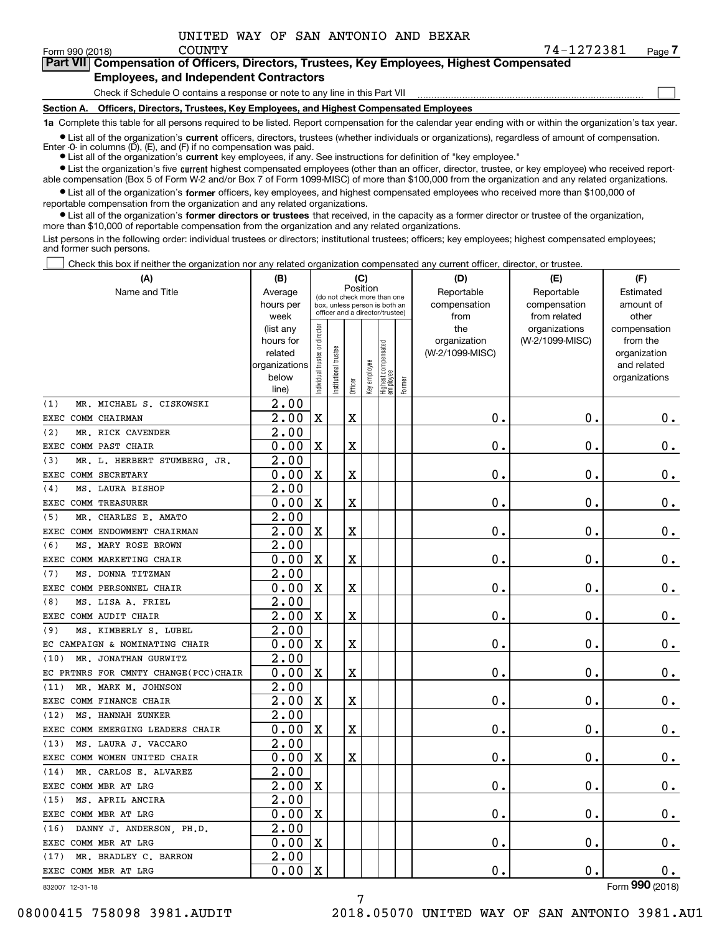**(A)**

 $\mathcal{L}^{\text{max}}$ 

| <sup>:</sup> orm 990 (2018) |                                                                                            | COUNTY |  |  | 74-1272381 | Page / |
|-----------------------------|--------------------------------------------------------------------------------------------|--------|--|--|------------|--------|
|                             | Part VII Compensation of Officers, Directors, Trustees, Key Employees, Highest Compensated |        |  |  |            |        |
|                             | Employees and Independent Contractors                                                      |        |  |  |            |        |

#### **es, and Independent Contractors**

Check if Schedule O contains a response or note to any line in this Part VII

**Section A. Officers, Directors, Trustees, Key Employees, and Highest Compensated Employees**

**1a**  Complete this table for all persons required to be listed. Report compensation for the calendar year ending with or within the organization's tax year.

**•** List all of the organization's current officers, directors, trustees (whether individuals or organizations), regardless of amount of compensation. Enter -0- in columns  $(D)$ ,  $(E)$ , and  $(F)$  if no compensation was paid.

● List all of the organization's **current** key employees, if any. See instructions for definition of "key employee."

**•** List the organization's five current highest compensated employees (other than an officer, director, trustee, or key employee) who received reportable compensation (Box 5 of Form W-2 and/or Box 7 of Form 1099-MISC) of more than \$100,000 from the organization and any related organizations.

 $\bullet$  List all of the organization's **former** officers, key employees, and highest compensated employees who received more than \$100,000 of reportable compensation from the organization and any related organizations.

**•** List all of the organization's former directors or trustees that received, in the capacity as a former director or trustee of the organization, more than \$10,000 of reportable compensation from the organization and any related organizations.

List persons in the following order: individual trustees or directors; institutional trustees; officers; key employees; highest compensated employees; and former such persons.

Check this box if neither the organization nor any related organization compensated any current officer, director, or trustee.  $\mathcal{L}^{\text{max}}$ 

| (A)                                  | (B)               | (C)<br>Position                                              |                       |                         |              |                                   |        | (D)             | (E)                           | (F)                   |  |  |
|--------------------------------------|-------------------|--------------------------------------------------------------|-----------------------|-------------------------|--------------|-----------------------------------|--------|-----------------|-------------------------------|-----------------------|--|--|
| Name and Title                       | Average           | (do not check more than one<br>box, unless person is both an |                       |                         |              |                                   |        | Reportable      | Reportable                    | Estimated             |  |  |
|                                      | hours per         |                                                              |                       |                         |              | officer and a director/trustee)   |        | compensation    | compensation                  | amount of             |  |  |
|                                      | week<br>(list any |                                                              |                       |                         |              |                                   |        | from<br>the     | from related<br>organizations | other<br>compensation |  |  |
|                                      | hours for         |                                                              |                       |                         |              |                                   |        | organization    | (W-2/1099-MISC)               | from the              |  |  |
|                                      | related           |                                                              |                       |                         |              |                                   |        | (W-2/1099-MISC) |                               | organization          |  |  |
|                                      | organizations     |                                                              |                       |                         |              |                                   |        |                 |                               | and related           |  |  |
|                                      | below             | Individual trustee or director                               | Institutional trustee |                         | Key employee |                                   |        |                 |                               | organizations         |  |  |
|                                      | line)             |                                                              |                       | Officer                 |              | Highest compensated<br>  employee | Former |                 |                               |                       |  |  |
| MR. MICHAEL S. CISKOWSKI<br>(1)      | 2.00              |                                                              |                       |                         |              |                                   |        |                 |                               |                       |  |  |
| EXEC COMM CHAIRMAN                   | 2.00              | $\mathbf X$                                                  |                       | X                       |              |                                   |        | 0.              | $\mathbf 0$ .                 | $\mathbf 0$ .         |  |  |
| (2)<br>MR. RICK CAVENDER             | 2.00              |                                                              |                       |                         |              |                                   |        |                 |                               |                       |  |  |
| EXEC COMM PAST CHAIR                 | 0.00              | X                                                            |                       | X                       |              |                                   |        | 0.              | $\mathbf 0$ .                 | 0.                    |  |  |
| (3)<br>MR. L. HERBERT STUMBERG, JR.  | 2.00              |                                                              |                       |                         |              |                                   |        |                 |                               |                       |  |  |
| EXEC COMM SECRETARY                  | 0.00              | X                                                            |                       | X                       |              |                                   |        | $\mathbf 0$ .   | 0.                            | 0.                    |  |  |
| MS. LAURA BISHOP<br>(4)              | $\overline{2.00}$ |                                                              |                       |                         |              |                                   |        |                 |                               |                       |  |  |
| EXEC COMM TREASURER                  | 0.00              | X                                                            |                       | $\overline{\mathbf{X}}$ |              |                                   |        | 0.              | 0.                            | $\mathbf 0$ .         |  |  |
| MR. CHARLES E. AMATO<br>(5)          | 2.00              |                                                              |                       |                         |              |                                   |        |                 |                               |                       |  |  |
| EXEC COMM ENDOWMENT CHAIRMAN         | $\overline{2.00}$ | X                                                            |                       | X                       |              |                                   |        | 0.              | 0.                            | $\mathbf 0$ .         |  |  |
| (6)<br>MS. MARY ROSE BROWN           | 2.00              |                                                              |                       |                         |              |                                   |        |                 |                               |                       |  |  |
| EXEC COMM MARKETING CHAIR            | 0.00              | X                                                            |                       | X                       |              |                                   |        | 0.              | 0.                            | 0.                    |  |  |
| MS. DONNA TITZMAN<br>(7)             | $\overline{2.00}$ |                                                              |                       |                         |              |                                   |        |                 |                               |                       |  |  |
| COMM PERSONNEL CHAIR<br>EXEC         | 0.00              | $\mathbf X$                                                  |                       | X                       |              |                                   |        | 0.              | $\mathbf 0$ .                 | 0.                    |  |  |
| MS. LISA A. FRIEL<br>(8)             | 2.00              |                                                              |                       |                         |              |                                   |        |                 |                               |                       |  |  |
| EXEC COMM AUDIT CHAIR                | 2.00              | X                                                            |                       | X                       |              |                                   |        | 0.              | 0.                            | $\mathbf 0$ .         |  |  |
| MS. KIMBERLY S. LUBEL<br>(9)         | 2.00              |                                                              |                       |                         |              |                                   |        |                 |                               |                       |  |  |
| EC CAMPAIGN & NOMINATING CHAIR       | 0.00              | $\mathbf X$                                                  |                       | X                       |              |                                   |        | 0.              | $\mathbf 0$ .                 | $\mathbf 0$ .         |  |  |
| MR. JONATHAN GURWITZ<br>(10)         | 2.00              |                                                              |                       |                         |              |                                   |        |                 |                               |                       |  |  |
| EC PRTNRS FOR CMNTY CHANGE(PCC)CHAIR | 0.00              | X                                                            |                       | $\overline{\mathbf{X}}$ |              |                                   |        | 0.              | $\mathbf{0}$ .                | $\mathbf 0$ .         |  |  |
| MR. MARK M. JOHNSON<br>(11)          | $\overline{2.00}$ |                                                              |                       |                         |              |                                   |        |                 |                               |                       |  |  |
| EXEC COMM FINANCE CHAIR              | 2.00              | X                                                            |                       | $\overline{\textbf{X}}$ |              |                                   |        | 0.              | $\mathbf 0$ .                 | $\mathbf 0$ .         |  |  |
| (12)<br>MS. HANNAH ZUNKER            | 2.00              |                                                              |                       |                         |              |                                   |        |                 |                               |                       |  |  |
| EXEC COMM EMERGING LEADERS CHAIR     | 0.00              | $\mathbf x$                                                  |                       | X                       |              |                                   |        | 0.              | $\mathbf 0$ .                 | $0$ .                 |  |  |
| (13)<br>MS. LAURA J. VACCARO         | $\overline{2.00}$ |                                                              |                       |                         |              |                                   |        |                 |                               |                       |  |  |
| EXEC COMM WOMEN UNITED CHAIR         | 0.00              | $\mathbf X$                                                  |                       | $\overline{\textbf{X}}$ |              |                                   |        | 0.              | $\mathbf 0$ .                 | $0$ .                 |  |  |
| MR. CARLOS E. ALVAREZ<br>(14)        | 2.00              |                                                              |                       |                         |              |                                   |        |                 |                               |                       |  |  |
| EXEC COMM MBR AT LRG                 | $\overline{2.00}$ | $\overline{\text{X}}$                                        |                       |                         |              |                                   |        | 0.              | $\mathbf{0}$ .                | $0$ .                 |  |  |
| MS. APRIL ANCIRA<br>(15)             | 2.00              |                                                              |                       |                         |              |                                   |        |                 |                               |                       |  |  |
| EXEC COMM MBR AT LRG                 | 0.00              | Χ                                                            |                       |                         |              |                                   |        | 0.              | $\mathbf{0}$ .                | $\mathbf 0$ .         |  |  |
| (16)<br>DANNY J. ANDERSON, PH.D.     | 2.00              |                                                              |                       |                         |              |                                   |        |                 |                               |                       |  |  |
| EXEC COMM MBR AT LRG                 | 0.00              | X                                                            |                       |                         |              |                                   |        | $\mathbf 0$ .   | $\mathbf{0}$ .                | 0.                    |  |  |
| MR. BRADLEY C. BARRON<br>(17)        | $\overline{2.00}$ |                                                              |                       |                         |              |                                   |        |                 |                               |                       |  |  |
| EXEC COMM MBR AT LRG                 | 0.00              | X                                                            |                       |                         |              |                                   |        | 0.              | $\mathbf{0}$ .                | $\mathbf 0$ .         |  |  |

832007 12-31-18

Form (2018) **990**

7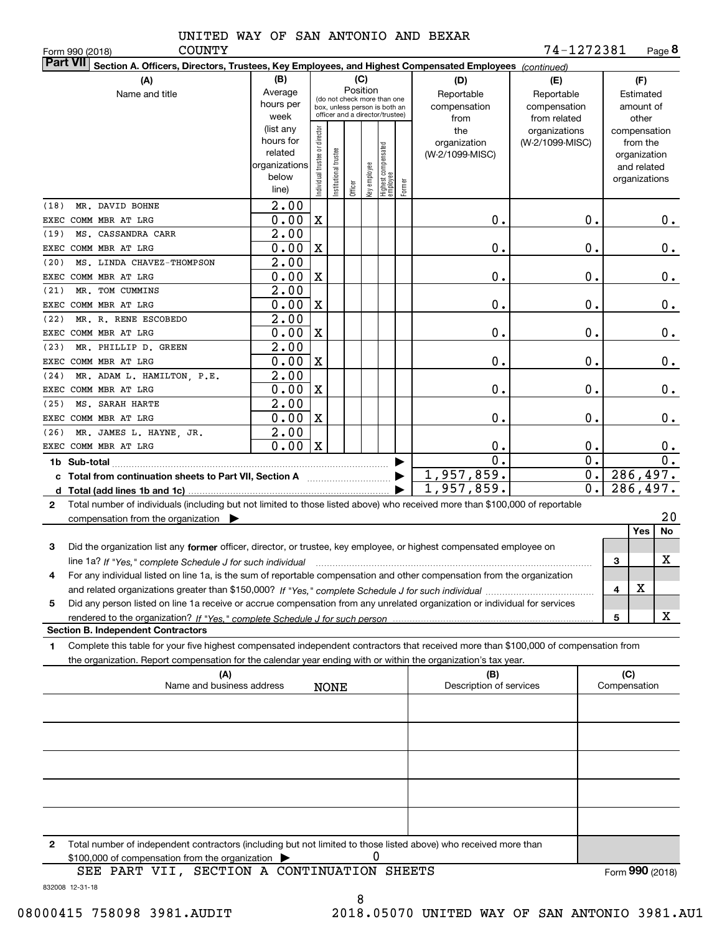COUNTY

Form 990 (2018) COUNTY 7 4-1 2 7 2 3 8 1 Page **8**

| $\vert$ Part VII $\vert$ Section A. Officers, Directors, Trustees, Key Employees, and Highest Compensated Employees $\vert$ $_{\rm {Continued)}}$ |                                                                                                                                      |                        |                                                                                                 |                       |         |              |                                  |        |                         |                  |                        |
|---------------------------------------------------------------------------------------------------------------------------------------------------|--------------------------------------------------------------------------------------------------------------------------------------|------------------------|-------------------------------------------------------------------------------------------------|-----------------------|---------|--------------|----------------------------------|--------|-------------------------|------------------|------------------------|
|                                                                                                                                                   | (A)                                                                                                                                  | (B)                    |                                                                                                 |                       |         | (C)          |                                  |        | (D)                     | (E)              | (F)                    |
| Name and title                                                                                                                                    |                                                                                                                                      | Position<br>Average    |                                                                                                 |                       |         |              |                                  |        | Reportable              | Reportable       | Estimated              |
|                                                                                                                                                   |                                                                                                                                      | hours per              | (do not check more than one<br>box, unless person is both an<br>officer and a director/trustee) |                       |         |              |                                  |        | compensation            | compensation     | amount of              |
|                                                                                                                                                   |                                                                                                                                      | week                   |                                                                                                 |                       |         |              |                                  |        | from                    | from related     | other                  |
|                                                                                                                                                   |                                                                                                                                      | (list any              |                                                                                                 |                       |         |              |                                  |        | the                     | organizations    | compensation           |
|                                                                                                                                                   |                                                                                                                                      | hours for              |                                                                                                 |                       |         |              |                                  |        | organization            | (W-2/1099-MISC)  | from the               |
|                                                                                                                                                   |                                                                                                                                      | related                | ndividual trustee or director                                                                   | Institutional trustee |         |              | Highest compensated<br> employee |        | (W-2/1099-MISC)         |                  | organization           |
|                                                                                                                                                   |                                                                                                                                      | organizations<br>below |                                                                                                 |                       |         | Key employee |                                  |        |                         |                  | and related            |
|                                                                                                                                                   |                                                                                                                                      | line)                  |                                                                                                 |                       | Officer |              |                                  | Former |                         |                  | organizations          |
|                                                                                                                                                   |                                                                                                                                      |                        |                                                                                                 |                       |         |              |                                  |        |                         |                  |                        |
| (18)                                                                                                                                              | MR. DAVID BOHNE                                                                                                                      | $\overline{2.00}$      |                                                                                                 |                       |         |              |                                  |        |                         |                  |                        |
|                                                                                                                                                   | EXEC COMM MBR AT LRG                                                                                                                 | 0.00                   | $\mathbf x$                                                                                     |                       |         |              |                                  |        | 0.                      | $\mathbf 0$ .    | 0.                     |
| (19)                                                                                                                                              | MS. CASSANDRA CARR                                                                                                                   | $\overline{2.00}$      |                                                                                                 |                       |         |              |                                  |        |                         |                  |                        |
|                                                                                                                                                   | EXEC COMM MBR AT LRG                                                                                                                 | 0.00                   | X                                                                                               |                       |         |              |                                  |        | 0.                      | $\mathbf 0$ .    | $0$ .                  |
| (20)                                                                                                                                              | MS. LINDA CHAVEZ-THOMPSON                                                                                                            | $\overline{2.00}$      |                                                                                                 |                       |         |              |                                  |        |                         |                  |                        |
|                                                                                                                                                   | EXEC COMM MBR AT LRG                                                                                                                 | 0.00                   | $\mathbf x$                                                                                     |                       |         |              |                                  |        | 0.                      | $\mathbf 0$ .    | 0.                     |
| (21)                                                                                                                                              | MR. TOM CUMMINS                                                                                                                      | $\overline{2.00}$      |                                                                                                 |                       |         |              |                                  |        |                         |                  |                        |
|                                                                                                                                                   | EXEC COMM MBR AT LRG                                                                                                                 | 0.00                   | $\mathbf x$                                                                                     |                       |         |              |                                  |        | 0.                      | $\mathbf 0$ .    | 0.                     |
| (22)                                                                                                                                              | MR. R. RENE ESCOBEDO                                                                                                                 | $\overline{2.00}$      |                                                                                                 |                       |         |              |                                  |        |                         |                  |                        |
|                                                                                                                                                   | EXEC COMM MBR AT LRG                                                                                                                 | 0.00                   | X                                                                                               |                       |         |              |                                  |        | 0.                      | $\mathbf 0$ .    | 0.                     |
| (23)                                                                                                                                              | MR. PHILLIP D. GREEN                                                                                                                 | $\overline{2.00}$      |                                                                                                 |                       |         |              |                                  |        |                         |                  |                        |
|                                                                                                                                                   | EXEC COMM MBR AT LRG                                                                                                                 | 0.00                   | X                                                                                               |                       |         |              |                                  |        | 0.                      | $\mathbf 0$ .    | $0$ .                  |
| (24)                                                                                                                                              | MR. ADAM L. HAMILTON, P.E.                                                                                                           | $\overline{2.00}$      |                                                                                                 |                       |         |              |                                  |        |                         |                  |                        |
|                                                                                                                                                   | EXEC COMM MBR AT LRG                                                                                                                 | 0.00                   | X                                                                                               |                       |         |              |                                  |        | 0.                      | $\mathbf 0$ .    | $0$ .                  |
| (25)                                                                                                                                              | MS. SARAH HARTE                                                                                                                      | $\overline{2.00}$      |                                                                                                 |                       |         |              |                                  |        |                         |                  |                        |
|                                                                                                                                                   | EXEC COMM MBR AT LRG                                                                                                                 | 0.00                   | X                                                                                               |                       |         |              |                                  |        | 0.                      | $\mathbf 0$ .    | $0$ .                  |
| (26)                                                                                                                                              | MR. JAMES L. HAYNE, JR.                                                                                                              | 2.00                   |                                                                                                 |                       |         |              |                                  |        |                         |                  |                        |
|                                                                                                                                                   | EXEC COMM MBR AT LRG                                                                                                                 | 0.00                   | $\mathbf X$                                                                                     |                       |         |              |                                  |        | 0.                      | $\mathbf 0$ .    | $0$ .                  |
| 1b Sub-total                                                                                                                                      |                                                                                                                                      |                        |                                                                                                 |                       |         |              |                                  | ▶      | $\overline{0}$ .        | $\overline{0}$ . | $\overline{0}$ .       |
|                                                                                                                                                   | c Total from continuation sheets to Part VII, Section A manufactured and response Total from extension                               |                        |                                                                                                 |                       |         |              |                                  | ▶      | 1,957,859.              | $0$ .            | 286, 497.              |
|                                                                                                                                                   |                                                                                                                                      |                        |                                                                                                 |                       |         |              |                                  |        | 1,957,859.              | 0.               | $\overline{286,497}$ . |
| $\mathbf{2}$                                                                                                                                      | Total number of individuals (including but not limited to those listed above) who received more than \$100,000 of reportable         |                        |                                                                                                 |                       |         |              |                                  |        |                         |                  |                        |
|                                                                                                                                                   | compensation from the organization $\blacktriangleright$                                                                             |                        |                                                                                                 |                       |         |              |                                  |        |                         |                  | 20                     |
|                                                                                                                                                   |                                                                                                                                      |                        |                                                                                                 |                       |         |              |                                  |        |                         |                  | Yes<br>No              |
| 3                                                                                                                                                 | Did the organization list any former officer, director, or trustee, key employee, or highest compensated employee on                 |                        |                                                                                                 |                       |         |              |                                  |        |                         |                  |                        |
|                                                                                                                                                   | line 1a? If "Yes," complete Schedule J for such individual                                                                           |                        |                                                                                                 |                       |         |              |                                  |        |                         |                  | X<br>3                 |
| 4                                                                                                                                                 | For any individual listed on line 1a, is the sum of reportable compensation and other compensation from the organization             |                        |                                                                                                 |                       |         |              |                                  |        |                         |                  |                        |
|                                                                                                                                                   |                                                                                                                                      |                        |                                                                                                 |                       |         |              |                                  |        |                         |                  | Χ<br>4                 |
| 5                                                                                                                                                 | Did any person listed on line 1a receive or accrue compensation from any unrelated organization or individual for services           |                        |                                                                                                 |                       |         |              |                                  |        |                         |                  |                        |
|                                                                                                                                                   |                                                                                                                                      |                        |                                                                                                 |                       |         |              |                                  |        |                         |                  | х<br>5                 |
|                                                                                                                                                   | <b>Section B. Independent Contractors</b>                                                                                            |                        |                                                                                                 |                       |         |              |                                  |        |                         |                  |                        |
| 1                                                                                                                                                 | Complete this table for your five highest compensated independent contractors that received more than \$100,000 of compensation from |                        |                                                                                                 |                       |         |              |                                  |        |                         |                  |                        |
|                                                                                                                                                   | the organization. Report compensation for the calendar year ending with or within the organization's tax year.                       |                        |                                                                                                 |                       |         |              |                                  |        |                         |                  |                        |
|                                                                                                                                                   | (A)                                                                                                                                  |                        |                                                                                                 |                       |         |              |                                  |        | (B)                     |                  | (C)                    |
|                                                                                                                                                   | Name and business address                                                                                                            |                        |                                                                                                 | <b>NONE</b>           |         |              |                                  |        | Description of services |                  | Compensation           |
|                                                                                                                                                   |                                                                                                                                      |                        |                                                                                                 |                       |         |              |                                  |        |                         |                  |                        |
|                                                                                                                                                   |                                                                                                                                      |                        |                                                                                                 |                       |         |              |                                  |        |                         |                  |                        |
|                                                                                                                                                   |                                                                                                                                      |                        |                                                                                                 |                       |         |              |                                  |        |                         |                  |                        |
|                                                                                                                                                   |                                                                                                                                      |                        |                                                                                                 |                       |         |              |                                  |        |                         |                  |                        |
|                                                                                                                                                   |                                                                                                                                      |                        |                                                                                                 |                       |         |              |                                  |        |                         |                  |                        |
|                                                                                                                                                   |                                                                                                                                      |                        |                                                                                                 |                       |         |              |                                  |        |                         |                  |                        |
|                                                                                                                                                   |                                                                                                                                      |                        |                                                                                                 |                       |         |              |                                  |        |                         |                  |                        |
|                                                                                                                                                   |                                                                                                                                      |                        |                                                                                                 |                       |         |              |                                  |        |                         |                  |                        |
|                                                                                                                                                   |                                                                                                                                      |                        |                                                                                                 |                       |         |              |                                  |        |                         |                  |                        |
|                                                                                                                                                   |                                                                                                                                      |                        |                                                                                                 |                       |         |              |                                  |        |                         |                  |                        |
| 2                                                                                                                                                 | Total number of independent contractors (including but not limited to those listed above) who received more than                     |                        |                                                                                                 |                       |         |              |                                  |        |                         |                  |                        |
|                                                                                                                                                   | \$100,000 of compensation from the organization                                                                                      |                        |                                                                                                 |                       |         | 0            |                                  |        |                         |                  |                        |
|                                                                                                                                                   | SEE PART VII, SECTION A CONTINUATION SHEETS                                                                                          |                        |                                                                                                 |                       |         |              |                                  |        |                         |                  | Form 990 (2018)        |
|                                                                                                                                                   |                                                                                                                                      |                        |                                                                                                 |                       |         |              |                                  |        |                         |                  |                        |

832008 12-31-18

8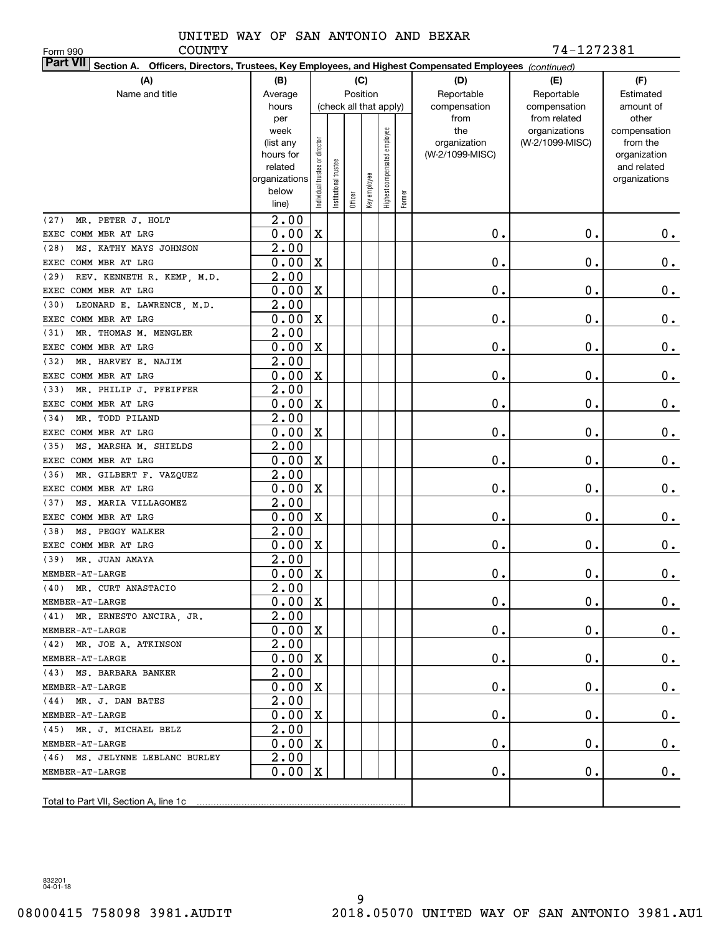Form 990

COUNTY 74-1272381

| <b>Part VII</b> Section A. Officers, Directors, Trustees, Key Employees, and Highest Compensated Employees (continued) |                   |                                |                      |                        |              |                              |        |                 |                                  |                          |
|------------------------------------------------------------------------------------------------------------------------|-------------------|--------------------------------|----------------------|------------------------|--------------|------------------------------|--------|-----------------|----------------------------------|--------------------------|
| (A)                                                                                                                    | (B)               |                                |                      |                        | (C)          |                              |        | (D)             | (E)                              | (F)                      |
| Name and title                                                                                                         | Average           |                                |                      | Position               |              |                              |        | Reportable      | Reportable                       | Estimated                |
|                                                                                                                        | hours             |                                |                      | (check all that apply) |              |                              |        | compensation    | compensation                     | amount of                |
|                                                                                                                        | per               |                                |                      |                        |              |                              |        | from<br>the     | from related                     | other                    |
|                                                                                                                        | week<br>(list any |                                |                      |                        |              |                              |        | organization    | organizations<br>(W-2/1099-MISC) | compensation<br>from the |
|                                                                                                                        | hours for         |                                |                      |                        |              |                              |        | (W-2/1099-MISC) |                                  | organization             |
|                                                                                                                        | related           |                                |                      |                        |              |                              |        |                 |                                  | and related              |
|                                                                                                                        | organizations     |                                |                      |                        |              |                              |        |                 |                                  | organizations            |
|                                                                                                                        | below             | Individual trustee or director | nstitutional trustee | Officer                | Key employee | Highest compensated employee | Former |                 |                                  |                          |
|                                                                                                                        | line)             |                                |                      |                        |              |                              |        |                 |                                  |                          |
| MR. PETER J. HOLT<br>(27)                                                                                              | $\overline{2.00}$ |                                |                      |                        |              |                              |        |                 |                                  |                          |
| EXEC COMM MBR AT LRG                                                                                                   | 0.00              | $\mathbf X$                    |                      |                        |              |                              |        | 0.              | 0.                               | 0.                       |
| (28)<br>MS. KATHY MAYS JOHNSON                                                                                         | $\overline{2.00}$ |                                |                      |                        |              |                              |        |                 |                                  |                          |
| EXEC COMM MBR AT LRG                                                                                                   | 0.00              | $\mathbf X$                    |                      |                        |              |                              |        | 0.              | 0.                               | $\mathbf 0$ .            |
| REV. KENNETH R. KEMP, M.D.<br>(29)                                                                                     | 2.00              |                                |                      |                        |              |                              |        |                 |                                  |                          |
| EXEC COMM MBR AT LRG                                                                                                   | 0.00              | $\mathbf X$                    |                      |                        |              |                              |        | 0.              | 0.                               | $\mathbf 0$ .            |
| (30)<br>LEONARD E. LAWRENCE, M.D.                                                                                      | 2.00              |                                |                      |                        |              |                              |        |                 |                                  |                          |
| EXEC COMM MBR AT LRG                                                                                                   | 0.00              | $\mathbf X$                    |                      |                        |              |                              |        | 0.              | 0.                               | $\mathbf 0$ .            |
| MR. THOMAS M. MENGLER<br>(31)                                                                                          | 2.00              |                                |                      |                        |              |                              |        |                 |                                  |                          |
| EXEC COMM MBR AT LRG                                                                                                   | 0.00              | $\mathbf X$                    |                      |                        |              |                              |        | 0.              | 0.                               | $0$ .                    |
| (32)<br>MR. HARVEY E. NAJIM                                                                                            | 2.00              |                                |                      |                        |              |                              |        |                 |                                  |                          |
| EXEC COMM MBR AT LRG                                                                                                   | 0.00              | $\mathbf X$                    |                      |                        |              |                              |        | 0.              | 0.                               | $\mathbf 0$ .            |
| (33)<br>MR. PHILIP J. PFEIFFER                                                                                         | 2.00              |                                |                      |                        |              |                              |        |                 |                                  |                          |
| EXEC COMM MBR AT LRG                                                                                                   | 0.00              | $\mathbf X$                    |                      |                        |              |                              |        | 0.              | 0.                               | $0$ .                    |
| (34)<br>MR. TODD PILAND                                                                                                | 2.00              |                                |                      |                        |              |                              |        |                 |                                  |                          |
| EXEC COMM MBR AT LRG                                                                                                   | 0.00              | $\mathbf X$                    |                      |                        |              |                              |        | 0.              | 0.                               | $\mathbf 0$ .            |
| (35)<br>MS. MARSHA M. SHIELDS                                                                                          | 2.00              |                                |                      |                        |              |                              |        |                 |                                  |                          |
| EXEC COMM MBR AT LRG                                                                                                   | 0.00              | $\mathbf X$                    |                      |                        |              |                              |        | 0.              | 0.                               | $\mathbf 0$ .            |
| (36)<br>MR. GILBERT F. VAZQUEZ                                                                                         | 2.00              |                                |                      |                        |              |                              |        |                 |                                  |                          |
| EXEC COMM MBR AT LRG                                                                                                   | 0.00              | $\mathbf X$                    |                      |                        |              |                              |        | 0.              | 0.                               | $\mathbf 0$ .            |
| (37)<br>MS. MARIA VILLAGOMEZ                                                                                           | 2.00              |                                |                      |                        |              |                              |        |                 |                                  |                          |
| EXEC COMM MBR AT LRG                                                                                                   | 0.00              | $\mathbf X$                    |                      |                        |              |                              |        | 0.              | 0.                               | 0.                       |
| (38)<br>MS. PEGGY WALKER                                                                                               | 2.00              |                                |                      |                        |              |                              |        |                 |                                  |                          |
| EXEC COMM MBR AT LRG                                                                                                   | 0.00              | $\mathbf X$                    |                      |                        |              |                              |        | 0.              | 0.                               | 0.                       |
| (39)<br>MR. JUAN AMAYA                                                                                                 | 2.00              |                                |                      |                        |              |                              |        |                 |                                  |                          |
| MEMBER-AT-LARGE                                                                                                        | 0.00              | X                              |                      |                        |              |                              |        | 0.              | 0.                               | 0.                       |
| (40) MR. CURT ANASTACIO                                                                                                | $\overline{2.00}$ |                                |                      |                        |              |                              |        |                 |                                  |                          |
| MEMBER-AT-LARGE                                                                                                        | $0.00 \,   X$     |                                |                      |                        |              |                              |        | 0.              | 0.                               | $0_{\cdot}$              |
| (41) MR. ERNESTO ANCIRA, JR.                                                                                           | 2.00              |                                |                      |                        |              |                              |        |                 |                                  |                          |
| MEMBER-AT-LARGE                                                                                                        | 0.00              | $\mathbf{x}$                   |                      |                        |              |                              |        | $0$ .           | 0.                               | $0_{.}$                  |
| (42) MR. JOE A. ATKINSON                                                                                               | 2.00              |                                |                      |                        |              |                              |        |                 |                                  |                          |
| MEMBER-AT-LARGE                                                                                                        | 0.00              | $\mathbf X$                    |                      |                        |              |                              |        | 0.              | 0.                               | $0_{.}$                  |
| (43) MS. BARBARA BANKER                                                                                                | 2.00              |                                |                      |                        |              |                              |        |                 |                                  |                          |
| MEMBER-AT-LARGE                                                                                                        | 0.00              | $\mathbf X$                    |                      |                        |              |                              |        | 0.              | 0.                               | $0_{.}$                  |
| $(44)$ MR. J. DAN BATES                                                                                                | 2.00              |                                |                      |                        |              |                              |        |                 |                                  |                          |
| MEMBER-AT-LARGE                                                                                                        | 0.00              | $\mathbf X$                    |                      |                        |              |                              |        | 0.              | 0.                               | $0_{.}$                  |
| (45) MR. J. MICHAEL BELZ                                                                                               | 2.00              |                                |                      |                        |              |                              |        |                 |                                  |                          |
| MEMBER-AT-LARGE                                                                                                        | 0.00              | $\mathbf x$                    |                      |                        |              |                              |        | 0.              | 0.                               | $0_{.}$                  |
| (46) MS. JELYNNE LEBLANC BURLEY                                                                                        | 2.00              |                                |                      |                        |              |                              |        |                 |                                  |                          |
| MEMBER-AT-LARGE                                                                                                        | 0.00              | X                              |                      |                        |              |                              |        | $\mathbf 0$ .   | $\mathbf 0$ .                    | $0$ .                    |
|                                                                                                                        |                   |                                |                      |                        |              |                              |        |                 |                                  |                          |
|                                                                                                                        |                   |                                |                      |                        |              |                              |        |                 |                                  |                          |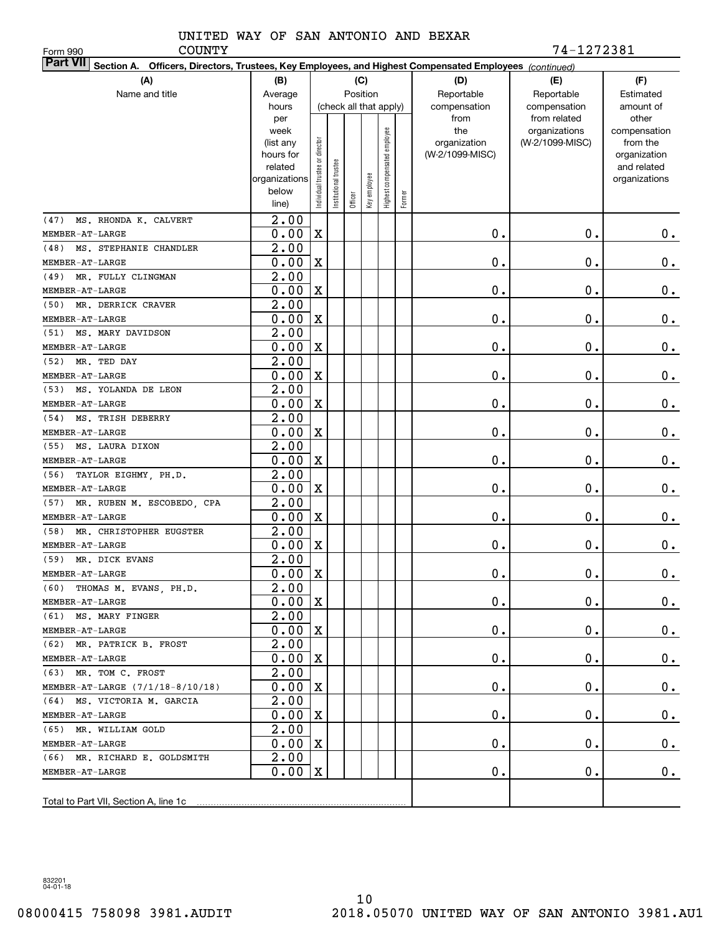Form 990

COUNTY 74-1272381

| <b>Part VII</b> Section A. Officers, Directors, Trustees, Key Employees, and Highest Compensated Employees (continued)<br>(A)<br>(F)<br>(B)<br>(C)<br>(D)<br>(E)<br>Position<br>Name and title<br>Reportable<br>Reportable<br>Estimated<br>Average<br>(check all that apply)<br>compensation<br>hours<br>compensation<br>amount of<br>from related<br>other<br>from<br>per<br>week<br>Highest compensated employee<br>the<br>organizations<br>compensation<br>Individual trustee or director<br>organization<br>(W-2/1099-MISC)<br>from the<br>(list any<br>(W-2/1099-MISC)<br>hours for<br>organization<br>nstitutional trustee<br>related<br>and related<br>Key employee<br>organizations<br>organizations<br>below<br>Former<br>Officer<br>line)<br>$\overline{2.00}$<br>MS. RHONDA K. CALVERT<br>(47)<br>0.00<br>$\mathbf X$<br>0.<br>0.<br>MEMBER-AT-LARGE<br>2.00<br>MS. STEPHANIE CHANDLER<br>(48)<br>0.00<br>$\mathbf X$<br>0.<br>0.<br>MEMBER-AT-LARGE<br>2.00<br>MR. FULLY CLINGMAN<br>(49)<br>0.00<br>$\mathbf X$<br>0.<br>0.<br>MEMBER-AT-LARGE<br>2.00<br>MR. DERRICK CRAVER<br>(50)<br>0.00<br>$\mathbf X$<br>0.<br>0.<br>MEMBER-AT-LARGE<br>2.00<br>MS. MARY DAVIDSON<br>(51)<br>0.00<br>$\mathbf X$<br>0.<br>0.<br>MEMBER-AT-LARGE<br>2.00<br>(52)<br>MR. TED DAY<br>0.00<br>$\mathbf X$<br>0.<br>0.<br>MEMBER-AT-LARGE<br>2.00<br>MS. YOLANDA DE LEON<br>(53)<br>0.00<br>$\mathbf X$<br>0.<br>0.<br>MEMBER-AT-LARGE<br>2.00<br>MS. TRISH DEBERRY<br>(54) |               |
|---------------------------------------------------------------------------------------------------------------------------------------------------------------------------------------------------------------------------------------------------------------------------------------------------------------------------------------------------------------------------------------------------------------------------------------------------------------------------------------------------------------------------------------------------------------------------------------------------------------------------------------------------------------------------------------------------------------------------------------------------------------------------------------------------------------------------------------------------------------------------------------------------------------------------------------------------------------------------------------------------------------------------------------------------------------------------------------------------------------------------------------------------------------------------------------------------------------------------------------------------------------------------------------------------------------------------------------------------------------------------------------------------------------------------------------------------------------------------|---------------|
|                                                                                                                                                                                                                                                                                                                                                                                                                                                                                                                                                                                                                                                                                                                                                                                                                                                                                                                                                                                                                                                                                                                                                                                                                                                                                                                                                                                                                                                                           |               |
|                                                                                                                                                                                                                                                                                                                                                                                                                                                                                                                                                                                                                                                                                                                                                                                                                                                                                                                                                                                                                                                                                                                                                                                                                                                                                                                                                                                                                                                                           |               |
|                                                                                                                                                                                                                                                                                                                                                                                                                                                                                                                                                                                                                                                                                                                                                                                                                                                                                                                                                                                                                                                                                                                                                                                                                                                                                                                                                                                                                                                                           |               |
|                                                                                                                                                                                                                                                                                                                                                                                                                                                                                                                                                                                                                                                                                                                                                                                                                                                                                                                                                                                                                                                                                                                                                                                                                                                                                                                                                                                                                                                                           |               |
|                                                                                                                                                                                                                                                                                                                                                                                                                                                                                                                                                                                                                                                                                                                                                                                                                                                                                                                                                                                                                                                                                                                                                                                                                                                                                                                                                                                                                                                                           |               |
|                                                                                                                                                                                                                                                                                                                                                                                                                                                                                                                                                                                                                                                                                                                                                                                                                                                                                                                                                                                                                                                                                                                                                                                                                                                                                                                                                                                                                                                                           |               |
|                                                                                                                                                                                                                                                                                                                                                                                                                                                                                                                                                                                                                                                                                                                                                                                                                                                                                                                                                                                                                                                                                                                                                                                                                                                                                                                                                                                                                                                                           |               |
|                                                                                                                                                                                                                                                                                                                                                                                                                                                                                                                                                                                                                                                                                                                                                                                                                                                                                                                                                                                                                                                                                                                                                                                                                                                                                                                                                                                                                                                                           |               |
|                                                                                                                                                                                                                                                                                                                                                                                                                                                                                                                                                                                                                                                                                                                                                                                                                                                                                                                                                                                                                                                                                                                                                                                                                                                                                                                                                                                                                                                                           |               |
|                                                                                                                                                                                                                                                                                                                                                                                                                                                                                                                                                                                                                                                                                                                                                                                                                                                                                                                                                                                                                                                                                                                                                                                                                                                                                                                                                                                                                                                                           |               |
|                                                                                                                                                                                                                                                                                                                                                                                                                                                                                                                                                                                                                                                                                                                                                                                                                                                                                                                                                                                                                                                                                                                                                                                                                                                                                                                                                                                                                                                                           |               |
|                                                                                                                                                                                                                                                                                                                                                                                                                                                                                                                                                                                                                                                                                                                                                                                                                                                                                                                                                                                                                                                                                                                                                                                                                                                                                                                                                                                                                                                                           | 0.            |
|                                                                                                                                                                                                                                                                                                                                                                                                                                                                                                                                                                                                                                                                                                                                                                                                                                                                                                                                                                                                                                                                                                                                                                                                                                                                                                                                                                                                                                                                           |               |
|                                                                                                                                                                                                                                                                                                                                                                                                                                                                                                                                                                                                                                                                                                                                                                                                                                                                                                                                                                                                                                                                                                                                                                                                                                                                                                                                                                                                                                                                           | $0$ .         |
|                                                                                                                                                                                                                                                                                                                                                                                                                                                                                                                                                                                                                                                                                                                                                                                                                                                                                                                                                                                                                                                                                                                                                                                                                                                                                                                                                                                                                                                                           |               |
|                                                                                                                                                                                                                                                                                                                                                                                                                                                                                                                                                                                                                                                                                                                                                                                                                                                                                                                                                                                                                                                                                                                                                                                                                                                                                                                                                                                                                                                                           | 0.            |
|                                                                                                                                                                                                                                                                                                                                                                                                                                                                                                                                                                                                                                                                                                                                                                                                                                                                                                                                                                                                                                                                                                                                                                                                                                                                                                                                                                                                                                                                           |               |
|                                                                                                                                                                                                                                                                                                                                                                                                                                                                                                                                                                                                                                                                                                                                                                                                                                                                                                                                                                                                                                                                                                                                                                                                                                                                                                                                                                                                                                                                           | 0.            |
|                                                                                                                                                                                                                                                                                                                                                                                                                                                                                                                                                                                                                                                                                                                                                                                                                                                                                                                                                                                                                                                                                                                                                                                                                                                                                                                                                                                                                                                                           |               |
|                                                                                                                                                                                                                                                                                                                                                                                                                                                                                                                                                                                                                                                                                                                                                                                                                                                                                                                                                                                                                                                                                                                                                                                                                                                                                                                                                                                                                                                                           | $\mathbf 0$ . |
|                                                                                                                                                                                                                                                                                                                                                                                                                                                                                                                                                                                                                                                                                                                                                                                                                                                                                                                                                                                                                                                                                                                                                                                                                                                                                                                                                                                                                                                                           |               |
|                                                                                                                                                                                                                                                                                                                                                                                                                                                                                                                                                                                                                                                                                                                                                                                                                                                                                                                                                                                                                                                                                                                                                                                                                                                                                                                                                                                                                                                                           | $\mathbf 0$ . |
|                                                                                                                                                                                                                                                                                                                                                                                                                                                                                                                                                                                                                                                                                                                                                                                                                                                                                                                                                                                                                                                                                                                                                                                                                                                                                                                                                                                                                                                                           |               |
|                                                                                                                                                                                                                                                                                                                                                                                                                                                                                                                                                                                                                                                                                                                                                                                                                                                                                                                                                                                                                                                                                                                                                                                                                                                                                                                                                                                                                                                                           | $\mathbf 0$ . |
|                                                                                                                                                                                                                                                                                                                                                                                                                                                                                                                                                                                                                                                                                                                                                                                                                                                                                                                                                                                                                                                                                                                                                                                                                                                                                                                                                                                                                                                                           |               |
| 0.00<br>$\mathbf X$<br>0.<br>0.<br>MEMBER-AT-LARGE<br>2.00<br>(55) MS. LAURA DIXON                                                                                                                                                                                                                                                                                                                                                                                                                                                                                                                                                                                                                                                                                                                                                                                                                                                                                                                                                                                                                                                                                                                                                                                                                                                                                                                                                                                        | $\mathbf 0$ . |
| 0.00<br>$\mathbf X$<br>0.<br>0.<br>MEMBER-AT-LARGE                                                                                                                                                                                                                                                                                                                                                                                                                                                                                                                                                                                                                                                                                                                                                                                                                                                                                                                                                                                                                                                                                                                                                                                                                                                                                                                                                                                                                        | $\mathbf 0$ . |
| 2.00<br>(56)<br>TAYLOR EIGHMY, PH.D.                                                                                                                                                                                                                                                                                                                                                                                                                                                                                                                                                                                                                                                                                                                                                                                                                                                                                                                                                                                                                                                                                                                                                                                                                                                                                                                                                                                                                                      |               |
| 0.00<br>$\mathbf X$<br>0.<br>0.<br>MEMBER-AT-LARGE                                                                                                                                                                                                                                                                                                                                                                                                                                                                                                                                                                                                                                                                                                                                                                                                                                                                                                                                                                                                                                                                                                                                                                                                                                                                                                                                                                                                                        | $\mathbf 0$ . |
| 2.00<br>MR. RUBEN M. ESCOBEDO, CPA<br>(57)                                                                                                                                                                                                                                                                                                                                                                                                                                                                                                                                                                                                                                                                                                                                                                                                                                                                                                                                                                                                                                                                                                                                                                                                                                                                                                                                                                                                                                |               |
| 0.00<br>$\mathbf X$<br>0.<br>$\mathbf 0$ .<br>MEMBER-AT-LARGE                                                                                                                                                                                                                                                                                                                                                                                                                                                                                                                                                                                                                                                                                                                                                                                                                                                                                                                                                                                                                                                                                                                                                                                                                                                                                                                                                                                                             | 0.            |
| 2.00<br>MR. CHRISTOPHER EUGSTER<br>(58)                                                                                                                                                                                                                                                                                                                                                                                                                                                                                                                                                                                                                                                                                                                                                                                                                                                                                                                                                                                                                                                                                                                                                                                                                                                                                                                                                                                                                                   |               |
| 0.00<br>$\mathbf X$<br>0.<br>$\mathbf 0$ .<br>MEMBER-AT-LARGE                                                                                                                                                                                                                                                                                                                                                                                                                                                                                                                                                                                                                                                                                                                                                                                                                                                                                                                                                                                                                                                                                                                                                                                                                                                                                                                                                                                                             | 0.            |
| 2.00<br>(59) MR. DICK EVANS                                                                                                                                                                                                                                                                                                                                                                                                                                                                                                                                                                                                                                                                                                                                                                                                                                                                                                                                                                                                                                                                                                                                                                                                                                                                                                                                                                                                                                               |               |
| 0.00<br>0.<br>$\mathbf X$<br>0.<br>MEMBER-AT-LARGE                                                                                                                                                                                                                                                                                                                                                                                                                                                                                                                                                                                                                                                                                                                                                                                                                                                                                                                                                                                                                                                                                                                                                                                                                                                                                                                                                                                                                        | 0.            |
| 2.00<br>(60) THOMAS M. EVANS, PH.D.                                                                                                                                                                                                                                                                                                                                                                                                                                                                                                                                                                                                                                                                                                                                                                                                                                                                                                                                                                                                                                                                                                                                                                                                                                                                                                                                                                                                                                       |               |
| $0.00 \,   X$<br>0.<br>$\mathbf 0$ .<br>MEMBER-AT-LARGE                                                                                                                                                                                                                                                                                                                                                                                                                                                                                                                                                                                                                                                                                                                                                                                                                                                                                                                                                                                                                                                                                                                                                                                                                                                                                                                                                                                                                   | $0_{\cdot}$   |
| 2.00<br>(61) MS. MARY FINGER                                                                                                                                                                                                                                                                                                                                                                                                                                                                                                                                                                                                                                                                                                                                                                                                                                                                                                                                                                                                                                                                                                                                                                                                                                                                                                                                                                                                                                              |               |
| 0.00<br>$\mathbf X$<br>$\mathbf 0$ .<br>$\mathfrak o$ .<br>MEMBER-AT-LARGE                                                                                                                                                                                                                                                                                                                                                                                                                                                                                                                                                                                                                                                                                                                                                                                                                                                                                                                                                                                                                                                                                                                                                                                                                                                                                                                                                                                                | $0_{.}$       |
| 2.00<br>(62) MR. PATRICK B. FROST                                                                                                                                                                                                                                                                                                                                                                                                                                                                                                                                                                                                                                                                                                                                                                                                                                                                                                                                                                                                                                                                                                                                                                                                                                                                                                                                                                                                                                         |               |
| 0.00<br>X<br>$\mathfrak o$ .<br>0.<br>MEMBER-AT-LARGE                                                                                                                                                                                                                                                                                                                                                                                                                                                                                                                                                                                                                                                                                                                                                                                                                                                                                                                                                                                                                                                                                                                                                                                                                                                                                                                                                                                                                     | $0_{.}$       |
| 2.00<br>(63) MR. TOM C. FROST                                                                                                                                                                                                                                                                                                                                                                                                                                                                                                                                                                                                                                                                                                                                                                                                                                                                                                                                                                                                                                                                                                                                                                                                                                                                                                                                                                                                                                             |               |
| 0.00<br>X<br>$0$ .<br>$\mathfrak o$ .<br>MEMBER-AT-LARGE (7/1/18-8/10/18)                                                                                                                                                                                                                                                                                                                                                                                                                                                                                                                                                                                                                                                                                                                                                                                                                                                                                                                                                                                                                                                                                                                                                                                                                                                                                                                                                                                                 | $0_{.}$       |
| 2.00<br>(64) MS. VICTORIA M. GARCIA                                                                                                                                                                                                                                                                                                                                                                                                                                                                                                                                                                                                                                                                                                                                                                                                                                                                                                                                                                                                                                                                                                                                                                                                                                                                                                                                                                                                                                       |               |
| 0.00<br>X<br>$0$ .<br>$\mathbf 0$ .<br>MEMBER-AT-LARGE                                                                                                                                                                                                                                                                                                                                                                                                                                                                                                                                                                                                                                                                                                                                                                                                                                                                                                                                                                                                                                                                                                                                                                                                                                                                                                                                                                                                                    | $0_{.}$       |
| 2.00<br>(65) MR. WILLIAM GOLD                                                                                                                                                                                                                                                                                                                                                                                                                                                                                                                                                                                                                                                                                                                                                                                                                                                                                                                                                                                                                                                                                                                                                                                                                                                                                                                                                                                                                                             |               |
| 0.00<br>X<br>0.<br>$\mathbf 0$ .<br>MEMBER-AT-LARGE                                                                                                                                                                                                                                                                                                                                                                                                                                                                                                                                                                                                                                                                                                                                                                                                                                                                                                                                                                                                                                                                                                                                                                                                                                                                                                                                                                                                                       | $0_{.}$       |
| 2.00<br>(66) MR. RICHARD E. GOLDSMITH                                                                                                                                                                                                                                                                                                                                                                                                                                                                                                                                                                                                                                                                                                                                                                                                                                                                                                                                                                                                                                                                                                                                                                                                                                                                                                                                                                                                                                     |               |
| 0.00<br>X<br>$\mathbf 0$ .<br>0.<br>MEMBER-AT-LARGE                                                                                                                                                                                                                                                                                                                                                                                                                                                                                                                                                                                                                                                                                                                                                                                                                                                                                                                                                                                                                                                                                                                                                                                                                                                                                                                                                                                                                       | $0$ .         |
| Total to Part VII, Section A, line 1c                                                                                                                                                                                                                                                                                                                                                                                                                                                                                                                                                                                                                                                                                                                                                                                                                                                                                                                                                                                                                                                                                                                                                                                                                                                                                                                                                                                                                                     |               |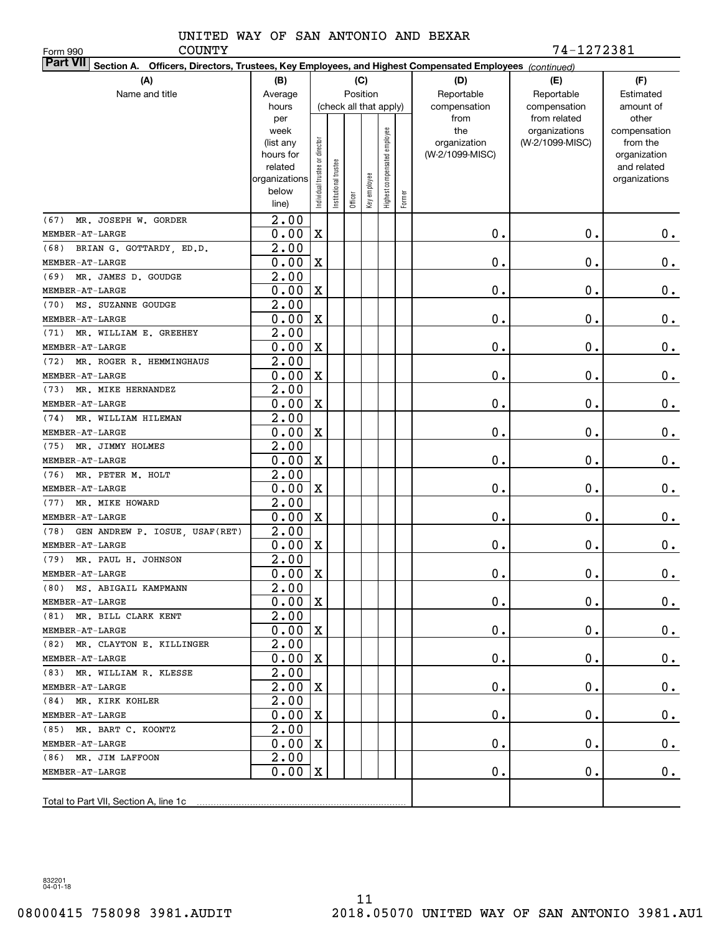Form 990

COUNTY 74-1272381

| <b>Part VII</b> Section A. Officers, Directors, Trustees, Key Employees, and Highest Compensated Employees (continued) |                        |                                |                      |                        |              |                              |        |                     |                                  |                          |
|------------------------------------------------------------------------------------------------------------------------|------------------------|--------------------------------|----------------------|------------------------|--------------|------------------------------|--------|---------------------|----------------------------------|--------------------------|
| (A)                                                                                                                    | (B)                    |                                |                      |                        | (C)          |                              |        | (D)                 | (E)                              | (F)                      |
| Name and title                                                                                                         | Average                |                                |                      | Position               |              |                              |        | Reportable          | Reportable                       | Estimated                |
|                                                                                                                        | hours                  |                                |                      | (check all that apply) |              |                              |        | compensation        | compensation                     | amount of                |
|                                                                                                                        | per                    |                                |                      |                        |              |                              |        | from                | from related                     | other                    |
|                                                                                                                        | week                   |                                |                      |                        |              | Highest compensated employee |        | the<br>organization | organizations<br>(W-2/1099-MISC) | compensation<br>from the |
|                                                                                                                        | (list any<br>hours for |                                |                      |                        |              |                              |        | (W-2/1099-MISC)     |                                  | organization             |
|                                                                                                                        | related                |                                |                      |                        |              |                              |        |                     |                                  | and related              |
|                                                                                                                        | organizations          |                                |                      |                        |              |                              |        |                     |                                  | organizations            |
|                                                                                                                        | below                  | Individual trustee or director | nstitutional trustee |                        | Key employee |                              |        |                     |                                  |                          |
|                                                                                                                        | line)                  |                                |                      | Officer                |              |                              | Former |                     |                                  |                          |
| (67) MR. JOSEPH W. GORDER                                                                                              | $\overline{2}$ .00     |                                |                      |                        |              |                              |        |                     |                                  |                          |
| MEMBER-AT-LARGE                                                                                                        | 0.00                   | $\mathbf X$                    |                      |                        |              |                              |        | 0.                  | $\mathbf 0$ .                    | 0.                       |
| (68) BRIAN G. GOTTARDY, ED.D.                                                                                          | $\overline{2.00}$      |                                |                      |                        |              |                              |        |                     |                                  |                          |
| MEMBER-AT-LARGE                                                                                                        | 0.00                   | $\mathbf X$                    |                      |                        |              |                              |        | 0.                  | $\mathbf 0$ .                    | $0$ .                    |
| (69) MR. JAMES D. GOUDGE                                                                                               | 2.00                   |                                |                      |                        |              |                              |        |                     |                                  |                          |
| MEMBER-AT-LARGE                                                                                                        | 0.00                   | $\mathbf X$                    |                      |                        |              |                              |        | 0.                  | $\mathbf 0$ .                    | $0$ .                    |
| (70) MS. SUZANNE GOUDGE                                                                                                | 2.00                   |                                |                      |                        |              |                              |        |                     |                                  |                          |
| MEMBER-AT-LARGE                                                                                                        | 0.00                   | $\mathbf X$                    |                      |                        |              |                              |        | 0.                  | $\mathbf 0$ .                    | $\mathbf 0$ .            |
| MR. WILLIAM E. GREEHEY<br>(71)                                                                                         | 2.00                   |                                |                      |                        |              |                              |        |                     |                                  |                          |
| MEMBER-AT-LARGE                                                                                                        | 0.00                   | $\mathbf X$                    |                      |                        |              |                              |        | 0.                  | $\mathbf 0$ .                    | $0$ .                    |
| MR. ROGER R. HEMMINGHAUS<br>(72)                                                                                       | 2.00                   |                                |                      |                        |              |                              |        |                     |                                  |                          |
| MEMBER-AT-LARGE                                                                                                        | 0.00                   | $\mathbf X$                    |                      |                        |              |                              |        | 0.                  | $\mathbf 0$ .                    | $0$ .                    |
| (73) MR. MIKE HERNANDEZ                                                                                                | 2.00                   |                                |                      |                        |              |                              |        |                     |                                  |                          |
| MEMBER-AT-LARGE                                                                                                        | 0.00                   | $\mathbf X$                    |                      |                        |              |                              |        | 0.                  | $\mathbf 0$ .                    | $0$ .                    |
| MR. WILLIAM HILEMAN<br>(74)                                                                                            | 2.00                   |                                |                      |                        |              |                              |        |                     |                                  |                          |
| MEMBER-AT-LARGE                                                                                                        | 0.00                   | $\mathbf X$                    |                      |                        |              |                              |        | 0.                  | $\mathbf 0$ .                    | $0$ .                    |
| (75) MR. JIMMY HOLMES                                                                                                  | 2.00                   |                                |                      |                        |              |                              |        |                     |                                  |                          |
| MEMBER-AT-LARGE                                                                                                        | 0.00                   | $\mathbf X$                    |                      |                        |              |                              |        | 0.                  | $\mathbf 0$ .                    | 0.                       |
| (76) MR. PETER M. HOLT                                                                                                 | 2.00                   |                                |                      |                        |              |                              |        |                     |                                  |                          |
| MEMBER-AT-LARGE                                                                                                        | 0.00                   | $\mathbf X$                    |                      |                        |              |                              |        | 0.                  | $\mathbf 0$ .                    | 0.                       |
| (77)<br>MR. MIKE HOWARD                                                                                                | 2.00                   |                                |                      |                        |              |                              |        |                     |                                  |                          |
| MEMBER-AT-LARGE                                                                                                        | 0.00                   | $\mathbf X$                    |                      |                        |              |                              |        | 0.                  | $\mathbf 0$ .                    | 0.                       |
| (78) GEN ANDREW P. IOSUE, USAF(RET)                                                                                    | 2.00                   |                                |                      |                        |              |                              |        |                     |                                  |                          |
| MEMBER-AT-LARGE                                                                                                        | 0.00                   | $\mathbf X$                    |                      |                        |              |                              |        | 0.                  | $\mathbf 0$ .                    | 0.                       |
| (79) MR. PAUL H. JOHNSON                                                                                               | 2.00                   |                                |                      |                        |              |                              |        |                     |                                  |                          |
| MEMBER-AT-LARGE                                                                                                        | 0.00                   | $\mathbf X$                    |                      |                        |              |                              |        | 0.                  | $\mathbf 0$ .                    | 0.                       |
| (80) MS. ABIGAIL KAMPMANN                                                                                              | $\overline{2.00}$      |                                |                      |                        |              |                              |        |                     |                                  |                          |
| MEMBER-AT-LARGE                                                                                                        | $0.00 \,   X$          |                                |                      |                        |              |                              |        | 0.                  | 0.                               | $0_{\cdot}$              |
| (81) MR. BILL CLARK KENT                                                                                               | 2.00                   |                                |                      |                        |              |                              |        |                     |                                  |                          |
| MEMBER-AT-LARGE                                                                                                        | $0.00 \, \text{X}$     |                                |                      |                        |              |                              |        | $\mathbf 0$ .       | 0.                               | $0\cdot$                 |
| (82) MR. CLAYTON E. KILLINGER                                                                                          | 2.00                   |                                |                      |                        |              |                              |        |                     |                                  |                          |
| MEMBER-AT-LARGE                                                                                                        | 0.00                   | $\mathbf X$                    |                      |                        |              |                              |        | $\mathbf 0$ .       | О.                               | $0_{.}$                  |
| (83) MR. WILLIAM R. KLESSE                                                                                             | 2.00                   |                                |                      |                        |              |                              |        |                     |                                  |                          |
| MEMBER-AT-LARGE                                                                                                        | 2.00                   | $\mathbf X$                    |                      |                        |              |                              |        | $\mathbf 0$ .       | О.                               | $0_{.}$                  |
| (84) MR. KIRK KOHLER                                                                                                   | 2.00                   |                                |                      |                        |              |                              |        |                     |                                  |                          |
| MEMBER-AT-LARGE                                                                                                        | 0.00                   | $\mathbf X$                    |                      |                        |              |                              |        | $\mathbf 0$ .       | О.                               | $0_{.}$                  |
| (85) MR. BART C. KOONTZ                                                                                                | 2.00                   |                                |                      |                        |              |                              |        |                     |                                  |                          |
| MEMBER-AT-LARGE                                                                                                        | $0.00 \, \text{X}$     |                                |                      |                        |              |                              |        | $\mathbf 0$ .       | О.                               | $0_{.}$                  |
| (86) MR. JIM LAFFOON                                                                                                   | 2.00                   |                                |                      |                        |              |                              |        |                     |                                  |                          |
| MEMBER-AT-LARGE                                                                                                        | 0.00                   | X                              |                      |                        |              |                              |        | $\mathbf 0$ .       | 0.                               | 0.                       |
|                                                                                                                        |                        |                                |                      |                        |              |                              |        |                     |                                  |                          |
|                                                                                                                        |                        |                                |                      |                        |              |                              |        |                     |                                  |                          |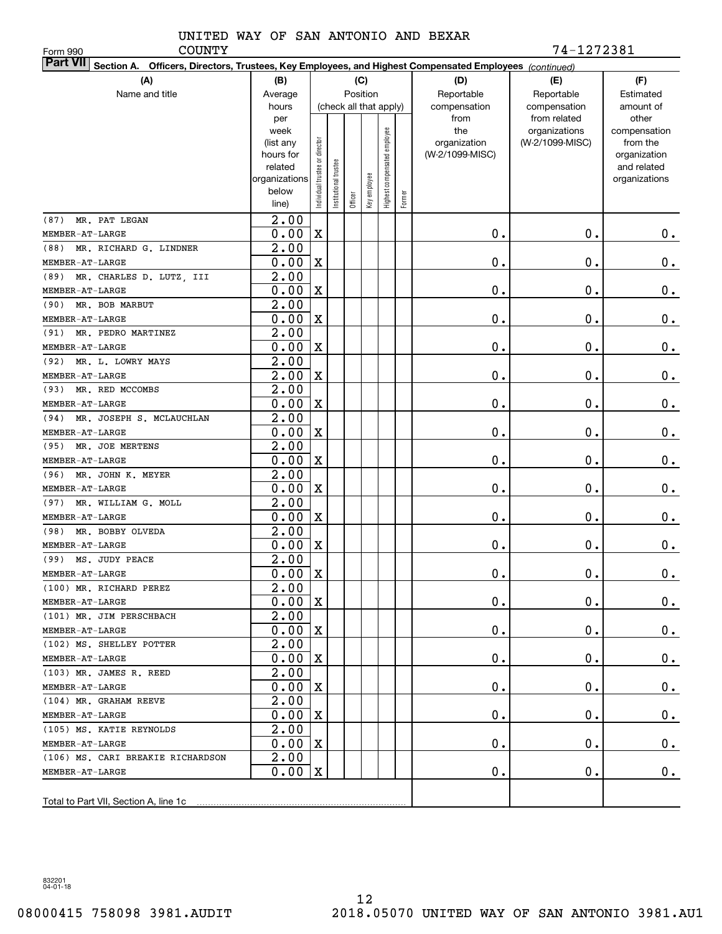Form 990

COUNTY 74-1272381

| Part VII Section A. Officers, Directors, Trustees, Key Employees, and Highest Compensated Employees (continued) |                   |                               |                      |         |                        |                              |        |                     |                                  |                          |
|-----------------------------------------------------------------------------------------------------------------|-------------------|-------------------------------|----------------------|---------|------------------------|------------------------------|--------|---------------------|----------------------------------|--------------------------|
| (A)                                                                                                             | (B)               |                               |                      |         | (C)                    |                              |        | (D)                 | (E)                              | (F)                      |
| Name and title                                                                                                  | Average           |                               |                      |         | Position               |                              |        | Reportable          | Reportable                       | Estimated                |
|                                                                                                                 | hours             |                               |                      |         | (check all that apply) |                              |        | compensation        | compensation                     | amount of                |
|                                                                                                                 | per               |                               |                      |         |                        |                              |        | from                | from related                     | other                    |
|                                                                                                                 | week<br>(list any |                               |                      |         |                        |                              |        | the<br>organization | organizations<br>(W-2/1099-MISC) | compensation<br>from the |
|                                                                                                                 | hours for         |                               |                      |         |                        |                              |        | (W-2/1099-MISC)     |                                  | organization             |
|                                                                                                                 | related           |                               |                      |         |                        |                              |        |                     |                                  | and related              |
|                                                                                                                 | organizations     |                               |                      |         |                        |                              |        |                     |                                  | organizations            |
|                                                                                                                 | below             | ndividual trustee or director | nstitutional trustee | Officer | Key employee           | Highest compensated employee | Former |                     |                                  |                          |
|                                                                                                                 | line)             |                               |                      |         |                        |                              |        |                     |                                  |                          |
| MR. PAT LEGAN<br>(87)                                                                                           | 2.00              |                               |                      |         |                        |                              |        |                     |                                  |                          |
| MEMBER-AT-LARGE                                                                                                 | 0.00              | $\mathbf X$                   |                      |         |                        |                              |        | 0.                  | 0.                               | 0.                       |
| (88) MR. RICHARD G. LINDNER                                                                                     | 2.00              |                               |                      |         |                        |                              |        |                     |                                  |                          |
| MEMBER-AT-LARGE                                                                                                 | 0.00              | $\mathbf X$                   |                      |         |                        |                              |        | 0.                  | 0.                               | 0.                       |
| (89) MR. CHARLES D. LUTZ, III                                                                                   | $\overline{2.00}$ |                               |                      |         |                        |                              |        |                     |                                  |                          |
| MEMBER-AT-LARGE                                                                                                 | 0.00              | $\mathbf X$                   |                      |         |                        |                              |        | $\mathbf 0$ .       | 0.                               | $\mathbf 0$ .            |
| MR. BOB MARBUT<br>(90)                                                                                          | $\overline{2.00}$ |                               |                      |         |                        |                              |        |                     |                                  |                          |
| MEMBER-AT-LARGE                                                                                                 | 0.00              | $\mathbf X$                   |                      |         |                        |                              |        | $\mathbf 0$ .       | $\mathbf 0$ .                    | $0$ .                    |
| MR. PEDRO MARTINEZ<br>(91)                                                                                      | 2.00              |                               |                      |         |                        |                              |        |                     |                                  |                          |
| MEMBER-AT-LARGE                                                                                                 | 0.00              | $\mathbf X$                   |                      |         |                        |                              |        | $\mathbf 0$ .       | $\mathbf 0$ .                    | $0$ .                    |
| MR. L. LOWRY MAYS<br>(92)                                                                                       | 2.00              |                               |                      |         |                        |                              |        |                     |                                  |                          |
| MEMBER-AT-LARGE                                                                                                 | $\overline{2.00}$ | $\mathbf X$                   |                      |         |                        |                              |        | $\mathbf 0$ .       | $\mathbf 0$ .                    | $0$ .                    |
| (93) MR. RED MCCOMBS                                                                                            | $\overline{2.00}$ |                               |                      |         |                        |                              |        |                     |                                  |                          |
| MEMBER-AT-LARGE                                                                                                 | 0.00              | $\mathbf X$                   |                      |         |                        |                              |        | $\mathbf 0$ .       | $\mathbf 0$ .                    | $\mathbf 0$ .            |
| (94) MR. JOSEPH S. MCLAUCHLAN                                                                                   | $\overline{2.00}$ |                               |                      |         |                        |                              |        |                     |                                  |                          |
| MEMBER-AT-LARGE                                                                                                 | 0.00              | $\mathbf X$                   |                      |         |                        |                              |        | $\mathbf 0$ .       | $\mathbf 0$ .                    | 0.                       |
| (95) MR. JOE MERTENS                                                                                            | 2.00              |                               |                      |         |                        |                              |        |                     |                                  |                          |
| MEMBER-AT-LARGE                                                                                                 | 0.00              | $\mathbf X$                   |                      |         |                        |                              |        | $\mathbf 0$ .       | $\mathbf 0$ .                    | 0.                       |
| (96)<br>MR. JOHN K. MEYER                                                                                       | 2.00              |                               |                      |         |                        |                              |        |                     |                                  |                          |
| MEMBER-AT-LARGE                                                                                                 | 0.00              | $\mathbf X$                   |                      |         |                        |                              |        | $\mathbf 0$ .       | $\mathbf 0$ .                    | 0.                       |
| MR. WILLIAM G. MOLL<br>(97)                                                                                     | 2.00              |                               |                      |         |                        |                              |        |                     |                                  |                          |
| MEMBER-AT-LARGE                                                                                                 | 0.00              | $\mathbf X$                   |                      |         |                        |                              |        | $\mathbf 0$ .       | $\mathbf 0$ .                    | 0.                       |
| MR. BOBBY OLVEDA<br>(98)                                                                                        | 2.00              |                               |                      |         |                        |                              |        |                     |                                  |                          |
| MEMBER-AT-LARGE                                                                                                 | 0.00              | $\mathbf X$                   |                      |         |                        |                              |        | $\mathbf 0$ .       | $\mathbf 0$ .                    | 0.                       |
| (99) MS. JUDY PEACE                                                                                             | 2.00              |                               |                      |         |                        |                              |        |                     |                                  |                          |
| MEMBER-AT-LARGE                                                                                                 | 0.00              | X                             |                      |         |                        |                              |        | $\mathbf 0$ .       | 0.                               | 0.                       |
| (100) MR. RICHARD PEREZ                                                                                         | 2.00              |                               |                      |         |                        |                              |        |                     |                                  |                          |
| MEMBER-AT-LARGE                                                                                                 | 0.00              | X                             |                      |         |                        |                              |        | $\mathbf 0$ .       | $\mathbf 0$ .                    | $0_{\bullet}$            |
| (101) MR. JIM PERSCHBACH                                                                                        | 2.00              |                               |                      |         |                        |                              |        |                     |                                  |                          |
| MEMBER-AT-LARGE                                                                                                 | 0.00              | X                             |                      |         |                        |                              |        | О.                  | $\mathbf 0$ .                    | $0_{.}$                  |
| (102) MS. SHELLEY POTTER                                                                                        | 2.00              |                               |                      |         |                        |                              |        |                     |                                  |                          |
| MEMBER-AT-LARGE                                                                                                 | 0.00              | X                             |                      |         |                        |                              |        | О.                  | $\mathbf 0$ .                    | $0_{.}$                  |
| (103) MR. JAMES R. REED                                                                                         | 2.00              |                               |                      |         |                        |                              |        |                     |                                  |                          |
| MEMBER-AT-LARGE                                                                                                 | 0.00              | X                             |                      |         |                        |                              |        | О.                  | $\mathbf 0$ .                    | $0_{.}$                  |
| (104) MR. GRAHAM REEVE                                                                                          | 2.00              |                               |                      |         |                        |                              |        |                     |                                  |                          |
| MEMBER-AT-LARGE                                                                                                 | 0.00              | X                             |                      |         |                        |                              |        | О.                  | $\mathbf 0$ .                    | $0_{.}$                  |
| (105) MS. KATIE REYNOLDS                                                                                        | 2.00              |                               |                      |         |                        |                              |        |                     |                                  |                          |
| MEMBER-AT-LARGE                                                                                                 | 0.00              | X                             |                      |         |                        |                              |        | О.                  | $\mathbf 0$ .                    | $0$ .                    |
| (106) MS. CARI BREAKIE RICHARDSON                                                                               | 2.00              |                               |                      |         |                        |                              |        |                     |                                  |                          |
| MEMBER-AT-LARGE                                                                                                 | 0.00              | X                             |                      |         |                        |                              |        | О.                  | 0.                               | $0$ .                    |
|                                                                                                                 |                   |                               |                      |         |                        |                              |        |                     |                                  |                          |
| Total to Part VII, Section A, line 1c                                                                           |                   |                               |                      |         |                        |                              |        |                     |                                  |                          |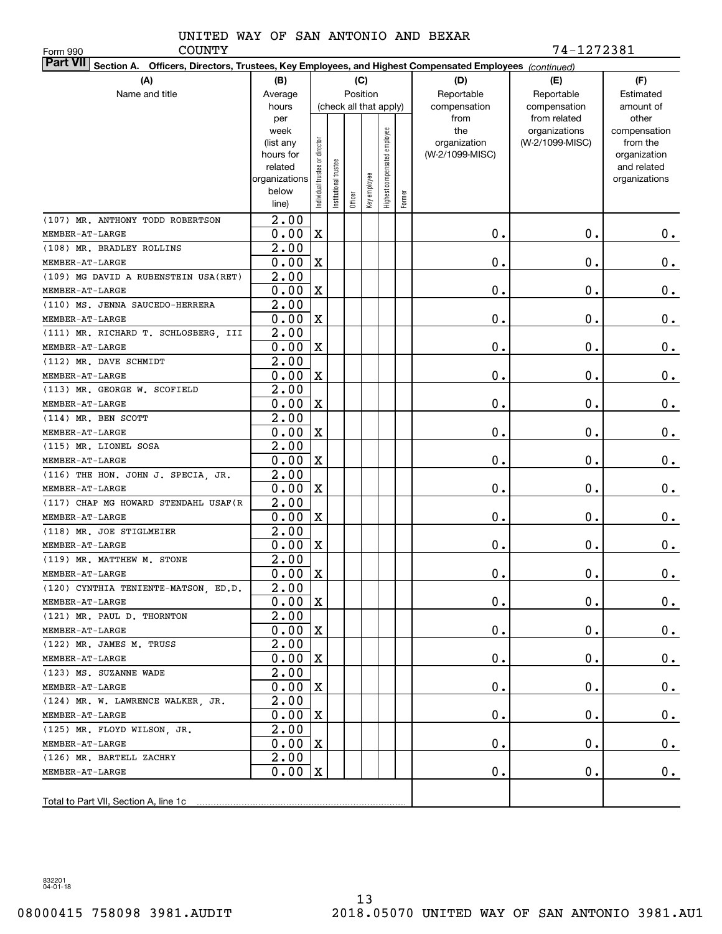Form 990

COUNTY 74-1272381

| <b>Part VII</b> Section A. Officers, Directors, Trustees, Key Employees, and Highest Compensated Employees (continued) |                    |                               |                      |         |                        |                              |        |                     |                                  |                          |
|------------------------------------------------------------------------------------------------------------------------|--------------------|-------------------------------|----------------------|---------|------------------------|------------------------------|--------|---------------------|----------------------------------|--------------------------|
| (A)                                                                                                                    | (B)                |                               |                      |         | (C)                    |                              |        | (D)                 | (E)                              | (F)                      |
| Name and title                                                                                                         | Average            |                               |                      |         | Position               |                              |        | Reportable          | Reportable                       | Estimated                |
|                                                                                                                        | hours              |                               |                      |         | (check all that apply) |                              |        | compensation        | compensation                     | amount of                |
|                                                                                                                        | per                |                               |                      |         |                        |                              |        | from                | from related                     | other                    |
|                                                                                                                        | week<br>(list any  |                               |                      |         |                        | Highest compensated employee |        | the<br>organization | organizations<br>(W-2/1099-MISC) | compensation<br>from the |
|                                                                                                                        | hours for          |                               |                      |         |                        |                              |        | (W-2/1099-MISC)     |                                  | organization             |
|                                                                                                                        | related            |                               |                      |         |                        |                              |        |                     |                                  | and related              |
|                                                                                                                        | organizations      |                               |                      |         |                        |                              |        |                     |                                  | organizations            |
|                                                                                                                        | below              | ndividual trustee or director | nstitutional trustee |         | Key employee           |                              | Former |                     |                                  |                          |
|                                                                                                                        | line)              |                               |                      | Officer |                        |                              |        |                     |                                  |                          |
| (107) MR. ANTHONY TODD ROBERTSON                                                                                       | $\overline{2.00}$  |                               |                      |         |                        |                              |        |                     |                                  |                          |
| MEMBER-AT-LARGE                                                                                                        | 0.00               | $\mathbf X$                   |                      |         |                        |                              |        | $\mathbf 0$ .       | 0.                               | 0.                       |
| (108) MR. BRADLEY ROLLINS                                                                                              | 2.00               |                               |                      |         |                        |                              |        |                     |                                  |                          |
| MEMBER-AT-LARGE                                                                                                        | 0.00               | $\mathbf X$                   |                      |         |                        |                              |        | $\mathbf 0$ .       | 0.                               | 0.                       |
| (109) MG DAVID A RUBENSTEIN USA(RET)                                                                                   | $\overline{2.00}$  |                               |                      |         |                        |                              |        |                     |                                  |                          |
| MEMBER-AT-LARGE                                                                                                        | 0.00               | $\mathbf X$                   |                      |         |                        |                              |        | $\mathbf 0$ .       | $\mathbf 0$ .                    | 0.                       |
| (110) MS. JENNA SAUCEDO-HERRERA                                                                                        | $\overline{2.00}$  |                               |                      |         |                        |                              |        |                     |                                  |                          |
| MEMBER-AT-LARGE                                                                                                        | 0.00               | $\mathbf X$                   |                      |         |                        |                              |        | $\mathbf 0$ .       | $\mathbf 0$ .                    | 0.                       |
| (111) MR. RICHARD T. SCHLOSBERG, III                                                                                   | 2.00               |                               |                      |         |                        |                              |        |                     |                                  |                          |
| MEMBER-AT-LARGE                                                                                                        | 0.00               | $\mathbf X$                   |                      |         |                        |                              |        | $\mathbf 0$ .       | $\mathbf 0$ .                    | 0.                       |
| (112) MR. DAVE SCHMIDT                                                                                                 | 2.00               |                               |                      |         |                        |                              |        |                     |                                  |                          |
| MEMBER-AT-LARGE                                                                                                        | 0.00               | $\mathbf X$                   |                      |         |                        |                              |        | $\mathbf 0$ .       | $\mathbf 0$ .                    | 0.                       |
| (113) MR. GEORGE W. SCOFIELD                                                                                           | 2.00               |                               |                      |         |                        |                              |        |                     |                                  |                          |
| MEMBER-AT-LARGE                                                                                                        | 0.00               | $\mathbf X$                   |                      |         |                        |                              |        | $\mathbf 0$ .       | $\mathbf 0$ .                    | 0.                       |
| (114) MR. BEN SCOTT                                                                                                    | 2.00               |                               |                      |         |                        |                              |        |                     |                                  |                          |
| MEMBER-AT-LARGE                                                                                                        | 0.00               | $\mathbf X$                   |                      |         |                        |                              |        | $\mathbf 0$ .       | $\mathbf 0$ .                    | 0.                       |
| (115) MR. LIONEL SOSA                                                                                                  | 2.00               |                               |                      |         |                        |                              |        |                     |                                  |                          |
| MEMBER-AT-LARGE                                                                                                        | 0.00               | $\mathbf X$                   |                      |         |                        |                              |        | $\mathbf 0$ .       | $\mathbf 0$ .                    | 0.                       |
| (116) THE HON. JOHN J. SPECIA, JR.                                                                                     | $\overline{2.00}$  |                               |                      |         |                        |                              |        |                     |                                  |                          |
| MEMBER-AT-LARGE                                                                                                        | 0.00               | $\mathbf X$                   |                      |         |                        |                              |        | $\mathbf 0$ .       | $\mathbf 0$ .                    | 0.                       |
| (117) CHAP MG HOWARD STENDAHL USAF (R                                                                                  | $\overline{2.00}$  |                               |                      |         |                        |                              |        |                     |                                  |                          |
| MEMBER-AT-LARGE                                                                                                        | 0.00               | $\mathbf X$                   |                      |         |                        |                              |        | $\mathbf 0$ .       | $\mathbf 0$ .                    | 0.                       |
| (118) MR. JOE STIGLMEIER                                                                                               | 2.00               |                               |                      |         |                        |                              |        |                     |                                  |                          |
| MEMBER-AT-LARGE                                                                                                        | 0.00               | $\mathbf X$                   |                      |         |                        |                              |        | О.                  | $\mathbf 0$ .                    | 0.                       |
| (119) MR. MATTHEW M. STONE                                                                                             | 2.00               |                               |                      |         |                        |                              |        |                     |                                  |                          |
| MEMBER-AT-LARGE                                                                                                        | 0.00               | X                             |                      |         |                        |                              |        | $\mathbf 0$ .       | 0.                               | 0.                       |
| (120) CYNTHIA TENIENTE-MATSON, ED.D.                                                                                   | 2.00               |                               |                      |         |                        |                              |        |                     |                                  |                          |
| MEMBER-AT-LARGE                                                                                                        | 0.00               | X                             |                      |         |                        |                              |        | $\mathbf 0$ .       | $\mathbf 0$ .                    | $0_{\cdot}$              |
| (121) MR. PAUL D. THORNTON                                                                                             | $\overline{2}$ .00 |                               |                      |         |                        |                              |        |                     |                                  |                          |
| MEMBER-AT-LARGE                                                                                                        | 0.00               | X                             |                      |         |                        |                              |        | О.                  | 0.                               | $0_{.}$                  |
| (122) MR. JAMES M. TRUSS                                                                                               | 2.00               |                               |                      |         |                        |                              |        |                     |                                  |                          |
| MEMBER-AT-LARGE                                                                                                        | 0.00               | X                             |                      |         |                        |                              |        | О.                  | 0.                               | $0\cdot$                 |
| (123) MS. SUZANNE WADE                                                                                                 | 2.00               |                               |                      |         |                        |                              |        |                     |                                  |                          |
| MEMBER-AT-LARGE                                                                                                        | 0.00               | X                             |                      |         |                        |                              |        | О.                  | 0.                               | $0\cdot$                 |
| (124) MR. W. LAWRENCE WALKER, JR.                                                                                      | 2.00               |                               |                      |         |                        |                              |        |                     |                                  |                          |
| MEMBER-AT-LARGE                                                                                                        | 0.00               | X                             |                      |         |                        |                              |        | О.                  | 0.                               | $0\cdot$                 |
| (125) MR. FLOYD WILSON, JR.                                                                                            | 2.00               |                               |                      |         |                        |                              |        |                     |                                  |                          |
| MEMBER-AT-LARGE                                                                                                        | 0.00               | X                             |                      |         |                        |                              |        | О.                  | 0.                               | $0_{.}$                  |
| (126) MR. BARTELL ZACHRY                                                                                               | 2.00               |                               |                      |         |                        |                              |        |                     |                                  |                          |
| MEMBER-AT-LARGE                                                                                                        | 0.00               | X                             |                      |         |                        |                              |        | О.                  | 0.                               | $0$ .                    |
|                                                                                                                        |                    |                               |                      |         |                        |                              |        |                     |                                  |                          |
| Total to Part VII, Section A, line 1c                                                                                  |                    |                               |                      |         |                        |                              |        |                     |                                  |                          |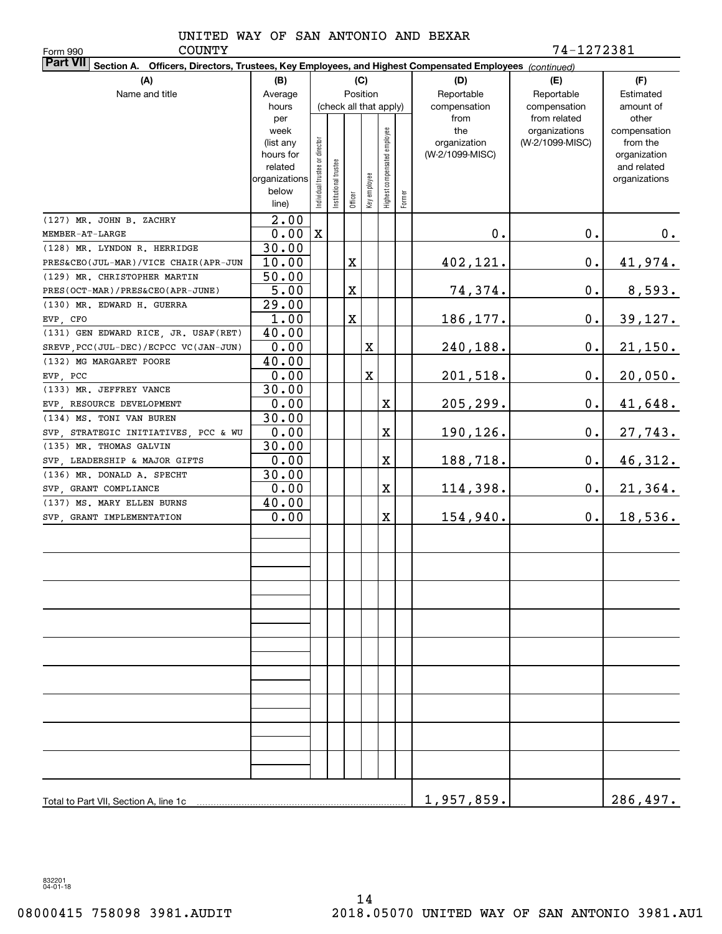Form 990

COUNTY 74-1272381

| <b>Part VII</b> Section A. Officers, Directors, Trustees, Key Employees, and Highest Compensated Employees (continued) |                        |                                |                       |                        |              |                              |        |                                 |                 |                             |
|------------------------------------------------------------------------------------------------------------------------|------------------------|--------------------------------|-----------------------|------------------------|--------------|------------------------------|--------|---------------------------------|-----------------|-----------------------------|
| (A)                                                                                                                    | (B)                    |                                |                       | (C)                    |              |                              |        | (D)                             | (E)             | (F)                         |
| Name and title                                                                                                         | Average                |                                |                       | Position               |              |                              |        | Reportable                      | Reportable      | Estimated                   |
|                                                                                                                        | hours                  |                                |                       | (check all that apply) |              |                              |        | compensation                    | compensation    | amount of                   |
|                                                                                                                        | per                    |                                |                       |                        |              |                              |        | from                            | from related    | other                       |
|                                                                                                                        | week                   |                                |                       |                        |              |                              |        | the                             | organizations   | compensation                |
|                                                                                                                        | (list any<br>hours for |                                |                       |                        |              |                              |        | organization<br>(W-2/1099-MISC) | (W-2/1099-MISC) | from the                    |
|                                                                                                                        | related                |                                |                       |                        |              |                              |        |                                 |                 | organization<br>and related |
|                                                                                                                        | organizations          |                                |                       |                        |              |                              |        |                                 |                 | organizations               |
|                                                                                                                        | below                  | Individual trustee or director | Institutional trustee |                        | Key employee | Highest compensated employee |        |                                 |                 |                             |
|                                                                                                                        | line)                  |                                |                       | Officer                |              |                              | Former |                                 |                 |                             |
| (127) MR. JOHN B. ZACHRY                                                                                               | $\overline{2.00}$      |                                |                       |                        |              |                              |        |                                 |                 |                             |
| MEMBER-AT-LARGE                                                                                                        | 0.00                   | $\mathbf X$                    |                       |                        |              |                              |        | 0.                              | $\mathbf 0$ .   | 0.                          |
| (128) MR. LYNDON R. HERRIDGE                                                                                           | 30.00                  |                                |                       |                        |              |                              |        |                                 |                 |                             |
| PRES&CEO(JUL-MAR)/VICE CHAIR(APR-JUN                                                                                   | 10.00                  |                                |                       | X                      |              |                              |        | 402,121.                        | $\mathbf 0$ .   | 41,974.                     |
| (129) MR. CHRISTOPHER MARTIN                                                                                           | 50.00                  |                                |                       |                        |              |                              |        |                                 |                 |                             |
| PRES(OCT-MAR)/PRES&CEO(APR-JUNE)                                                                                       | 5.00                   |                                |                       | X                      |              |                              |        | 74,374.                         | $\mathbf 0$ .   | 8,593.                      |
| (130) MR. EDWARD H. GUERRA                                                                                             | 29.00                  |                                |                       |                        |              |                              |        |                                 |                 |                             |
| EVP, CFO                                                                                                               | 1.00                   |                                |                       | X                      |              |                              |        | 186,177.                        | 0.              | 39, 127.                    |
| (131) GEN EDWARD RICE, JR. USAF(RET)                                                                                   | 40.00                  |                                |                       |                        |              |                              |        |                                 |                 |                             |
| SREVP, PCC(JUL-DEC)/ECPCC VC(JAN-JUN)                                                                                  | 0.00                   |                                |                       |                        | X            |                              |        | 240,188.                        | 0.              | 21,150.                     |
| (132) MG MARGARET POORE                                                                                                | 40.00                  |                                |                       |                        |              |                              |        |                                 |                 |                             |
| EVP, PCC                                                                                                               | 0.00                   |                                |                       |                        | $\mathbf X$  |                              |        | 201,518.                        | 0.              | 20,050.                     |
| (133) MR. JEFFREY VANCE                                                                                                | 30.00                  |                                |                       |                        |              |                              |        |                                 |                 |                             |
| EVP, RESOURCE DEVELOPMENT                                                                                              | 0.00                   |                                |                       |                        |              | X                            |        | 205,299.                        | $\mathbf 0$ .   | 41,648.                     |
| (134) MS. TONI VAN BUREN                                                                                               | 30.00                  |                                |                       |                        |              |                              |        |                                 |                 |                             |
| SVP, STRATEGIC INITIATIVES, PCC & WU                                                                                   | 0.00                   |                                |                       |                        |              | X                            |        | 190,126.                        | 0.              | 27,743.                     |
| (135) MR. THOMAS GALVIN                                                                                                | 30.00                  |                                |                       |                        |              |                              |        |                                 |                 |                             |
| SVP, LEADERSHIP & MAJOR GIFTS                                                                                          | 0.00                   |                                |                       |                        |              | X                            |        | 188,718.                        | 0.              | 46, 312.                    |
| (136) MR. DONALD A. SPECHT                                                                                             | 30.00                  |                                |                       |                        |              |                              |        |                                 |                 |                             |
| SVP, GRANT COMPLIANCE                                                                                                  | 0.00                   |                                |                       |                        |              | X                            |        | 114,398.                        | 0.              | 21,364.                     |
| (137) MS. MARY ELLEN BURNS                                                                                             | 40.00                  |                                |                       |                        |              |                              |        |                                 |                 |                             |
| SVP, GRANT IMPLEMENTATION                                                                                              | 0.00                   |                                |                       |                        |              | X                            |        | 154,940.                        | $0$ .           | 18,536.                     |
|                                                                                                                        |                        |                                |                       |                        |              |                              |        |                                 |                 |                             |
|                                                                                                                        |                        |                                |                       |                        |              |                              |        |                                 |                 |                             |
|                                                                                                                        |                        |                                |                       |                        |              |                              |        |                                 |                 |                             |
|                                                                                                                        |                        |                                |                       |                        |              |                              |        |                                 |                 |                             |
|                                                                                                                        |                        |                                |                       |                        |              |                              |        |                                 |                 |                             |
|                                                                                                                        |                        |                                |                       |                        |              |                              |        |                                 |                 |                             |
|                                                                                                                        |                        |                                |                       |                        |              |                              |        |                                 |                 |                             |
|                                                                                                                        |                        |                                |                       |                        |              |                              |        |                                 |                 |                             |
|                                                                                                                        |                        |                                |                       |                        |              |                              |        |                                 |                 |                             |
|                                                                                                                        |                        |                                |                       |                        |              |                              |        |                                 |                 |                             |
|                                                                                                                        |                        |                                |                       |                        |              |                              |        |                                 |                 |                             |
|                                                                                                                        |                        |                                |                       |                        |              |                              |        |                                 |                 |                             |
|                                                                                                                        |                        |                                |                       |                        |              |                              |        |                                 |                 |                             |
|                                                                                                                        |                        |                                |                       |                        |              |                              |        |                                 |                 |                             |
|                                                                                                                        |                        |                                |                       |                        |              |                              |        |                                 |                 |                             |
|                                                                                                                        |                        |                                |                       |                        |              |                              |        |                                 |                 |                             |
|                                                                                                                        |                        |                                |                       |                        |              |                              |        |                                 |                 |                             |
|                                                                                                                        |                        |                                |                       |                        |              |                              |        |                                 |                 |                             |
|                                                                                                                        |                        |                                |                       |                        |              |                              |        | 1,957,859.                      |                 | 286,497.                    |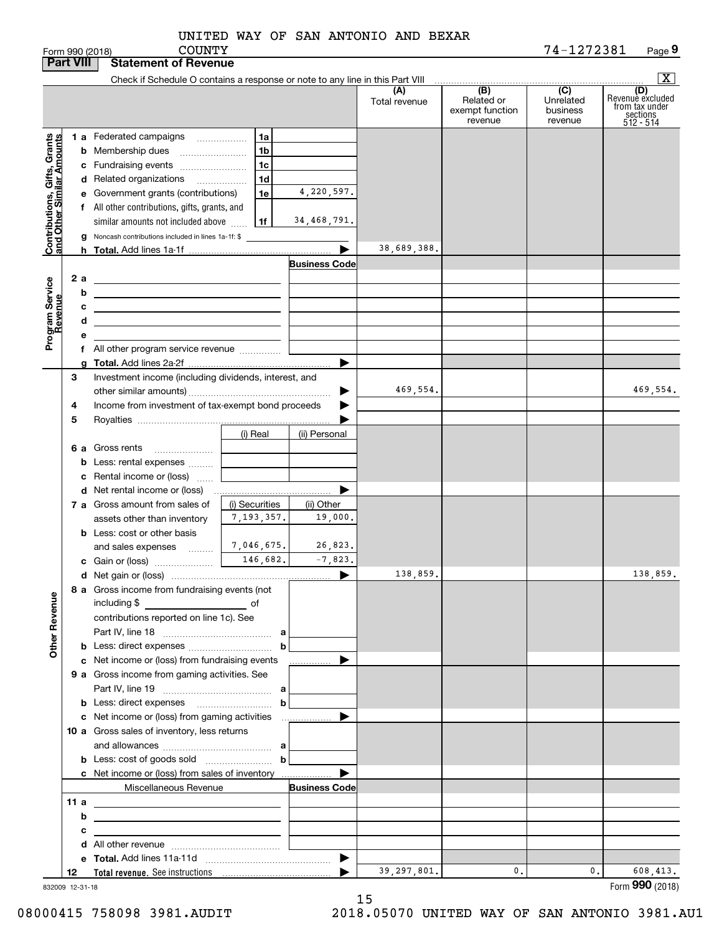| of Revenue |  |                                     |  |
|------------|--|-------------------------------------|--|
| COUNTY     |  |                                     |  |
|            |  | UNITED WAY OF SAN ANTONIO AND BEXAR |  |

|                                                           | <b>Part VIII</b> | <b>Statement of Revenue</b>                                                                                           |                |                       |                      |                   |                  |                         |
|-----------------------------------------------------------|------------------|-----------------------------------------------------------------------------------------------------------------------|----------------|-----------------------|----------------------|-------------------|------------------|-------------------------|
|                                                           |                  | Check if Schedule O contains a response or note to any line in this Part VIII                                         |                |                       |                      |                   |                  | x                       |
|                                                           |                  |                                                                                                                       |                |                       | (A)<br>Total revenue | (B)<br>Related or | (C)<br>Unrelated | (D)<br>Revenue excluded |
|                                                           |                  |                                                                                                                       |                |                       |                      | exempt function   | business         | from tax under          |
|                                                           |                  |                                                                                                                       |                |                       |                      | revenue           | revenue          | sections<br>512 - 514   |
|                                                           |                  | 1 a Federated campaigns                                                                                               | 1a             |                       |                      |                   |                  |                         |
|                                                           |                  | <b>b</b> Membership dues                                                                                              | 1 <sub>b</sub> |                       |                      |                   |                  |                         |
|                                                           |                  | c Fundraising events                                                                                                  | 1c             |                       |                      |                   |                  |                         |
|                                                           |                  | d Related organizations                                                                                               | 1 <sub>d</sub> |                       |                      |                   |                  |                         |
|                                                           |                  | e Government grants (contributions)                                                                                   | 1e             | 4,220,597.            |                      |                   |                  |                         |
|                                                           |                  | f All other contributions, gifts, grants, and                                                                         |                |                       |                      |                   |                  |                         |
|                                                           |                  | similar amounts not included above                                                                                    | 1f             | 34, 468, 791.         |                      |                   |                  |                         |
| Contributions, Gifts, Grants<br>and Other Similar Amounts | g                | Noncash contributions included in lines 1a-1f: \$                                                                     |                |                       |                      |                   |                  |                         |
|                                                           |                  |                                                                                                                       |                |                       | 38,689,388.          |                   |                  |                         |
|                                                           |                  |                                                                                                                       |                | <b>Business Code</b>  |                      |                   |                  |                         |
|                                                           | 2a               | <u> 1989 - Johann Barn, fransk politik amerikansk politik (</u>                                                       |                |                       |                      |                   |                  |                         |
|                                                           | b                | <u> 1989 - Andrea Stadt Britain, amerikansk politiker (</u>                                                           |                |                       |                      |                   |                  |                         |
|                                                           | с                | <u> 1999 - Johann Harry Harry Harry Harry Harry Harry Harry Harry Harry Harry Harry Harry Harry Harry Harry Harry</u> |                |                       |                      |                   |                  |                         |
|                                                           | d                |                                                                                                                       |                |                       |                      |                   |                  |                         |
|                                                           |                  | the control of the control of the control of the control of the control of the control of                             |                |                       |                      |                   |                  |                         |
| Program Service<br>Revenue                                |                  | f All other program service revenue                                                                                   |                |                       |                      |                   |                  |                         |
|                                                           |                  |                                                                                                                       |                | ▶                     |                      |                   |                  |                         |
|                                                           | 3                | Investment income (including dividends, interest, and                                                                 |                |                       |                      |                   |                  |                         |
|                                                           |                  |                                                                                                                       |                |                       | 469,554.             |                   |                  | 469,554.                |
|                                                           | 4                | Income from investment of tax-exempt bond proceeds                                                                    |                |                       |                      |                   |                  |                         |
|                                                           | 5                |                                                                                                                       |                |                       |                      |                   |                  |                         |
|                                                           |                  |                                                                                                                       | (i) Real       | (ii) Personal         |                      |                   |                  |                         |
|                                                           |                  | 6 a Gross rents                                                                                                       |                |                       |                      |                   |                  |                         |
|                                                           |                  |                                                                                                                       |                |                       |                      |                   |                  |                         |
|                                                           | b                | Less: rental expenses                                                                                                 |                |                       |                      |                   |                  |                         |
|                                                           |                  | Rental income or (loss)                                                                                               |                |                       |                      |                   |                  |                         |
|                                                           |                  |                                                                                                                       |                | ▶                     |                      |                   |                  |                         |
|                                                           |                  | 7 a Gross amount from sales of                                                                                        | (i) Securities | (ii) Other            |                      |                   |                  |                         |
|                                                           |                  | assets other than inventory                                                                                           | 7,193,357.     | 19,000.               |                      |                   |                  |                         |
|                                                           |                  | <b>b</b> Less: cost or other basis                                                                                    |                |                       |                      |                   |                  |                         |
|                                                           |                  | and sales expenses  7,046,675.                                                                                        |                | 26,823.               |                      |                   |                  |                         |
|                                                           |                  |                                                                                                                       | 146,682.       | $-7,823.$             |                      |                   |                  |                         |
|                                                           |                  |                                                                                                                       |                | $\blacktriangleright$ | 138,859.             |                   |                  | 138,859.                |
|                                                           |                  | 8 a Gross income from fundraising events (not                                                                         |                |                       |                      |                   |                  |                         |
|                                                           |                  | including \$                                                                                                          |                |                       |                      |                   |                  |                         |
|                                                           |                  | contributions reported on line 1c). See                                                                               |                |                       |                      |                   |                  |                         |
| <b>Other Revenue</b>                                      |                  |                                                                                                                       |                |                       |                      |                   |                  |                         |
|                                                           |                  |                                                                                                                       |                |                       |                      |                   |                  |                         |
|                                                           |                  | c Net income or (loss) from fundraising events                                                                        |                | .                     |                      |                   |                  |                         |
|                                                           |                  | 9 a Gross income from gaming activities. See                                                                          |                |                       |                      |                   |                  |                         |
|                                                           |                  |                                                                                                                       |                |                       |                      |                   |                  |                         |
|                                                           |                  |                                                                                                                       | $\mathbf b$    |                       |                      |                   |                  |                         |
|                                                           |                  |                                                                                                                       |                |                       |                      |                   |                  |                         |
|                                                           |                  | 10 a Gross sales of inventory, less returns                                                                           |                |                       |                      |                   |                  |                         |
|                                                           |                  |                                                                                                                       |                |                       |                      |                   |                  |                         |
|                                                           |                  | <b>b</b> Less: cost of goods sold $\ldots$ <b>b</b>                                                                   |                |                       |                      |                   |                  |                         |
|                                                           |                  | c Net income or (loss) from sales of inventory                                                                        |                | ▶                     |                      |                   |                  |                         |
|                                                           |                  | Miscellaneous Revenue                                                                                                 |                | <b>Business Code</b>  |                      |                   |                  |                         |
|                                                           | 11 a             | <u> 1989 - Johann Harry Harry Harry Harry Harry Harry Harry Harry Harry Harry Harry Harry Harry Harry Harry Harry</u> |                |                       |                      |                   |                  |                         |
|                                                           | b                | <u> 1989 - Johann Stein, fransk politik (f. 1989)</u>                                                                 |                |                       |                      |                   |                  |                         |
|                                                           | с                | <u> 1989 - Johann Barbara, martxa alemaniar a</u>                                                                     |                |                       |                      |                   |                  |                         |
|                                                           |                  |                                                                                                                       |                |                       |                      |                   |                  |                         |
|                                                           |                  |                                                                                                                       |                | $\blacktriangleright$ |                      |                   |                  |                         |
|                                                           | 12               |                                                                                                                       |                |                       | 39,297,801.          | $\mathbf{0}$ .    | 0.               | 608, 413.               |
|                                                           | 832009 12-31-18  |                                                                                                                       |                |                       |                      |                   |                  | Form 990 (2018)         |

832009 12-31-18

15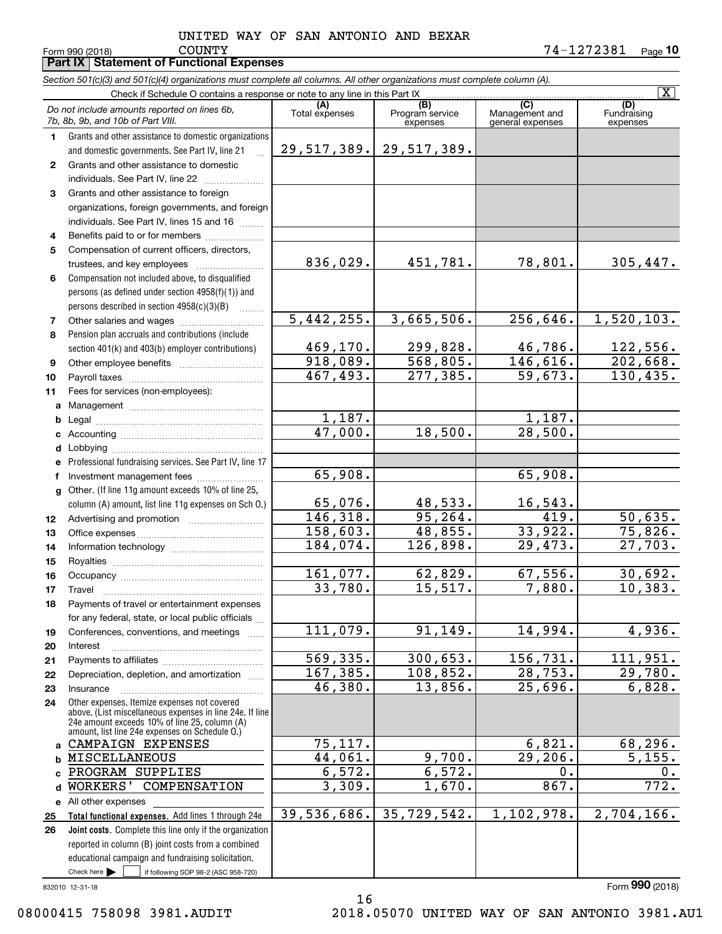*Section 501(c)(3) and 501(c)(4) organizations must complete all columns. All other organizations must complete column (A).*

**Part IX Statement of Functional Expenses**

Form 990 (2018) Page **10** COUNTY 74-1272381

|              |                                                                                                 |                       |                                    | $\lceil \text{X} \rceil$                  |                                |  |
|--------------|-------------------------------------------------------------------------------------------------|-----------------------|------------------------------------|-------------------------------------------|--------------------------------|--|
|              | Do not include amounts reported on lines 6b,<br>7b, 8b, 9b, and 10b of Part VIII.               | (A)<br>Total expenses | (B)<br>Program service<br>expenses | (C)<br>Management and<br>general expenses | (D)<br>Fundraising<br>expenses |  |
| 1.           | Grants and other assistance to domestic organizations                                           |                       |                                    |                                           |                                |  |
|              | and domestic governments. See Part IV, line 21                                                  | 29,517,389.           | 29,517,389.                        |                                           |                                |  |
| $\mathbf{2}$ | Grants and other assistance to domestic                                                         |                       |                                    |                                           |                                |  |
|              | individuals. See Part IV, line 22                                                               |                       |                                    |                                           |                                |  |
| 3            | Grants and other assistance to foreign                                                          |                       |                                    |                                           |                                |  |
|              | organizations, foreign governments, and foreign                                                 |                       |                                    |                                           |                                |  |
|              | individuals. See Part IV, lines 15 and 16                                                       |                       |                                    |                                           |                                |  |
| 4            | Benefits paid to or for members                                                                 |                       |                                    |                                           |                                |  |
| 5            | Compensation of current officers, directors,                                                    |                       |                                    |                                           |                                |  |
|              | trustees, and key employees                                                                     | 836,029.              | 451,781.                           | 78,801.                                   | 305,447.                       |  |
| 6            | Compensation not included above, to disqualified                                                |                       |                                    |                                           |                                |  |
|              | persons (as defined under section 4958(f)(1)) and                                               |                       |                                    |                                           |                                |  |
|              | persons described in section 4958(c)(3)(B)                                                      |                       |                                    |                                           |                                |  |
| 7            |                                                                                                 | 5,442,255.            | 3,665,506.                         | 256,646.                                  | 1,520,103.                     |  |
| 8            | Pension plan accruals and contributions (include                                                |                       |                                    |                                           |                                |  |
|              | section 401(k) and 403(b) employer contributions)                                               | 469,170.              | 299,828.                           | 46,786.                                   | 122,556.                       |  |
| 9            |                                                                                                 | 918,089.              | 568,805.                           | 146,616.                                  | 202,668.                       |  |
| 10           |                                                                                                 | 467,493.              | $\overline{277,385}$ .             | 59,673.                                   | 130, 435.                      |  |
| 11           | Fees for services (non-employees):                                                              |                       |                                    |                                           |                                |  |
| а            |                                                                                                 |                       |                                    |                                           |                                |  |
| b            |                                                                                                 | 1,187.                |                                    | 1,187.                                    |                                |  |
| c            |                                                                                                 | 47,000.               | 18,500.                            | 28,500.                                   |                                |  |
| d            |                                                                                                 |                       |                                    |                                           |                                |  |
| е            | Professional fundraising services. See Part IV, line 17                                         |                       |                                    |                                           |                                |  |
| f            |                                                                                                 | 65,908.               |                                    | 65,908.                                   |                                |  |
| g            | Other. (If line 11g amount exceeds 10% of line 25,                                              |                       |                                    |                                           |                                |  |
|              | column (A) amount, list line 11g expenses on Sch O.)                                            | 65,076.               | 48,533.                            | 16, 543.                                  |                                |  |
| 12           |                                                                                                 | 146,318.              | 95, 264.                           | 419.                                      | 50,635.                        |  |
| 13           |                                                                                                 | 158,603.              | 48,855.                            | 33,922.                                   | 75,826.                        |  |
| 14           |                                                                                                 | 184,074.              | 126,898.                           | 29,473.                                   | $\overline{27,703}$ .          |  |
| 15           |                                                                                                 |                       |                                    |                                           |                                |  |
| 16           |                                                                                                 | 161,077.<br>33,780.   | 62,829.<br>15,517.                 | 67,556.<br>7,880.                         | 30,692.<br>10,383.             |  |
| 17           | Travel                                                                                          |                       |                                    |                                           |                                |  |
| 18           | Payments of travel or entertainment expenses                                                    |                       |                                    |                                           |                                |  |
|              | for any federal, state, or local public officials                                               | 111,079.              | 91,149.                            | 14,994.                                   | 4,936.                         |  |
| 19<br>20     | Conferences, conventions, and meetings<br>Interest                                              |                       |                                    |                                           |                                |  |
| 21           |                                                                                                 | 569, 335.             | 300, 653.                          | 156,731.                                  | 111,951.                       |  |
| 22           | Depreciation, depletion, and amortization                                                       | 167,385.              | 108,852.                           | 28, 753.                                  | 29,780.                        |  |
| 23           | Insurance                                                                                       | 46,380.               | 13,856.                            | 25,696.                                   | 6,828.                         |  |
| 24           | Other expenses. Itemize expenses not covered                                                    |                       |                                    |                                           |                                |  |
|              | above. (List miscellaneous expenses in line 24e. If line                                        |                       |                                    |                                           |                                |  |
|              | 24e amount exceeds 10% of line 25, column (A)<br>amount, list line 24e expenses on Schedule 0.) |                       |                                    |                                           |                                |  |
|              | a CAMPAIGN EXPENSES                                                                             | 75,117.               |                                    | 6,821.                                    | 68,296.                        |  |
|              | <b>b MISCELLANEOUS</b>                                                                          | 44,061.               | 9,700.                             | 29,206.                                   | 5,155.                         |  |
| c.           | PROGRAM SUPPLIES                                                                                | 6,572.                | 6,572.                             | 0.                                        | 0.                             |  |
| d            | <b>WORKERS'</b><br>COMPENSATION                                                                 | 3,309.                | 1,670.                             | 867.                                      | 772.                           |  |
|              | e All other expenses                                                                            |                       |                                    |                                           |                                |  |
| 25           | Total functional expenses. Add lines 1 through 24e                                              | 39,536,686.           | 35, 729, 542.                      | 1,102,978.                                | $\overline{2,704,166}$ .       |  |
| 26           | Joint costs. Complete this line only if the organization                                        |                       |                                    |                                           |                                |  |
|              | reported in column (B) joint costs from a combined                                              |                       |                                    |                                           |                                |  |
|              | educational campaign and fundraising solicitation.                                              |                       |                                    |                                           |                                |  |
|              | Check here $\blacktriangleright$<br>if following SOP 98-2 (ASC 958-720)                         |                       |                                    |                                           |                                |  |

832010 12-31-18

16

Form (2018) **990**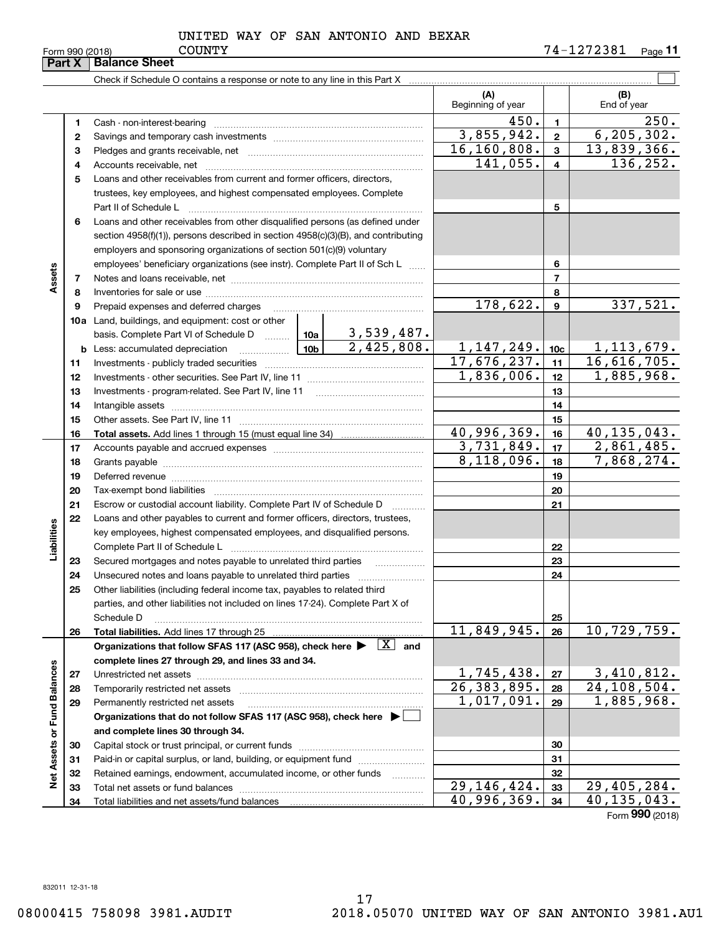| -nrm 990 <i>(</i> 2018) |  |  |
|-------------------------|--|--|

|                             | Part X   | <b>Balance Sheet</b>                                                                                                                                                                                                          |            |                          |                 |                                         |
|-----------------------------|----------|-------------------------------------------------------------------------------------------------------------------------------------------------------------------------------------------------------------------------------|------------|--------------------------|-----------------|-----------------------------------------|
|                             |          |                                                                                                                                                                                                                               |            |                          |                 |                                         |
|                             |          |                                                                                                                                                                                                                               |            | (A)<br>Beginning of year |                 | (B)<br>End of year                      |
|                             | 1        |                                                                                                                                                                                                                               |            | 450.                     | $\blacksquare$  | 250.                                    |
|                             | 2        |                                                                                                                                                                                                                               |            | 3,855,942.               | $\overline{2}$  | 6, 205, 302.                            |
|                             | з        |                                                                                                                                                                                                                               |            | 16,160,808.              | $\mathbf{3}$    | 13,839,366.                             |
|                             | 4        |                                                                                                                                                                                                                               |            | 141,055.                 | $\overline{4}$  | 136, 252.                               |
|                             | 5        | Loans and other receivables from current and former officers, directors,                                                                                                                                                      |            |                          |                 |                                         |
|                             |          | trustees, key employees, and highest compensated employees. Complete                                                                                                                                                          |            |                          |                 |                                         |
|                             |          | Part II of Schedule L                                                                                                                                                                                                         |            |                          | 5               |                                         |
|                             | 6        | Loans and other receivables from other disqualified persons (as defined under                                                                                                                                                 |            |                          |                 |                                         |
|                             |          | section 4958(f)(1)), persons described in section 4958(c)(3)(B), and contributing                                                                                                                                             |            |                          |                 |                                         |
|                             |          | employers and sponsoring organizations of section 501(c)(9) voluntary                                                                                                                                                         |            |                          |                 |                                         |
|                             |          | employees' beneficiary organizations (see instr). Complete Part II of Sch L                                                                                                                                                   |            |                          | 6               |                                         |
| Assets                      | 7        |                                                                                                                                                                                                                               |            |                          | $\overline{7}$  |                                         |
|                             | 8        |                                                                                                                                                                                                                               |            |                          | 8               |                                         |
|                             | 9        | Prepaid expenses and deferred charges                                                                                                                                                                                         |            | 178,622.                 | $\mathbf{9}$    | 337, 521.                               |
|                             |          | <b>10a</b> Land, buildings, and equipment: cost or other                                                                                                                                                                      |            |                          |                 |                                         |
|                             |          | basis. Complete Part VI of Schedule D  10a                                                                                                                                                                                    | 3,539,487. |                          |                 |                                         |
|                             |          | <u>  10b</u><br><b>b</b> Less: accumulated depreciation                                                                                                                                                                       | 2,425,808. | 1, 147, 249.             | 10 <sub>c</sub> | 1, 113, 679.                            |
|                             | 11       |                                                                                                                                                                                                                               |            | 17,676,237.              | 11              | 16,616,705.                             |
|                             | 12       |                                                                                                                                                                                                                               |            | 1,836,006.               | 12              | 1,885,968.                              |
|                             | 13       |                                                                                                                                                                                                                               |            |                          | 13              |                                         |
|                             | 14       |                                                                                                                                                                                                                               |            |                          | 14              |                                         |
|                             | 15       |                                                                                                                                                                                                                               |            |                          | 15              |                                         |
|                             | 16       |                                                                                                                                                                                                                               |            | 40,996,369.              | 16              | 40, 135, 043.                           |
|                             | 17       |                                                                                                                                                                                                                               |            | 3,731,849.               | 17              | 2,861,485.                              |
|                             | 18       |                                                                                                                                                                                                                               |            | 8,118,096.               | 18              | 7,868,274.                              |
|                             | 19       | Deferred revenue material contracts and contracts are contracted and contract and contract are contracted and contract are contracted and contract are contracted and contract are contracted and contract are contracted and |            |                          | 19              |                                         |
|                             | 20       |                                                                                                                                                                                                                               |            |                          | 20              |                                         |
|                             | 21       | Escrow or custodial account liability. Complete Part IV of Schedule D                                                                                                                                                         |            |                          | 21              |                                         |
|                             | 22       | Loans and other payables to current and former officers, directors, trustees,                                                                                                                                                 |            |                          |                 |                                         |
| Liabilities                 |          | key employees, highest compensated employees, and disqualified persons.                                                                                                                                                       |            |                          |                 |                                         |
|                             |          | Complete Part II of Schedule L                                                                                                                                                                                                |            |                          | 22              |                                         |
|                             | 23       | Secured mortgages and notes payable to unrelated third parties                                                                                                                                                                | .          |                          | 23              |                                         |
|                             | 24       |                                                                                                                                                                                                                               |            |                          | 24              |                                         |
|                             | 25       | Other liabilities (including federal income tax, payables to related third                                                                                                                                                    |            |                          |                 |                                         |
|                             |          | parties, and other liabilities not included on lines 17-24). Complete Part X of                                                                                                                                               |            |                          |                 |                                         |
|                             |          | Schedule D                                                                                                                                                                                                                    |            |                          | 25              |                                         |
|                             | 26       | Total liabilities. Add lines 17 through 25                                                                                                                                                                                    |            | 11,849,945.              | 26              | 10,729,759.                             |
|                             |          | Organizations that follow SFAS 117 (ASC 958), check here $\blacktriangleright \begin{array}{ c } \hline X & \text{and} \end{array}$                                                                                           |            |                          |                 |                                         |
|                             |          | complete lines 27 through 29, and lines 33 and 34.                                                                                                                                                                            |            | 1,745,438.               |                 |                                         |
|                             | 27       |                                                                                                                                                                                                                               |            | 26, 383, 895.            | 27              | 3,410,812.<br>$\overline{24,108,504}$ . |
|                             | 28       | Temporarily restricted net assets                                                                                                                                                                                             |            | 1,017,091.               | 28              | 1,885,968.                              |
|                             | 29       | Permanently restricted net assets                                                                                                                                                                                             |            |                          | 29              |                                         |
|                             |          | Organizations that do not follow SFAS 117 (ASC 958), check here ▶ □                                                                                                                                                           |            |                          |                 |                                         |
|                             |          | and complete lines 30 through 34.                                                                                                                                                                                             |            |                          |                 |                                         |
|                             | 30       | Paid-in or capital surplus, or land, building, or equipment fund                                                                                                                                                              |            |                          | 30<br>31        |                                         |
|                             | 31       |                                                                                                                                                                                                                               |            |                          | 32              |                                         |
| Net Assets or Fund Balances | 32<br>33 | Retained earnings, endowment, accumulated income, or other funds<br>Total net assets or fund balances                                                                                                                         | $\cdots$   | 29, 146, 424.            | 33              | 29,405,284.                             |
|                             | 34       |                                                                                                                                                                                                                               |            | 40,996,369.              | 34              | $\overline{40}$ , 135, 043.             |
|                             |          |                                                                                                                                                                                                                               |            |                          |                 | 000 <sub>1</sub>                        |

Form (2018) **990**

832011 12-31-18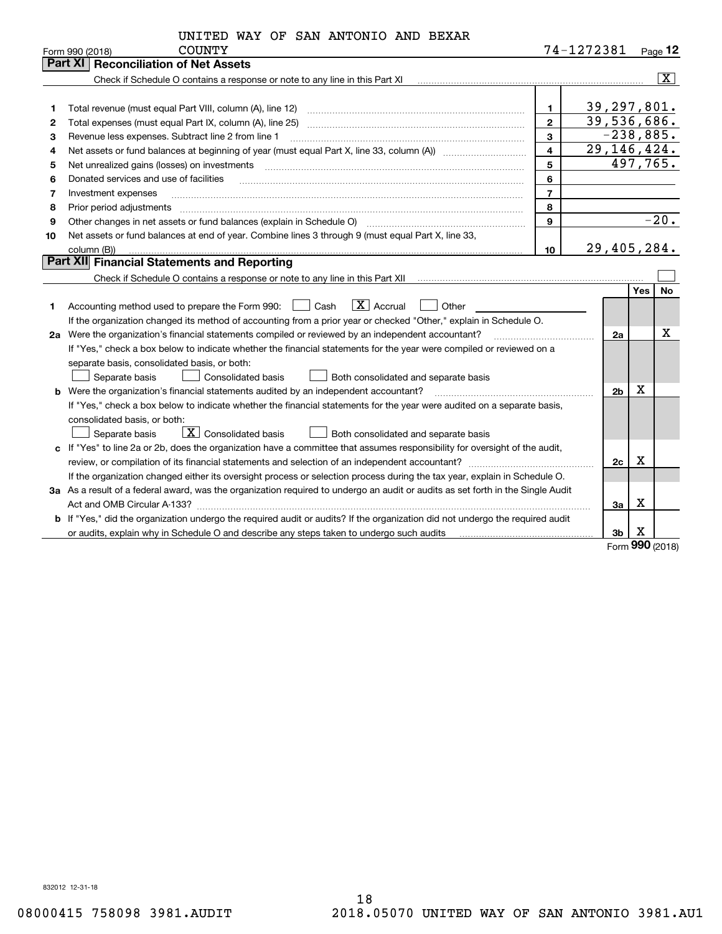| UNITED WAY OF SAN ANTONIO AND BEXAR |  |
|-------------------------------------|--|
|-------------------------------------|--|

|    | <b>COUNTY</b><br>Form 990 (2018)                                                                                                |                | 74-1272381     |             | Page 12                 |
|----|---------------------------------------------------------------------------------------------------------------------------------|----------------|----------------|-------------|-------------------------|
|    | <b>Reconciliation of Net Assets</b><br>Part XI                                                                                  |                |                |             |                         |
|    |                                                                                                                                 |                |                |             | $\overline{\mathbf{X}}$ |
|    |                                                                                                                                 |                |                |             |                         |
| 1  | Total revenue (must equal Part VIII, column (A), line 12)                                                                       | $\mathbf 1$    | 39,297,801.    |             |                         |
| 2  |                                                                                                                                 | $\overline{2}$ | 39,536,686.    |             |                         |
| 3  | Revenue less expenses. Subtract line 2 from line 1                                                                              | 3              | $-238,885.$    |             |                         |
| 4  |                                                                                                                                 | $\overline{4}$ | 29, 146, 424.  |             |                         |
| 5  | Net unrealized gains (losses) on investments                                                                                    | 5              |                |             | 497,765.                |
| 6  | Donated services and use of facilities                                                                                          | 6              |                |             |                         |
| 7  | Investment expenses                                                                                                             | $\overline{7}$ |                |             |                         |
| 8  | Prior period adjustments                                                                                                        | 8              |                |             |                         |
| 9  | Other changes in net assets or fund balances (explain in Schedule O) [11] [2000] [2000] [2000] [2000] [2000] [                  | $\mathbf{Q}$   |                |             | $-20.$                  |
| 10 | Net assets or fund balances at end of year. Combine lines 3 through 9 (must equal Part X, line 33,                              |                |                |             |                         |
|    | column (B))                                                                                                                     | 10             | 29,405,284.    |             |                         |
|    | Part XII Financial Statements and Reporting                                                                                     |                |                |             |                         |
|    |                                                                                                                                 |                |                |             |                         |
|    |                                                                                                                                 |                |                | Yes         | No                      |
| 1  | $ X $ Accrual<br>Accounting method used to prepare the Form 990: <u>I</u> Cash<br>Other                                         |                |                |             |                         |
|    | If the organization changed its method of accounting from a prior year or checked "Other," explain in Schedule O.               |                |                |             |                         |
|    | 2a Were the organization's financial statements compiled or reviewed by an independent accountant?                              |                | 2a             |             | X                       |
|    | If "Yes," check a box below to indicate whether the financial statements for the year were compiled or reviewed on a            |                |                |             |                         |
|    | separate basis, consolidated basis, or both:                                                                                    |                |                |             |                         |
|    | Separate basis<br>Consolidated basis<br>Both consolidated and separate basis                                                    |                |                |             |                         |
|    | <b>b</b> Were the organization's financial statements audited by an independent accountant?                                     |                | 2 <sub>b</sub> | Χ           |                         |
|    | If "Yes," check a box below to indicate whether the financial statements for the year were audited on a separate basis,         |                |                |             |                         |
|    | consolidated basis, or both:                                                                                                    |                |                |             |                         |
|    | $\boxed{\textbf{X}}$ Consolidated basis<br>Separate basis<br>Both consolidated and separate basis                               |                |                |             |                         |
|    | c If "Yes" to line 2a or 2b, does the organization have a committee that assumes responsibility for oversight of the audit,     |                |                |             |                         |
|    |                                                                                                                                 |                | 2c             | Χ           |                         |
|    | If the organization changed either its oversight process or selection process during the tax year, explain in Schedule O.       |                |                |             |                         |
|    | 3a As a result of a federal award, was the organization required to undergo an audit or audits as set forth in the Single Audit |                |                |             |                         |
|    |                                                                                                                                 |                | За             | $\mathbf X$ |                         |
|    | b If "Yes," did the organization undergo the required audit or audits? If the organization did not undergo the required audit   |                |                |             |                         |
|    | or audits, explain why in Schedule O and describe any steps taken to undergo such audits                                        |                | 3 <sub>b</sub> | X           |                         |

Form (2018) **990**

832012 12-31-18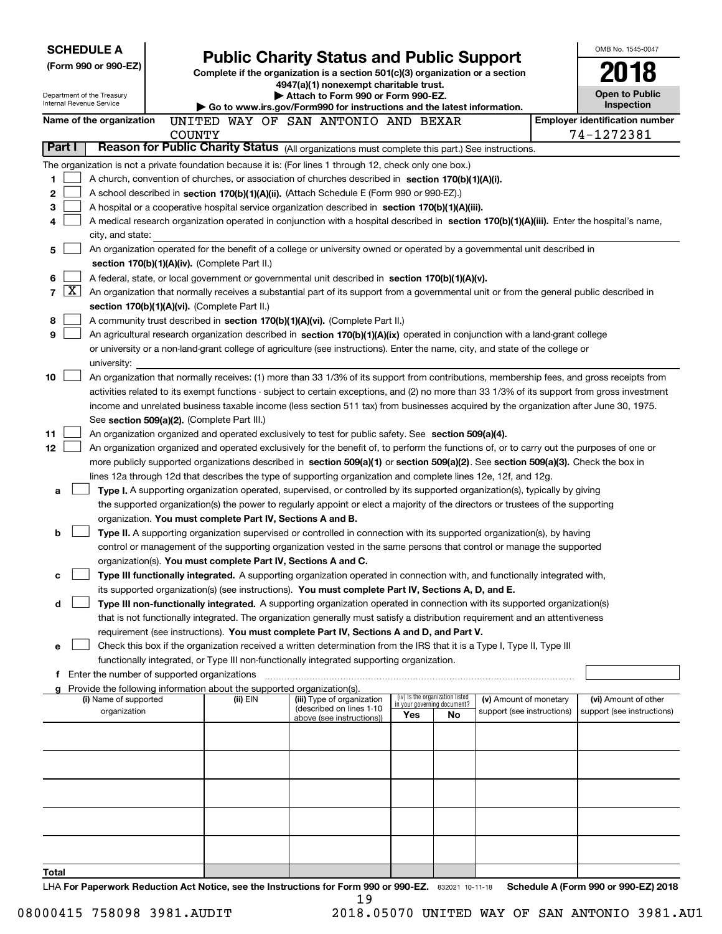|         | <b>SCHEDULE A</b>                                      |                                                                        |          |                                                                                                                                                                                                               |                             |                                 |                            | OMB No. 1545-0047                                   |
|---------|--------------------------------------------------------|------------------------------------------------------------------------|----------|---------------------------------------------------------------------------------------------------------------------------------------------------------------------------------------------------------------|-----------------------------|---------------------------------|----------------------------|-----------------------------------------------------|
|         | (Form 990 or 990-EZ)                                   |                                                                        |          | <b>Public Charity Status and Public Support</b>                                                                                                                                                               |                             |                                 |                            |                                                     |
|         |                                                        |                                                                        |          | Complete if the organization is a section $501(c)(3)$ organization or a section<br>4947(a)(1) nonexempt charitable trust.                                                                                     |                             |                                 |                            |                                                     |
|         | Department of the Treasury<br>Internal Revenue Service |                                                                        |          | Attach to Form 990 or Form 990-EZ.                                                                                                                                                                            |                             |                                 |                            | <b>Open to Public</b>                               |
|         |                                                        |                                                                        |          | Go to www.irs.gov/Form990 for instructions and the latest information.                                                                                                                                        |                             |                                 |                            | Inspection                                          |
|         | Name of the organization                               | <b>COUNTY</b>                                                          |          | UNITED WAY OF SAN ANTONIO AND BEXAR                                                                                                                                                                           |                             |                                 |                            | <b>Employer identification number</b><br>74-1272381 |
| Part I  |                                                        |                                                                        |          | Reason for Public Charity Status (All organizations must complete this part.) See instructions.                                                                                                               |                             |                                 |                            |                                                     |
|         |                                                        |                                                                        |          | The organization is not a private foundation because it is: (For lines 1 through 12, check only one box.)                                                                                                     |                             |                                 |                            |                                                     |
| 1.      |                                                        |                                                                        |          | A church, convention of churches, or association of churches described in section 170(b)(1)(A)(i).                                                                                                            |                             |                                 |                            |                                                     |
| 2       |                                                        |                                                                        |          | A school described in section 170(b)(1)(A)(ii). (Attach Schedule E (Form 990 or 990-EZ).)                                                                                                                     |                             |                                 |                            |                                                     |
| 3       |                                                        |                                                                        |          | A hospital or a cooperative hospital service organization described in section 170(b)(1)(A)(iii).                                                                                                             |                             |                                 |                            |                                                     |
| 4       |                                                        |                                                                        |          | A medical research organization operated in conjunction with a hospital described in section 170(b)(1)(A)(iii). Enter the hospital's name,                                                                    |                             |                                 |                            |                                                     |
|         | city, and state:                                       |                                                                        |          |                                                                                                                                                                                                               |                             |                                 |                            |                                                     |
| 5       |                                                        |                                                                        |          | An organization operated for the benefit of a college or university owned or operated by a governmental unit described in                                                                                     |                             |                                 |                            |                                                     |
|         |                                                        | section 170(b)(1)(A)(iv). (Complete Part II.)                          |          |                                                                                                                                                                                                               |                             |                                 |                            |                                                     |
| 6       |                                                        |                                                                        |          | A federal, state, or local government or governmental unit described in section 170(b)(1)(A)(v).                                                                                                              |                             |                                 |                            |                                                     |
| 7       | $\mathbf{X}$                                           |                                                                        |          | An organization that normally receives a substantial part of its support from a governmental unit or from the general public described in                                                                     |                             |                                 |                            |                                                     |
|         |                                                        | section 170(b)(1)(A)(vi). (Complete Part II.)                          |          |                                                                                                                                                                                                               |                             |                                 |                            |                                                     |
| 8<br>9  |                                                        |                                                                        |          | A community trust described in section 170(b)(1)(A)(vi). (Complete Part II.)<br>An agricultural research organization described in section 170(b)(1)(A)(ix) operated in conjunction with a land-grant college |                             |                                 |                            |                                                     |
|         |                                                        |                                                                        |          | or university or a non-land-grant college of agriculture (see instructions). Enter the name, city, and state of the college or                                                                                |                             |                                 |                            |                                                     |
|         | university:                                            |                                                                        |          |                                                                                                                                                                                                               |                             |                                 |                            |                                                     |
| 10      |                                                        |                                                                        |          | An organization that normally receives: (1) more than 33 1/3% of its support from contributions, membership fees, and gross receipts from                                                                     |                             |                                 |                            |                                                     |
|         |                                                        |                                                                        |          | activities related to its exempt functions - subject to certain exceptions, and (2) no more than 33 1/3% of its support from gross investment                                                                 |                             |                                 |                            |                                                     |
|         |                                                        |                                                                        |          | income and unrelated business taxable income (less section 511 tax) from businesses acquired by the organization after June 30, 1975.                                                                         |                             |                                 |                            |                                                     |
|         |                                                        | See section 509(a)(2). (Complete Part III.)                            |          |                                                                                                                                                                                                               |                             |                                 |                            |                                                     |
| 11      |                                                        |                                                                        |          | An organization organized and operated exclusively to test for public safety. See section 509(a)(4).                                                                                                          |                             |                                 |                            |                                                     |
| 12      |                                                        |                                                                        |          | An organization organized and operated exclusively for the benefit of, to perform the functions of, or to carry out the purposes of one or                                                                    |                             |                                 |                            |                                                     |
|         |                                                        |                                                                        |          | more publicly supported organizations described in section 509(a)(1) or section 509(a)(2). See section 509(a)(3). Check the box in                                                                            |                             |                                 |                            |                                                     |
|         |                                                        |                                                                        |          | lines 12a through 12d that describes the type of supporting organization and complete lines 12e, 12f, and 12g.                                                                                                |                             |                                 |                            |                                                     |
| a       |                                                        |                                                                        |          | Type I. A supporting organization operated, supervised, or controlled by its supported organization(s), typically by giving                                                                                   |                             |                                 |                            |                                                     |
|         |                                                        | organization. You must complete Part IV, Sections A and B.             |          | the supported organization(s) the power to regularly appoint or elect a majority of the directors or trustees of the supporting                                                                               |                             |                                 |                            |                                                     |
| b       |                                                        |                                                                        |          | Type II. A supporting organization supervised or controlled in connection with its supported organization(s), by having                                                                                       |                             |                                 |                            |                                                     |
|         |                                                        |                                                                        |          | control or management of the supporting organization vested in the same persons that control or manage the supported                                                                                          |                             |                                 |                            |                                                     |
|         |                                                        |                                                                        |          | organization(s). You must complete Part IV, Sections A and C.                                                                                                                                                 |                             |                                 |                            |                                                     |
| с       |                                                        |                                                                        |          | Type III functionally integrated. A supporting organization operated in connection with, and functionally integrated with,                                                                                    |                             |                                 |                            |                                                     |
|         |                                                        |                                                                        |          | its supported organization(s) (see instructions). You must complete Part IV, Sections A, D, and E.                                                                                                            |                             |                                 |                            |                                                     |
| d       |                                                        |                                                                        |          | Type III non-functionally integrated. A supporting organization operated in connection with its supported organization(s)                                                                                     |                             |                                 |                            |                                                     |
|         |                                                        |                                                                        |          | that is not functionally integrated. The organization generally must satisfy a distribution requirement and an attentiveness                                                                                  |                             |                                 |                            |                                                     |
|         |                                                        |                                                                        |          | requirement (see instructions). You must complete Part IV, Sections A and D, and Part V.                                                                                                                      |                             |                                 |                            |                                                     |
| е       |                                                        |                                                                        |          | Check this box if the organization received a written determination from the IRS that it is a Type I, Type II, Type III                                                                                       |                             |                                 |                            |                                                     |
|         |                                                        | Enter the number of supported organizations                            |          | functionally integrated, or Type III non-functionally integrated supporting organization.                                                                                                                     |                             |                                 |                            |                                                     |
| f.<br>a |                                                        | Provide the following information about the supported organization(s). |          |                                                                                                                                                                                                               |                             |                                 |                            |                                                     |
|         | (i) Name of supported                                  |                                                                        | (ii) EIN | (iii) Type of organization                                                                                                                                                                                    | in your governing document? | (iv) Is the organization listed | (v) Amount of monetary     | (vi) Amount of other                                |
|         | organization                                           |                                                                        |          | (described on lines 1-10<br>above (see instructions))                                                                                                                                                         | Yes                         | No                              | support (see instructions) | support (see instructions)                          |
|         |                                                        |                                                                        |          |                                                                                                                                                                                                               |                             |                                 |                            |                                                     |
|         |                                                        |                                                                        |          |                                                                                                                                                                                                               |                             |                                 |                            |                                                     |
|         |                                                        |                                                                        |          |                                                                                                                                                                                                               |                             |                                 |                            |                                                     |
|         |                                                        |                                                                        |          |                                                                                                                                                                                                               |                             |                                 |                            |                                                     |
|         |                                                        |                                                                        |          |                                                                                                                                                                                                               |                             |                                 |                            |                                                     |
|         |                                                        |                                                                        |          |                                                                                                                                                                                                               |                             |                                 |                            |                                                     |
|         |                                                        |                                                                        |          |                                                                                                                                                                                                               |                             |                                 |                            |                                                     |
|         |                                                        |                                                                        |          |                                                                                                                                                                                                               |                             |                                 |                            |                                                     |
|         |                                                        |                                                                        |          |                                                                                                                                                                                                               |                             |                                 |                            |                                                     |
| Total   |                                                        |                                                                        |          |                                                                                                                                                                                                               |                             |                                 |                            |                                                     |
|         |                                                        |                                                                        |          | $1 \text{ H}$ Ear Danarwark Paduction Act Nation, soo the Instructions for Earm 000 or 000-E7, 200001-10-11-10                                                                                                |                             |                                 |                            | Schodule A (Form 000 or 000 F7) 2018                |

or 990-EZ. 832021 10-11-18 Schedule A (Form 990 or 990-EZ) 2018 LHA For Paperwork Reduction Act Notice, see the Instructions for Form 990 or 990-EZ. 832021 10-11-18 Schedule A (Form 990 or 990-EZ) 2018 19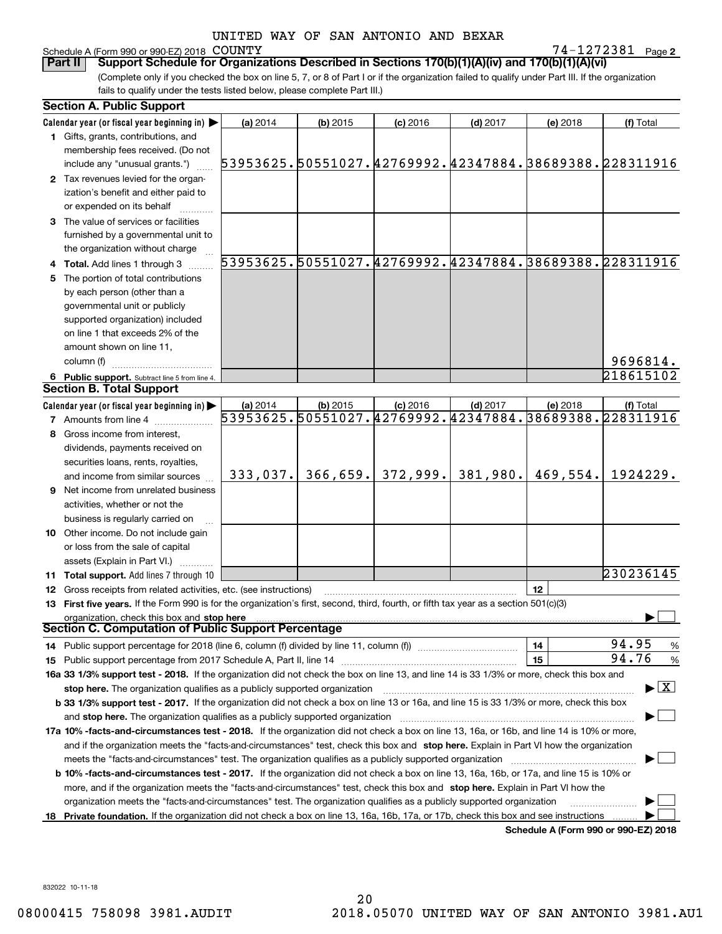### Schedule A (Form 990 or 990-EZ) 2018 COUNTY

**2** COUNTY 74-1272381

(Complete only if you checked the box on line 5, 7, or 8 of Part I or if the organization failed to qualify under Part III. If the organization fails to qualify under the tests listed below, please complete Part III.) **Part II Support Schedule for Organizations Described in Sections 170(b)(1)(A)(iv) and 170(b)(1)(A)(vi)**

|    | <b>Section A. Public Support</b>                                                                                                                                                                                               |                                                        |            |            |            |          |                                          |
|----|--------------------------------------------------------------------------------------------------------------------------------------------------------------------------------------------------------------------------------|--------------------------------------------------------|------------|------------|------------|----------|------------------------------------------|
|    | Calendar year (or fiscal year beginning in) $\blacktriangleright$                                                                                                                                                              | (a) 2014                                               | $(b)$ 2015 | $(c)$ 2016 | $(d)$ 2017 | (e) 2018 | (f) Total                                |
|    | 1 Gifts, grants, contributions, and                                                                                                                                                                                            |                                                        |            |            |            |          |                                          |
|    | membership fees received. (Do not                                                                                                                                                                                              |                                                        |            |            |            |          |                                          |
|    | include any "unusual grants.")                                                                                                                                                                                                 | 53953625.50551027.42769992.42347884.38689388.228311916 |            |            |            |          |                                          |
|    | 2 Tax revenues levied for the organ-                                                                                                                                                                                           |                                                        |            |            |            |          |                                          |
|    | ization's benefit and either paid to                                                                                                                                                                                           |                                                        |            |            |            |          |                                          |
|    | or expended on its behalf                                                                                                                                                                                                      |                                                        |            |            |            |          |                                          |
|    | 3 The value of services or facilities                                                                                                                                                                                          |                                                        |            |            |            |          |                                          |
|    | furnished by a governmental unit to                                                                                                                                                                                            |                                                        |            |            |            |          |                                          |
|    | the organization without charge                                                                                                                                                                                                |                                                        |            |            |            |          |                                          |
|    | 4 Total. Add lines 1 through 3                                                                                                                                                                                                 | 53953625.50551027.42769992.42347884.38689388.228311916 |            |            |            |          |                                          |
| 5. | The portion of total contributions                                                                                                                                                                                             |                                                        |            |            |            |          |                                          |
|    | by each person (other than a                                                                                                                                                                                                   |                                                        |            |            |            |          |                                          |
|    | governmental unit or publicly                                                                                                                                                                                                  |                                                        |            |            |            |          |                                          |
|    | supported organization) included                                                                                                                                                                                               |                                                        |            |            |            |          |                                          |
|    | on line 1 that exceeds 2% of the                                                                                                                                                                                               |                                                        |            |            |            |          |                                          |
|    | amount shown on line 11,                                                                                                                                                                                                       |                                                        |            |            |            |          |                                          |
|    | column (f)                                                                                                                                                                                                                     |                                                        |            |            |            |          | 9696814.                                 |
|    | 6 Public support. Subtract line 5 from line 4.                                                                                                                                                                                 |                                                        |            |            |            |          | 218615102                                |
|    | <b>Section B. Total Support</b>                                                                                                                                                                                                |                                                        |            |            |            |          |                                          |
|    | Calendar year (or fiscal year beginning in)                                                                                                                                                                                    | (a) 2014                                               | $(b)$ 2015 | $(c)$ 2016 | $(d)$ 2017 | (e) 2018 | (f) Total                                |
|    | <b>7</b> Amounts from line 4                                                                                                                                                                                                   | 53953625.50551027.42769992.42347884.38689388.228311916 |            |            |            |          |                                          |
|    | Gross income from interest,                                                                                                                                                                                                    |                                                        |            |            |            |          |                                          |
|    | dividends, payments received on                                                                                                                                                                                                |                                                        |            |            |            |          |                                          |
|    | securities loans, rents, royalties,                                                                                                                                                                                            |                                                        |            |            |            |          |                                          |
|    | and income from similar sources                                                                                                                                                                                                | 333,037.                                               | 366,659.   | 372,999.   | 381,980.   | 469,554. | 1924229.                                 |
|    | <b>9</b> Net income from unrelated business                                                                                                                                                                                    |                                                        |            |            |            |          |                                          |
|    | activities, whether or not the                                                                                                                                                                                                 |                                                        |            |            |            |          |                                          |
|    | business is regularly carried on                                                                                                                                                                                               |                                                        |            |            |            |          |                                          |
|    | 10 Other income. Do not include gain                                                                                                                                                                                           |                                                        |            |            |            |          |                                          |
|    | or loss from the sale of capital                                                                                                                                                                                               |                                                        |            |            |            |          |                                          |
|    | assets (Explain in Part VI.)                                                                                                                                                                                                   |                                                        |            |            |            |          |                                          |
|    | 11 Total support. Add lines 7 through 10                                                                                                                                                                                       |                                                        |            |            |            |          | 230236145                                |
|    | <b>12</b> Gross receipts from related activities, etc. (see instructions)                                                                                                                                                      |                                                        |            |            |            | 12       |                                          |
|    | 13 First five years. If the Form 990 is for the organization's first, second, third, fourth, or fifth tax year as a section 501(c)(3)                                                                                          |                                                        |            |            |            |          |                                          |
|    | organization, check this box and stop here                                                                                                                                                                                     |                                                        |            |            |            |          |                                          |
|    | Section C. Computation of Public Support Percentage                                                                                                                                                                            |                                                        |            |            |            |          |                                          |
|    |                                                                                                                                                                                                                                |                                                        |            |            |            | 14       | 94.95<br>%                               |
|    | 15 Public support percentage from 2017 Schedule A, Part II, line 14 [11] [11] manument continuum manument of Public support percentage from 2017 Schedule A, Part II, line 14 [11] manument continuum manument of Public suppo |                                                        |            |            |            | 15       | 94.76<br>$\%$                            |
|    | 16a 33 1/3% support test - 2018. If the organization did not check the box on line 13, and line 14 is 33 1/3% or more, check this box and                                                                                      |                                                        |            |            |            |          |                                          |
|    | stop here. The organization qualifies as a publicly supported organization                                                                                                                                                     |                                                        |            |            |            |          | $\blacktriangleright$ $\boxed{\text{X}}$ |
|    | b 33 1/3% support test - 2017. If the organization did not check a box on line 13 or 16a, and line 15 is 33 1/3% or more, check this box                                                                                       |                                                        |            |            |            |          |                                          |
|    |                                                                                                                                                                                                                                |                                                        |            |            |            |          |                                          |
|    | 17a 10% -facts-and-circumstances test - 2018. If the organization did not check a box on line 13, 16a, or 16b, and line 14 is 10% or more,                                                                                     |                                                        |            |            |            |          |                                          |
|    | and if the organization meets the "facts-and-circumstances" test, check this box and stop here. Explain in Part VI how the organization                                                                                        |                                                        |            |            |            |          |                                          |
|    |                                                                                                                                                                                                                                |                                                        |            |            |            |          |                                          |
|    | <b>b 10% -facts-and-circumstances test - 2017.</b> If the organization did not check a box on line 13, 16a, 16b, or 17a, and line 15 is 10% or                                                                                 |                                                        |            |            |            |          |                                          |
|    | more, and if the organization meets the "facts-and-circumstances" test, check this box and stop here. Explain in Part VI how the                                                                                               |                                                        |            |            |            |          |                                          |
|    | organization meets the "facts-and-circumstances" test. The organization qualifies as a publicly supported organization                                                                                                         |                                                        |            |            |            |          |                                          |
|    | 18 Private foundation. If the organization did not check a box on line 13, 16a, 16b, 17a, or 17b, check this box and see instructions                                                                                          |                                                        |            |            |            |          |                                          |
|    |                                                                                                                                                                                                                                |                                                        |            |            |            |          | Schedule A (Form 990 or 990-EZ) 2018     |

**Schedule A (Form 990 or 990-EZ) 2018**

832022 10-11-18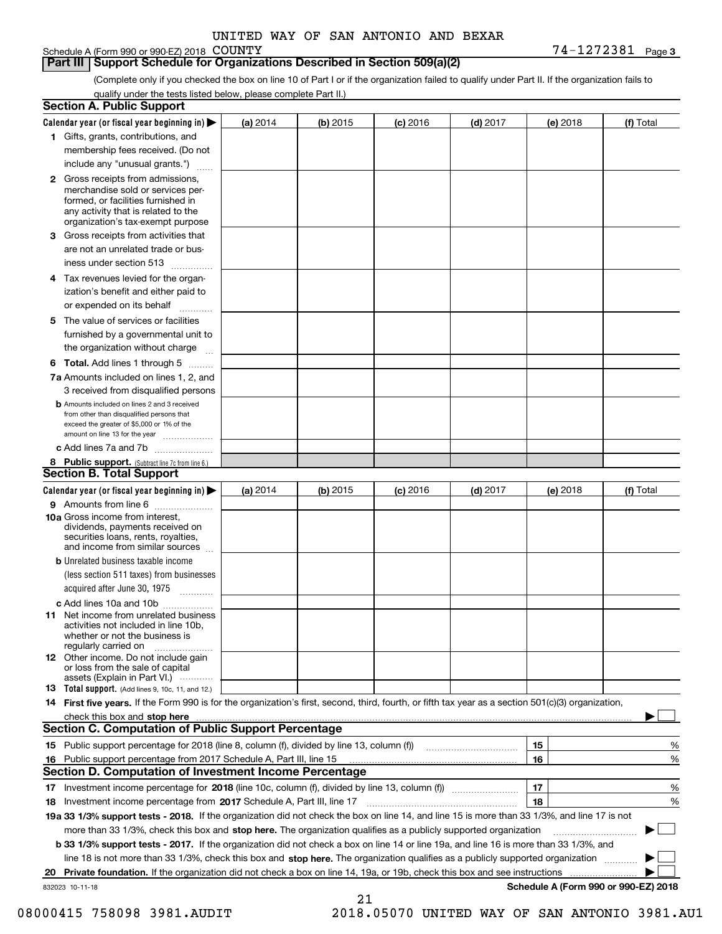### Schedule A (Form 990 or 990-EZ) 2018 COUNTY

### **Part III Support Schedule for Organizations Described in Section 509(a)(2)**

**3** COUNTY 74-1272381

(Complete only if you checked the box on line 10 of Part I or if the organization failed to qualify under Part II. If the organization fails to qualify under the tests listed below, please complete Part II.)

| <b>Section A. Public Support</b>                                                                                                                                                                                                                                                      |          |          |            |            |          |                                      |
|---------------------------------------------------------------------------------------------------------------------------------------------------------------------------------------------------------------------------------------------------------------------------------------|----------|----------|------------|------------|----------|--------------------------------------|
| Calendar year (or fiscal year beginning in) $\blacktriangleright$                                                                                                                                                                                                                     | (a) 2014 | (b) 2015 | $(c)$ 2016 | $(d)$ 2017 | (e) 2018 | (f) Total                            |
| 1 Gifts, grants, contributions, and                                                                                                                                                                                                                                                   |          |          |            |            |          |                                      |
| membership fees received. (Do not                                                                                                                                                                                                                                                     |          |          |            |            |          |                                      |
| include any "unusual grants.")                                                                                                                                                                                                                                                        |          |          |            |            |          |                                      |
| <b>2</b> Gross receipts from admissions,<br>merchandise sold or services per-<br>formed, or facilities furnished in<br>any activity that is related to the<br>organization's tax-exempt purpose                                                                                       |          |          |            |            |          |                                      |
| 3 Gross receipts from activities that<br>are not an unrelated trade or bus-                                                                                                                                                                                                           |          |          |            |            |          |                                      |
| iness under section 513                                                                                                                                                                                                                                                               |          |          |            |            |          |                                      |
| 4 Tax revenues levied for the organ-<br>ization's benefit and either paid to                                                                                                                                                                                                          |          |          |            |            |          |                                      |
| or expended on its behalf                                                                                                                                                                                                                                                             | .        |          |            |            |          |                                      |
| 5 The value of services or facilities<br>furnished by a governmental unit to<br>the organization without charge                                                                                                                                                                       |          |          |            |            |          |                                      |
|                                                                                                                                                                                                                                                                                       |          |          |            |            |          |                                      |
| <b>6 Total.</b> Add lines 1 through 5<br>7a Amounts included on lines 1, 2, and<br>3 received from disqualified persons                                                                                                                                                               |          |          |            |            |          |                                      |
| <b>b</b> Amounts included on lines 2 and 3 received<br>from other than disqualified persons that<br>exceed the greater of \$5,000 or 1% of the<br>amount on line 13 for the year                                                                                                      |          |          |            |            |          |                                      |
| c Add lines 7a and 7b                                                                                                                                                                                                                                                                 |          |          |            |            |          |                                      |
| 8 Public support. (Subtract line 7c from line 6.)<br><b>Section B. Total Support</b>                                                                                                                                                                                                  |          |          |            |            |          |                                      |
|                                                                                                                                                                                                                                                                                       |          |          |            |            |          |                                      |
| Calendar year (or fiscal year beginning in)<br>9 Amounts from line 6                                                                                                                                                                                                                  | (a) 2014 | (b) 2015 | $(c)$ 2016 | $(d)$ 2017 | (e) 2018 | (f) Total                            |
| 10a Gross income from interest,<br>dividends, payments received on<br>securities loans, rents, royalties,<br>and income from similar sources                                                                                                                                          |          |          |            |            |          |                                      |
| <b>b</b> Unrelated business taxable income<br>(less section 511 taxes) from businesses<br>acquired after June 30, 1975                                                                                                                                                                |          |          |            |            |          |                                      |
| c Add lines 10a and 10b                                                                                                                                                                                                                                                               |          |          |            |            |          |                                      |
| 11 Net income from unrelated business<br>activities not included in line 10b,<br>whether or not the business is<br>regularly carried on                                                                                                                                               |          |          |            |            |          |                                      |
| <b>12</b> Other income. Do not include gain<br>or loss from the sale of capital<br>assets (Explain in Part VI.)                                                                                                                                                                       |          |          |            |            |          |                                      |
| <b>13</b> Total support. (Add lines 9, 10c, 11, and 12.)                                                                                                                                                                                                                              |          |          |            |            |          |                                      |
| 14 First five years. If the Form 990 is for the organization's first, second, third, fourth, or fifth tax year as a section 501(c)(3) organization,                                                                                                                                   |          |          |            |            |          |                                      |
| check this box and stop here manufactured and content to the state of the state of the state of the state of the state of the state of the state of the state of the state of the state of the state of the state of the state<br>Section C. Computation of Public Support Percentage |          |          |            |            |          |                                      |
| 15 Public support percentage for 2018 (line 8, column (f), divided by line 13, column (f))                                                                                                                                                                                            |          |          |            |            | 15       | %                                    |
| 16 Public support percentage from 2017 Schedule A, Part III, line 15                                                                                                                                                                                                                  |          |          |            |            | 16       | %                                    |
| <b>Section D. Computation of Investment Income Percentage</b>                                                                                                                                                                                                                         |          |          |            |            |          |                                      |
| 17 Investment income percentage for 2018 (line 10c, column (f), divided by line 13, column (f))                                                                                                                                                                                       |          |          |            |            | 17       | %                                    |
| <b>18</b> Investment income percentage from <b>2017</b> Schedule A, Part III, line 17                                                                                                                                                                                                 |          |          |            |            | 18       | %                                    |
| 19a 33 1/3% support tests - 2018. If the organization did not check the box on line 14, and line 15 is more than 33 1/3%, and line 17 is not                                                                                                                                          |          |          |            |            |          |                                      |
| more than 33 1/3%, check this box and stop here. The organization qualifies as a publicly supported organization                                                                                                                                                                      |          |          |            |            |          | $\sim$                               |
| b 33 1/3% support tests - 2017. If the organization did not check a box on line 14 or line 19a, and line 16 is more than 33 1/3%, and                                                                                                                                                 |          |          |            |            |          |                                      |
| line 18 is not more than 33 1/3%, check this box and stop here. The organization qualifies as a publicly supported organization                                                                                                                                                       |          |          |            |            |          |                                      |
| Private foundation. If the organization did not check a box on line 14, 19a, or 19b, check this box and see instructions<br>20                                                                                                                                                        |          |          |            |            |          |                                      |
| 832023 10-11-18                                                                                                                                                                                                                                                                       |          |          |            |            |          | Schedule A (Form 990 or 990-EZ) 2018 |
|                                                                                                                                                                                                                                                                                       |          | 21       |            |            |          |                                      |

08000415 758098 3981.AUDIT 2018.05070 UNITED WAY OF SAN ANTONIO 3981.AU1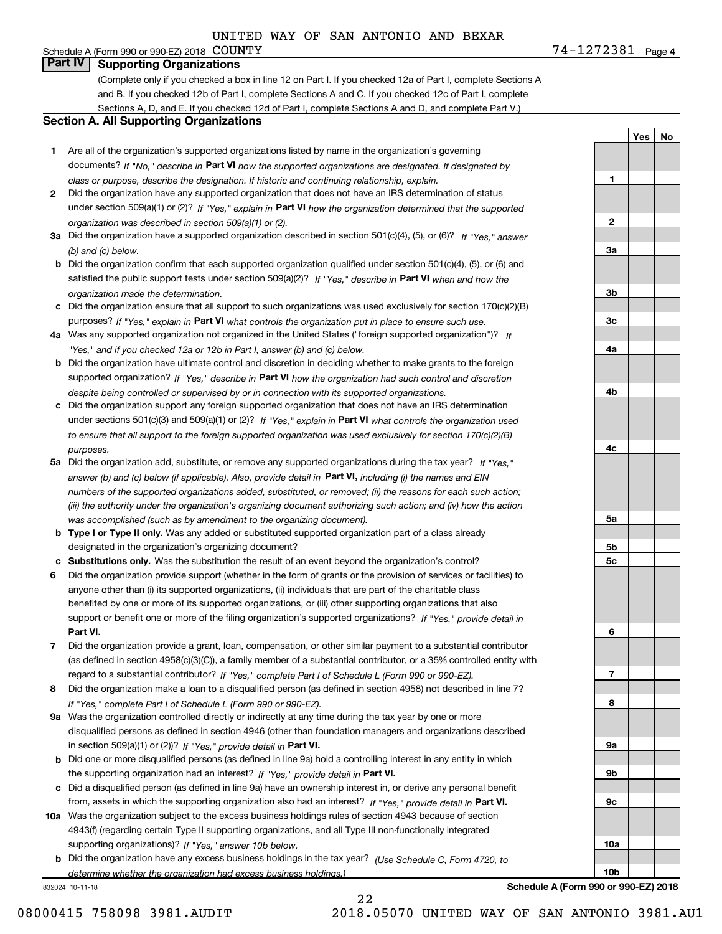Schedule A (Form 990 or 990-EZ) 2018 COUNTY **Part IV Supporting Organizations**

> (Complete only if you checked a box in line 12 on Part I. If you checked 12a of Part I, complete Sections A and B. If you checked 12b of Part I, complete Sections A and C. If you checked 12c of Part I, complete Sections A, D, and E. If you checked 12d of Part I, complete Sections A and D, and complete Part V.)

#### **Section A. All Supporting Organizations**

- **1** Are all of the organization's supported organizations listed by name in the organization's governing documents? If "No," describe in **Part VI** how the supported organizations are designated. If designated by *class or purpose, describe the designation. If historic and continuing relationship, explain.*
- **2** Did the organization have any supported organization that does not have an IRS determination of status under section 509(a)(1) or (2)? If "Yes," explain in Part VI how the organization determined that the supported *organization was described in section 509(a)(1) or (2).*
- **3a** Did the organization have a supported organization described in section 501(c)(4), (5), or (6)? If "Yes," answer *(b) and (c) below.*
- **b** Did the organization confirm that each supported organization qualified under section 501(c)(4), (5), or (6) and satisfied the public support tests under section 509(a)(2)? If "Yes," describe in **Part VI** when and how the *organization made the determination.*
- **c**Did the organization ensure that all support to such organizations was used exclusively for section 170(c)(2)(B) purposes? If "Yes," explain in **Part VI** what controls the organization put in place to ensure such use.
- **4a***If* Was any supported organization not organized in the United States ("foreign supported organization")? *"Yes," and if you checked 12a or 12b in Part I, answer (b) and (c) below.*
- **b** Did the organization have ultimate control and discretion in deciding whether to make grants to the foreign supported organization? If "Yes," describe in **Part VI** how the organization had such control and discretion *despite being controlled or supervised by or in connection with its supported organizations.*
- **c** Did the organization support any foreign supported organization that does not have an IRS determination under sections 501(c)(3) and 509(a)(1) or (2)? If "Yes," explain in **Part VI** what controls the organization used *to ensure that all support to the foreign supported organization was used exclusively for section 170(c)(2)(B) purposes.*
- **5a** Did the organization add, substitute, or remove any supported organizations during the tax year? If "Yes," answer (b) and (c) below (if applicable). Also, provide detail in **Part VI,** including (i) the names and EIN *numbers of the supported organizations added, substituted, or removed; (ii) the reasons for each such action; (iii) the authority under the organization's organizing document authorizing such action; and (iv) how the action was accomplished (such as by amendment to the organizing document).*
- **b** Type I or Type II only. Was any added or substituted supported organization part of a class already designated in the organization's organizing document?
- **cSubstitutions only.**  Was the substitution the result of an event beyond the organization's control?
- **6** Did the organization provide support (whether in the form of grants or the provision of services or facilities) to **Part VI.** *If "Yes," provide detail in* support or benefit one or more of the filing organization's supported organizations? anyone other than (i) its supported organizations, (ii) individuals that are part of the charitable class benefited by one or more of its supported organizations, or (iii) other supporting organizations that also
- **7**Did the organization provide a grant, loan, compensation, or other similar payment to a substantial contributor *If "Yes," complete Part I of Schedule L (Form 990 or 990-EZ).* regard to a substantial contributor? (as defined in section 4958(c)(3)(C)), a family member of a substantial contributor, or a 35% controlled entity with
- **8** Did the organization make a loan to a disqualified person (as defined in section 4958) not described in line 7? *If "Yes," complete Part I of Schedule L (Form 990 or 990-EZ).*
- **9a** Was the organization controlled directly or indirectly at any time during the tax year by one or more in section 509(a)(1) or (2))? If "Yes," *provide detail in* <code>Part VI.</code> disqualified persons as defined in section 4946 (other than foundation managers and organizations described
- **b** Did one or more disqualified persons (as defined in line 9a) hold a controlling interest in any entity in which the supporting organization had an interest? If "Yes," provide detail in P**art VI**.
- **c**Did a disqualified person (as defined in line 9a) have an ownership interest in, or derive any personal benefit from, assets in which the supporting organization also had an interest? If "Yes," provide detail in P**art VI.**
- **10a** Was the organization subject to the excess business holdings rules of section 4943 because of section supporting organizations)? If "Yes," answer 10b below. 4943(f) (regarding certain Type II supporting organizations, and all Type III non-functionally integrated
- **b** Did the organization have any excess business holdings in the tax year? (Use Schedule C, Form 4720, to *determine whether the organization had excess business holdings.)*

22

832024 10-11-18

**Schedule A (Form 990 or 990-EZ) 2018**

08000415 758098 3981.AUDIT 2018.05070 UNITED WAY OF SAN ANTONIO 3981.AU1

**3b3c4a4b4c5a 5b5c6789a 9b9c10a10b**

**1**

**2**

**3a**

**YesNo**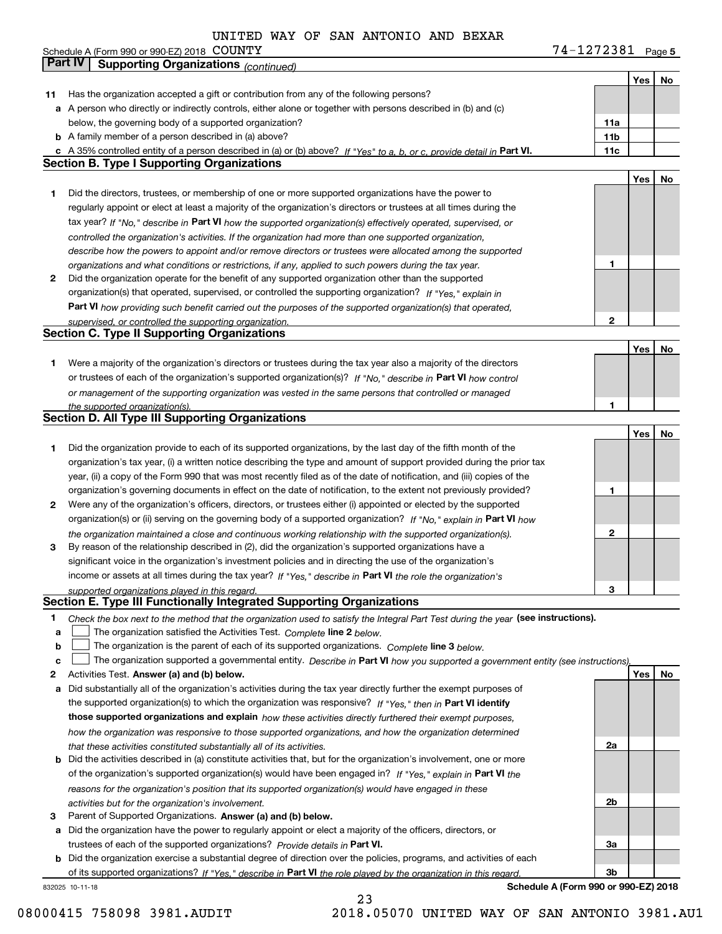**5** COUNTY 74-1272381

|              | Part IV<br><b>Supporting Organizations (continued)</b>                                                                                                                                        |              |     |    |
|--------------|-----------------------------------------------------------------------------------------------------------------------------------------------------------------------------------------------|--------------|-----|----|
|              |                                                                                                                                                                                               |              | Yes | No |
| 11           | Has the organization accepted a gift or contribution from any of the following persons?                                                                                                       |              |     |    |
|              | a A person who directly or indirectly controls, either alone or together with persons described in (b) and (c)                                                                                |              |     |    |
|              | below, the governing body of a supported organization?                                                                                                                                        | 11a          |     |    |
|              | <b>b</b> A family member of a person described in (a) above?                                                                                                                                  | 11b          |     |    |
|              | c A 35% controlled entity of a person described in (a) or (b) above? If "Yes" to a, b, or c, provide detail in Part VI.                                                                       | 11c          |     |    |
|              | <b>Section B. Type I Supporting Organizations</b>                                                                                                                                             |              |     |    |
|              |                                                                                                                                                                                               |              | Yes | No |
| 1            | Did the directors, trustees, or membership of one or more supported organizations have the power to                                                                                           |              |     |    |
|              | regularly appoint or elect at least a majority of the organization's directors or trustees at all times during the                                                                            |              |     |    |
|              | tax year? If "No," describe in Part VI how the supported organization(s) effectively operated, supervised, or                                                                                 |              |     |    |
|              | controlled the organization's activities. If the organization had more than one supported organization,                                                                                       |              |     |    |
|              | describe how the powers to appoint and/or remove directors or trustees were allocated among the supported                                                                                     |              |     |    |
|              | organizations and what conditions or restrictions, if any, applied to such powers during the tax year.                                                                                        | 1            |     |    |
| $\mathbf{2}$ | Did the organization operate for the benefit of any supported organization other than the supported                                                                                           |              |     |    |
|              | organization(s) that operated, supervised, or controlled the supporting organization? If "Yes," explain in                                                                                    |              |     |    |
|              | Part VI how providing such benefit carried out the purposes of the supported organization(s) that operated,                                                                                   |              |     |    |
|              | supervised, or controlled the supporting organization.                                                                                                                                        | 2            |     |    |
|              | <b>Section C. Type II Supporting Organizations</b>                                                                                                                                            |              |     |    |
|              |                                                                                                                                                                                               |              | Yes | No |
| 1            | Were a majority of the organization's directors or trustees during the tax year also a majority of the directors                                                                              |              |     |    |
|              | or trustees of each of the organization's supported organization(s)? If "No," describe in Part VI how control                                                                                 |              |     |    |
|              | or management of the supporting organization was vested in the same persons that controlled or managed                                                                                        |              |     |    |
|              | the supported organization(s).                                                                                                                                                                | 1            |     |    |
|              | Section D. All Type III Supporting Organizations                                                                                                                                              |              |     |    |
|              |                                                                                                                                                                                               |              | Yes | No |
| 1            | Did the organization provide to each of its supported organizations, by the last day of the fifth month of the                                                                                |              |     |    |
|              | organization's tax year, (i) a written notice describing the type and amount of support provided during the prior tax                                                                         |              |     |    |
|              | year, (ii) a copy of the Form 990 that was most recently filed as of the date of notification, and (iii) copies of the                                                                        |              |     |    |
|              | organization's governing documents in effect on the date of notification, to the extent not previously provided?                                                                              | 1            |     |    |
| 2            | Were any of the organization's officers, directors, or trustees either (i) appointed or elected by the supported                                                                              |              |     |    |
|              | organization(s) or (ii) serving on the governing body of a supported organization? If "No," explain in Part VI how                                                                            |              |     |    |
|              | the organization maintained a close and continuous working relationship with the supported organization(s).                                                                                   | $\mathbf{2}$ |     |    |
| 3            | By reason of the relationship described in (2), did the organization's supported organizations have a                                                                                         |              |     |    |
|              | significant voice in the organization's investment policies and in directing the use of the organization's                                                                                    |              |     |    |
|              | income or assets at all times during the tax year? If "Yes," describe in Part VI the role the organization's                                                                                  |              |     |    |
|              | supported organizations played in this regard.                                                                                                                                                | 3            |     |    |
|              | Section E. Type III Functionally Integrated Supporting Organizations                                                                                                                          |              |     |    |
| 1            | Check the box next to the method that the organization used to satisfy the Integral Part Test during the year (see instructions).                                                             |              |     |    |
| a            | The organization satisfied the Activities Test. Complete line 2 below.                                                                                                                        |              |     |    |
| b            | The organization is the parent of each of its supported organizations. Complete line 3 below.                                                                                                 |              |     |    |
| C            | The organization supported a governmental entity. Describe in Part VI how you supported a government entity (see instructions),                                                               |              |     |    |
| 2            | Activities Test. Answer (a) and (b) below.                                                                                                                                                    |              | Yes | No |
| a            | Did substantially all of the organization's activities during the tax year directly further the exempt purposes of                                                                            |              |     |    |
|              | the supported organization(s) to which the organization was responsive? If "Yes," then in Part VI identify                                                                                    |              |     |    |
|              | those supported organizations and explain how these activities directly furthered their exempt purposes,                                                                                      |              |     |    |
|              |                                                                                                                                                                                               |              |     |    |
|              | how the organization was responsive to those supported organizations, and how the organization determined                                                                                     | 2a           |     |    |
| b            | that these activities constituted substantially all of its activities.<br>Did the activities described in (a) constitute activities that, but for the organization's involvement, one or more |              |     |    |
|              | of the organization's supported organization(s) would have been engaged in? If "Yes," explain in Part VI the                                                                                  |              |     |    |
|              |                                                                                                                                                                                               |              |     |    |
|              | reasons for the organization's position that its supported organization(s) would have engaged in these                                                                                        | 2b           |     |    |
| з            | activities but for the organization's involvement.<br>Parent of Supported Organizations. Answer (a) and (b) below.                                                                            |              |     |    |
|              | Did the organization have the power to regularly appoint or elect a majority of the officers, directors, or                                                                                   |              |     |    |
| а            | trustees of each of the supported organizations? Provide details in Part VI.                                                                                                                  | За           |     |    |
|              | <b>b</b> Did the organization exercise a substantial degree of direction over the policies, programs, and activities of each                                                                  |              |     |    |
|              |                                                                                                                                                                                               | Зb           |     |    |
|              | of its supported organizations? If "Yes," describe in Part VI the role played by the organization in this regard<br>Schedule A (Form 990 or 990-EZ) 2018<br>832025 10-11-18                   |              |     |    |
|              |                                                                                                                                                                                               |              |     |    |

23

**Schedule A (Form 990 or 990-EZ) 2018**

Schedule A (Form 990 or 990-EZ) 2018 COUNTY

08000415 758098 3981.AUDIT 2018.05070 UNITED WAY OF SAN ANTONIO 3981.AU1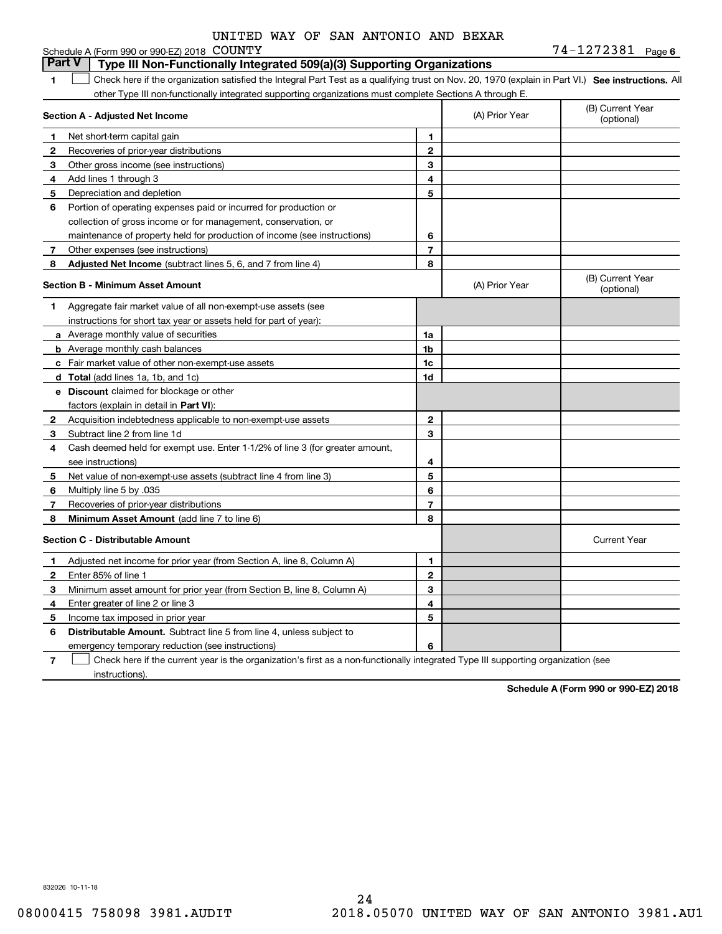|  |  | UNITED WAY OF SAN ANTONIO AND BEXAR |  |  |
|--|--|-------------------------------------|--|--|
|  |  |                                     |  |  |

|              | Schedule A (Form 990 or 990-EZ) 2018 COUNTY                                                                                                        |                |                | 74-1272381 Page 6              |
|--------------|----------------------------------------------------------------------------------------------------------------------------------------------------|----------------|----------------|--------------------------------|
|              | <b>Part V</b><br>Type III Non-Functionally Integrated 509(a)(3) Supporting Organizations                                                           |                |                |                                |
| 1            | Check here if the organization satisfied the Integral Part Test as a qualifying trust on Nov. 20, 1970 (explain in Part VI.) See instructions. All |                |                |                                |
|              | other Type III non-functionally integrated supporting organizations must complete Sections A through E.                                            |                |                |                                |
|              | Section A - Adjusted Net Income                                                                                                                    |                | (A) Prior Year | (B) Current Year<br>(optional) |
| 1.           | Net short-term capital gain                                                                                                                        | 1              |                |                                |
| 2            | Recoveries of prior-year distributions                                                                                                             | $\mathbf{2}$   |                |                                |
| З            | Other gross income (see instructions)                                                                                                              | 3              |                |                                |
| 4            | Add lines 1 through 3                                                                                                                              | 4              |                |                                |
| 5            | Depreciation and depletion                                                                                                                         | 5              |                |                                |
| 6            | Portion of operating expenses paid or incurred for production or                                                                                   |                |                |                                |
|              | collection of gross income or for management, conservation, or                                                                                     |                |                |                                |
|              | maintenance of property held for production of income (see instructions)                                                                           | 6              |                |                                |
| 7            | Other expenses (see instructions)                                                                                                                  | $\overline{7}$ |                |                                |
| 8            | Adjusted Net Income (subtract lines 5, 6, and 7 from line 4)                                                                                       | 8              |                |                                |
|              | <b>Section B - Minimum Asset Amount</b>                                                                                                            |                | (A) Prior Year | (B) Current Year<br>(optional) |
| 1.           | Aggregate fair market value of all non-exempt-use assets (see                                                                                      |                |                |                                |
|              | instructions for short tax year or assets held for part of year):                                                                                  |                |                |                                |
|              | a Average monthly value of securities                                                                                                              | 1a             |                |                                |
|              | <b>b</b> Average monthly cash balances                                                                                                             | 1b             |                |                                |
|              | c Fair market value of other non-exempt-use assets                                                                                                 | 1 <sub>c</sub> |                |                                |
|              | d Total (add lines 1a, 1b, and 1c)                                                                                                                 | 1d             |                |                                |
|              | <b>e</b> Discount claimed for blockage or other                                                                                                    |                |                |                                |
|              | factors (explain in detail in Part VI):                                                                                                            |                |                |                                |
| $\mathbf{2}$ | Acquisition indebtedness applicable to non-exempt-use assets                                                                                       | 2              |                |                                |
| 3            | Subtract line 2 from line 1d                                                                                                                       | 3              |                |                                |
| 4            | Cash deemed held for exempt use. Enter 1-1/2% of line 3 (for greater amount,                                                                       |                |                |                                |
|              | see instructions)                                                                                                                                  | 4              |                |                                |
| 5            | Net value of non-exempt-use assets (subtract line 4 from line 3)                                                                                   | 5              |                |                                |
| 6            | Multiply line 5 by .035                                                                                                                            | 6              |                |                                |
| 7            | Recoveries of prior-year distributions                                                                                                             | $\overline{7}$ |                |                                |
| 8            | Minimum Asset Amount (add line 7 to line 6)                                                                                                        | 8              |                |                                |
|              | <b>Section C - Distributable Amount</b>                                                                                                            |                |                | <b>Current Year</b>            |
| 1            | Adjusted net income for prior year (from Section A, line 8, Column A)                                                                              | $\mathbf{1}$   |                |                                |
| $\mathbf{2}$ | Enter 85% of line 1                                                                                                                                | $\mathbf 2$    |                |                                |
| З            | Minimum asset amount for prior year (from Section B, line 8, Column A)                                                                             | 3              |                |                                |
| 4            | Enter greater of line 2 or line 3                                                                                                                  | 4              |                |                                |
| 5            | Income tax imposed in prior year                                                                                                                   | 5              |                |                                |
| 6            | <b>Distributable Amount.</b> Subtract line 5 from line 4, unless subject to                                                                        |                |                |                                |
|              | emergency temporary reduction (see instructions)                                                                                                   | 6              |                |                                |

**7**Check here if the current year is the organization's first as a non-functionally integrated Type III supporting organization (see instructions).

**Schedule A (Form 990 or 990-EZ) 2018**

832026 10-11-18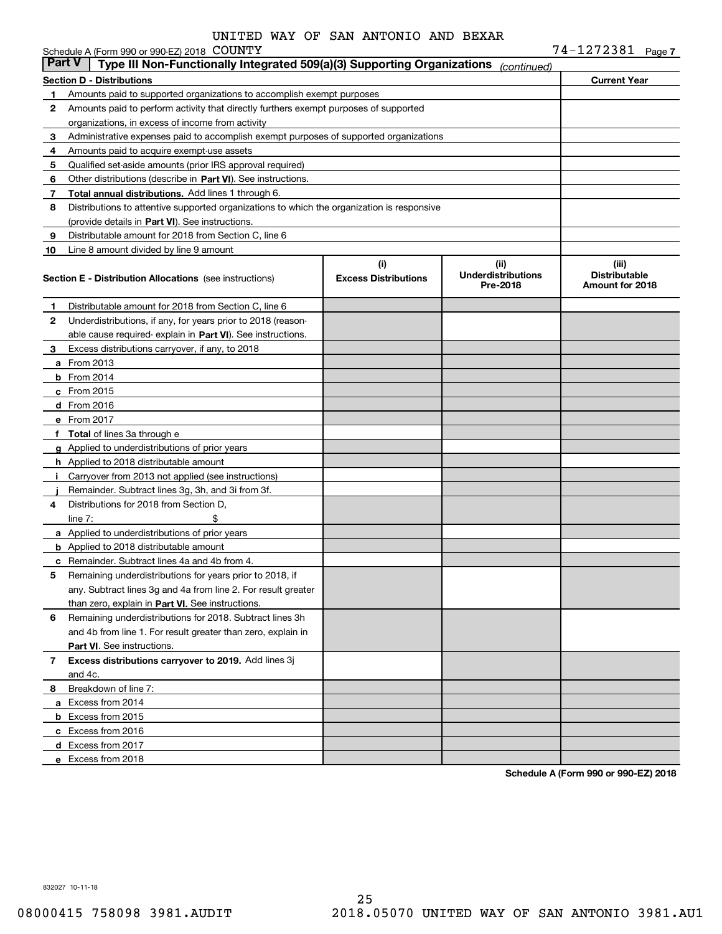|               | Schedule A (Form 990 or 990-EZ) 2018 COUNTY                                                |                                    |                                               | 74-1272381 Page 7                                |  |
|---------------|--------------------------------------------------------------------------------------------|------------------------------------|-----------------------------------------------|--------------------------------------------------|--|
| <b>Part V</b> | Type III Non-Functionally Integrated 509(a)(3) Supporting Organizations                    |                                    | (continued)                                   |                                                  |  |
|               | <b>Section D - Distributions</b>                                                           |                                    |                                               | <b>Current Year</b>                              |  |
| 1             | Amounts paid to supported organizations to accomplish exempt purposes                      |                                    |                                               |                                                  |  |
| 2             | Amounts paid to perform activity that directly furthers exempt purposes of supported       |                                    |                                               |                                                  |  |
|               | organizations, in excess of income from activity                                           |                                    |                                               |                                                  |  |
| 3             | Administrative expenses paid to accomplish exempt purposes of supported organizations      |                                    |                                               |                                                  |  |
| 4             | Amounts paid to acquire exempt-use assets                                                  |                                    |                                               |                                                  |  |
| 5             | Qualified set-aside amounts (prior IRS approval required)                                  |                                    |                                               |                                                  |  |
| 6             | Other distributions (describe in Part VI). See instructions.                               |                                    |                                               |                                                  |  |
| 7             | Total annual distributions. Add lines 1 through 6.                                         |                                    |                                               |                                                  |  |
| 8             | Distributions to attentive supported organizations to which the organization is responsive |                                    |                                               |                                                  |  |
|               | (provide details in Part VI). See instructions.                                            |                                    |                                               |                                                  |  |
| 9             | Distributable amount for 2018 from Section C, line 6                                       |                                    |                                               |                                                  |  |
| 10            | Line 8 amount divided by line 9 amount                                                     |                                    |                                               |                                                  |  |
|               | <b>Section E - Distribution Allocations</b> (see instructions)                             | (i)<br><b>Excess Distributions</b> | (ii)<br><b>Underdistributions</b><br>Pre-2018 | (iii)<br><b>Distributable</b><br>Amount for 2018 |  |
| 1             | Distributable amount for 2018 from Section C, line 6                                       |                                    |                                               |                                                  |  |
| 2             | Underdistributions, if any, for years prior to 2018 (reason-                               |                                    |                                               |                                                  |  |
|               | able cause required-explain in Part VI). See instructions.                                 |                                    |                                               |                                                  |  |
| 3             | Excess distributions carryover, if any, to 2018                                            |                                    |                                               |                                                  |  |
|               | <b>a</b> From 2013                                                                         |                                    |                                               |                                                  |  |
|               | $b$ From 2014                                                                              |                                    |                                               |                                                  |  |
|               | c From 2015                                                                                |                                    |                                               |                                                  |  |
|               | d From 2016                                                                                |                                    |                                               |                                                  |  |
|               | e From 2017                                                                                |                                    |                                               |                                                  |  |
|               | f Total of lines 3a through e                                                              |                                    |                                               |                                                  |  |
|               | g Applied to underdistributions of prior years                                             |                                    |                                               |                                                  |  |
|               | <b>h</b> Applied to 2018 distributable amount                                              |                                    |                                               |                                                  |  |
|               | Carryover from 2013 not applied (see instructions)                                         |                                    |                                               |                                                  |  |
|               | Remainder. Subtract lines 3g, 3h, and 3i from 3f.                                          |                                    |                                               |                                                  |  |
| 4             | Distributions for 2018 from Section D.                                                     |                                    |                                               |                                                  |  |
|               | line $7:$                                                                                  |                                    |                                               |                                                  |  |
|               | a Applied to underdistributions of prior years                                             |                                    |                                               |                                                  |  |
|               | <b>b</b> Applied to 2018 distributable amount                                              |                                    |                                               |                                                  |  |
|               | c Remainder. Subtract lines 4a and 4b from 4.                                              |                                    |                                               |                                                  |  |
|               | Remaining underdistributions for years prior to 2018, if                                   |                                    |                                               |                                                  |  |
|               | any. Subtract lines 3g and 4a from line 2. For result greater                              |                                    |                                               |                                                  |  |
|               | than zero, explain in Part VI. See instructions.                                           |                                    |                                               |                                                  |  |
| 6             | Remaining underdistributions for 2018. Subtract lines 3h                                   |                                    |                                               |                                                  |  |
|               | and 4b from line 1. For result greater than zero, explain in                               |                                    |                                               |                                                  |  |
|               | <b>Part VI.</b> See instructions.                                                          |                                    |                                               |                                                  |  |
| 7             | Excess distributions carryover to 2019. Add lines 3j                                       |                                    |                                               |                                                  |  |
|               | and 4c.                                                                                    |                                    |                                               |                                                  |  |
| 8             | Breakdown of line 7:                                                                       |                                    |                                               |                                                  |  |
|               | a Excess from 2014                                                                         |                                    |                                               |                                                  |  |
|               | <b>b</b> Excess from 2015                                                                  |                                    |                                               |                                                  |  |
|               | c Excess from 2016                                                                         |                                    |                                               |                                                  |  |
|               | d Excess from 2017                                                                         |                                    |                                               |                                                  |  |
|               | e Excess from 2018                                                                         |                                    |                                               |                                                  |  |
|               |                                                                                            |                                    |                                               |                                                  |  |

**Schedule A (Form 990 or 990-EZ) 2018**

832027 10-11-18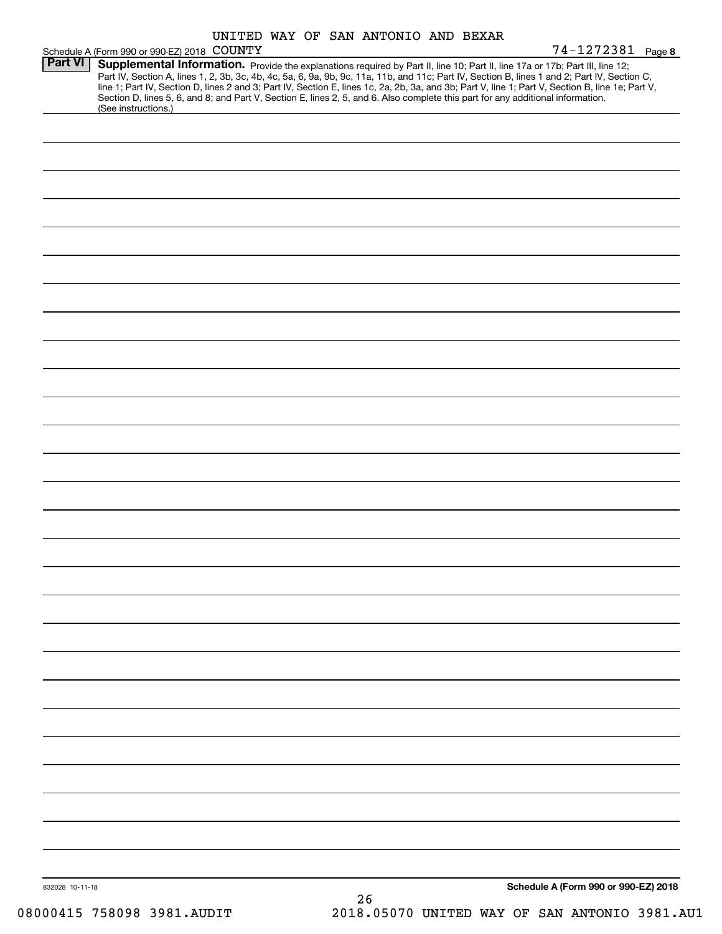|                 |                                                                                                                                                                              |  | UNITED WAY OF SAN ANTONIO AND BEXAR |  |                                                                                                                                                                                                                                                                                                                       |
|-----------------|------------------------------------------------------------------------------------------------------------------------------------------------------------------------------|--|-------------------------------------|--|-----------------------------------------------------------------------------------------------------------------------------------------------------------------------------------------------------------------------------------------------------------------------------------------------------------------------|
| Part VI         | Schedule A (Form 990 or 990-EZ) 2018 COUNTY<br>Supplemental Information. Provide the explanations required by Part II, line 10; Part II, line 17a or 17b; Part III, line 12; |  |                                     |  | 74-1272381 Page 8<br>Part IV, Section A, lines 1, 2, 3b, 3c, 4b, 4c, 5a, 6, 9a, 9b, 9c, 11a, 11b, and 11c; Part IV, Section B, lines 1 and 2; Part IV, Section C,<br>line 1; Part IV, Section D, lines 2 and 3; Part IV, Section E, lines 1c, 2a, 2b, 3a, and 3b; Part V, line 1; Part V, Section B, line 1e; Part V, |
|                 | Section D, lines 5, 6, and 8; and Part V, Section E, lines 2, 5, and 6. Also complete this part for any additional information.<br>(See instructions.)                       |  |                                     |  |                                                                                                                                                                                                                                                                                                                       |
|                 |                                                                                                                                                                              |  |                                     |  |                                                                                                                                                                                                                                                                                                                       |
|                 |                                                                                                                                                                              |  |                                     |  |                                                                                                                                                                                                                                                                                                                       |
|                 |                                                                                                                                                                              |  |                                     |  |                                                                                                                                                                                                                                                                                                                       |
|                 |                                                                                                                                                                              |  |                                     |  |                                                                                                                                                                                                                                                                                                                       |
|                 |                                                                                                                                                                              |  |                                     |  |                                                                                                                                                                                                                                                                                                                       |
|                 |                                                                                                                                                                              |  |                                     |  |                                                                                                                                                                                                                                                                                                                       |
|                 |                                                                                                                                                                              |  |                                     |  |                                                                                                                                                                                                                                                                                                                       |
|                 |                                                                                                                                                                              |  |                                     |  |                                                                                                                                                                                                                                                                                                                       |
|                 |                                                                                                                                                                              |  |                                     |  |                                                                                                                                                                                                                                                                                                                       |
|                 |                                                                                                                                                                              |  |                                     |  |                                                                                                                                                                                                                                                                                                                       |
|                 |                                                                                                                                                                              |  |                                     |  |                                                                                                                                                                                                                                                                                                                       |
|                 |                                                                                                                                                                              |  |                                     |  |                                                                                                                                                                                                                                                                                                                       |
|                 |                                                                                                                                                                              |  |                                     |  |                                                                                                                                                                                                                                                                                                                       |
|                 |                                                                                                                                                                              |  |                                     |  |                                                                                                                                                                                                                                                                                                                       |
|                 |                                                                                                                                                                              |  |                                     |  |                                                                                                                                                                                                                                                                                                                       |
|                 |                                                                                                                                                                              |  |                                     |  |                                                                                                                                                                                                                                                                                                                       |
|                 |                                                                                                                                                                              |  |                                     |  |                                                                                                                                                                                                                                                                                                                       |
|                 |                                                                                                                                                                              |  |                                     |  |                                                                                                                                                                                                                                                                                                                       |
|                 |                                                                                                                                                                              |  |                                     |  |                                                                                                                                                                                                                                                                                                                       |
|                 |                                                                                                                                                                              |  |                                     |  |                                                                                                                                                                                                                                                                                                                       |
|                 |                                                                                                                                                                              |  |                                     |  |                                                                                                                                                                                                                                                                                                                       |
|                 |                                                                                                                                                                              |  |                                     |  |                                                                                                                                                                                                                                                                                                                       |
|                 |                                                                                                                                                                              |  |                                     |  |                                                                                                                                                                                                                                                                                                                       |
|                 |                                                                                                                                                                              |  |                                     |  |                                                                                                                                                                                                                                                                                                                       |
|                 |                                                                                                                                                                              |  |                                     |  |                                                                                                                                                                                                                                                                                                                       |
|                 |                                                                                                                                                                              |  |                                     |  |                                                                                                                                                                                                                                                                                                                       |
|                 |                                                                                                                                                                              |  |                                     |  |                                                                                                                                                                                                                                                                                                                       |
|                 |                                                                                                                                                                              |  |                                     |  |                                                                                                                                                                                                                                                                                                                       |
|                 |                                                                                                                                                                              |  |                                     |  |                                                                                                                                                                                                                                                                                                                       |
|                 |                                                                                                                                                                              |  |                                     |  |                                                                                                                                                                                                                                                                                                                       |
|                 |                                                                                                                                                                              |  |                                     |  |                                                                                                                                                                                                                                                                                                                       |
|                 |                                                                                                                                                                              |  |                                     |  |                                                                                                                                                                                                                                                                                                                       |
|                 |                                                                                                                                                                              |  |                                     |  |                                                                                                                                                                                                                                                                                                                       |
|                 |                                                                                                                                                                              |  |                                     |  |                                                                                                                                                                                                                                                                                                                       |
| 832028 10-11-18 |                                                                                                                                                                              |  | 26                                  |  | Schedule A (Form 990 or 990-EZ) 2018                                                                                                                                                                                                                                                                                  |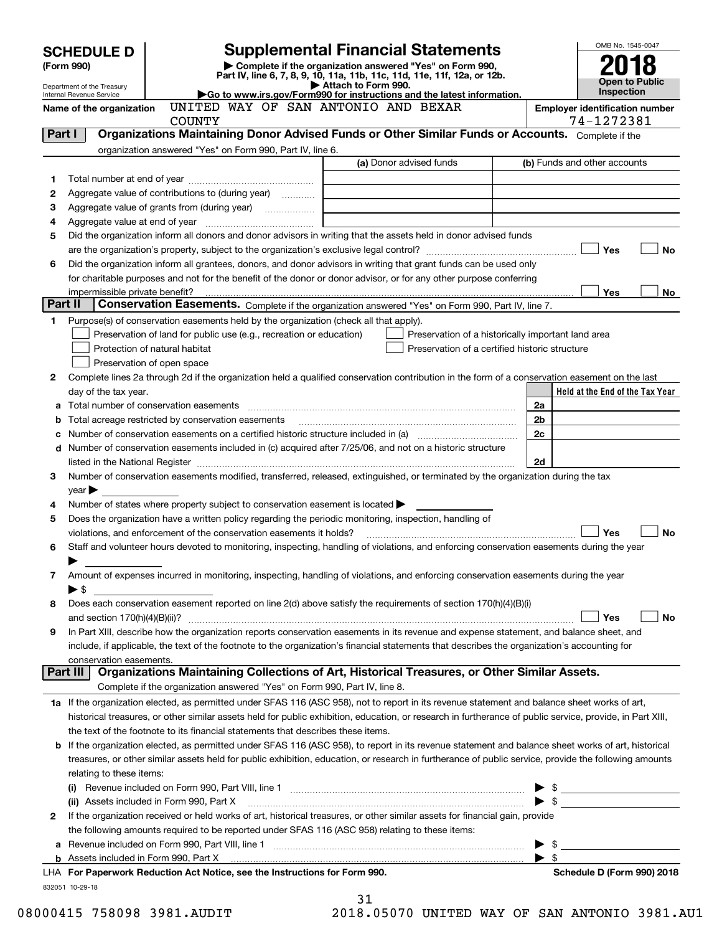|         | <b>SCHEDULE D</b>                     |                                                                                                        | <b>Supplemental Financial Statements</b>                                                                                                                                                                                       |                          | OMB No. 1545-0047                                   |
|---------|---------------------------------------|--------------------------------------------------------------------------------------------------------|--------------------------------------------------------------------------------------------------------------------------------------------------------------------------------------------------------------------------------|--------------------------|-----------------------------------------------------|
|         | (Form 990)                            |                                                                                                        | Complete if the organization answered "Yes" on Form 990,<br>Part IV, line 6, 7, 8, 9, 10, 11a, 11b, 11c, 11d, 11e, 11f, 12a, or 12b.                                                                                           |                          |                                                     |
|         | Department of the Treasury            |                                                                                                        | Attach to Form 990.                                                                                                                                                                                                            |                          | Open to Public                                      |
|         | Internal Revenue Service              | UNITED WAY OF SAN ANTONIO AND BEXAR                                                                    | Go to www.irs.gov/Form990 for instructions and the latest information.                                                                                                                                                         |                          | Inspection                                          |
|         | Name of the organization              | <b>COUNTY</b>                                                                                          |                                                                                                                                                                                                                                |                          | <b>Employer identification number</b><br>74-1272381 |
| Part I  |                                       |                                                                                                        | Organizations Maintaining Donor Advised Funds or Other Similar Funds or Accounts. Complete if the                                                                                                                              |                          |                                                     |
|         |                                       | organization answered "Yes" on Form 990, Part IV, line 6.                                              |                                                                                                                                                                                                                                |                          |                                                     |
|         |                                       |                                                                                                        | (a) Donor advised funds                                                                                                                                                                                                        |                          | (b) Funds and other accounts                        |
| 1       |                                       |                                                                                                        |                                                                                                                                                                                                                                |                          |                                                     |
| 2       |                                       | Aggregate value of contributions to (during year)                                                      |                                                                                                                                                                                                                                |                          |                                                     |
| з       |                                       |                                                                                                        |                                                                                                                                                                                                                                |                          |                                                     |
| 4       |                                       |                                                                                                        |                                                                                                                                                                                                                                |                          |                                                     |
| 5       |                                       |                                                                                                        | Did the organization inform all donors and donor advisors in writing that the assets held in donor advised funds                                                                                                               |                          |                                                     |
|         |                                       |                                                                                                        |                                                                                                                                                                                                                                |                          | Yes<br><b>No</b>                                    |
| 6       |                                       |                                                                                                        | Did the organization inform all grantees, donors, and donor advisors in writing that grant funds can be used only                                                                                                              |                          |                                                     |
|         |                                       |                                                                                                        | for charitable purposes and not for the benefit of the donor or donor advisor, or for any other purpose conferring                                                                                                             |                          |                                                     |
| Part II |                                       |                                                                                                        | Conservation Easements. Complete if the organization answered "Yes" on Form 990, Part IV, line 7.                                                                                                                              |                          | <b>Yes</b><br>No                                    |
| 1       |                                       | Purpose(s) of conservation easements held by the organization (check all that apply).                  |                                                                                                                                                                                                                                |                          |                                                     |
|         |                                       | Preservation of land for public use (e.g., recreation or education)                                    | Preservation of a historically important land area                                                                                                                                                                             |                          |                                                     |
|         |                                       | Protection of natural habitat                                                                          | Preservation of a certified historic structure                                                                                                                                                                                 |                          |                                                     |
|         |                                       | Preservation of open space                                                                             |                                                                                                                                                                                                                                |                          |                                                     |
| 2       |                                       |                                                                                                        | Complete lines 2a through 2d if the organization held a qualified conservation contribution in the form of a conservation easement on the last                                                                                 |                          |                                                     |
|         | day of the tax year.                  |                                                                                                        |                                                                                                                                                                                                                                |                          | Held at the End of the Tax Year                     |
| а       |                                       |                                                                                                        |                                                                                                                                                                                                                                | 2a                       |                                                     |
| b       |                                       | Total acreage restricted by conservation easements                                                     |                                                                                                                                                                                                                                | 2b                       |                                                     |
| c       |                                       |                                                                                                        | Number of conservation easements on a certified historic structure included in (a) manufacture of conservation                                                                                                                 | 2c                       |                                                     |
| d       |                                       |                                                                                                        | Number of conservation easements included in (c) acquired after 7/25/06, and not on a historic structure                                                                                                                       |                          |                                                     |
|         |                                       |                                                                                                        | listed in the National Register [[11] matter contract the state of the state of the National Register [11] matter state is a state of the National Register [11] matter state is a state of the state of the state of the stat | 2d                       |                                                     |
| 3       |                                       |                                                                                                        | Number of conservation easements modified, transferred, released, extinguished, or terminated by the organization during the tax                                                                                               |                          |                                                     |
| 4       | $year \triangleright$                 | Number of states where property subject to conservation easement is located $\blacktriangleright$      |                                                                                                                                                                                                                                |                          |                                                     |
| 5       |                                       | Does the organization have a written policy regarding the periodic monitoring, inspection, handling of |                                                                                                                                                                                                                                |                          |                                                     |
|         |                                       | violations, and enforcement of the conservation easements it holds?                                    |                                                                                                                                                                                                                                |                          | Yes<br><b>No</b>                                    |
| 6       |                                       |                                                                                                        | Staff and volunteer hours devoted to monitoring, inspecting, handling of violations, and enforcing conservation easements during the year                                                                                      |                          |                                                     |
|         |                                       |                                                                                                        |                                                                                                                                                                                                                                |                          |                                                     |
| 7       |                                       |                                                                                                        | Amount of expenses incurred in monitoring, inspecting, handling of violations, and enforcing conservation easements during the year                                                                                            |                          |                                                     |
|         | $\blacktriangleright$ \$              |                                                                                                        |                                                                                                                                                                                                                                |                          |                                                     |
| 8       |                                       |                                                                                                        | Does each conservation easement reported on line 2(d) above satisfy the requirements of section 170(h)(4)(B)(i)                                                                                                                |                          |                                                     |
|         | and section $170(h)(4)(B)(ii)?$       |                                                                                                        |                                                                                                                                                                                                                                |                          | Yes<br>No                                           |
| 9       |                                       |                                                                                                        | In Part XIII, describe how the organization reports conservation easements in its revenue and expense statement, and balance sheet, and                                                                                        |                          |                                                     |
|         |                                       |                                                                                                        | include, if applicable, the text of the footnote to the organization's financial statements that describes the organization's accounting for                                                                                   |                          |                                                     |
|         | conservation easements.<br>Part III I |                                                                                                        | Organizations Maintaining Collections of Art, Historical Treasures, or Other Similar Assets.                                                                                                                                   |                          |                                                     |
|         |                                       | Complete if the organization answered "Yes" on Form 990, Part IV, line 8.                              |                                                                                                                                                                                                                                |                          |                                                     |
|         |                                       |                                                                                                        | 1a If the organization elected, as permitted under SFAS 116 (ASC 958), not to report in its revenue statement and balance sheet works of art,                                                                                  |                          |                                                     |
|         |                                       |                                                                                                        | historical treasures, or other similar assets held for public exhibition, education, or research in furtherance of public service, provide, in Part XIII,                                                                      |                          |                                                     |
|         |                                       | the text of the footnote to its financial statements that describes these items.                       |                                                                                                                                                                                                                                |                          |                                                     |
|         |                                       |                                                                                                        | <b>b</b> If the organization elected, as permitted under SFAS 116 (ASC 958), to report in its revenue statement and balance sheet works of art, historical                                                                     |                          |                                                     |
|         |                                       |                                                                                                        | treasures, or other similar assets held for public exhibition, education, or research in furtherance of public service, provide the following amounts                                                                          |                          |                                                     |
|         | relating to these items:              |                                                                                                        |                                                                                                                                                                                                                                |                          |                                                     |
|         |                                       |                                                                                                        |                                                                                                                                                                                                                                |                          |                                                     |
|         |                                       | (ii) Assets included in Form 990, Part X                                                               |                                                                                                                                                                                                                                | $\blacktriangleright$ \$ |                                                     |
| 2       |                                       |                                                                                                        | If the organization received or held works of art, historical treasures, or other similar assets for financial gain, provide                                                                                                   |                          |                                                     |
|         |                                       | the following amounts required to be reported under SFAS 116 (ASC 958) relating to these items:        |                                                                                                                                                                                                                                |                          |                                                     |
|         |                                       |                                                                                                        |                                                                                                                                                                                                                                | -\$                      |                                                     |
|         |                                       |                                                                                                        |                                                                                                                                                                                                                                | $\blacktriangleright$ s  |                                                     |
|         |                                       | LHA For Paperwork Reduction Act Notice, see the Instructions for Form 990.                             |                                                                                                                                                                                                                                |                          | Schedule D (Form 990) 2018                          |
|         | 832051 10-29-18                       |                                                                                                        | 21                                                                                                                                                                                                                             |                          |                                                     |

31

08000415 758098 3981.AUDIT 2018.05070 UNITED WAY OF SAN ANTONIO 3981.AU1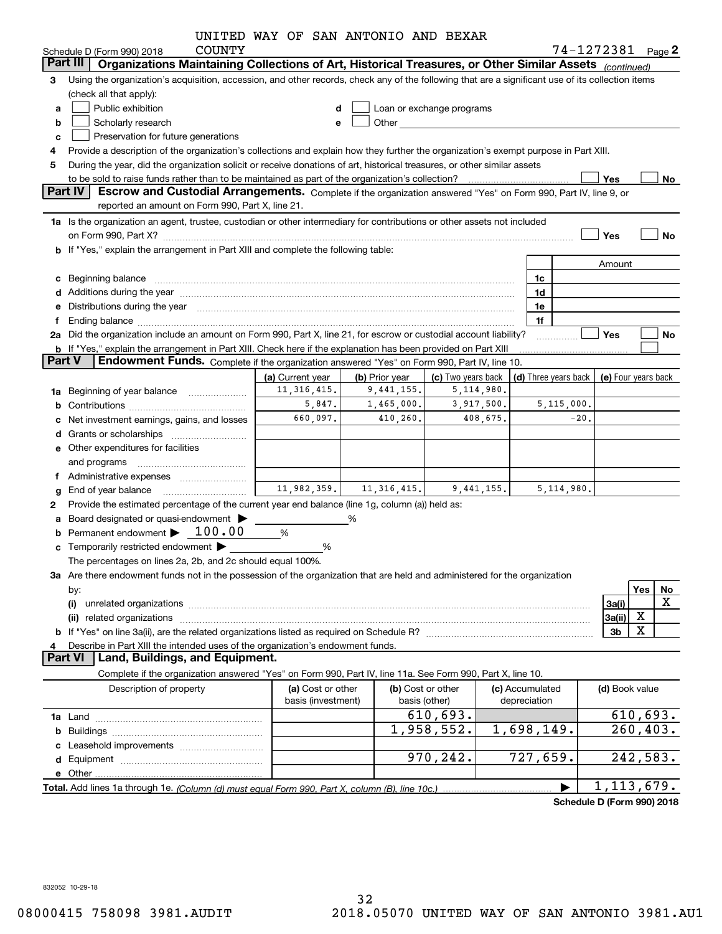|                     |                                                                                                                                                                                                                                                                                                                             | UNITED WAY OF SAN ANTONIO AND BEXAR |                        |                           |          |                      |              |                     |           |
|---------------------|-----------------------------------------------------------------------------------------------------------------------------------------------------------------------------------------------------------------------------------------------------------------------------------------------------------------------------|-------------------------------------|------------------------|---------------------------|----------|----------------------|--------------|---------------------|-----------|
|                     | <b>COUNTY</b><br>Schedule D (Form 990) 2018                                                                                                                                                                                                                                                                                 |                                     |                        |                           |          |                      |              | 74-1272381 Page 2   |           |
|                     | Organizations Maintaining Collections of Art, Historical Treasures, or Other Similar Assets (continued)<br>Part III                                                                                                                                                                                                         |                                     |                        |                           |          |                      |              |                     |           |
| 3                   | Using the organization's acquisition, accession, and other records, check any of the following that are a significant use of its collection items                                                                                                                                                                           |                                     |                        |                           |          |                      |              |                     |           |
|                     | (check all that apply):                                                                                                                                                                                                                                                                                                     |                                     |                        |                           |          |                      |              |                     |           |
| a                   | Public exhibition                                                                                                                                                                                                                                                                                                           | d                                   |                        | Loan or exchange programs |          |                      |              |                     |           |
| b                   | Scholarly research                                                                                                                                                                                                                                                                                                          | e                                   | <b>Other Community</b> |                           |          |                      |              |                     |           |
| c                   | Preservation for future generations                                                                                                                                                                                                                                                                                         |                                     |                        |                           |          |                      |              |                     |           |
| 4                   | Provide a description of the organization's collections and explain how they further the organization's exempt purpose in Part XIII.                                                                                                                                                                                        |                                     |                        |                           |          |                      |              |                     |           |
| 5                   | During the year, did the organization solicit or receive donations of art, historical treasures, or other similar assets                                                                                                                                                                                                    |                                     |                        |                           |          |                      |              |                     |           |
|                     | to be sold to raise funds rather than to be maintained as part of the organization's collection?<br>Part IV<br>Escrow and Custodial Arrangements. Complete if the organization answered "Yes" on Form 990, Part IV, line 9, or                                                                                              |                                     |                        |                           |          |                      |              | Yes                 | No        |
|                     | reported an amount on Form 990, Part X, line 21.                                                                                                                                                                                                                                                                            |                                     |                        |                           |          |                      |              |                     |           |
|                     |                                                                                                                                                                                                                                                                                                                             |                                     |                        |                           |          |                      |              |                     |           |
|                     | 1a Is the organization an agent, trustee, custodian or other intermediary for contributions or other assets not included                                                                                                                                                                                                    |                                     |                        |                           |          |                      |              | Yes                 | <b>No</b> |
|                     | on Form 990, Part X? [11] matter and the contract of the contract of the contract of the contract of the contract of the contract of the contract of the contract of the contract of the contract of the contract of the contr<br><b>b</b> If "Yes," explain the arrangement in Part XIII and complete the following table: |                                     |                        |                           |          |                      |              |                     |           |
|                     |                                                                                                                                                                                                                                                                                                                             |                                     |                        |                           |          |                      |              | Amount              |           |
|                     | Beginning balance                                                                                                                                                                                                                                                                                                           |                                     |                        |                           |          | 1c                   |              |                     |           |
| c                   |                                                                                                                                                                                                                                                                                                                             |                                     |                        |                           |          | 1d                   |              |                     |           |
| е                   |                                                                                                                                                                                                                                                                                                                             |                                     |                        |                           |          | 1e                   |              |                     |           |
| Ť                   | Distributions during the year manufactured and continuum and continuum and the year manufactured and continuum                                                                                                                                                                                                              |                                     |                        |                           |          | 1f                   |              |                     |           |
|                     | 2a Did the organization include an amount on Form 990, Part X, line 21, for escrow or custodial account liability?                                                                                                                                                                                                          |                                     |                        |                           |          |                      |              | Yes                 | No        |
|                     | b If "Yes," explain the arrangement in Part XIII. Check here if the explanation has been provided on Part XIII                                                                                                                                                                                                              |                                     |                        |                           |          |                      |              |                     |           |
| <b>Part V</b>       | Endowment Funds. Complete if the organization answered "Yes" on Form 990, Part IV, line 10.                                                                                                                                                                                                                                 |                                     |                        |                           |          |                      |              |                     |           |
|                     |                                                                                                                                                                                                                                                                                                                             | (a) Current year                    | (b) Prior year         | (c) Two years back        |          | (d) Three years back |              | (e) Four years back |           |
|                     | 1a Beginning of year balance                                                                                                                                                                                                                                                                                                | 11, 316, 415.                       | 9,441,155.             | 5, 114, 980.              |          |                      |              |                     |           |
| b                   |                                                                                                                                                                                                                                                                                                                             | 5,847.                              | 1,465,000.             | 3,917,500.                |          |                      | 5, 115, 000. |                     |           |
|                     | Net investment earnings, gains, and losses                                                                                                                                                                                                                                                                                  | 660,097.                            | 410,260.               |                           | 408,675. |                      | $-20.$       |                     |           |
| d                   |                                                                                                                                                                                                                                                                                                                             |                                     |                        |                           |          |                      |              |                     |           |
|                     | <b>e</b> Other expenditures for facilities                                                                                                                                                                                                                                                                                  |                                     |                        |                           |          |                      |              |                     |           |
|                     | and programs                                                                                                                                                                                                                                                                                                                |                                     |                        |                           |          |                      |              |                     |           |
| Ť.                  | Administrative expenses                                                                                                                                                                                                                                                                                                     |                                     |                        |                           |          |                      |              |                     |           |
| g                   | End of year balance                                                                                                                                                                                                                                                                                                         | 11,982,359.                         | 11,316,415.            | 9,441,155.                |          |                      | 5, 114, 980. |                     |           |
| 2                   | Provide the estimated percentage of the current year end balance (line 1g, column (a)) held as:                                                                                                                                                                                                                             |                                     |                        |                           |          |                      |              |                     |           |
| a                   | Board designated or quasi-endowment >                                                                                                                                                                                                                                                                                       |                                     | %                      |                           |          |                      |              |                     |           |
| b                   | Permanent endowment > 100.00                                                                                                                                                                                                                                                                                                | %                                   |                        |                           |          |                      |              |                     |           |
| c                   | Temporarily restricted endowment                                                                                                                                                                                                                                                                                            | %                                   |                        |                           |          |                      |              |                     |           |
|                     | The percentages on lines 2a, 2b, and 2c should equal 100%.                                                                                                                                                                                                                                                                  |                                     |                        |                           |          |                      |              |                     |           |
|                     | 3a Are there endowment funds not in the possession of the organization that are held and administered for the organization                                                                                                                                                                                                  |                                     |                        |                           |          |                      |              |                     |           |
|                     | by:                                                                                                                                                                                                                                                                                                                         |                                     |                        |                           |          |                      |              |                     | Yes<br>No |
|                     | (i)                                                                                                                                                                                                                                                                                                                         |                                     |                        |                           |          |                      |              | 3a(i)               | X         |
|                     | (ii)                                                                                                                                                                                                                                                                                                                        |                                     |                        |                           |          |                      |              | 3a(ii)              | X         |
|                     |                                                                                                                                                                                                                                                                                                                             |                                     |                        |                           |          |                      |              | 3 <sub>b</sub>      | х         |
| 4<br><b>Part VI</b> | Describe in Part XIII the intended uses of the organization's endowment funds.<br>Land, Buildings, and Equipment.                                                                                                                                                                                                           |                                     |                        |                           |          |                      |              |                     |           |
|                     | Complete if the organization answered "Yes" on Form 990, Part IV, line 11a. See Form 990, Part X, line 10.                                                                                                                                                                                                                  |                                     |                        |                           |          |                      |              |                     |           |
|                     | Description of property                                                                                                                                                                                                                                                                                                     | (a) Cost or other                   |                        | (b) Cost or other         |          | (c) Accumulated      |              | (d) Book value      |           |
|                     |                                                                                                                                                                                                                                                                                                                             | basis (investment)                  |                        | basis (other)             |          | depreciation         |              |                     |           |
|                     |                                                                                                                                                                                                                                                                                                                             |                                     |                        | 610,693.                  |          |                      |              |                     | 610,693.  |
|                     |                                                                                                                                                                                                                                                                                                                             |                                     |                        | 1,958,552.                |          | 1,698,149.           |              |                     | 260, 403. |
|                     |                                                                                                                                                                                                                                                                                                                             |                                     |                        |                           |          |                      |              |                     |           |
|                     |                                                                                                                                                                                                                                                                                                                             |                                     |                        | 970,242.                  |          | 727,659.             |              |                     | 242,583.  |
|                     |                                                                                                                                                                                                                                                                                                                             |                                     |                        |                           |          |                      |              |                     |           |
|                     |                                                                                                                                                                                                                                                                                                                             |                                     |                        |                           |          |                      |              | 1, 113, 679.        |           |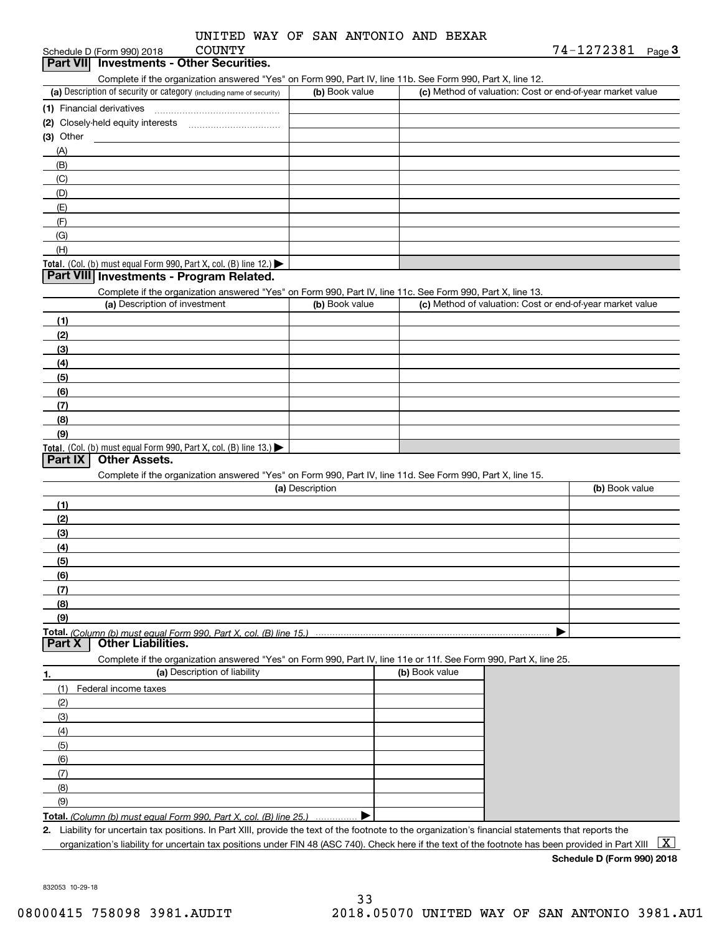| UNITED WAY OF SAN ANTONIO AND BEXAR |
|-------------------------------------|
|-------------------------------------|

Schedule D (Form 990) 2018 COUNTY

### Complete if the organization answered "Yes" on Form 990, Part IV, line 11b. See Form 990, Part X, line 12. **Part VII Investments - Other Securities.**

| (a) Description of security or category (including name of security)                          | (b) Book value | (c) Method of valuation: Cost or end-of-year market value |
|-----------------------------------------------------------------------------------------------|----------------|-----------------------------------------------------------|
| (1) Financial derivatives                                                                     |                |                                                           |
| (2) Closely-held equity interests                                                             |                |                                                           |
| $(3)$ Other                                                                                   |                |                                                           |
| (A)                                                                                           |                |                                                           |
| (B)                                                                                           |                |                                                           |
| (C)                                                                                           |                |                                                           |
| (D)                                                                                           |                |                                                           |
| (E)                                                                                           |                |                                                           |
| (F)                                                                                           |                |                                                           |
| (G)                                                                                           |                |                                                           |
| (H)                                                                                           |                |                                                           |
| <b>Total.</b> (Col. (b) must equal Form 990, Part X, col. (B) line 12.) $\blacktriangleright$ |                |                                                           |

#### **Part VIII Investments - Program Related.**

Complete if the organization answered "Yes" on Form 990, Part IV, line 11c. See Form 990, Part X, line 13.

| (a) Description of investment                                                          | (b) Book value | (c) Method of valuation: Cost or end-of-year market value |
|----------------------------------------------------------------------------------------|----------------|-----------------------------------------------------------|
| (1)                                                                                    |                |                                                           |
| (2)                                                                                    |                |                                                           |
| $\frac{1}{2}$                                                                          |                |                                                           |
| (4)                                                                                    |                |                                                           |
| (5)                                                                                    |                |                                                           |
| (6)                                                                                    |                |                                                           |
| (7)                                                                                    |                |                                                           |
| (8)                                                                                    |                |                                                           |
| (9)                                                                                    |                |                                                           |
| Total. (Col. (b) must equal Form 990, Part X, col. (B) line 13.) $\blacktriangleright$ |                |                                                           |

### **Part IX Other Assets.**

Complete if the organization answered "Yes" on Form 990, Part IV, line 11d. See Form 990, Part X, line 15.

| (a) Description  | (b) Book value |
|------------------|----------------|
| (1)              |                |
| (2)              |                |
| $\left(3\right)$ |                |
| (4)              |                |
| $\frac{1}{2}$    |                |
| (6)              |                |
|                  |                |
| (8)              |                |
| (9)              |                |
|                  |                |

#### **Part X Other Liabilities.**

Complete if the organization answered "Yes" on Form 990, Part IV, line 11e or 11f. See Form 990, Part X, line 25.

| 1.  | (a) Description of liability                                       | (b) Book value |
|-----|--------------------------------------------------------------------|----------------|
| (1) | Federal income taxes                                               |                |
| (2) |                                                                    |                |
| (3) |                                                                    |                |
| (4) |                                                                    |                |
| (5) |                                                                    |                |
| (6) |                                                                    |                |
| (7) |                                                                    |                |
| (8) |                                                                    |                |
| (9) |                                                                    |                |
|     | $Total (Colving (b) must equal Form 000. Part X, and (D) line 25)$ |                |

**Total.**  *(Column (b) must equal Form 990, Part X, col. (B) line 25.)* . . . . . . . . . . . . . . . …. ▶

**2.**Liability for uncertain tax positions. In Part XIII, provide the text of the footnote to the organization's financial statements that reports the organization's liability for uncertain tax positions under FIN 48 (ASC 740). Check here if the text of the footnote has been provided in Part XIII  $~\boxed{\rm X}$ 

**Schedule D (Form 990) 2018**

832053 10-29-18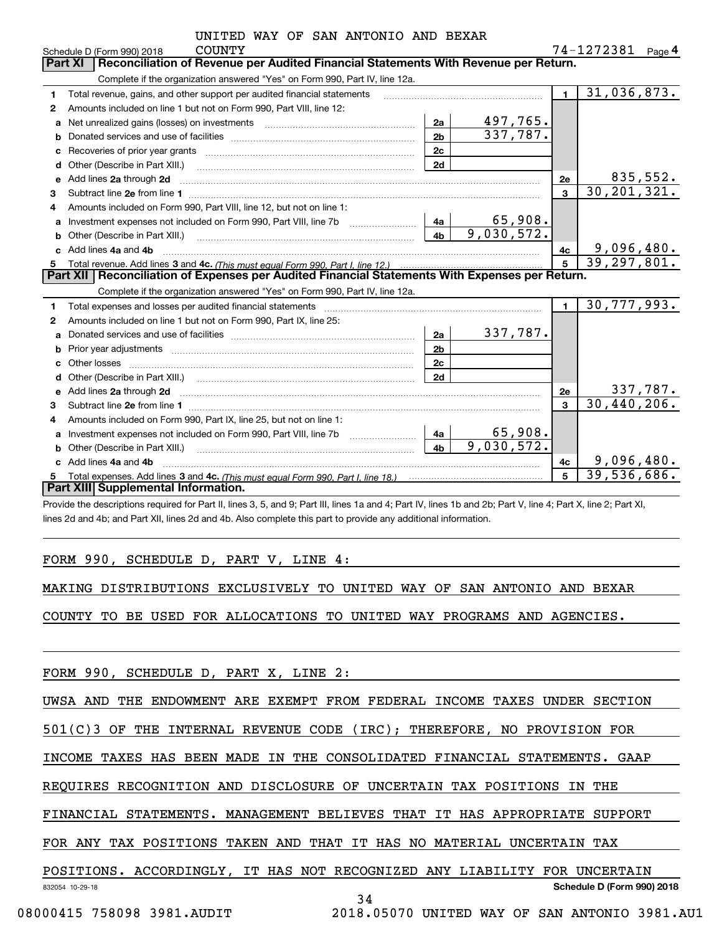|  |  |  |  | UNITED WAY OF SAN ANTONIO AND BEXAR |  |  |
|--|--|--|--|-------------------------------------|--|--|
|--|--|--|--|-------------------------------------|--|--|

|   | <b>COUNTY</b><br>Schedule D (Form 990) 2018                                                                                                                                                                                   |                | 74-1272381<br>Page 4     |
|---|-------------------------------------------------------------------------------------------------------------------------------------------------------------------------------------------------------------------------------|----------------|--------------------------|
|   | <b>Part XI</b><br>Reconciliation of Revenue per Audited Financial Statements With Revenue per Return.                                                                                                                         |                |                          |
|   | Complete if the organization answered "Yes" on Form 990, Part IV, line 12a.                                                                                                                                                   |                |                          |
| 1 | Total revenue, gains, and other support per audited financial statements                                                                                                                                                      | $\blacksquare$ | 31,036,873.              |
| 2 | Amounts included on line 1 but not on Form 990, Part VIII, line 12:                                                                                                                                                           |                |                          |
| a | 497,765.<br>2a                                                                                                                                                                                                                |                |                          |
|   | 337,787.<br>2 <sub>b</sub>                                                                                                                                                                                                    |                |                          |
| C | 2c                                                                                                                                                                                                                            |                |                          |
| d | 2d                                                                                                                                                                                                                            |                |                          |
| e | Add lines 2a through 2d                                                                                                                                                                                                       | <b>2e</b>      | 835,552.                 |
| 3 |                                                                                                                                                                                                                               | $\overline{3}$ | 30, 201, 321.            |
| 4 | Amounts included on Form 990, Part VIII, line 12, but not on line 1:                                                                                                                                                          |                |                          |
|   | 65,908.<br>4a l                                                                                                                                                                                                               |                |                          |
| b | 9,030,572.<br>4 <sub>h</sub><br>Other (Describe in Part XIII.) <b>Construction Contract Construction</b> Construction Construction Construction Constr                                                                        |                |                          |
|   | c Add lines 4a and 4b                                                                                                                                                                                                         | 4c             | 9,096,480.               |
| 5 |                                                                                                                                                                                                                               | 5              | $\overline{39,297,801.}$ |
|   |                                                                                                                                                                                                                               |                |                          |
|   | Part XII Reconciliation of Expenses per Audited Financial Statements With Expenses per Return.                                                                                                                                |                |                          |
|   | Complete if the organization answered "Yes" on Form 990, Part IV, line 12a.                                                                                                                                                   |                |                          |
| 1 | Total expenses and losses per audited financial statements [11, 11] manuscription control expenses and losses per audited financial statements [11] manuscription of the statements [11] manuscription of the statements [11] | $\mathbf{1}$   | 30,777,993.              |
| 2 | Amounts included on line 1 but not on Form 990, Part IX, line 25:                                                                                                                                                             |                |                          |
| a | 337,787.<br>2a                                                                                                                                                                                                                |                |                          |
| b | 2 <sub>b</sub>                                                                                                                                                                                                                |                |                          |
| c | 2c                                                                                                                                                                                                                            |                |                          |
|   | 2d                                                                                                                                                                                                                            |                |                          |
| е | Add lines 2a through 2d                                                                                                                                                                                                       | 2e             | 337,787.                 |
| 3 |                                                                                                                                                                                                                               | $\overline{3}$ | 30,440,206.              |
| 4 | Amounts included on Form 990, Part IX, line 25, but not on line 1:                                                                                                                                                            |                |                          |
| a | 65,908.<br>4a<br>Investment expenses not included on Form 990, Part VIII, line 7b [1000000000000000000000000000000000                                                                                                         |                |                          |
| b | 9,030,572.<br>4 <sub>h</sub>                                                                                                                                                                                                  |                |                          |
|   | Add lines 4a and 4b                                                                                                                                                                                                           | 4c             | 9,096,480.               |
|   | <b>Part XIII Supplemental Information.</b>                                                                                                                                                                                    | 5              | 39,536,686.              |

Provide the descriptions required for Part II, lines 3, 5, and 9; Part III, lines 1a and 4; Part IV, lines 1b and 2b; Part V, line 4; Part X, line 2; Part XI, lines 2d and 4b; and Part XII, lines 2d and 4b. Also complete this part to provide any additional information.

### FORM 990, SCHEDULE D, PART V, LINE 4:

MAKING DISTRIBUTIONS EXCLUSIVELY TO UNITED WAY OF SAN ANTONIO AND BEXAR

COUNTY TO BE USED FOR ALLOCATIONS TO UNITED WAY PROGRAMS AND AGENCIES.

FORM 990, SCHEDULE D, PART X, LINE 2:

UWSA AND THE ENDOWMENT ARE EXEMPT FROM FEDERAL INCOME TAXES UNDER SECTION

501(C)3 OF THE INTERNAL REVENUE CODE (IRC); THEREFORE, NO PROVISION FOR

INCOME TAXES HAS BEEN MADE IN THE CONSOLIDATED FINANCIAL STATEMENTS. GAAP

REQUIRES RECOGNITION AND DISCLOSURE OF UNCERTAIN TAX POSITIONS IN THE

FINANCIAL STATEMENTS. MANAGEMENT BELIEVES THAT IT HAS APPROPRIATE SUPPORT

FOR ANY TAX POSITIONS TAKEN AND THAT IT HAS NO MATERIAL UNCERTAIN TAX

#### 832054 10-29-18 **Schedule D (Form 990) 2018** POSITIONS. ACCORDINGLY, IT HAS NOT RECOGNIZED ANY LIABILITY FOR UNCERTAIN

34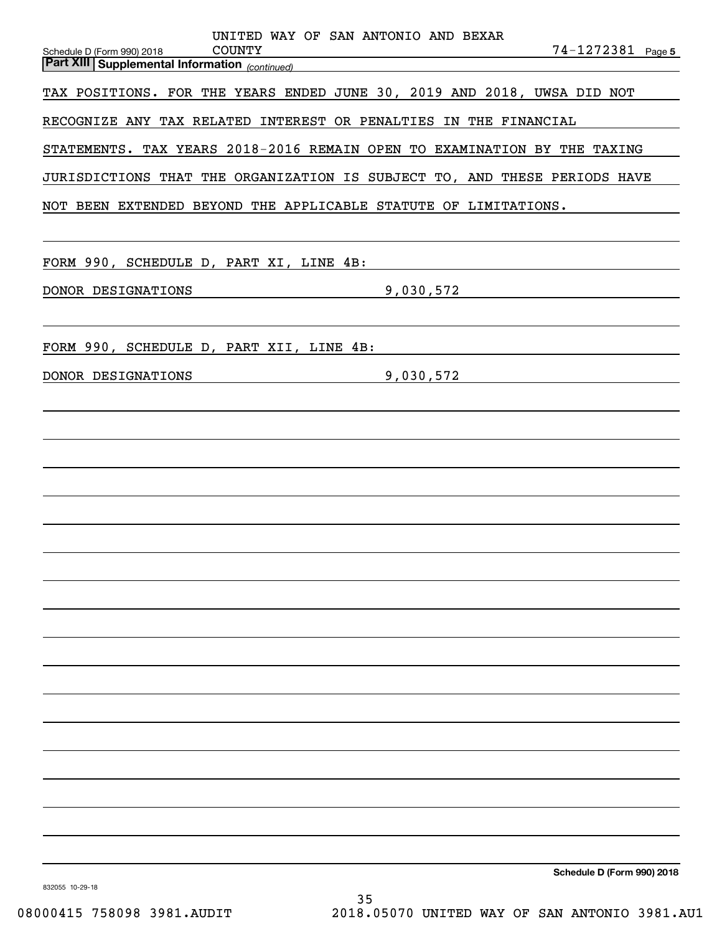| UNITED WAY OF SAN ANTONIO AND BEXAR                                                                                           |
|-------------------------------------------------------------------------------------------------------------------------------|
| <b>COUNTY</b><br>$74 - 1272381$ Page 5<br>Schedule D (Form 990) 2018<br><b>Part XIII Supplemental Information</b> (continued) |
| TAX POSITIONS. FOR THE YEARS ENDED JUNE 30, 2019 AND 2018, UWSA DID NOT                                                       |
| RECOGNIZE ANY TAX RELATED INTEREST OR PENALTIES IN THE FINANCIAL                                                              |
| STATEMENTS. TAX YEARS 2018-2016 REMAIN OPEN TO EXAMINATION BY THE TAXING                                                      |
| JURISDICTIONS THAT THE ORGANIZATION IS SUBJECT TO, AND THESE PERIODS HAVE                                                     |
| NOT BEEN EXTENDED BEYOND THE APPLICABLE STATUTE OF LIMITATIONS.                                                               |
| FORM 990, SCHEDULE D, PART XI, LINE 4B:                                                                                       |
| DONOR DESIGNATIONS 9,030,572                                                                                                  |
|                                                                                                                               |
| FORM 990, SCHEDULE D, PART XII, LINE 4B:                                                                                      |
| DONOR DESIGNATIONS                                                                                                            |
|                                                                                                                               |
|                                                                                                                               |
|                                                                                                                               |
|                                                                                                                               |
|                                                                                                                               |
|                                                                                                                               |
|                                                                                                                               |
|                                                                                                                               |
|                                                                                                                               |
|                                                                                                                               |
|                                                                                                                               |
|                                                                                                                               |
|                                                                                                                               |
|                                                                                                                               |
|                                                                                                                               |
|                                                                                                                               |
|                                                                                                                               |
| Schedule D (Form 990) 2018                                                                                                    |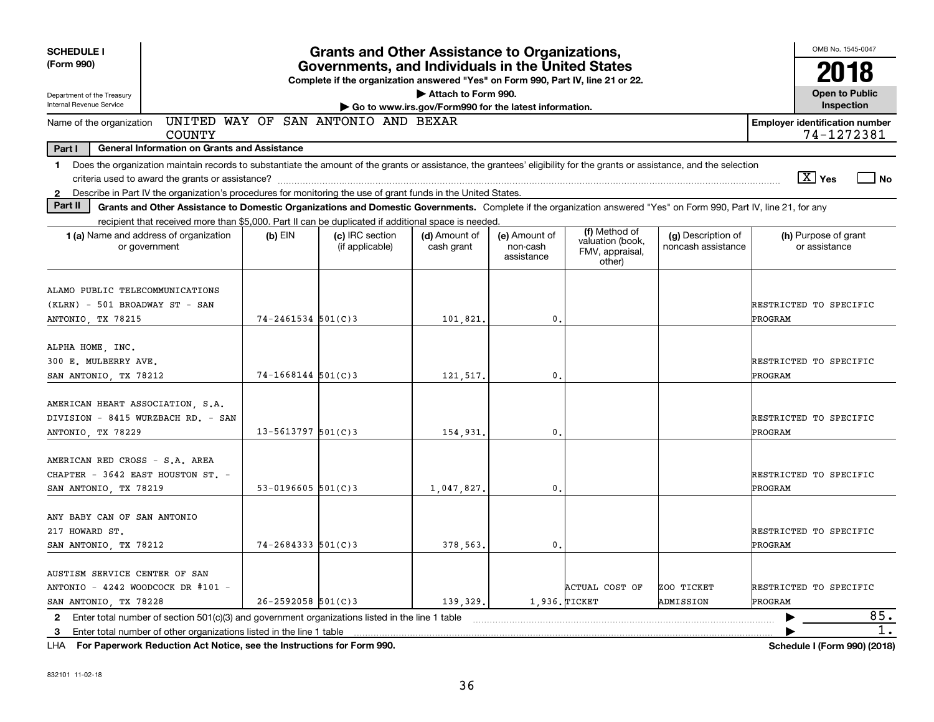| <b>SCHEDULE I</b>                                                                                 | <b>Grants and Other Assistance to Organizations,</b>                                                                                  |                         |                                                                                                               |                                                                              |                                         |                                                                |                                                                                                                                                                          | OMB No. 1545-0047                 |                                                     |  |  |
|---------------------------------------------------------------------------------------------------|---------------------------------------------------------------------------------------------------------------------------------------|-------------------------|---------------------------------------------------------------------------------------------------------------|------------------------------------------------------------------------------|-----------------------------------------|----------------------------------------------------------------|--------------------------------------------------------------------------------------------------------------------------------------------------------------------------|-----------------------------------|-----------------------------------------------------|--|--|
| (Form 990)                                                                                        | Governments, and Individuals in the United States<br>Complete if the organization answered "Yes" on Form 990, Part IV, line 21 or 22. |                         |                                                                                                               |                                                                              |                                         |                                                                |                                                                                                                                                                          |                                   |                                                     |  |  |
| Department of the Treasury<br>Internal Revenue Service                                            |                                                                                                                                       |                         |                                                                                                               | Attach to Form 990.<br>Go to www.irs.gov/Form990 for the latest information. |                                         |                                                                |                                                                                                                                                                          |                                   | <b>Open to Public</b><br>Inspection                 |  |  |
| Name of the organization                                                                          | COUNTY                                                                                                                                |                         | UNITED WAY OF SAN ANTONIO AND BEXAR                                                                           |                                                                              |                                         |                                                                |                                                                                                                                                                          |                                   | <b>Employer identification number</b><br>74-1272381 |  |  |
| Part I                                                                                            | <b>General Information on Grants and Assistance</b>                                                                                   |                         |                                                                                                               |                                                                              |                                         |                                                                |                                                                                                                                                                          |                                   |                                                     |  |  |
| 1<br>$\mathbf{2}$                                                                                 |                                                                                                                                       |                         | Describe in Part IV the organization's procedures for monitoring the use of grant funds in the United States. |                                                                              |                                         |                                                                | Does the organization maintain records to substantiate the amount of the grants or assistance, the grantees' eligibility for the grants or assistance, and the selection |                                   | $\boxed{\text{X}}$ Yes<br>$\blacksquare$ No         |  |  |
| Part II                                                                                           |                                                                                                                                       |                         |                                                                                                               |                                                                              |                                         |                                                                | Grants and Other Assistance to Domestic Organizations and Domestic Governments. Complete if the organization answered "Yes" on Form 990, Part IV, line 21, for any       |                                   |                                                     |  |  |
|                                                                                                   |                                                                                                                                       |                         | recipient that received more than \$5,000. Part II can be duplicated if additional space is needed.           |                                                                              |                                         |                                                                |                                                                                                                                                                          |                                   |                                                     |  |  |
| 1 (a) Name and address of organization<br>or government                                           |                                                                                                                                       | $(b)$ EIN               | (c) IRC section<br>(if applicable)                                                                            | (d) Amount of<br>cash grant                                                  | (e) Amount of<br>non-cash<br>assistance | (f) Method of<br>valuation (book,<br>FMV, appraisal,<br>other) | (g) Description of<br>noncash assistance                                                                                                                                 |                                   | (h) Purpose of grant<br>or assistance               |  |  |
| ALAMO PUBLIC TELECOMMUNICATIONS<br>(KLRN) - 501 BROADWAY ST - SAN<br>ANTONIO, TX 78215            |                                                                                                                                       | $74 - 2461534$ 501(C)3  |                                                                                                               | 101,821.                                                                     | 0.                                      |                                                                |                                                                                                                                                                          | RESTRICTED TO SPECIFIC<br>PROGRAM |                                                     |  |  |
| ALPHA HOME, INC.<br>300 E. MULBERRY AVE.<br>SAN ANTONIO, TX 78212                                 |                                                                                                                                       | $74 - 1668144$ 501(C)3  |                                                                                                               | 121,517.                                                                     | 0.                                      |                                                                |                                                                                                                                                                          | RESTRICTED TO SPECIFIC<br>PROGRAM |                                                     |  |  |
| AMERICAN HEART ASSOCIATION, S.A.<br>DIVISION - 8415 WURZBACH RD. - SAN<br>ANTONIO, TX 78229       |                                                                                                                                       | $13 - 5613797$ 501(C) 3 |                                                                                                               | 154,931.                                                                     | 0.                                      |                                                                |                                                                                                                                                                          | RESTRICTED TO SPECIFIC<br>PROGRAM |                                                     |  |  |
| AMERICAN RED CROSS - S.A. AREA<br>CHAPTER - 3642 EAST HOUSTON ST. -<br>SAN ANTONIO, TX 78219      |                                                                                                                                       | $53 - 0196605$ 501(C)3  |                                                                                                               | 1,047,827.                                                                   | 0.                                      |                                                                |                                                                                                                                                                          | RESTRICTED TO SPECIFIC<br>PROGRAM |                                                     |  |  |
| ANY BABY CAN OF SAN ANTONIO<br>217 HOWARD ST.<br>SAN ANTONIO, TX 78212                            |                                                                                                                                       | $74 - 2684333$ 501(C)3  |                                                                                                               | 378,563.                                                                     | 0.                                      |                                                                |                                                                                                                                                                          | RESTRICTED TO SPECIFIC<br>PROGRAM |                                                     |  |  |
| AUSTISM SERVICE CENTER OF SAN<br>ANTONIO - 4242 WOODCOCK DR #101 -<br>SAN ANTONIO, TX 78228       |                                                                                                                                       | $26 - 2592058$ 501(C)3  |                                                                                                               | 139.329.                                                                     |                                         | ACTUAL COST OF<br>1.936. TICKET                                | ZOO TICKET<br>ADMISSION                                                                                                                                                  | RESTRICTED TO SPECIFIC<br>PROGRAM |                                                     |  |  |
| 2 Enter total number of section 501(c)(3) and government organizations listed in the line 1 table |                                                                                                                                       |                         |                                                                                                               |                                                                              |                                         |                                                                |                                                                                                                                                                          |                                   | 85.                                                 |  |  |
| 3 Enter total number of other organizations listed in the line 1 table                            |                                                                                                                                       |                         |                                                                                                               |                                                                              |                                         |                                                                |                                                                                                                                                                          |                                   | 1.                                                  |  |  |

**For Paperwork Reduction Act Notice, see the Instructions for Form 990. Schedule I (Form 990) (2018)** LHA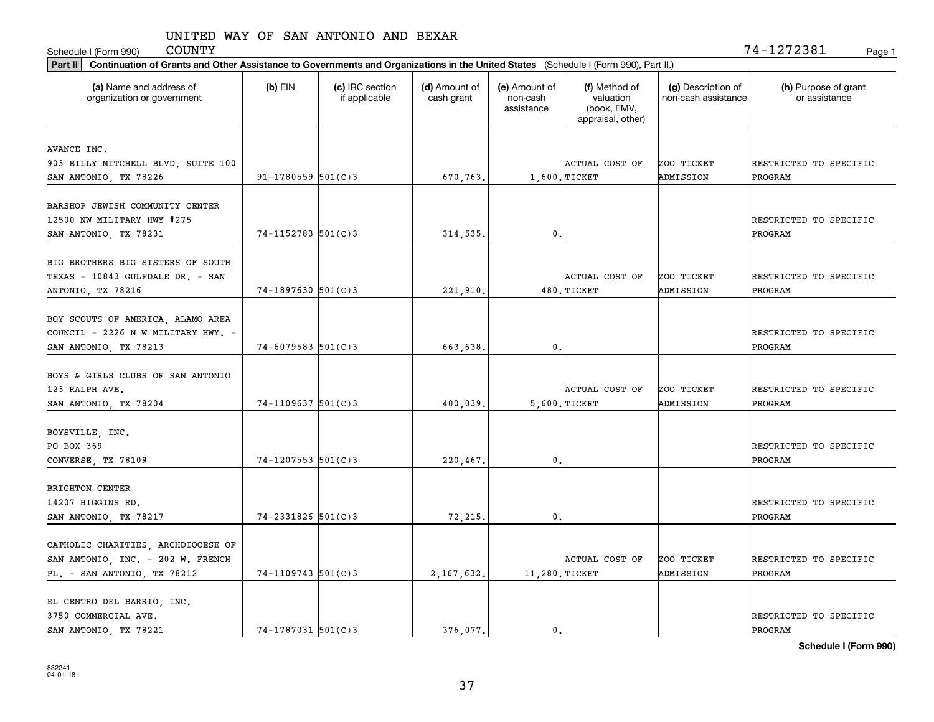Schedule I (Form 990) Page 1

| Part II   Continuation of Grants and Other Assistance to Governments and Organizations in the United States (Schedule I (Form 990), Part II.) |                         |                                  |                             |                                         |                                                                |                                           |                                       |
|-----------------------------------------------------------------------------------------------------------------------------------------------|-------------------------|----------------------------------|-----------------------------|-----------------------------------------|----------------------------------------------------------------|-------------------------------------------|---------------------------------------|
| (a) Name and address of<br>organization or government                                                                                         | $(b)$ EIN               | (c) IRC section<br>if applicable | (d) Amount of<br>cash grant | (e) Amount of<br>non-cash<br>assistance | (f) Method of<br>valuation<br>(book, FMV,<br>appraisal, other) | (g) Description of<br>non-cash assistance | (h) Purpose of grant<br>or assistance |
|                                                                                                                                               |                         |                                  |                             |                                         |                                                                |                                           |                                       |
| AVANCE INC.                                                                                                                                   |                         |                                  |                             |                                         |                                                                |                                           |                                       |
| 903 BILLY MITCHELL BLVD, SUITE 100<br>SAN ANTONIO, TX 78226                                                                                   | $91 - 1780559$ 501(C)3  |                                  | 670,763.                    |                                         | ACTUAL COST OF<br>1,600. TICKET                                | ZOO TICKET<br>ADMISSION                   | RESTRICTED TO SPECIFIC<br>PROGRAM     |
|                                                                                                                                               |                         |                                  |                             |                                         |                                                                |                                           |                                       |
| BARSHOP JEWISH COMMUNITY CENTER                                                                                                               |                         |                                  |                             |                                         |                                                                |                                           |                                       |
| 12500 NW MILITARY HWY #275                                                                                                                    |                         |                                  |                             |                                         |                                                                |                                           | RESTRICTED TO SPECIFIC                |
| SAN ANTONIO, TX 78231                                                                                                                         | $74 - 1152783$ 501(C) 3 |                                  | 314, 535.                   | 0.                                      |                                                                |                                           | PROGRAM                               |
|                                                                                                                                               |                         |                                  |                             |                                         |                                                                |                                           |                                       |
| BIG BROTHERS BIG SISTERS OF SOUTH                                                                                                             |                         |                                  |                             |                                         |                                                                |                                           |                                       |
| TEXAS - 10843 GULFDALE DR. - SAN                                                                                                              |                         |                                  |                             |                                         | ACTUAL COST OF                                                 | ZOO TICKET                                | RESTRICTED TO SPECIFIC                |
| ANTONIO, TX 78216                                                                                                                             | $74 - 1897630$ 501(C)3  |                                  | 221,910.                    |                                         | 480. TICKET                                                    | ADMISSION                                 | PROGRAM                               |
|                                                                                                                                               |                         |                                  |                             |                                         |                                                                |                                           |                                       |
| BOY SCOUTS OF AMERICA, ALAMO AREA                                                                                                             |                         |                                  |                             |                                         |                                                                |                                           |                                       |
| COUNCIL - 2226 N W MILITARY HWY. -                                                                                                            |                         |                                  |                             |                                         |                                                                |                                           | RESTRICTED TO SPECIFIC                |
| SAN ANTONIO, TX 78213                                                                                                                         | $74 - 6079583$ 501(C)3  |                                  | 663,638.                    | 0.                                      |                                                                |                                           | PROGRAM                               |
|                                                                                                                                               |                         |                                  |                             |                                         |                                                                |                                           |                                       |
| BOYS & GIRLS CLUBS OF SAN ANTONIO                                                                                                             |                         |                                  |                             |                                         |                                                                |                                           |                                       |
| 123 RALPH AVE.                                                                                                                                |                         |                                  |                             |                                         | ACTUAL COST OF                                                 | ZOO TICKET                                | RESTRICTED TO SPECIFIC                |
| SAN ANTONIO, TX 78204                                                                                                                         | $74 - 1109637$ 501(C)3  |                                  | 400,039.                    |                                         | 5,600. TICKET                                                  | ADMISSION                                 | PROGRAM                               |
|                                                                                                                                               |                         |                                  |                             |                                         |                                                                |                                           |                                       |
| BOYSVILLE, INC.                                                                                                                               |                         |                                  |                             |                                         |                                                                |                                           |                                       |
| PO BOX 369                                                                                                                                    |                         |                                  |                             |                                         |                                                                |                                           | RESTRICTED TO SPECIFIC                |
| CONVERSE, TX 78109                                                                                                                            | $74 - 1207553$ 501(C)3  |                                  | 220,467.                    | 0.                                      |                                                                |                                           | PROGRAM                               |
| <b>BRIGHTON CENTER</b>                                                                                                                        |                         |                                  |                             |                                         |                                                                |                                           |                                       |
| 14207 HIGGINS RD.                                                                                                                             |                         |                                  |                             |                                         |                                                                |                                           | RESTRICTED TO SPECIFIC                |
|                                                                                                                                               | $74 - 2331826$ 501(C)3  |                                  |                             |                                         |                                                                |                                           |                                       |
| SAN ANTONIO, TX 78217                                                                                                                         |                         |                                  | 72,215.                     | 0.                                      |                                                                |                                           | PROGRAM                               |
| CATHOLIC CHARITIES, ARCHDIOCESE OF                                                                                                            |                         |                                  |                             |                                         |                                                                |                                           |                                       |
| SAN ANTONIO, INC. - 202 W. FRENCH                                                                                                             |                         |                                  |                             |                                         | ACTUAL COST OF                                                 | ZOO TICKET                                | RESTRICTED TO SPECIFIC                |
| PL. - SAN ANTONIO, TX 78212                                                                                                                   | $74 - 1109743$ 501(C)3  |                                  | 2, 167, 632.                | 11,280. TICKET                          |                                                                | ADMISSION                                 | <b>PROGRAM</b>                        |
|                                                                                                                                               |                         |                                  |                             |                                         |                                                                |                                           |                                       |
| EL CENTRO DEL BARRIO, INC.                                                                                                                    |                         |                                  |                             |                                         |                                                                |                                           |                                       |
| 3750 COMMERCIAL AVE.                                                                                                                          |                         |                                  |                             |                                         |                                                                |                                           | RESTRICTED TO SPECIFIC                |
| SAN ANTONIO, TX 78221                                                                                                                         | $74 - 1787031$ 501(C)3  |                                  | 376.077.                    | $\mathbf{0}$ .                          |                                                                |                                           | PROGRAM                               |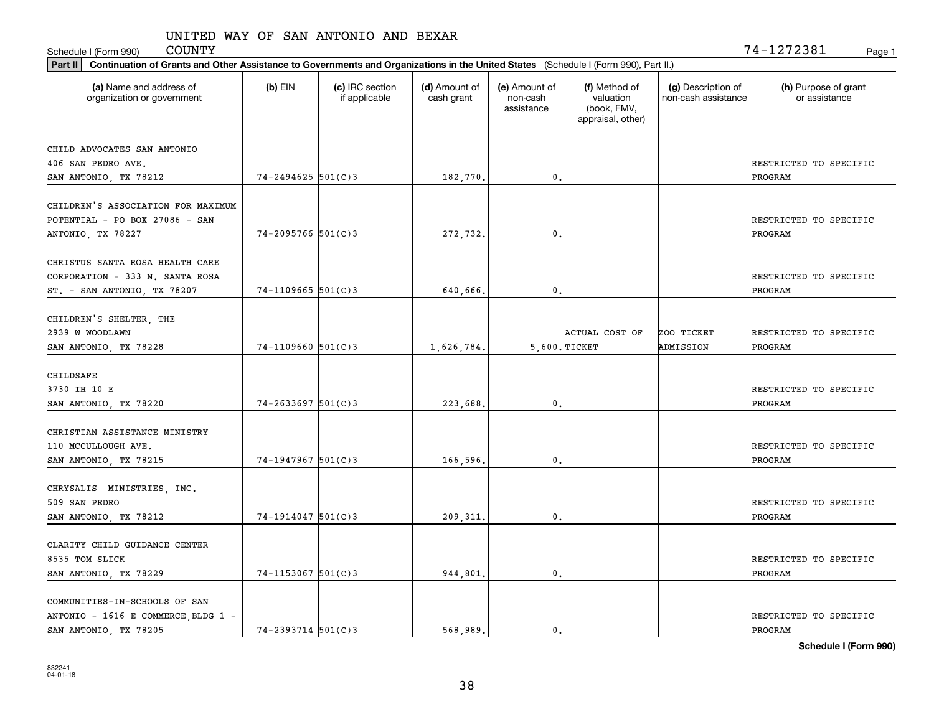| Part II   Continuation of Grants and Other Assistance to Governments and Organizations in the United States (Schedule I (Form 990), Part II.) |                        |                                  |                             |                                         |                                                                |                                           |                                       |
|-----------------------------------------------------------------------------------------------------------------------------------------------|------------------------|----------------------------------|-----------------------------|-----------------------------------------|----------------------------------------------------------------|-------------------------------------------|---------------------------------------|
| (a) Name and address of<br>organization or government                                                                                         | $(b)$ EIN              | (c) IRC section<br>if applicable | (d) Amount of<br>cash grant | (e) Amount of<br>non-cash<br>assistance | (f) Method of<br>valuation<br>(book, FMV,<br>appraisal, other) | (g) Description of<br>non-cash assistance | (h) Purpose of grant<br>or assistance |
|                                                                                                                                               |                        |                                  |                             |                                         |                                                                |                                           |                                       |
| CHILD ADVOCATES SAN ANTONIO<br>406 SAN PEDRO AVE.                                                                                             |                        |                                  |                             |                                         |                                                                |                                           | RESTRICTED TO SPECIFIC                |
| SAN ANTONIO, TX 78212                                                                                                                         | $74 - 2494625$ 501(C)3 |                                  | 182,770.                    | 0.                                      |                                                                |                                           | <b>PROGRAM</b>                        |
|                                                                                                                                               |                        |                                  |                             |                                         |                                                                |                                           |                                       |
| CHILDREN'S ASSOCIATION FOR MAXIMUM                                                                                                            |                        |                                  |                             |                                         |                                                                |                                           |                                       |
| POTENTIAL - PO BOX 27086 - SAN                                                                                                                |                        |                                  |                             |                                         |                                                                |                                           | RESTRICTED TO SPECIFIC                |
| ANTONIO, TX 78227                                                                                                                             | $74 - 2095766$ 501(C)3 |                                  | 272,732.                    | 0.                                      |                                                                |                                           | PROGRAM                               |
|                                                                                                                                               |                        |                                  |                             |                                         |                                                                |                                           |                                       |
| CHRISTUS SANTA ROSA HEALTH CARE                                                                                                               |                        |                                  |                             |                                         |                                                                |                                           |                                       |
| CORPORATION - 333 N. SANTA ROSA                                                                                                               |                        |                                  |                             |                                         |                                                                |                                           | RESTRICTED TO SPECIFIC                |
| ST. - SAN ANTONIO, TX 78207                                                                                                                   | $74 - 1109665$ 501(C)3 |                                  | 640,666.                    | 0.                                      |                                                                |                                           | PROGRAM                               |
| CHILDREN'S SHELTER, THE                                                                                                                       |                        |                                  |                             |                                         |                                                                |                                           |                                       |
| 2939 W WOODLAWN                                                                                                                               |                        |                                  |                             |                                         | ACTUAL COST OF                                                 | ZOO TICKET                                | RESTRICTED TO SPECIFIC                |
| SAN ANTONIO, TX 78228                                                                                                                         | $74-1109660$ 501(C)3   |                                  | 1,626,784.                  |                                         | 5,600. TICKET                                                  | ADMISSION                                 | PROGRAM                               |
|                                                                                                                                               |                        |                                  |                             |                                         |                                                                |                                           |                                       |
| CHILDSAFE                                                                                                                                     |                        |                                  |                             |                                         |                                                                |                                           |                                       |
| 3730 IH 10 E                                                                                                                                  |                        |                                  |                             |                                         |                                                                |                                           | RESTRICTED TO SPECIFIC                |
| SAN ANTONIO, TX 78220                                                                                                                         | $74 - 2633697$ 501(C)3 |                                  | 223,688.                    | 0.                                      |                                                                |                                           | PROGRAM                               |
|                                                                                                                                               |                        |                                  |                             |                                         |                                                                |                                           |                                       |
| CHRISTIAN ASSISTANCE MINISTRY                                                                                                                 |                        |                                  |                             |                                         |                                                                |                                           |                                       |
| 110 MCCULLOUGH AVE.                                                                                                                           |                        |                                  |                             |                                         |                                                                |                                           | RESTRICTED TO SPECIFIC                |
| SAN ANTONIO, TX 78215                                                                                                                         | $74-1947967$ 501(C)3   |                                  | 166,596.                    | 0.                                      |                                                                |                                           | PROGRAM                               |
|                                                                                                                                               |                        |                                  |                             |                                         |                                                                |                                           |                                       |
| CHRYSALIS MINISTRIES, INC.                                                                                                                    |                        |                                  |                             |                                         |                                                                |                                           |                                       |
| 509 SAN PEDRO                                                                                                                                 |                        |                                  |                             |                                         |                                                                |                                           | RESTRICTED TO SPECIFIC                |
| SAN ANTONIO, TX 78212                                                                                                                         | $74-1914047$ 501(C)3   |                                  | 209, 311.                   | 0.                                      |                                                                |                                           | PROGRAM                               |
| CLARITY CHILD GUIDANCE CENTER                                                                                                                 |                        |                                  |                             |                                         |                                                                |                                           |                                       |
| 8535 TOM SLICK                                                                                                                                |                        |                                  |                             |                                         |                                                                |                                           | RESTRICTED TO SPECIFIC                |
| SAN ANTONIO, TX 78229                                                                                                                         | $74 - 1153067$ 501(C)3 |                                  | 944,801.                    | $\mathfrak o$ .                         |                                                                |                                           | <b>PROGRAM</b>                        |
|                                                                                                                                               |                        |                                  |                             |                                         |                                                                |                                           |                                       |
| COMMUNITIES-IN-SCHOOLS OF SAN                                                                                                                 |                        |                                  |                             |                                         |                                                                |                                           |                                       |
| ANTONIO - 1616 E COMMERCE BLDG 1 -                                                                                                            |                        |                                  |                             |                                         |                                                                |                                           | RESTRICTED TO SPECIFIC                |
| SAN ANTONIO, TX 78205                                                                                                                         | $74 - 2393714$ 501(C)3 |                                  | 568.989.                    | $\mathfrak{o}$ .                        |                                                                |                                           | PROGRAM                               |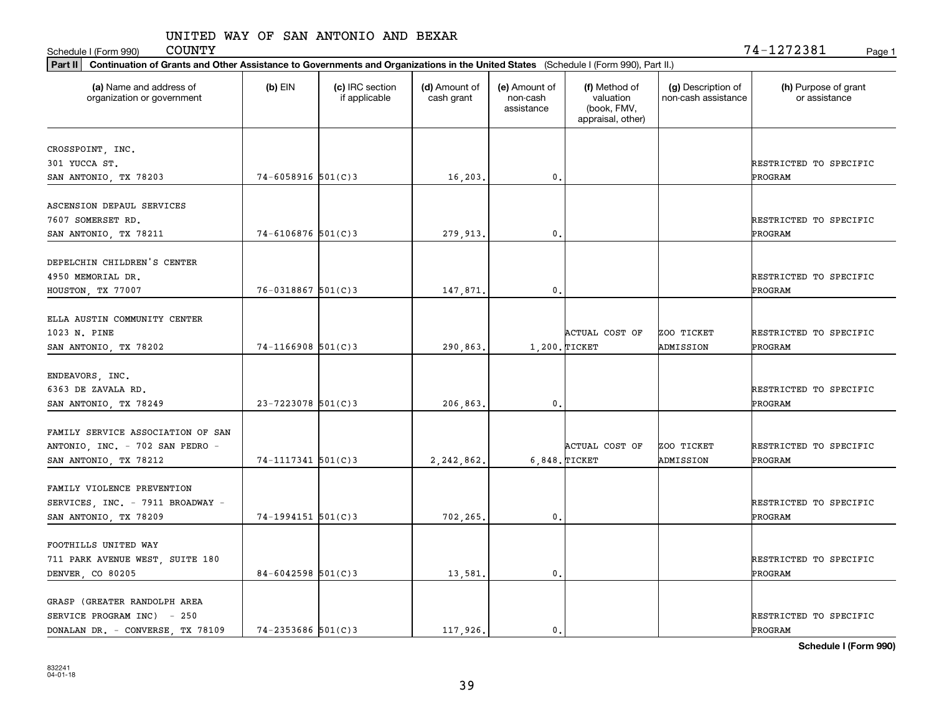Schedule I (Form 990) COUNTY Page 1

| Part II   Continuation of Grants and Other Assistance to Governments and Organizations in the United States (Schedule I (Form 990), Part II.) |                        |                                  |                             |                                         |                                                                |                                           |                                       |
|-----------------------------------------------------------------------------------------------------------------------------------------------|------------------------|----------------------------------|-----------------------------|-----------------------------------------|----------------------------------------------------------------|-------------------------------------------|---------------------------------------|
| (a) Name and address of<br>organization or government                                                                                         | $(b)$ EIN              | (c) IRC section<br>if applicable | (d) Amount of<br>cash grant | (e) Amount of<br>non-cash<br>assistance | (f) Method of<br>valuation<br>(book, FMV,<br>appraisal, other) | (g) Description of<br>non-cash assistance | (h) Purpose of grant<br>or assistance |
|                                                                                                                                               |                        |                                  |                             |                                         |                                                                |                                           |                                       |
| CROSSPOINT, INC.<br>301 YUCCA ST.                                                                                                             |                        |                                  |                             |                                         |                                                                |                                           | RESTRICTED TO SPECIFIC                |
| SAN ANTONIO, TX 78203                                                                                                                         | $74 - 6058916$ 501(C)3 |                                  | 16,203.                     | 0.                                      |                                                                |                                           | <b>PROGRAM</b>                        |
|                                                                                                                                               |                        |                                  |                             |                                         |                                                                |                                           |                                       |
| ASCENSION DEPAUL SERVICES                                                                                                                     |                        |                                  |                             |                                         |                                                                |                                           |                                       |
| 7607 SOMERSET RD.                                                                                                                             |                        |                                  |                             |                                         |                                                                |                                           | RESTRICTED TO SPECIFIC                |
| SAN ANTONIO, TX 78211                                                                                                                         | $74 - 6106876$ 501(C)3 |                                  | 279,913.                    | 0.                                      |                                                                |                                           | PROGRAM                               |
| DEPELCHIN CHILDREN'S CENTER                                                                                                                   |                        |                                  |                             |                                         |                                                                |                                           |                                       |
| 4950 MEMORIAL DR.                                                                                                                             |                        |                                  |                             |                                         |                                                                |                                           | RESTRICTED TO SPECIFIC                |
| HOUSTON, TX 77007                                                                                                                             | $76 - 0318867$ 501(C)3 |                                  | 147,871.                    | 0.                                      |                                                                |                                           | PROGRAM                               |
|                                                                                                                                               |                        |                                  |                             |                                         |                                                                |                                           |                                       |
| ELLA AUSTIN COMMUNITY CENTER                                                                                                                  |                        |                                  |                             |                                         |                                                                |                                           |                                       |
| 1023 N. PINE                                                                                                                                  |                        |                                  |                             |                                         | ACTUAL COST OF                                                 | ZOO TICKET                                | RESTRICTED TO SPECIFIC                |
| SAN ANTONIO, TX 78202                                                                                                                         | $74 - 1166908$ 501(C)3 |                                  | 290,863.                    |                                         | 1,200. TICKET                                                  | ADMISSION                                 | PROGRAM                               |
| ENDEAVORS, INC.                                                                                                                               |                        |                                  |                             |                                         |                                                                |                                           |                                       |
| 6363 DE ZAVALA RD.                                                                                                                            |                        |                                  |                             |                                         |                                                                |                                           | RESTRICTED TO SPECIFIC                |
| SAN ANTONIO, TX 78249                                                                                                                         | $23 - 7223078$ 501(C)3 |                                  | 206,863.                    | 0.                                      |                                                                |                                           | PROGRAM                               |
|                                                                                                                                               |                        |                                  |                             |                                         |                                                                |                                           |                                       |
| FAMILY SERVICE ASSOCIATION OF SAN                                                                                                             |                        |                                  |                             |                                         |                                                                |                                           |                                       |
| ANTONIO, INC. - 702 SAN PEDRO -                                                                                                               |                        |                                  |                             |                                         | ACTUAL COST OF                                                 | ZOO TICKET                                | RESTRICTED TO SPECIFIC                |
| SAN ANTONIO, TX 78212                                                                                                                         | 74-1117341 501(C)3     |                                  | 2,242,862.                  |                                         | $6,848.$ TICKET                                                | ADMISSION                                 | PROGRAM                               |
|                                                                                                                                               |                        |                                  |                             |                                         |                                                                |                                           |                                       |
| FAMILY VIOLENCE PREVENTION                                                                                                                    |                        |                                  |                             |                                         |                                                                |                                           |                                       |
| SERVICES, INC. - 7911 BROADWAY -                                                                                                              |                        |                                  |                             |                                         |                                                                |                                           | RESTRICTED TO SPECIFIC                |
| SAN ANTONIO, TX 78209                                                                                                                         | $74-1994151$ 501(C)3   |                                  | 702,265.                    | 0.                                      |                                                                |                                           | PROGRAM                               |
| FOOTHILLS UNITED WAY                                                                                                                          |                        |                                  |                             |                                         |                                                                |                                           |                                       |
| 711 PARK AVENUE WEST, SUITE 180                                                                                                               |                        |                                  |                             |                                         |                                                                |                                           | RESTRICTED TO SPECIFIC                |
| DENVER, CO 80205                                                                                                                              | $84 - 6042598$ 501(C)3 |                                  | 13,581.                     | 0.                                      |                                                                |                                           | <b>PROGRAM</b>                        |
|                                                                                                                                               |                        |                                  |                             |                                         |                                                                |                                           |                                       |
| GRASP (GREATER RANDOLPH AREA                                                                                                                  |                        |                                  |                             |                                         |                                                                |                                           |                                       |
| SERVICE PROGRAM INC) - 250                                                                                                                    |                        |                                  |                             |                                         |                                                                |                                           | RESTRICTED TO SPECIFIC                |
| DONALAN DR. - CONVERSE, TX 78109                                                                                                              | $74 - 2353686$ 501(C)3 |                                  | 117.926.                    | $\mathfrak{o}$ .                        |                                                                |                                           | PROGRAM                               |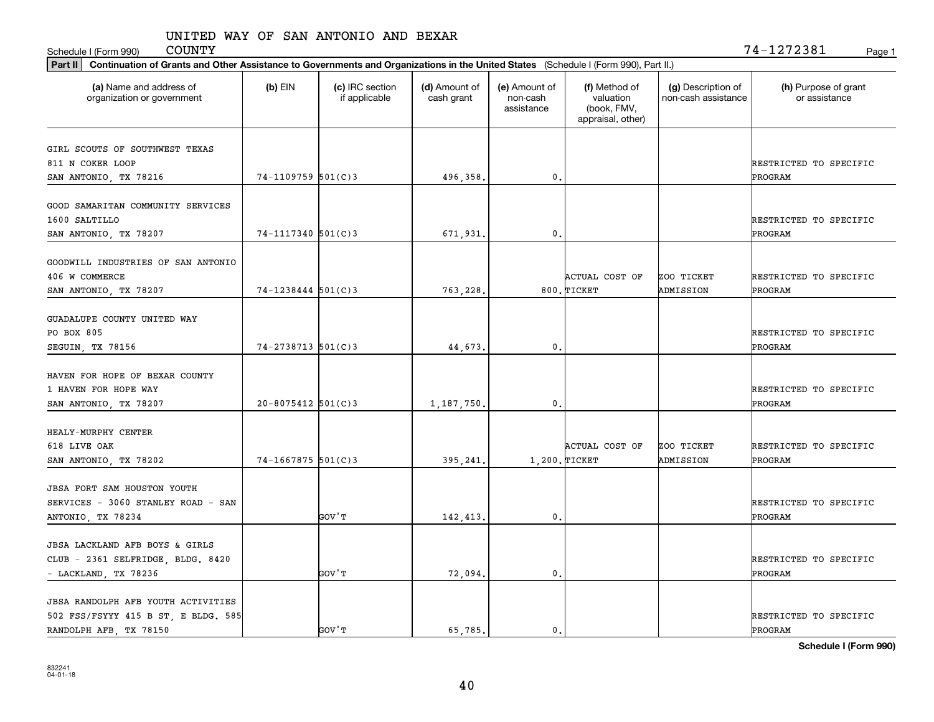Schedule I (Form 990) COUNTY Page 1

| Part II   Continuation of Grants and Other Assistance to Governments and Organizations in the United States (Schedule I (Form 990), Part II.) |                        |                                  |                             |                                         |                                                                |                                           |                                       |
|-----------------------------------------------------------------------------------------------------------------------------------------------|------------------------|----------------------------------|-----------------------------|-----------------------------------------|----------------------------------------------------------------|-------------------------------------------|---------------------------------------|
| (a) Name and address of<br>organization or government                                                                                         | $(b)$ EIN              | (c) IRC section<br>if applicable | (d) Amount of<br>cash grant | (e) Amount of<br>non-cash<br>assistance | (f) Method of<br>valuation<br>(book, FMV,<br>appraisal, other) | (g) Description of<br>non-cash assistance | (h) Purpose of grant<br>or assistance |
| GIRL SCOUTS OF SOUTHWEST TEXAS                                                                                                                |                        |                                  |                             |                                         |                                                                |                                           |                                       |
| 811 N COKER LOOP                                                                                                                              |                        |                                  |                             |                                         |                                                                |                                           | RESTRICTED TO SPECIFIC                |
| SAN ANTONIO, TX 78216                                                                                                                         | $74-1109759$ 501(C)3   |                                  | 496,358.                    | 0.                                      |                                                                |                                           | PROGRAM                               |
|                                                                                                                                               |                        |                                  |                             |                                         |                                                                |                                           |                                       |
| GOOD SAMARITAN COMMUNITY SERVICES                                                                                                             |                        |                                  |                             |                                         |                                                                |                                           |                                       |
| 1600 SALTILLO                                                                                                                                 |                        |                                  |                             |                                         |                                                                |                                           | RESTRICTED TO SPECIFIC                |
| SAN ANTONIO, TX 78207                                                                                                                         | $74 - 1117340$ 501(C)3 |                                  | 671,931.                    | 0.                                      |                                                                |                                           | <b>PROGRAM</b>                        |
| GOODWILL INDUSTRIES OF SAN ANTONIO                                                                                                            |                        |                                  |                             |                                         |                                                                |                                           |                                       |
| 406 W COMMERCE                                                                                                                                |                        |                                  |                             |                                         | ACTUAL COST OF                                                 | ZOO TICKET                                | RESTRICTED TO SPECIFIC                |
| SAN ANTONIO, TX 78207                                                                                                                         | $74 - 1238444$ 501(C)3 |                                  | 763,228.                    |                                         | 800. TICKET                                                    | ADMISSION                                 | PROGRAM                               |
|                                                                                                                                               |                        |                                  |                             |                                         |                                                                |                                           |                                       |
| GUADALUPE COUNTY UNITED WAY                                                                                                                   |                        |                                  |                             |                                         |                                                                |                                           |                                       |
| PO BOX 805                                                                                                                                    |                        |                                  |                             |                                         |                                                                |                                           | RESTRICTED TO SPECIFIC                |
| SEGUIN, TX 78156                                                                                                                              | $74 - 2738713$ 501(C)3 |                                  | 44,673.                     | 0.                                      |                                                                |                                           | PROGRAM                               |
|                                                                                                                                               |                        |                                  |                             |                                         |                                                                |                                           |                                       |
| HAVEN FOR HOPE OF BEXAR COUNTY                                                                                                                |                        |                                  |                             |                                         |                                                                |                                           |                                       |
| 1 HAVEN FOR HOPE WAY                                                                                                                          |                        |                                  |                             |                                         |                                                                |                                           | RESTRICTED TO SPECIFIC                |
| SAN ANTONIO, TX 78207                                                                                                                         | $20 - 8075412$ 501(C)3 |                                  | 1,187,750.                  | $\mathbf{0}$                            |                                                                |                                           | PROGRAM                               |
| HEALY-MURPHY CENTER                                                                                                                           |                        |                                  |                             |                                         |                                                                |                                           |                                       |
| 618 LIVE OAK                                                                                                                                  |                        |                                  |                             |                                         | ACTUAL COST OF                                                 | ZOO TICKET                                | RESTRICTED TO SPECIFIC                |
| SAN ANTONIO, TX 78202                                                                                                                         | $74 - 1667875$ 501(C)3 |                                  | 395,241.                    |                                         | 1,200. TICKET                                                  | ADMISSION                                 | PROGRAM                               |
|                                                                                                                                               |                        |                                  |                             |                                         |                                                                |                                           |                                       |
| <b>JBSA FORT SAM HOUSTON YOUTH</b>                                                                                                            |                        |                                  |                             |                                         |                                                                |                                           |                                       |
| SERVICES - 3060 STANLEY ROAD - SAN                                                                                                            |                        |                                  |                             |                                         |                                                                |                                           | RESTRICTED TO SPECIFIC                |
| ANTONIO, TX 78234                                                                                                                             |                        | GOV'T                            | 142,413.                    | 0.                                      |                                                                |                                           | <b>PROGRAM</b>                        |
|                                                                                                                                               |                        |                                  |                             |                                         |                                                                |                                           |                                       |
| <b>JBSA LACKLAND AFB BOYS &amp; GIRLS</b>                                                                                                     |                        |                                  |                             |                                         |                                                                |                                           |                                       |
| CLUB - 2361 SELFRIDGE, BLDG. 8420                                                                                                             |                        | GOV'T                            |                             |                                         |                                                                |                                           | RESTRICTED TO SPECIFIC<br>PROGRAM     |
| - LACKLAND, TX 78236                                                                                                                          |                        |                                  | 72,094.                     | $\mathbf{0}$ .                          |                                                                |                                           |                                       |
| JBSA RANDOLPH AFB YOUTH ACTIVITIES                                                                                                            |                        |                                  |                             |                                         |                                                                |                                           |                                       |
| 502 FSS/FSYYY 415 B ST, E BLDG. 585                                                                                                           |                        |                                  |                             |                                         |                                                                |                                           | RESTRICTED TO SPECIFIC                |
| RANDOLPH AFB, TX 78150                                                                                                                        |                        | GOV'T                            | 65.785.                     | $\mathbf{0}$ .                          |                                                                |                                           | PROGRAM                               |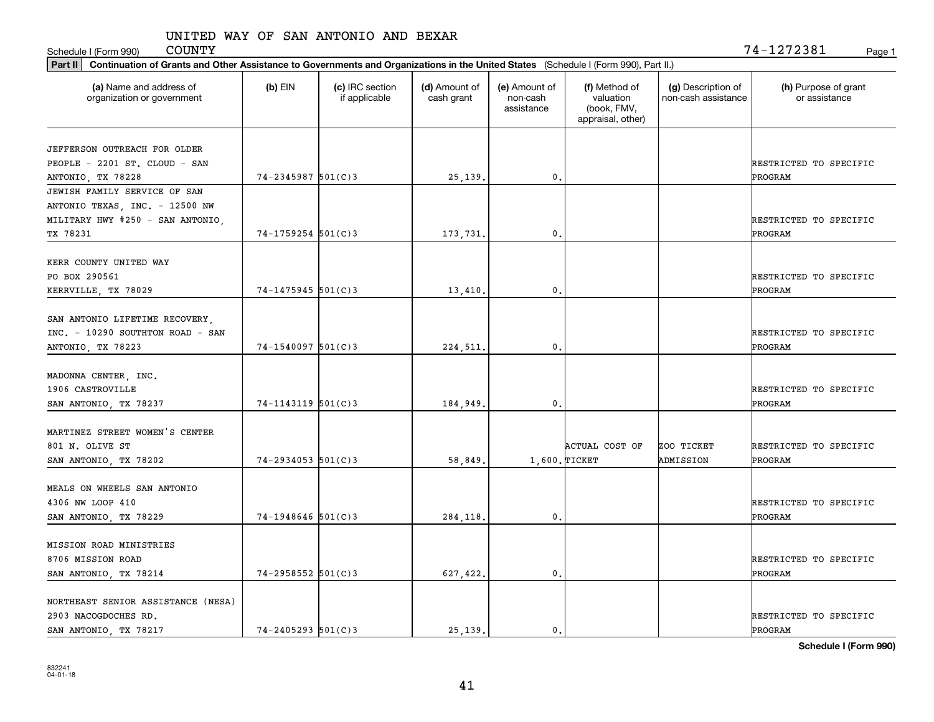Schedule I (Form 990) Page 1

| Part II   Continuation of Grants and Other Assistance to Governments and Organizations in the United States (Schedule I (Form 990), Part II.) |                        |                                  |                             |                                         |                                                                |                                           |                                       |
|-----------------------------------------------------------------------------------------------------------------------------------------------|------------------------|----------------------------------|-----------------------------|-----------------------------------------|----------------------------------------------------------------|-------------------------------------------|---------------------------------------|
| (a) Name and address of<br>organization or government                                                                                         | $(b)$ EIN              | (c) IRC section<br>if applicable | (d) Amount of<br>cash grant | (e) Amount of<br>non-cash<br>assistance | (f) Method of<br>valuation<br>(book, FMV,<br>appraisal, other) | (g) Description of<br>non-cash assistance | (h) Purpose of grant<br>or assistance |
| JEFFERSON OUTREACH FOR OLDER                                                                                                                  |                        |                                  |                             |                                         |                                                                |                                           |                                       |
| PEOPLE - 2201 ST. CLOUD - SAN                                                                                                                 |                        |                                  |                             |                                         |                                                                |                                           | RESTRICTED TO SPECIFIC                |
| ANTONIO, TX 78228                                                                                                                             | $74 - 2345987$ 501(C)3 |                                  | 25, 139.                    | $\mathbf{0}$ .                          |                                                                |                                           | PROGRAM                               |
| JEWISH FAMILY SERVICE OF SAN                                                                                                                  |                        |                                  |                             |                                         |                                                                |                                           |                                       |
| ANTONIO TEXAS, INC. - 12500 NW                                                                                                                |                        |                                  |                             |                                         |                                                                |                                           |                                       |
| MILITARY HWY #250 - SAN ANTONIO,                                                                                                              |                        |                                  |                             |                                         |                                                                |                                           | RESTRICTED TO SPECIFIC                |
| TX 78231                                                                                                                                      | $74 - 1759254$ 501(C)3 |                                  | 173,731.                    | 0.                                      |                                                                |                                           | PROGRAM                               |
|                                                                                                                                               |                        |                                  |                             |                                         |                                                                |                                           |                                       |
| KERR COUNTY UNITED WAY                                                                                                                        |                        |                                  |                             |                                         |                                                                |                                           |                                       |
| PO BOX 290561                                                                                                                                 | $74 - 1475945$ 501(C)3 |                                  |                             | $\mathbf{0}$ .                          |                                                                |                                           | RESTRICTED TO SPECIFIC<br>PROGRAM     |
| KERRVILLE, TX 78029                                                                                                                           |                        |                                  | 13,410.                     |                                         |                                                                |                                           |                                       |
| SAN ANTONIO LIFETIME RECOVERY,                                                                                                                |                        |                                  |                             |                                         |                                                                |                                           |                                       |
| INC. - 10290 SOUTHTON ROAD - SAN                                                                                                              |                        |                                  |                             |                                         |                                                                |                                           | RESTRICTED TO SPECIFIC                |
| ANTONIO, TX 78223                                                                                                                             | $74 - 1540097$ 501(C)3 |                                  | 224, 511.                   | 0.                                      |                                                                |                                           | PROGRAM                               |
|                                                                                                                                               |                        |                                  |                             |                                         |                                                                |                                           |                                       |
| MADONNA CENTER, INC.                                                                                                                          |                        |                                  |                             |                                         |                                                                |                                           |                                       |
| 1906 CASTROVILLE                                                                                                                              |                        |                                  |                             |                                         |                                                                |                                           | RESTRICTED TO SPECIFIC                |
| SAN ANTONIO, TX 78237                                                                                                                         | $74 - 1143119$ 501(C)3 |                                  | 184,949.                    | 0.                                      |                                                                |                                           | PROGRAM                               |
|                                                                                                                                               |                        |                                  |                             |                                         |                                                                |                                           |                                       |
| MARTINEZ STREET WOMEN'S CENTER                                                                                                                |                        |                                  |                             |                                         |                                                                |                                           |                                       |
| 801 N. OLIVE ST                                                                                                                               |                        |                                  |                             |                                         | ACTUAL COST OF                                                 | ZOO TICKET                                | RESTRICTED TO SPECIFIC                |
| SAN ANTONIO, TX 78202                                                                                                                         | $74 - 2934053$ 501(C)3 |                                  | 58,849.                     |                                         | 1,600. TICKET                                                  | ADMISSION                                 | PROGRAM                               |
|                                                                                                                                               |                        |                                  |                             |                                         |                                                                |                                           |                                       |
| MEALS ON WHEELS SAN ANTONIO                                                                                                                   |                        |                                  |                             |                                         |                                                                |                                           |                                       |
| 4306 NW LOOP 410                                                                                                                              |                        |                                  |                             |                                         |                                                                |                                           | RESTRICTED TO SPECIFIC                |
| SAN ANTONIO, TX 78229                                                                                                                         | $74-1948646$ 501(C)3   |                                  | 284, 118.                   | 0.                                      |                                                                |                                           | PROGRAM                               |
| MISSION ROAD MINISTRIES                                                                                                                       |                        |                                  |                             |                                         |                                                                |                                           |                                       |
| 8706 MISSION ROAD                                                                                                                             |                        |                                  |                             |                                         |                                                                |                                           | RESTRICTED TO SPECIFIC                |
|                                                                                                                                               | $74 - 2958552$ 501(C)3 |                                  |                             | $\mathbf{0}$ .                          |                                                                |                                           | PROGRAM                               |
| SAN ANTONIO, TX 78214                                                                                                                         |                        |                                  | 627,422.                    |                                         |                                                                |                                           |                                       |
| NORTHEAST SENIOR ASSISTANCE (NESA)                                                                                                            |                        |                                  |                             |                                         |                                                                |                                           |                                       |
| 2903 NACOGDOCHES RD.                                                                                                                          |                        |                                  |                             |                                         |                                                                |                                           | RESTRICTED TO SPECIFIC                |
| SAN ANTONIO, TX 78217                                                                                                                         | $74 - 2405293$ 501(C)3 |                                  | 25.139.                     | 0.                                      |                                                                |                                           | PROGRAM                               |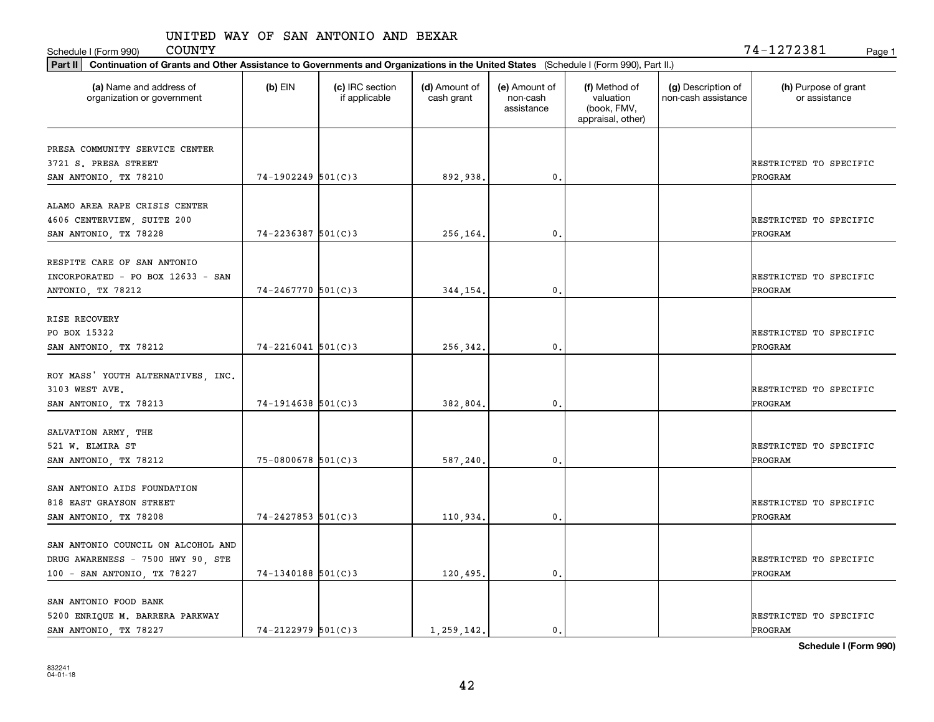Schedule I (Form 990) COUNTY Page 1

| Part II   Continuation of Grants and Other Assistance to Governments and Organizations in the United States (Schedule I (Form 990), Part II.) |                        |                                  |                             |                                         |                                                                |                                           |                                       |
|-----------------------------------------------------------------------------------------------------------------------------------------------|------------------------|----------------------------------|-----------------------------|-----------------------------------------|----------------------------------------------------------------|-------------------------------------------|---------------------------------------|
| (a) Name and address of<br>organization or government                                                                                         | $(b)$ EIN              | (c) IRC section<br>if applicable | (d) Amount of<br>cash grant | (e) Amount of<br>non-cash<br>assistance | (f) Method of<br>valuation<br>(book, FMV,<br>appraisal, other) | (g) Description of<br>non-cash assistance | (h) Purpose of grant<br>or assistance |
| PRESA COMMUNITY SERVICE CENTER                                                                                                                |                        |                                  |                             |                                         |                                                                |                                           |                                       |
| 3721 S. PRESA STREET                                                                                                                          |                        |                                  |                             |                                         |                                                                |                                           | RESTRICTED TO SPECIFIC                |
| SAN ANTONIO, TX 78210                                                                                                                         | $74-1902249$ 501(C)3   |                                  | 892,938.                    | 0.                                      |                                                                |                                           | PROGRAM                               |
|                                                                                                                                               |                        |                                  |                             |                                         |                                                                |                                           |                                       |
| ALAMO AREA RAPE CRISIS CENTER                                                                                                                 |                        |                                  |                             |                                         |                                                                |                                           |                                       |
| 4606 CENTERVIEW, SUITE 200                                                                                                                    |                        |                                  |                             |                                         |                                                                |                                           | RESTRICTED TO SPECIFIC                |
| SAN ANTONIO, TX 78228                                                                                                                         | $74 - 2236387$ 501(C)3 |                                  | 256,164.                    | 0.                                      |                                                                |                                           | PROGRAM                               |
|                                                                                                                                               |                        |                                  |                             |                                         |                                                                |                                           |                                       |
| RESPITE CARE OF SAN ANTONIO                                                                                                                   |                        |                                  |                             |                                         |                                                                |                                           |                                       |
| INCORPORATED - PO BOX 12633 - SAN                                                                                                             |                        |                                  |                             |                                         |                                                                |                                           | RESTRICTED TO SPECIFIC                |
| ANTONIO, TX 78212                                                                                                                             | $74 - 2467770$ 501(C)3 |                                  | 344,154.                    | 0.                                      |                                                                |                                           | PROGRAM                               |
|                                                                                                                                               |                        |                                  |                             |                                         |                                                                |                                           |                                       |
| RISE RECOVERY                                                                                                                                 |                        |                                  |                             |                                         |                                                                |                                           |                                       |
| PO BOX 15322                                                                                                                                  |                        |                                  |                             |                                         |                                                                |                                           | RESTRICTED TO SPECIFIC                |
| SAN ANTONIO, TX 78212                                                                                                                         | $74 - 2216041$ 501(C)3 |                                  | 256,342.                    | 0.                                      |                                                                |                                           | PROGRAM                               |
| ROY MASS' YOUTH ALTERNATIVES, INC.                                                                                                            |                        |                                  |                             |                                         |                                                                |                                           |                                       |
| 3103 WEST AVE.                                                                                                                                |                        |                                  |                             |                                         |                                                                |                                           | RESTRICTED TO SPECIFIC                |
| SAN ANTONIO, TX 78213                                                                                                                         | $74-1914638$ 501(C)3   |                                  | 382,804.                    | $\mathbf{0}$                            |                                                                |                                           | PROGRAM                               |
|                                                                                                                                               |                        |                                  |                             |                                         |                                                                |                                           |                                       |
| SALVATION ARMY, THE                                                                                                                           |                        |                                  |                             |                                         |                                                                |                                           |                                       |
| 521 W. ELMIRA ST                                                                                                                              |                        |                                  |                             |                                         |                                                                |                                           | RESTRICTED TO SPECIFIC                |
| SAN ANTONIO, TX 78212                                                                                                                         | $75 - 0800678$ 501(C)3 |                                  | 587,240.                    | 0.                                      |                                                                |                                           | PROGRAM                               |
|                                                                                                                                               |                        |                                  |                             |                                         |                                                                |                                           |                                       |
| SAN ANTONIO AIDS FOUNDATION                                                                                                                   |                        |                                  |                             |                                         |                                                                |                                           |                                       |
| 818 EAST GRAYSON STREET                                                                                                                       |                        |                                  |                             |                                         |                                                                |                                           | RESTRICTED TO SPECIFIC                |
| SAN ANTONIO, TX 78208                                                                                                                         | $74 - 2427853$ 501(C)3 |                                  | 110,934.                    | 0.                                      |                                                                |                                           | <b>PROGRAM</b>                        |
|                                                                                                                                               |                        |                                  |                             |                                         |                                                                |                                           |                                       |
| SAN ANTONIO COUNCIL ON ALCOHOL AND                                                                                                            |                        |                                  |                             |                                         |                                                                |                                           |                                       |
| DRUG AWARENESS - 7500 HWY 90, STE                                                                                                             |                        |                                  |                             |                                         |                                                                |                                           | RESTRICTED TO SPECIFIC                |
| 100 - SAN ANTONIO, TX 78227                                                                                                                   | $74-1340188$ 501(C)3   |                                  | 120,495.                    | $\mathbf{0}$ .                          |                                                                |                                           | PROGRAM                               |
|                                                                                                                                               |                        |                                  |                             |                                         |                                                                |                                           |                                       |
| SAN ANTONIO FOOD BANK                                                                                                                         |                        |                                  |                             |                                         |                                                                |                                           |                                       |
| 5200 ENRIQUE M. BARRERA PARKWAY                                                                                                               |                        |                                  |                             |                                         |                                                                |                                           | RESTRICTED TO SPECIFIC                |
| SAN ANTONIO, TX 78227                                                                                                                         | $74 - 2122979$ 501(C)3 |                                  | 1.259.142.                  | $\mathbf{0}$ .                          |                                                                |                                           | PROGRAM                               |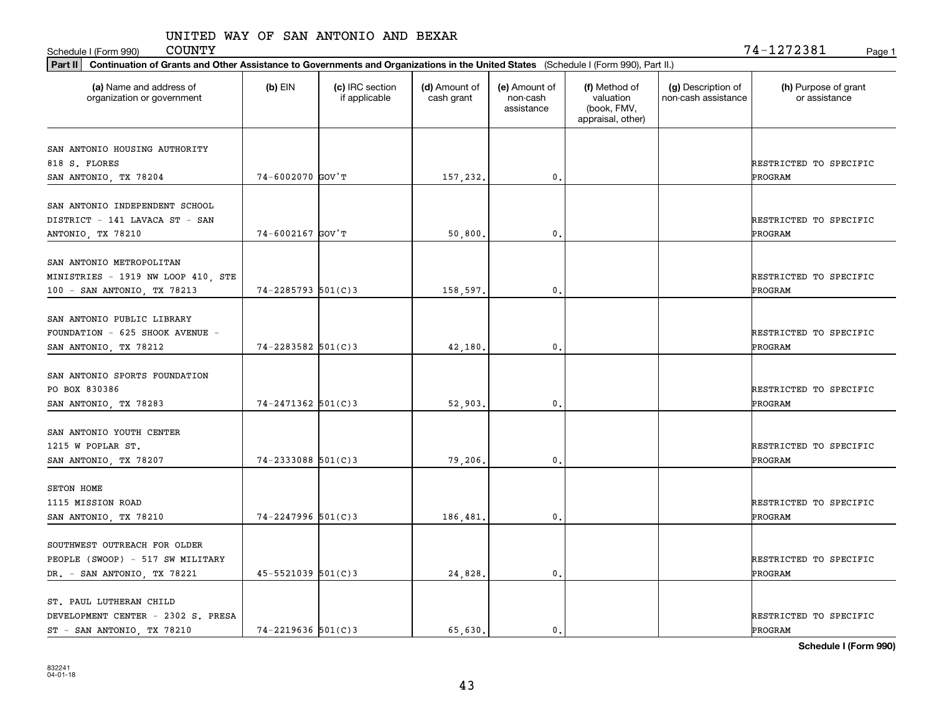Schedule I (Form 990) COUNTY Page 1

| Part II   Continuation of Grants and Other Assistance to Governments and Organizations in the United States (Schedule I (Form 990), Part II.) |                        |                                  |                             |                                         |                                                                |                                           |                                       |
|-----------------------------------------------------------------------------------------------------------------------------------------------|------------------------|----------------------------------|-----------------------------|-----------------------------------------|----------------------------------------------------------------|-------------------------------------------|---------------------------------------|
| (a) Name and address of<br>organization or government                                                                                         | $(b)$ EIN              | (c) IRC section<br>if applicable | (d) Amount of<br>cash grant | (e) Amount of<br>non-cash<br>assistance | (f) Method of<br>valuation<br>(book, FMV,<br>appraisal, other) | (g) Description of<br>non-cash assistance | (h) Purpose of grant<br>or assistance |
| SAN ANTONIO HOUSING AUTHORITY                                                                                                                 |                        |                                  |                             |                                         |                                                                |                                           |                                       |
| 818 S. FLORES                                                                                                                                 |                        |                                  |                             |                                         |                                                                |                                           | RESTRICTED TO SPECIFIC                |
| SAN ANTONIO, TX 78204                                                                                                                         | 74-6002070 GOV'T       |                                  | 157,232.                    | 0.                                      |                                                                |                                           | PROGRAM                               |
|                                                                                                                                               |                        |                                  |                             |                                         |                                                                |                                           |                                       |
| SAN ANTONIO INDEPENDENT SCHOOL                                                                                                                |                        |                                  |                             |                                         |                                                                |                                           |                                       |
| DISTRICT - 141 LAVACA ST - SAN                                                                                                                |                        |                                  |                             |                                         |                                                                |                                           | RESTRICTED TO SPECIFIC                |
| ANTONIO, TX 78210                                                                                                                             | $74 - 6002167$ GOV'T   |                                  | 50,800,                     | 0.                                      |                                                                |                                           | PROGRAM                               |
|                                                                                                                                               |                        |                                  |                             |                                         |                                                                |                                           |                                       |
| SAN ANTONIO METROPOLITAN                                                                                                                      |                        |                                  |                             |                                         |                                                                |                                           |                                       |
| MINISTRIES - 1919 NW LOOP 410, STE                                                                                                            |                        |                                  |                             |                                         |                                                                |                                           | RESTRICTED TO SPECIFIC                |
| 100 - SAN ANTONIO, TX 78213                                                                                                                   | $74 - 2285793$ 501(C)3 |                                  | 158,597.                    | 0.                                      |                                                                |                                           | PROGRAM                               |
| SAN ANTONIO PUBLIC LIBRARY                                                                                                                    |                        |                                  |                             |                                         |                                                                |                                           |                                       |
| FOUNDATION - 625 SHOOK AVENUE -                                                                                                               |                        |                                  |                             |                                         |                                                                |                                           | RESTRICTED TO SPECIFIC                |
| SAN ANTONIO, TX 78212                                                                                                                         | 74-2283582 501(C)3     |                                  | 42,180.                     | $\mathbf 0$ .                           |                                                                |                                           | PROGRAM                               |
|                                                                                                                                               |                        |                                  |                             |                                         |                                                                |                                           |                                       |
| SAN ANTONIO SPORTS FOUNDATION                                                                                                                 |                        |                                  |                             |                                         |                                                                |                                           |                                       |
| PO BOX 830386                                                                                                                                 |                        |                                  |                             |                                         |                                                                |                                           | RESTRICTED TO SPECIFIC                |
| SAN ANTONIO, TX 78283                                                                                                                         | $74 - 2471362$ 501(C)3 |                                  | 52,903.                     | $\mathbf{0}$                            |                                                                |                                           | PROGRAM                               |
|                                                                                                                                               |                        |                                  |                             |                                         |                                                                |                                           |                                       |
| SAN ANTONIO YOUTH CENTER                                                                                                                      |                        |                                  |                             |                                         |                                                                |                                           |                                       |
| 1215 W POPLAR ST.                                                                                                                             |                        |                                  |                             |                                         |                                                                |                                           | RESTRICTED TO SPECIFIC                |
| SAN ANTONIO, TX 78207                                                                                                                         | $74 - 2333088$ 501(C)3 |                                  | 79,206.                     | 0.                                      |                                                                |                                           | PROGRAM                               |
|                                                                                                                                               |                        |                                  |                             |                                         |                                                                |                                           |                                       |
| SETON HOME                                                                                                                                    |                        |                                  |                             |                                         |                                                                |                                           |                                       |
| 1115 MISSION ROAD                                                                                                                             |                        |                                  |                             |                                         |                                                                |                                           | RESTRICTED TO SPECIFIC                |
| SAN ANTONIO, TX 78210                                                                                                                         | $74 - 2247996$ 501(C)3 |                                  | 186,481.                    | 0.                                      |                                                                |                                           | <b>PROGRAM</b>                        |
|                                                                                                                                               |                        |                                  |                             |                                         |                                                                |                                           |                                       |
| SOUTHWEST OUTREACH FOR OLDER                                                                                                                  |                        |                                  |                             |                                         |                                                                |                                           |                                       |
| PEOPLE (SWOOP) - 517 SW MILITARY                                                                                                              | $45 - 5521039$ 501(C)3 |                                  |                             |                                         |                                                                |                                           | RESTRICTED TO SPECIFIC<br>PROGRAM     |
| DR. - SAN ANTONIO, TX 78221                                                                                                                   |                        |                                  | 24,828.                     | 0.                                      |                                                                |                                           |                                       |
| ST. PAUL LUTHERAN CHILD                                                                                                                       |                        |                                  |                             |                                         |                                                                |                                           |                                       |
| DEVELOPMENT CENTER - 2302 S. PRESA                                                                                                            |                        |                                  |                             |                                         |                                                                |                                           | RESTRICTED TO SPECIFIC                |
| ST - SAN ANTONIO, TX 78210                                                                                                                    | $74 - 2219636$ 501(C)3 |                                  | 65.630.                     | $\mathbf{0}$ .                          |                                                                |                                           | PROGRAM                               |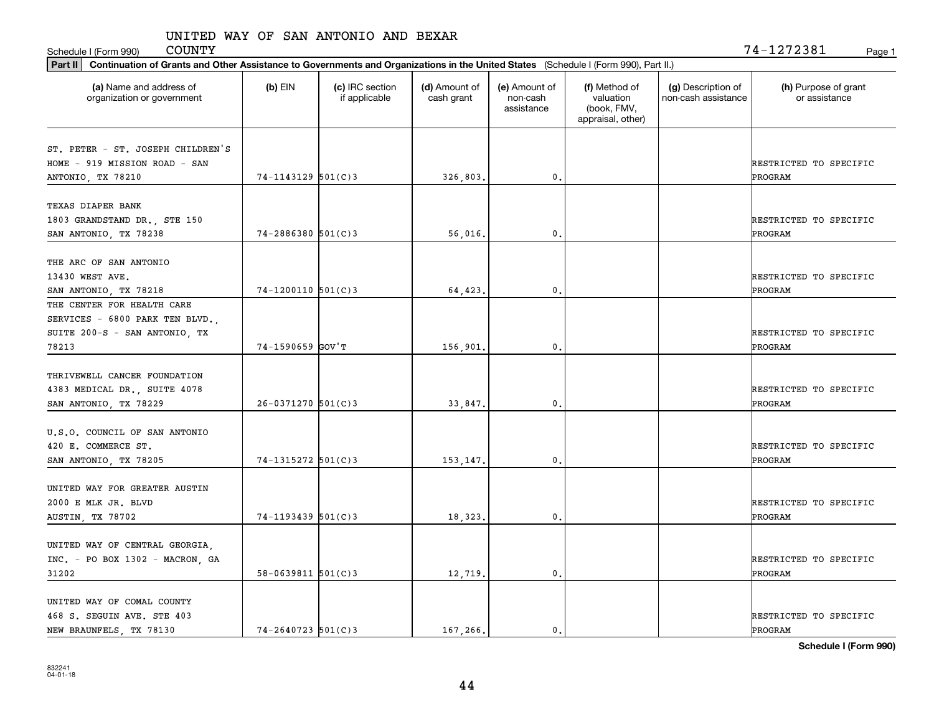| <b>COUNTY</b><br>Schedule I (Form 990)                                                                                                         |                          |                                  |                             |                                         |                                                                |                                           | 74-1272381<br>Page 1                     |
|------------------------------------------------------------------------------------------------------------------------------------------------|--------------------------|----------------------------------|-----------------------------|-----------------------------------------|----------------------------------------------------------------|-------------------------------------------|------------------------------------------|
| Continuation of Grants and Other Assistance to Governments and Organizations in the United States (Schedule I (Form 990), Part II.)<br>Part II |                          |                                  |                             |                                         |                                                                |                                           |                                          |
| (a) Name and address of<br>organization or government                                                                                          | $(b)$ EIN                | (c) IRC section<br>if applicable | (d) Amount of<br>cash grant | (e) Amount of<br>non-cash<br>assistance | (f) Method of<br>valuation<br>(book, FMV,<br>appraisal, other) | (g) Description of<br>non-cash assistance | (h) Purpose of grant<br>or assistance    |
| ST. PETER - ST. JOSEPH CHILDREN'S<br>HOME - 919 MISSION ROAD - SAN<br>ANTONIO, TX 78210                                                        | $74 - 1143129$ 501(C)3   |                                  | 326,803.                    | 0.                                      |                                                                |                                           | RESTRICTED TO SPECIFIC<br>PROGRAM        |
| TEXAS DIAPER BANK<br>1803 GRANDSTAND DR., STE 150<br>SAN ANTONIO, TX 78238                                                                     | $74 - 2886380$ 501(C)3   |                                  | 56,016.                     | $\mathbf{0}$ .                          |                                                                |                                           | RESTRICTED TO SPECIFIC<br>PROGRAM        |
| THE ARC OF SAN ANTONIO<br>13430 WEST AVE.<br>SAN ANTONIO, TX 78218                                                                             | $74-1200110$ 501(C)3     |                                  | 64,423.                     | 0.                                      |                                                                |                                           | RESTRICTED TO SPECIFIC<br><b>PROGRAM</b> |
| THE CENTER FOR HEALTH CARE<br>SERVICES - 6800 PARK TEN BLVD.<br>SUITE 200-S - SAN ANTONIO, TX<br>78213                                         | $74 - 1590659$ GOV'T     |                                  | 156,901.                    | 0.                                      |                                                                |                                           | RESTRICTED TO SPECIFIC<br>PROGRAM        |
| THRIVEWELL CANCER FOUNDATION<br>4383 MEDICAL DR., SUITE 4078<br>SAN ANTONIO, TX 78229                                                          | $26 - 0371270$ 501(C)3   |                                  | 33,847.                     | 0.                                      |                                                                |                                           | RESTRICTED TO SPECIFIC<br>PROGRAM        |
| U.S.O. COUNCIL OF SAN ANTONIO<br>420 E. COMMERCE ST.<br>SAN ANTONIO, TX 78205                                                                  | 74-1315272 501(C)3       |                                  | 153, 147.                   | 0.                                      |                                                                |                                           | RESTRICTED TO SPECIFIC<br>PROGRAM        |
| UNITED WAY FOR GREATER AUSTIN<br>2000 E MLK JR. BLVD<br>AUSTIN, TX 78702                                                                       | $74-1193439$ 501(C)3     |                                  | 18,323.                     | 0.                                      |                                                                |                                           | RESTRICTED TO SPECIFIC<br>PROGRAM        |
| UNITED WAY OF CENTRAL GEORGIA,<br>INC. - PO BOX 1302 - MACRON, GA<br>31202                                                                     | $58 - 0639811$ $501(C)3$ |                                  | 12,719.                     | 0.                                      |                                                                |                                           | RESTRICTED TO SPECIFIC<br>PROGRAM        |
| UNITED WAY OF COMAL COUNTY<br>468 S. SEGUIN AVE. STE 403<br>NEW BRAUNFELS, TX 78130                                                            | $74 - 2640723$ 501(C) 3  |                                  | 167.266.                    | $\mathbf{0}$ .                          |                                                                |                                           | RESTRICTED TO SPECIFIC<br>PROGRAM        |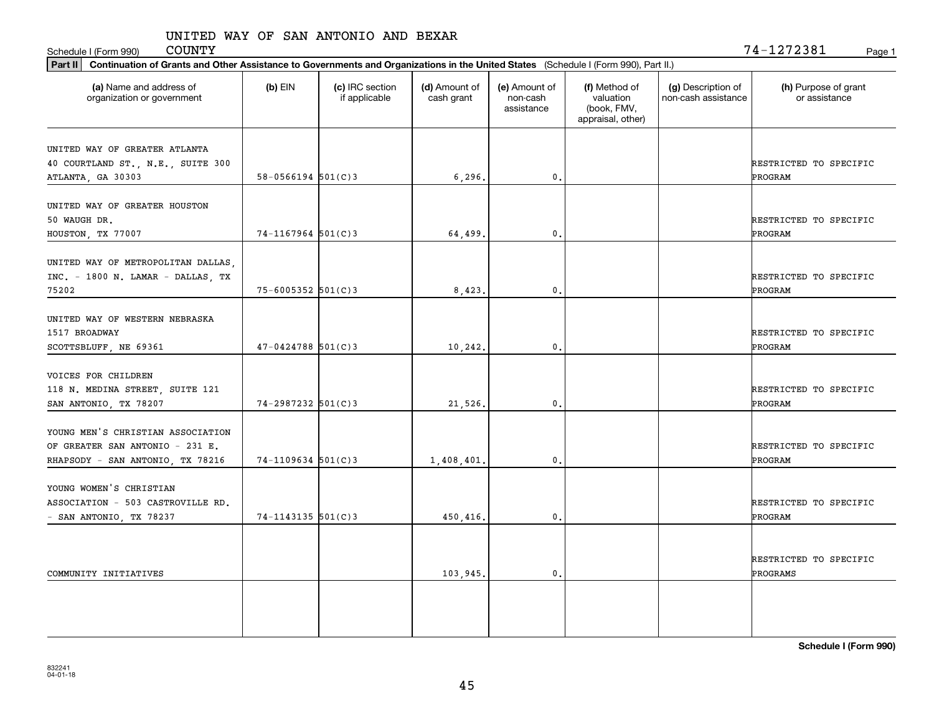Schedule I (Form 990) COUNTY Page 1 COUNTY

| Part II   Continuation of Grants and Other Assistance to Governments and Organizations in the United States (Schedule I (Form 990), Part II.) |                          |                                  |                             |                                         |                                                                |                                           |                                       |
|-----------------------------------------------------------------------------------------------------------------------------------------------|--------------------------|----------------------------------|-----------------------------|-----------------------------------------|----------------------------------------------------------------|-------------------------------------------|---------------------------------------|
| (a) Name and address of<br>organization or government                                                                                         | $(b)$ EIN                | (c) IRC section<br>if applicable | (d) Amount of<br>cash grant | (e) Amount of<br>non-cash<br>assistance | (f) Method of<br>valuation<br>(book, FMV,<br>appraisal, other) | (g) Description of<br>non-cash assistance | (h) Purpose of grant<br>or assistance |
| UNITED WAY OF GREATER ATLANTA                                                                                                                 |                          |                                  |                             |                                         |                                                                |                                           |                                       |
| 40 COURTLAND ST., N.E., SUITE 300                                                                                                             |                          |                                  |                             |                                         |                                                                |                                           | RESTRICTED TO SPECIFIC                |
| ATLANTA, GA 30303                                                                                                                             | $58 - 0566194$ $501(C)3$ |                                  | 6, 296.                     | 0.                                      |                                                                |                                           | PROGRAM                               |
| UNITED WAY OF GREATER HOUSTON<br>50 WAUGH DR.                                                                                                 |                          |                                  |                             |                                         |                                                                |                                           | RESTRICTED TO SPECIFIC                |
| HOUSTON, TX 77007                                                                                                                             | $74 - 1167964$ 501(C)3   |                                  | 64,499.                     | $\mathbf{0}$                            |                                                                |                                           | PROGRAM                               |
| UNITED WAY OF METROPOLITAN DALLAS,<br>INC. - 1800 N. LAMAR - DALLAS, TX<br>75202                                                              | $75 - 6005352$ 501(C)3   |                                  | 8,423.                      | $\mathbf{0}$ .                          |                                                                |                                           | RESTRICTED TO SPECIFIC<br>PROGRAM     |
|                                                                                                                                               |                          |                                  |                             |                                         |                                                                |                                           |                                       |
| UNITED WAY OF WESTERN NEBRASKA<br>1517 BROADWAY<br>SCOTTSBLUFF, NE 69361                                                                      | $47 - 0424788$ 501(C) 3  |                                  | 10,242.                     | $\mathbf{0}$ .                          |                                                                |                                           | RESTRICTED TO SPECIFIC<br>PROGRAM     |
|                                                                                                                                               |                          |                                  |                             |                                         |                                                                |                                           |                                       |
| VOICES FOR CHILDREN<br>118 N. MEDINA STREET, SUITE 121<br>SAN ANTONIO, TX 78207                                                               | 74-2987232 501(C)3       |                                  | 21,526.                     | $\mathbf{0}$ .                          |                                                                |                                           | RESTRICTED TO SPECIFIC<br>PROGRAM     |
|                                                                                                                                               |                          |                                  |                             |                                         |                                                                |                                           |                                       |
| YOUNG MEN'S CHRISTIAN ASSOCIATION<br>OF GREATER SAN ANTONIO - 231 E.                                                                          | $74-1109634$ 501(C)3     |                                  | 1,408,401.                  | $\mathbf{0}$ .                          |                                                                |                                           | RESTRICTED TO SPECIFIC<br>PROGRAM     |
| RHAPSODY - SAN ANTONIO, TX 78216                                                                                                              |                          |                                  |                             |                                         |                                                                |                                           |                                       |
| YOUNG WOMEN'S CHRISTIAN<br>ASSOCIATION - 503 CASTROVILLE RD.                                                                                  |                          |                                  |                             |                                         |                                                                |                                           | RESTRICTED TO SPECIFIC                |
| - SAN ANTONIO, TX 78237                                                                                                                       | $74 - 1143135$ 501(C)3   |                                  | 450,416.                    | $\mathbf{0}$ .                          |                                                                |                                           | PROGRAM                               |
|                                                                                                                                               |                          |                                  |                             |                                         |                                                                |                                           |                                       |
|                                                                                                                                               |                          |                                  |                             |                                         |                                                                |                                           | RESTRICTED TO SPECIFIC                |
| COMMUNITY INITIATIVES                                                                                                                         |                          |                                  | 103,945.                    | $\mathfrak{o}$ .                        |                                                                |                                           | PROGRAMS                              |
|                                                                                                                                               |                          |                                  |                             |                                         |                                                                |                                           |                                       |
|                                                                                                                                               |                          |                                  |                             |                                         |                                                                |                                           |                                       |
|                                                                                                                                               |                          |                                  |                             |                                         |                                                                |                                           |                                       |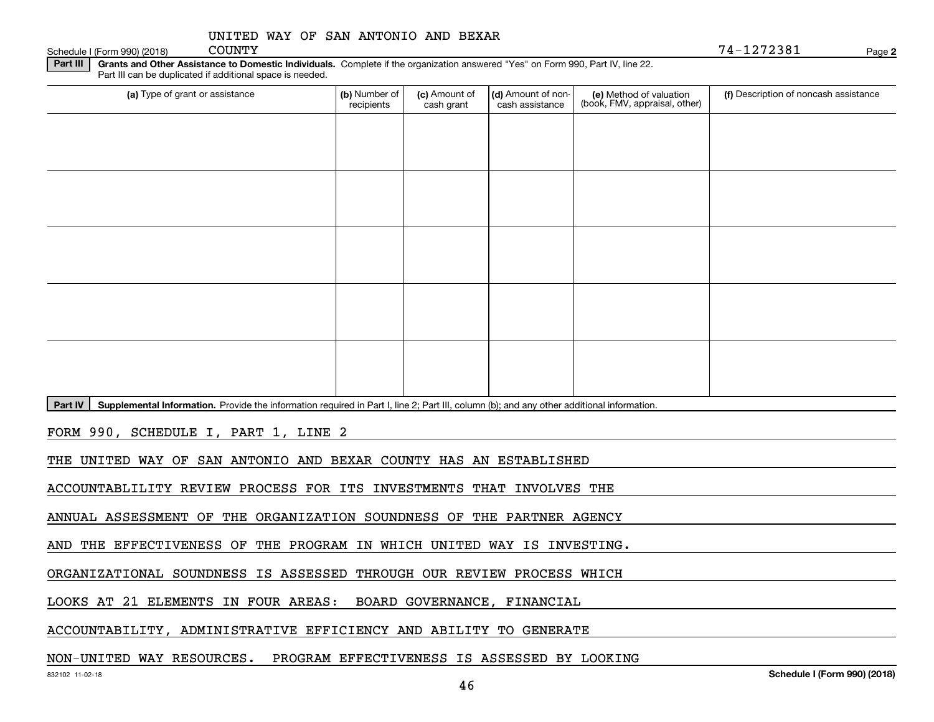| UNITED WAY OF SAN ANTONIO AND BEXAR |
|-------------------------------------|
|-------------------------------------|

Schedule I (Form 990) (2018) COUNTY

COUNTY 74-1272381

**2**

**Part III** | Grants and Other Assistance to Domestic Individuals. Complete if the organization answered "Yes" on Form 990, Part IV, line 22. Part III can be duplicated if additional space is needed.

| (a) Type of grant or assistance                                                                                                                                                                                                                       | (b) Number of<br>recipients | (c) Amount of<br>cash grant | (d) Amount of non-<br>cash assistance | (e) Method of valuation<br>(book, FMV, appraisal, other) | (f) Description of noncash assistance |
|-------------------------------------------------------------------------------------------------------------------------------------------------------------------------------------------------------------------------------------------------------|-----------------------------|-----------------------------|---------------------------------------|----------------------------------------------------------|---------------------------------------|
|                                                                                                                                                                                                                                                       |                             |                             |                                       |                                                          |                                       |
|                                                                                                                                                                                                                                                       |                             |                             |                                       |                                                          |                                       |
|                                                                                                                                                                                                                                                       |                             |                             |                                       |                                                          |                                       |
|                                                                                                                                                                                                                                                       |                             |                             |                                       |                                                          |                                       |
|                                                                                                                                                                                                                                                       |                             |                             |                                       |                                                          |                                       |
|                                                                                                                                                                                                                                                       |                             |                             |                                       |                                                          |                                       |
|                                                                                                                                                                                                                                                       |                             |                             |                                       |                                                          |                                       |
|                                                                                                                                                                                                                                                       |                             |                             |                                       |                                                          |                                       |
|                                                                                                                                                                                                                                                       |                             |                             |                                       |                                                          |                                       |
|                                                                                                                                                                                                                                                       |                             |                             |                                       |                                                          |                                       |
| $\mathbf{D}_{\mathbf{c}}$ $\mathbf{H}$ $\mathbf{D}_{\mathbf{c}}$ and $\mathbf{D}_{\mathbf{c}}$ and $\mathbf{D}_{\mathbf{c}}$ becomes the information of the information of the set of the set of the set of the set of the set of the set information |                             |                             |                                       |                                                          |                                       |

Part IV | Supplemental Information. Provide the information required in Part I, line 2; Part III, column (b); and any other additional information.

FORM 990, SCHEDULE I, PART 1, LINE 2

THE UNITED WAY OF SAN ANTONIO AND BEXAR COUNTY HAS AN ESTABLISHED

ACCOUNTABLILITY REVIEW PROCESS FOR ITS INVESTMENTS THAT INVOLVES THE

ANNUAL ASSESSMENT OF THE ORGANIZATION SOUNDNESS OF THE PARTNER AGENCY

AND THE EFFECTIVENESS OF THE PROGRAM IN WHICH UNITED WAY IS INVESTING.

ORGANIZATIONAL SOUNDNESS IS ASSESSED THROUGH OUR REVIEW PROCESS WHICH

LOOKS AT 21 ELEMENTS IN FOUR AREAS: BOARD GOVERNANCE, FINANCIAL

ACCOUNTABILITY, ADMINISTRATIVE EFFICIENCY AND ABILITY TO GENERATE

### NON-UNITED WAY RESOURCES. PROGRAM EFFECTIVENESS IS ASSESSED BY LOOKING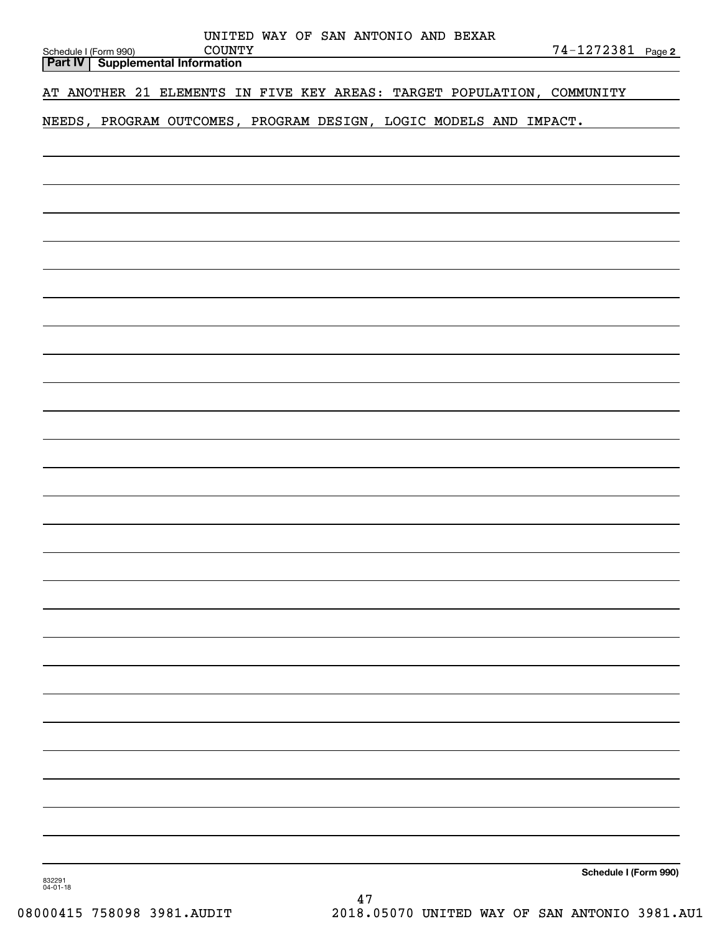| UNITED WAY OF SAN ANTONIO AND BEXAR<br><b>COUNTY</b>                   | 74-1272381 Page 2     |
|------------------------------------------------------------------------|-----------------------|
| Schedule I (Form 990)<br><b>Supplemental Information</b><br>Part IV    |                       |
| AT ANOTHER 21 ELEMENTS IN FIVE KEY AREAS: TARGET POPULATION, COMMUNITY |                       |
| NEEDS, PROGRAM OUTCOMES, PROGRAM DESIGN, LOGIC MODELS AND IMPACT.      |                       |
|                                                                        |                       |
|                                                                        |                       |
|                                                                        |                       |
|                                                                        |                       |
|                                                                        |                       |
|                                                                        |                       |
|                                                                        |                       |
|                                                                        |                       |
|                                                                        |                       |
|                                                                        |                       |
|                                                                        |                       |
|                                                                        |                       |
|                                                                        |                       |
|                                                                        |                       |
|                                                                        |                       |
|                                                                        |                       |
|                                                                        |                       |
|                                                                        |                       |
|                                                                        |                       |
|                                                                        |                       |
|                                                                        |                       |
|                                                                        |                       |
|                                                                        |                       |
|                                                                        |                       |
|                                                                        |                       |
|                                                                        |                       |
|                                                                        |                       |
|                                                                        |                       |
|                                                                        |                       |
|                                                                        | Schedule I (Form 990) |
| 832291<br>$04 - 01 - 18$<br>47                                         |                       |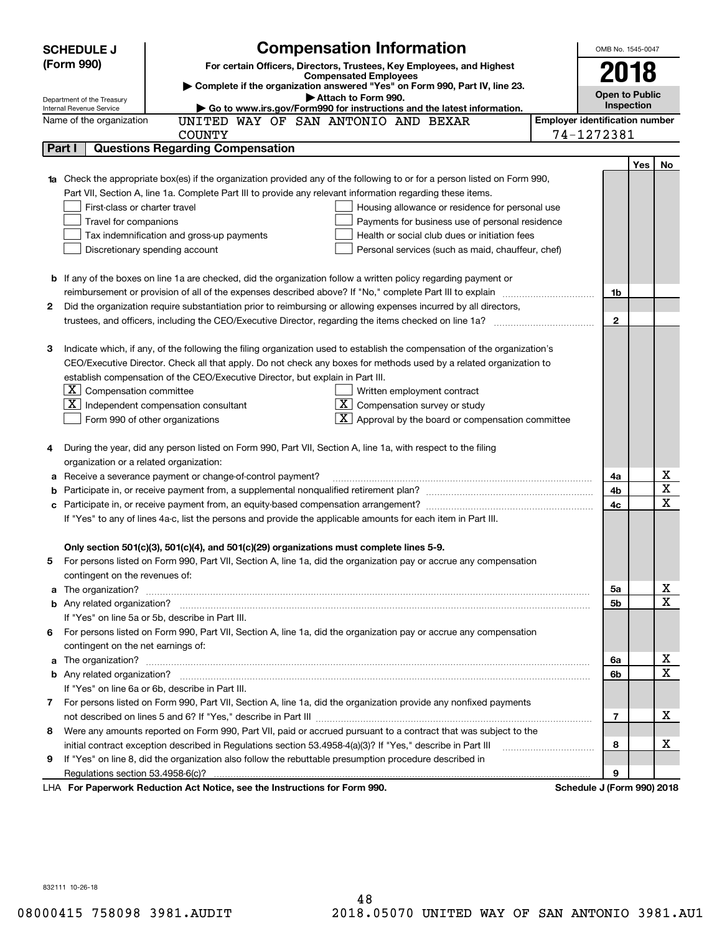|    | <b>Compensation Information</b><br><b>SCHEDULE J</b>                                                                                                                                                          |                                       | OMB No. 1545-0047     |            |                              |
|----|---------------------------------------------------------------------------------------------------------------------------------------------------------------------------------------------------------------|---------------------------------------|-----------------------|------------|------------------------------|
|    | (Form 990)<br>For certain Officers, Directors, Trustees, Key Employees, and Highest                                                                                                                           |                                       |                       |            |                              |
|    | <b>Compensated Employees</b>                                                                                                                                                                                  |                                       | 2018                  |            |                              |
|    | Complete if the organization answered "Yes" on Form 990, Part IV, line 23.<br>Attach to Form 990.                                                                                                             |                                       | <b>Open to Public</b> |            |                              |
|    | Department of the Treasury<br>Go to www.irs.gov/Form990 for instructions and the latest information.<br>Internal Revenue Service                                                                              |                                       | Inspection            |            |                              |
|    | UNITED WAY OF SAN ANTONIO AND BEXAR<br>Name of the organization                                                                                                                                               | <b>Employer identification number</b> |                       |            |                              |
|    | <b>COUNTY</b>                                                                                                                                                                                                 | 74-1272381                            |                       |            |                              |
|    | <b>Questions Regarding Compensation</b><br>Part I                                                                                                                                                             |                                       |                       |            |                              |
|    |                                                                                                                                                                                                               |                                       |                       | <b>Yes</b> | No                           |
|    | <b>1a</b> Check the appropriate box(es) if the organization provided any of the following to or for a person listed on Form 990,                                                                              |                                       |                       |            |                              |
|    | Part VII, Section A, line 1a. Complete Part III to provide any relevant information regarding these items.                                                                                                    |                                       |                       |            |                              |
|    | First-class or charter travel<br>Housing allowance or residence for personal use                                                                                                                              |                                       |                       |            |                              |
|    | Travel for companions<br>Payments for business use of personal residence                                                                                                                                      |                                       |                       |            |                              |
|    | Tax indemnification and gross-up payments<br>Health or social club dues or initiation fees                                                                                                                    |                                       |                       |            |                              |
|    | Discretionary spending account<br>Personal services (such as maid, chauffeur, chef)                                                                                                                           |                                       |                       |            |                              |
|    |                                                                                                                                                                                                               |                                       |                       |            |                              |
|    | <b>b</b> If any of the boxes on line 1a are checked, did the organization follow a written policy regarding payment or                                                                                        |                                       |                       |            |                              |
|    | reimbursement or provision of all of the expenses described above? If "No," complete Part III to explain                                                                                                      |                                       | 1b                    |            |                              |
| 2  | Did the organization require substantiation prior to reimbursing or allowing expenses incurred by all directors,                                                                                              |                                       |                       |            |                              |
|    |                                                                                                                                                                                                               |                                       | $\mathbf{2}$          |            |                              |
|    |                                                                                                                                                                                                               |                                       |                       |            |                              |
| З  | Indicate which, if any, of the following the filing organization used to establish the compensation of the organization's                                                                                     |                                       |                       |            |                              |
|    | CEO/Executive Director. Check all that apply. Do not check any boxes for methods used by a related organization to                                                                                            |                                       |                       |            |                              |
|    | establish compensation of the CEO/Executive Director, but explain in Part III.                                                                                                                                |                                       |                       |            |                              |
|    | $ \mathbf{X} $ Compensation committee<br>Written employment contract                                                                                                                                          |                                       |                       |            |                              |
|    | $X$ Compensation survey or study<br>$X$ Independent compensation consultant                                                                                                                                   |                                       |                       |            |                              |
|    | $\lfloor x \rfloor$ Approval by the board or compensation committee<br>Form 990 of other organizations                                                                                                        |                                       |                       |            |                              |
|    |                                                                                                                                                                                                               |                                       |                       |            |                              |
|    | During the year, did any person listed on Form 990, Part VII, Section A, line 1a, with respect to the filing                                                                                                  |                                       |                       |            |                              |
|    | organization or a related organization:                                                                                                                                                                       |                                       |                       |            |                              |
| а  | Receive a severance payment or change-of-control payment?                                                                                                                                                     |                                       | 4a                    |            | х<br>$\overline{\mathbf{x}}$ |
| b  |                                                                                                                                                                                                               |                                       | 4b                    |            | $\overline{\mathbf{x}}$      |
| с  |                                                                                                                                                                                                               |                                       | 4c                    |            |                              |
|    | If "Yes" to any of lines 4a-c, list the persons and provide the applicable amounts for each item in Part III.                                                                                                 |                                       |                       |            |                              |
|    |                                                                                                                                                                                                               |                                       |                       |            |                              |
|    | Only section 501(c)(3), 501(c)(4), and 501(c)(29) organizations must complete lines 5-9.<br>For persons listed on Form 990, Part VII, Section A, line 1a, did the organization pay or accrue any compensation |                                       |                       |            |                              |
|    | contingent on the revenues of:                                                                                                                                                                                |                                       |                       |            |                              |
|    |                                                                                                                                                                                                               |                                       | 5a                    |            | x                            |
|    | a The organization? <b>Constitution</b> and the organization?                                                                                                                                                 |                                       | 5b                    |            | $\overline{\mathbf{x}}$      |
|    | If "Yes" on line 5a or 5b, describe in Part III.                                                                                                                                                              |                                       |                       |            |                              |
| 6. | For persons listed on Form 990, Part VII, Section A, line 1a, did the organization pay or accrue any compensation                                                                                             |                                       |                       |            |                              |
|    | contingent on the net earnings of:                                                                                                                                                                            |                                       |                       |            |                              |
| a  |                                                                                                                                                                                                               |                                       | 6a                    |            | х                            |
|    |                                                                                                                                                                                                               |                                       | 6b                    |            | $\overline{\mathbf{x}}$      |
|    | If "Yes" on line 6a or 6b, describe in Part III.                                                                                                                                                              |                                       |                       |            |                              |
|    | 7 For persons listed on Form 990, Part VII, Section A, line 1a, did the organization provide any nonfixed payments                                                                                            |                                       |                       |            |                              |
|    |                                                                                                                                                                                                               |                                       | 7                     |            | х                            |
| 8  | Were any amounts reported on Form 990, Part VII, paid or accrued pursuant to a contract that was subject to the                                                                                               |                                       |                       |            |                              |
|    | initial contract exception described in Regulations section 53.4958-4(a)(3)? If "Yes," describe in Part III                                                                                                   |                                       | 8                     |            | х                            |
| 9  | If "Yes" on line 8, did the organization also follow the rebuttable presumption procedure described in                                                                                                        |                                       |                       |            |                              |
|    | Regulations section 53.4958-6(c)?                                                                                                                                                                             |                                       | 9                     |            |                              |
|    | LHA For Paperwork Reduction Act Notice, see the Instructions for Form 990.                                                                                                                                    | Schedule J (Form 990) 2018            |                       |            |                              |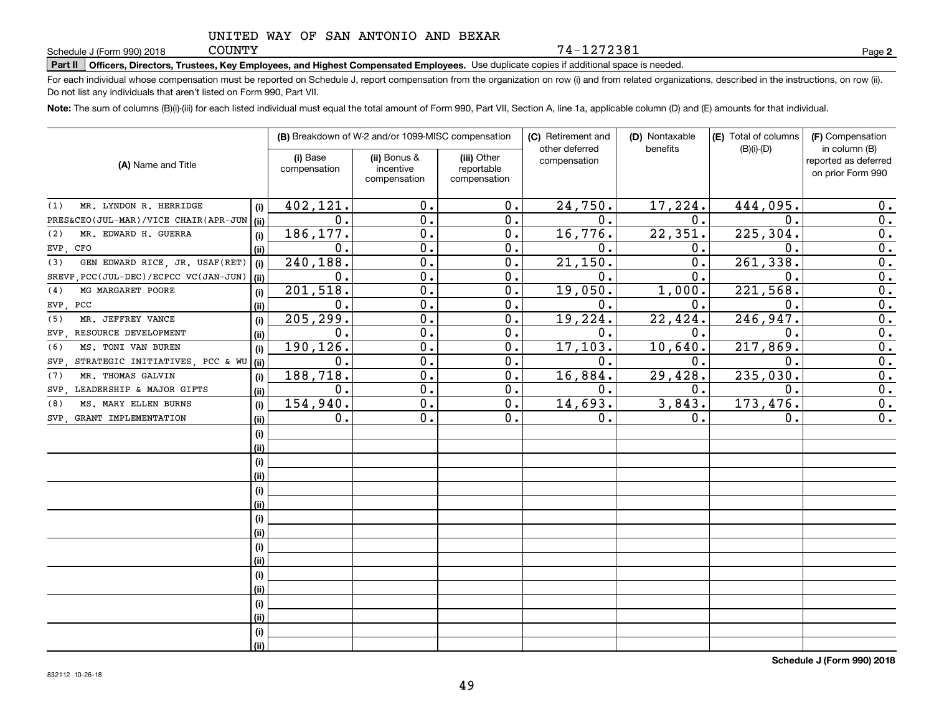**Part II Officers, Directors, Trustees, Key Employees, and Highest Compensated Employees.**  Schedule J (Form 990) 2018 Page Use duplicate copies if additional space is needed.

For each individual whose compensation must be reported on Schedule J, report compensation from the organization on row (i) and from related organizations, described in the instructions, on row (ii). Do not list any individuals that aren't listed on Form 990, Part VII.

**Note:**  The sum of columns (B)(i)-(iii) for each listed individual must equal the total amount of Form 990, Part VII, Section A, line 1a, applicable column (D) and (E) amounts for that individual.

|                                         |      |                          | (B) Breakdown of W-2 and/or 1099-MISC compensation |                           | (C) Retirement and<br>other deferred | (D) Nontaxable<br>benefits | (E) Total of columns<br>$(B)(i)-(D)$ | (F) Compensation<br>in column (B)         |
|-----------------------------------------|------|--------------------------|----------------------------------------------------|---------------------------|--------------------------------------|----------------------------|--------------------------------------|-------------------------------------------|
| (A) Name and Title                      |      | (i) Base<br>compensation | (ii) Bonus &<br>incentive                          | (iii) Other<br>reportable | compensation                         |                            |                                      | reported as deferred<br>on prior Form 990 |
|                                         |      |                          | compensation                                       | compensation              |                                      |                            |                                      |                                           |
| MR. LYNDON R. HERRIDGE<br>(1)           | (i)  | 402,121.                 | 0.                                                 | 0.                        | 24,750.                              | 17,224.                    | 444,095.                             | 0.                                        |
| PRES&CEO(JUL-MAR)/VICE CHAIR(APR-JUN    | (ii) | $\mathbf 0$ .            | 0.                                                 | 0.                        | $\mathbf{0}$ .                       | 0.                         | $\mathbf{0}$ .                       | $\overline{0}$ .                          |
| MR. EDWARD H. GUERRA<br>(2)             | (i)  | 186, 177.                | $\overline{0}$ .                                   | 0.                        | 16,776.                              | 22,351.                    | 225,304                              | 0.                                        |
| EVP.<br>CFO                             | (ii) | $\mathbf 0$ .            | $\overline{0}$ .                                   | 0.                        | О.                                   | 0.                         | $\mathbf 0$ .                        | $\overline{0}$ .                          |
| GEN EDWARD RICE, JR. USAF(RET)<br>(3)   | (i)  | 240,188.                 | 0.                                                 | 0.                        | 21,150                               | 0.                         | 261,338                              | $\overline{0}$ .                          |
| SREVP, PCC(JUL-DEC)/ECPCC VC(JAN-JUN)   | (ii) | $\mathbf 0$ .            | $\mathbf 0$ .                                      | 0.                        | $\mathbf 0$                          | $\mathbf{0}$ .             | $\mathbf 0$ .                        | $\overline{0}$ .                          |
| MG MARGARET POORE<br>(4)                | (i)  | 201,518.                 | $\mathbf 0$ .                                      | 0.                        | 19,050                               | 1,000.                     | 221,568                              | $\overline{0}$ .                          |
| PCC<br>EVP.                             | (ii) | $\mathbf 0$ .            | $\mathbf 0$ .                                      | 0.                        | 0.                                   | 0.                         | $\mathbf 0$ .                        | $\overline{0}$ .                          |
| MR. JEFFREY VANCE<br>(5)                | (i)  | 205,299.                 | 0.                                                 | 0.                        | 19,224.                              | 22,424.                    | 246,947.                             | 0.                                        |
| RESOURCE DEVELOPMENT<br>EVP.            | (ii) | 0.                       | 0.                                                 | 0.                        | 0.                                   | 0.                         | $\mathbf 0$ .                        | $\overline{0}$ .                          |
| MS. TONI VAN BUREN<br>(6)               | (i)  | 190, 126.                | 0.                                                 | 0.                        | 17, 103.                             | 10,640.                    | 217,869                              | 0.                                        |
| STRATEGIC INITIATIVES, PCC & WU<br>SVP. | (ii) | 0.                       | 0.                                                 | $0$ .                     | 0.                                   | 0.                         | $\mathbf 0$ .                        | 0.                                        |
| MR. THOMAS GALVIN<br>(7)                | (i)  | 188,718.                 | 0.                                                 | $0$ .                     | 16,884.                              | 29,428.                    | 235,030.                             | 0.                                        |
| LEADERSHIP & MAJOR GIFTS<br>SVP.        | (ii) | $\mathbf 0$ .            | 0.                                                 | 0.                        | $\mathbf 0$ .                        | 0.                         | $\mathbf 0$ .                        | 0.                                        |
| MS. MARY ELLEN BURNS<br>(8)             | (i)  | 154,940.                 | $\overline{0}$ .                                   | 0.                        | 14,693.                              | 3,843.                     | 173,476.                             | 0.                                        |
| SVP, GRANT IMPLEMENTATION               | (ii) | 0.                       | $\overline{0}$ .                                   | 0.                        | 0.                                   | 0.                         | $\mathbf 0$ .                        | $\overline{0}$ .                          |
|                                         | (i)  |                          |                                                    |                           |                                      |                            |                                      |                                           |
|                                         | (ii) |                          |                                                    |                           |                                      |                            |                                      |                                           |
|                                         | (i)  |                          |                                                    |                           |                                      |                            |                                      |                                           |
|                                         | (ii) |                          |                                                    |                           |                                      |                            |                                      |                                           |
|                                         | (i)  |                          |                                                    |                           |                                      |                            |                                      |                                           |
|                                         | (ii) |                          |                                                    |                           |                                      |                            |                                      |                                           |
|                                         | (i)  |                          |                                                    |                           |                                      |                            |                                      |                                           |
|                                         | (ii) |                          |                                                    |                           |                                      |                            |                                      |                                           |
|                                         | (i)  |                          |                                                    |                           |                                      |                            |                                      |                                           |
|                                         | (ii) |                          |                                                    |                           |                                      |                            |                                      |                                           |
|                                         | (i)  |                          |                                                    |                           |                                      |                            |                                      |                                           |
|                                         | (ii) |                          |                                                    |                           |                                      |                            |                                      |                                           |
|                                         | (i)  |                          |                                                    |                           |                                      |                            |                                      |                                           |
|                                         | (ii) |                          |                                                    |                           |                                      |                            |                                      |                                           |
|                                         | (i)  |                          |                                                    |                           |                                      |                            |                                      |                                           |
|                                         | (ii) |                          |                                                    |                           |                                      |                            |                                      |                                           |

**Schedule J (Form 990) 2018**

**2**

74-1272381

**COUNTY**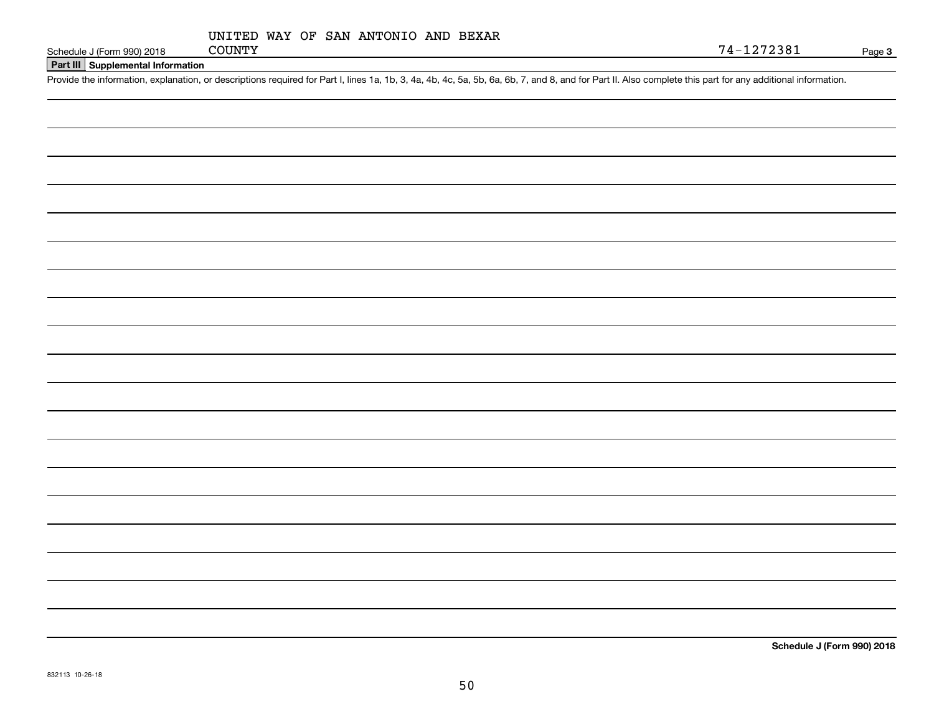| 832113 10-26-18 |
|-----------------|
|-----------------|

**Part III Supplemental Information**

Schedule J (Form 990) 2018 COUNTY<br>Part III Supplemental Information<br>Provide the information, explanation, or descriptions required for Part I, lines 1a, 1b, 3, 4a, 4b, 4c, 5a, 5b, 6a, 6b, 7, and 8, and for Part II. Also co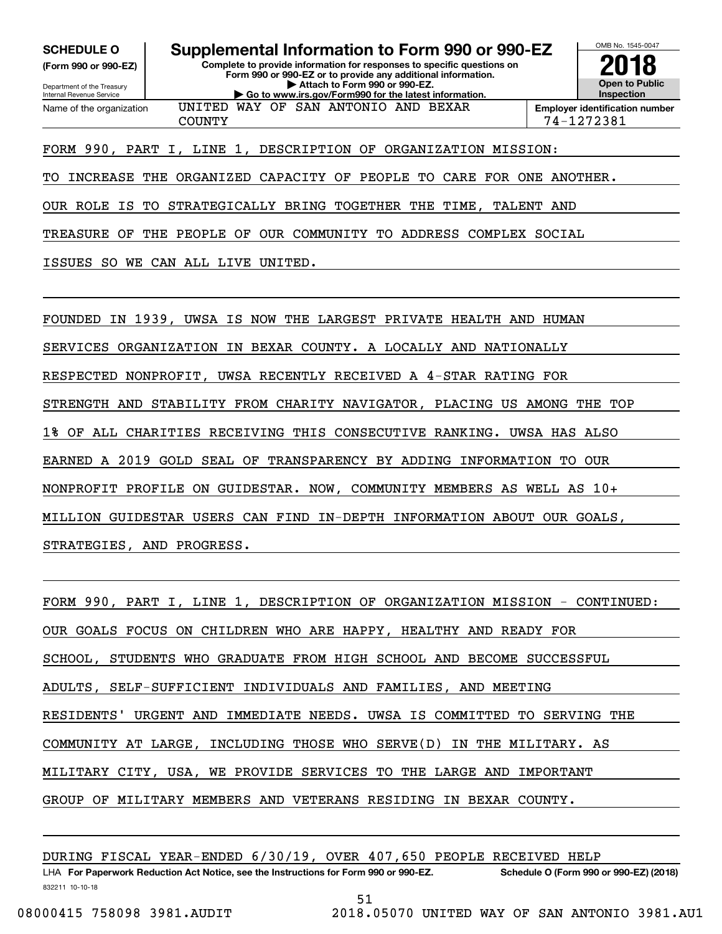**(Form 990 or 990-EZ)**

Department of the Treasury Internal Revenue Service Name of the organization

**SCHEDULE O Supplemental Information to Form 990 or 990-EZ**

**Complete to provide information for responses to specific questions on Form 990 or 990-EZ or to provide any additional information. | Attach to Form 990 or 990-EZ. | Go to www.irs.gov/Form990 for the latest information.**



COUNTY 74-1272381

FORM 990, PART I, LINE 1, DESCRIPTION OF ORGANIZATION MISSION:

TO INCREASE THE ORGANIZED CAPACITY OF PEOPLE TO CARE FOR ONE ANOTHER.

UNITED WAY OF SAN ANTONIO AND BEXAR

OUR ROLE IS TO STRATEGICALLY BRING TOGETHER THE TIME, TALENT AND

TREASURE OF THE PEOPLE OF OUR COMMUNITY TO ADDRESS COMPLEX SOCIAL

ISSUES SO WE CAN ALL LIVE UNITED.

FOUNDED IN 1939, UWSA IS NOW THE LARGEST PRIVATE HEALTH AND HUMAN SERVICES ORGANIZATION IN BEXAR COUNTY. A LOCALLY AND NATIONALLY RESPECTED NONPROFIT, UWSA RECENTLY RECEIVED A 4-STAR RATING FOR STRENGTH AND STABILITY FROM CHARITY NAVIGATOR, PLACING US AMONG THE TOP 1% OF ALL CHARITIES RECEIVING THIS CONSECUTIVE RANKING. UWSA HAS ALSO EARNED A 2019 GOLD SEAL OF TRANSPARENCY BY ADDING INFORMATION TO OUR NONPROFIT PROFILE ON GUIDESTAR. NOW, COMMUNITY MEMBERS AS WELL AS 10+ MILLION GUIDESTAR USERS CAN FIND IN-DEPTH INFORMATION ABOUT OUR GOALS, STRATEGIES, AND PROGRESS.

FORM 990, PART I, LINE 1, DESCRIPTION OF ORGANIZATION MISSION - CONTINUED: OUR GOALS FOCUS ON CHILDREN WHO ARE HAPPY, HEALTHY AND READY FOR SCHOOL, STUDENTS WHO GRADUATE FROM HIGH SCHOOL AND BECOME SUCCESSFUL ADULTS, SELF-SUFFICIENT INDIVIDUALS AND FAMILIES, AND MEETING RESIDENTS' URGENT AND IMMEDIATE NEEDS. UWSA IS COMMITTED TO SERVING THE COMMUNITY AT LARGE, INCLUDING THOSE WHO SERVE(D) IN THE MILITARY. AS MILITARY CITY, USA, WE PROVIDE SERVICES TO THE LARGE AND IMPORTANT GROUP OF MILITARY MEMBERS AND VETERANS RESIDING IN BEXAR COUNTY.

DURING FISCAL YEAR-ENDED 6/30/19, OVER 407,650 PEOPLE RECEIVED HELP

832211 10-10-18 LHA For Paperwork Reduction Act Notice, see the Instructions for Form 990 or 990-EZ. Schedule O (Form 990 or 990-EZ) (2018)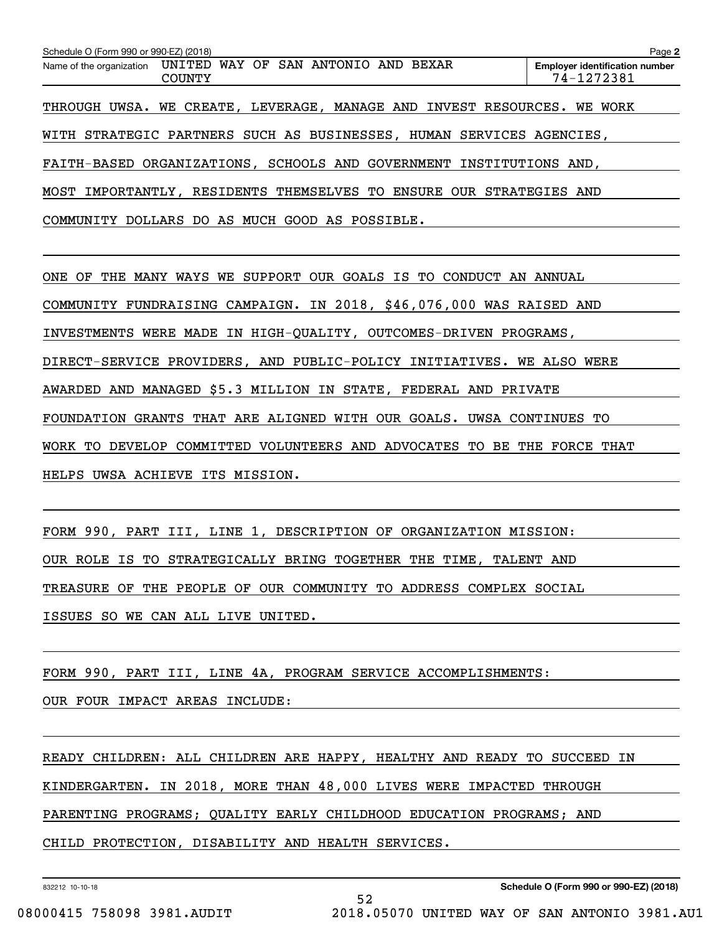| Schedule O (Form 990 or 990-EZ) (2018)                                        | Page 2                                              |
|-------------------------------------------------------------------------------|-----------------------------------------------------|
| Name of the organization UNITED WAY OF SAN ANTONIO AND BEXAR<br><b>COUNTY</b> | <b>Employer identification number</b><br>74-1272381 |
| THROUGH UWSA. WE CREATE, LEVERAGE, MANAGE AND INVEST RESOURCES. WE WORK       |                                                     |
| WITH STRATEGIC PARTNERS SUCH AS BUSINESSES, HUMAN SERVICES AGENCIES,          |                                                     |
| FAITH-BASED ORGANIZATIONS, SCHOOLS AND GOVERNMENT INSTITUTIONS AND,           |                                                     |
| MOST IMPORTANTLY, RESIDENTS THEMSELVES TO ENSURE OUR STRATEGIES AND           |                                                     |
| COMMUNITY DOLLARS DO AS MUCH GOOD AS POSSIBLE.                                |                                                     |

ONE OF THE MANY WAYS WE SUPPORT OUR GOALS IS TO CONDUCT AN ANNUAL

COMMUNITY FUNDRAISING CAMPAIGN. IN 2018, \$46,076,000 WAS RAISED AND

INVESTMENTS WERE MADE IN HIGH-QUALITY, OUTCOMES-DRIVEN PROGRAMS,

DIRECT-SERVICE PROVIDERS, AND PUBLIC-POLICY INITIATIVES. WE ALSO WERE

AWARDED AND MANAGED \$5.3 MILLION IN STATE, FEDERAL AND PRIVATE

FOUNDATION GRANTS THAT ARE ALIGNED WITH OUR GOALS. UWSA CONTINUES TO

WORK TO DEVELOP COMMITTED VOLUNTEERS AND ADVOCATES TO BE THE FORCE THAT

HELPS UWSA ACHIEVE ITS MISSION.

FORM 990, PART III, LINE 1, DESCRIPTION OF ORGANIZATION MISSION: OUR ROLE IS TO STRATEGICALLY BRING TOGETHER THE TIME, TALENT AND TREASURE OF THE PEOPLE OF OUR COMMUNITY TO ADDRESS COMPLEX SOCIAL ISSUES SO WE CAN ALL LIVE UNITED.

FORM 990, PART III, LINE 4A, PROGRAM SERVICE ACCOMPLISHMENTS:

OUR FOUR IMPACT AREAS INCLUDE:

READY CHILDREN: ALL CHILDREN ARE HAPPY, HEALTHY AND READY TO SUCCEED IN KINDERGARTEN. IN 2018, MORE THAN 48,000 LIVES WERE IMPACTED THROUGH PARENTING PROGRAMS; QUALITY EARLY CHILDHOOD EDUCATION PROGRAMS; AND

52

CHILD PROTECTION, DISABILITY AND HEALTH SERVICES.

832212 10-10-18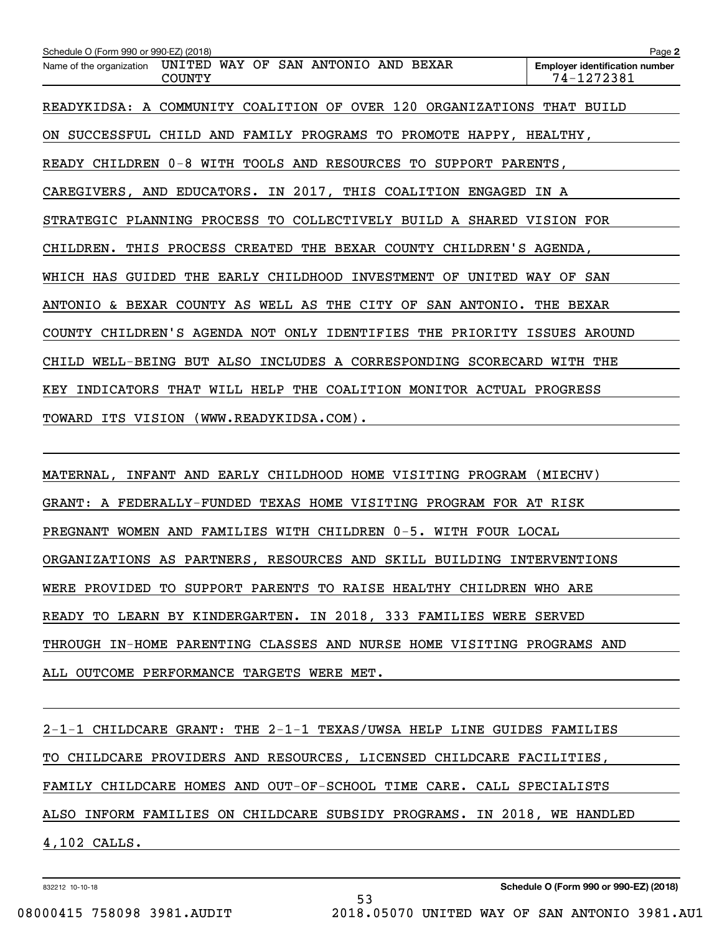| Schedule O (Form 990 or 990-EZ) (2018)                                           | Page 2                                              |
|----------------------------------------------------------------------------------|-----------------------------------------------------|
| UNITED WAY OF SAN ANTONIO AND BEXAR<br>Name of the organization<br><b>COUNTY</b> | <b>Employer identification number</b><br>74-1272381 |
| READYKIDSA: A COMMUNITY COALITION OF OVER 120 ORGANIZATIONS THAT BUILD           |                                                     |
| ON SUCCESSFUL CHILD AND FAMILY PROGRAMS TO PROMOTE HAPPY, HEALTHY,               |                                                     |
| READY CHILDREN 0-8 WITH TOOLS AND RESOURCES TO SUPPORT PARENTS,                  |                                                     |
| CAREGIVERS, AND EDUCATORS. IN 2017, THIS COALITION ENGAGED IN A                  |                                                     |
| STRATEGIC PLANNING PROCESS TO COLLECTIVELY BUILD A SHARED VISION FOR             |                                                     |
| CHILDREN. THIS PROCESS CREATED THE BEXAR COUNTY CHILDREN'S AGENDA,               |                                                     |
| WHICH HAS GUIDED THE EARLY CHILDHOOD INVESTMENT OF UNITED WAY OF SAN             |                                                     |
| ANTONIO & BEXAR COUNTY AS WELL AS THE CITY OF SAN ANTONIO. THE BEXAR             |                                                     |
| COUNTY CHILDREN'S AGENDA NOT ONLY IDENTIFIES THE PRIORITY ISSUES AROUND          |                                                     |
| CHILD WELL-BEING BUT ALSO INCLUDES A CORRESPONDING SCORECARD WITH THE            |                                                     |
| KEY INDICATORS THAT WILL HELP THE COALITION MONITOR ACTUAL PROGRESS              |                                                     |
| TOWARD ITS VISION (WWW.READYKIDSA.COM).                                          |                                                     |

MATERNAL, INFANT AND EARLY CHILDHOOD HOME VISITING PROGRAM (MIECHV) GRANT: A FEDERALLY-FUNDED TEXAS HOME VISITING PROGRAM FOR AT RISK PREGNANT WOMEN AND FAMILIES WITH CHILDREN 0-5. WITH FOUR LOCAL ORGANIZATIONS AS PARTNERS, RESOURCES AND SKILL BUILDING INTERVENTIONS WERE PROVIDED TO SUPPORT PARENTS TO RAISE HEALTHY CHILDREN WHO ARE READY TO LEARN BY KINDERGARTEN. IN 2018, 333 FAMILIES WERE SERVED THROUGH IN-HOME PARENTING CLASSES AND NURSE HOME VISITING PROGRAMS AND ALL OUTCOME PERFORMANCE TARGETS WERE MET.

2-1-1 CHILDCARE GRANT: THE 2-1-1 TEXAS/UWSA HELP LINE GUIDES FAMILIES TO CHILDCARE PROVIDERS AND RESOURCES, LICENSED CHILDCARE FACILITIES, FAMILY CHILDCARE HOMES AND OUT-OF-SCHOOL TIME CARE. CALL SPECIALISTS ALSO INFORM FAMILIES ON CHILDCARE SUBSIDY PROGRAMS. IN 2018, WE HANDLED 4,102 CALLS.

53

832212 10-10-18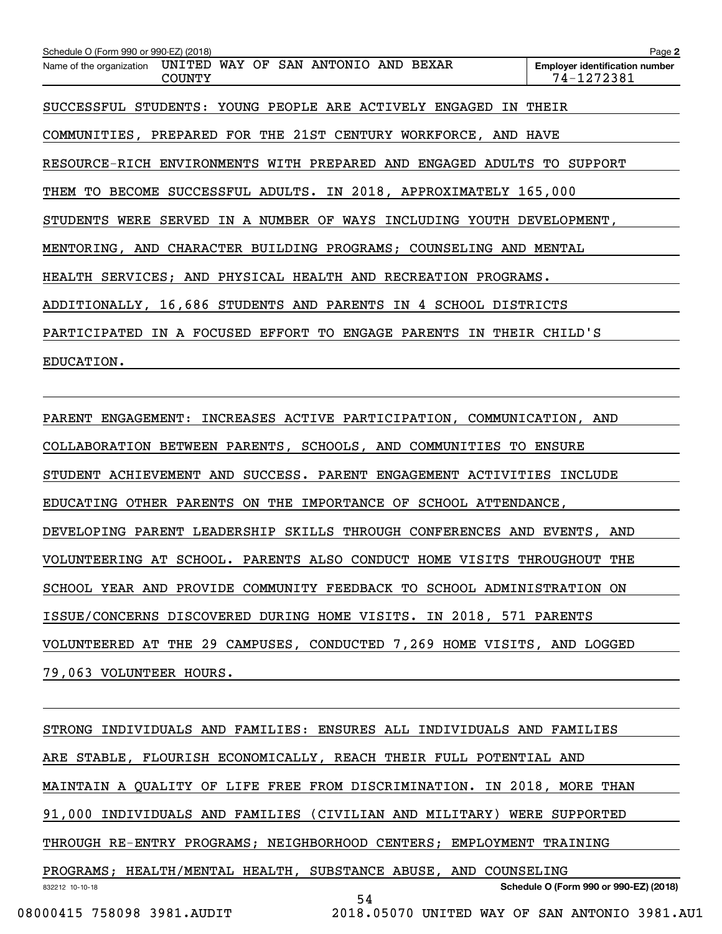| Schedule O (Form 990 or 990-EZ) (2018)                                        | Page 2                                              |
|-------------------------------------------------------------------------------|-----------------------------------------------------|
| Name of the organization UNITED WAY OF SAN ANTONIO AND BEXAR<br><b>COUNTY</b> | <b>Employer identification number</b><br>74-1272381 |
| SUCCESSFUL STUDENTS: YOUNG PEOPLE ARE ACTIVELY ENGAGED IN THEIR               |                                                     |
| COMMUNITIES, PREPARED FOR THE 21ST CENTURY WORKFORCE, AND HAVE                |                                                     |
| RESOURCE-RICH ENVIRONMENTS WITH PREPARED AND ENGAGED ADULTS TO SUPPORT        |                                                     |
| THEM TO BECOME SUCCESSFUL ADULTS. IN 2018, APPROXIMATELY 165,000              |                                                     |
| STUDENTS WERE SERVED IN A NUMBER OF WAYS INCLUDING YOUTH DEVELOPMENT,         |                                                     |
| MENTORING, AND CHARACTER BUILDING PROGRAMS; COUNSELING AND MENTAL             |                                                     |
| HEALTH SERVICES; AND PHYSICAL HEALTH AND RECREATION PROGRAMS.                 |                                                     |
| ADDITIONALLY, 16,686 STUDENTS AND PARENTS IN 4 SCHOOL DISTRICTS               |                                                     |
| PARTICIPATED IN A FOCUSED EFFORT TO ENGAGE PARENTS IN THEIR CHILD'S           |                                                     |
| EDUCATION.                                                                    |                                                     |
|                                                                               |                                                     |
| PARENT ENGAGEMENT: INCREASES ACTIVE PARTICIPATION, COMMUNICATION, AND         |                                                     |
| COLLABORATION BETWEEN PARENTS, SCHOOLS, AND COMMUNITIES TO ENSURE             |                                                     |
| STUDENT ACHIEVEMENT AND SUCCESS. PARENT ENGAGEMENT ACTIVITIES INCLUDE         |                                                     |
| EDUCATING OTHER PARENTS ON THE IMPORTANCE OF SCHOOL ATTENDANCE,               |                                                     |
| DEVELOPING PARENT LEADERSHIP SKILLS THROUGH CONFERENCES AND EVENTS, AND       |                                                     |
| VOLUNTEERING AT SCHOOL. PARENTS ALSO CONDUCT HOME VISITS THROUGHOUT THE       |                                                     |
| SCHOOL YEAR AND PROVIDE COMMUNITY FEEDBACK TO SCHOOL ADMINISTRATION ON        |                                                     |
| ISSUE/CONCERNS DISCOVERED DURING HOME VISITS. IN 2018, 571 PARENTS            |                                                     |
| VOLUNTEERED AT THE 29 CAMPUSES, CONDUCTED 7,269 HOME VISITS, AND LOGGED       |                                                     |

79,063 VOLUNTEER HOURS.

832212 10-10-18 **Schedule O (Form 990 or 990-EZ) (2018)** STRONG INDIVIDUALS AND FAMILIES: ENSURES ALL INDIVIDUALS AND FAMILIES ARE STABLE, FLOURISH ECONOMICALLY, REACH THEIR FULL POTENTIAL AND MAINTAIN A QUALITY OF LIFE FREE FROM DISCRIMINATION. IN 2018, MORE THAN 91,000 INDIVIDUALS AND FAMILIES (CIVILIAN AND MILITARY) WERE SUPPORTED THROUGH RE-ENTRY PROGRAMS; NEIGHBORHOOD CENTERS; EMPLOYMENT TRAINING PROGRAMS; HEALTH/MENTAL HEALTH, SUBSTANCE ABUSE, AND COUNSELING 54

08000415 758098 3981.AUDIT 2018.05070 UNITED WAY OF SAN ANTONIO 3981.AU1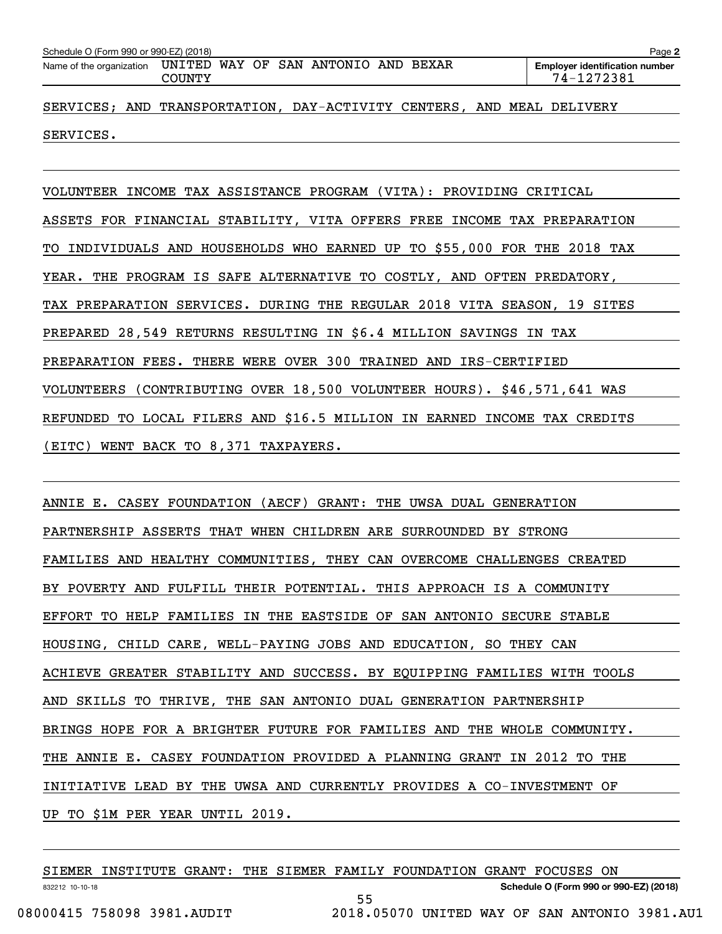| Schedule O (Form 990 or 990-EZ) (2018) |                                                                        | Page 2                                              |
|----------------------------------------|------------------------------------------------------------------------|-----------------------------------------------------|
|                                        | Name of the organization UNITED WAY OF SAN ANTONIO AND BEXAR<br>COUNTY | <b>Employer identification number</b><br>74-1272381 |
|                                        | SERVICES; AND TRANSPORTATION, DAY-ACTIVITY CENTERS,                    | AND MEAL DELIVERY                                   |

SERVICES.

VOLUNTEER INCOME TAX ASSISTANCE PROGRAM (VITA): PROVIDING CRITICAL ASSETS FOR FINANCIAL STABILITY, VITA OFFERS FREE INCOME TAX PREPARATION TO INDIVIDUALS AND HOUSEHOLDS WHO EARNED UP TO \$55,000 FOR THE 2018 TAX YEAR. THE PROGRAM IS SAFE ALTERNATIVE TO COSTLY, AND OFTEN PREDATORY, TAX PREPARATION SERVICES. DURING THE REGULAR 2018 VITA SEASON, 19 SITES PREPARED 28,549 RETURNS RESULTING IN \$6.4 MILLION SAVINGS IN TAX PREPARATION FEES. THERE WERE OVER 300 TRAINED AND IRS-CERTIFIED VOLUNTEERS (CONTRIBUTING OVER 18,500 VOLUNTEER HOURS). \$46,571,641 WAS REFUNDED TO LOCAL FILERS AND \$16.5 MILLION IN EARNED INCOME TAX CREDITS (EITC) WENT BACK TO 8,371 TAXPAYERS.

ANNIE E. CASEY FOUNDATION (AECF) GRANT: THE UWSA DUAL GENERATION PARTNERSHIP ASSERTS THAT WHEN CHILDREN ARE SURROUNDED BY STRONG FAMILIES AND HEALTHY COMMUNITIES, THEY CAN OVERCOME CHALLENGES CREATED BY POVERTY AND FULFILL THEIR POTENTIAL. THIS APPROACH IS A COMMUNITY EFFORT TO HELP FAMILIES IN THE EASTSIDE OF SAN ANTONIO SECURE STABLE HOUSING, CHILD CARE, WELL-PAYING JOBS AND EDUCATION, SO THEY CAN ACHIEVE GREATER STABILITY AND SUCCESS. BY EQUIPPING FAMILIES WITH TOOLS AND SKILLS TO THRIVE, THE SAN ANTONIO DUAL GENERATION PARTNERSHIP BRINGS HOPE FOR A BRIGHTER FUTURE FOR FAMILIES AND THE WHOLE COMMUNITY. THE ANNIE E. CASEY FOUNDATION PROVIDED A PLANNING GRANT IN 2012 TO THE INITIATIVE LEAD BY THE UWSA AND CURRENTLY PROVIDES A CO-INVESTMENT OF UP TO \$1M PER YEAR UNTIL 2019.

|                            | SIEMER INSTITUTE GRANT: THE SIEMER FAMILY FOUNDATION GRANT FOCUSES ON |  |                                               |  |  |  |                                        |  |
|----------------------------|-----------------------------------------------------------------------|--|-----------------------------------------------|--|--|--|----------------------------------------|--|
| 832212 10-10-18            |                                                                       |  |                                               |  |  |  | Schedule O (Form 990 or 990-EZ) (2018) |  |
|                            |                                                                       |  | 55                                            |  |  |  |                                        |  |
| 08000415 758098 3981.AUDIT |                                                                       |  | 2018.05070 UNITED WAY OF SAN ANTONIO 3981.AU1 |  |  |  |                                        |  |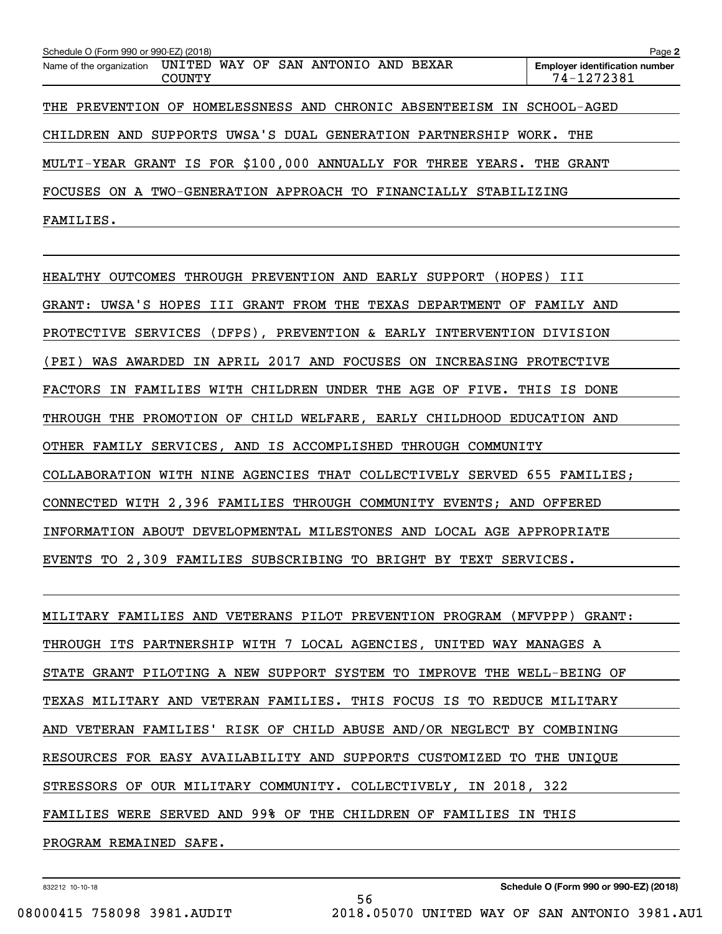| Schedule O (Form 990 or 990-EZ) (2018)                                           | Page 2                                              |
|----------------------------------------------------------------------------------|-----------------------------------------------------|
| UNITED WAY OF SAN ANTONIO AND BEXAR<br>Name of the organization<br><b>COUNTY</b> | <b>Employer identification number</b><br>74-1272381 |
| THE PREVENTION OF HOMELESSNESS AND CHRONIC ABSENTEEISM IN SCHOOL-AGED            |                                                     |
| CHILDREN AND SUPPORTS UWSA'S DUAL GENERATION PARTNERSHIP                         | WORK.<br>THE                                        |
| MULTI-YEAR GRANT IS FOR \$100,000 ANNUALLY FOR THREE YEARS. THE GRANT            |                                                     |
| FOCUSES ON A TWO-GENERATION APPROACH TO FINANCIALLY STABILIZING                  |                                                     |
| FAMILIES.                                                                        |                                                     |

HEALTHY OUTCOMES THROUGH PREVENTION AND EARLY SUPPORT (HOPES) III GRANT: UWSA'S HOPES III GRANT FROM THE TEXAS DEPARTMENT OF FAMILY AND PROTECTIVE SERVICES (DFPS), PREVENTION & EARLY INTERVENTION DIVISION (PEI) WAS AWARDED IN APRIL 2017 AND FOCUSES ON INCREASING PROTECTIVE FACTORS IN FAMILIES WITH CHILDREN UNDER THE AGE OF FIVE. THIS IS DONE THROUGH THE PROMOTION OF CHILD WELFARE, EARLY CHILDHOOD EDUCATION AND OTHER FAMILY SERVICES, AND IS ACCOMPLISHED THROUGH COMMUNITY COLLABORATION WITH NINE AGENCIES THAT COLLECTIVELY SERVED 655 FAMILIES; CONNECTED WITH 2,396 FAMILIES THROUGH COMMUNITY EVENTS; AND OFFERED INFORMATION ABOUT DEVELOPMENTAL MILESTONES AND LOCAL AGE APPROPRIATE EVENTS TO 2,309 FAMILIES SUBSCRIBING TO BRIGHT BY TEXT SERVICES.

| MILITARY FAMILIES AND VETERANS PILOT PREVENTION PROGRAM (MFVPPP) GRANT: |
|-------------------------------------------------------------------------|
| THROUGH ITS PARTNERSHIP WITH 7 LOCAL AGENCIES, UNITED WAY MANAGES A     |
| STATE GRANT PILOTING A NEW SUPPORT SYSTEM TO IMPROVE THE WELL-BEING OF  |
| TEXAS MILITARY AND VETERAN FAMILIES. THIS FOCUS IS TO REDUCE MILITARY   |
| AND VETERAN FAMILIES' RISK OF CHILD ABUSE AND/OR NEGLECT BY COMBINING   |
| RESOURCES FOR EASY AVAILABILITY AND SUPPORTS CUSTOMIZED TO THE UNIOUE   |
| STRESSORS OF OUR MILITARY COMMUNITY. COLLECTIVELY, IN 2018, 322         |
| FAMILIES WERE SERVED AND 99% OF THE CHILDREN OF FAMILIES IN THIS        |
| PROGRAM REMAINED SAFE.                                                  |
|                                                                         |

56

832212 10-10-18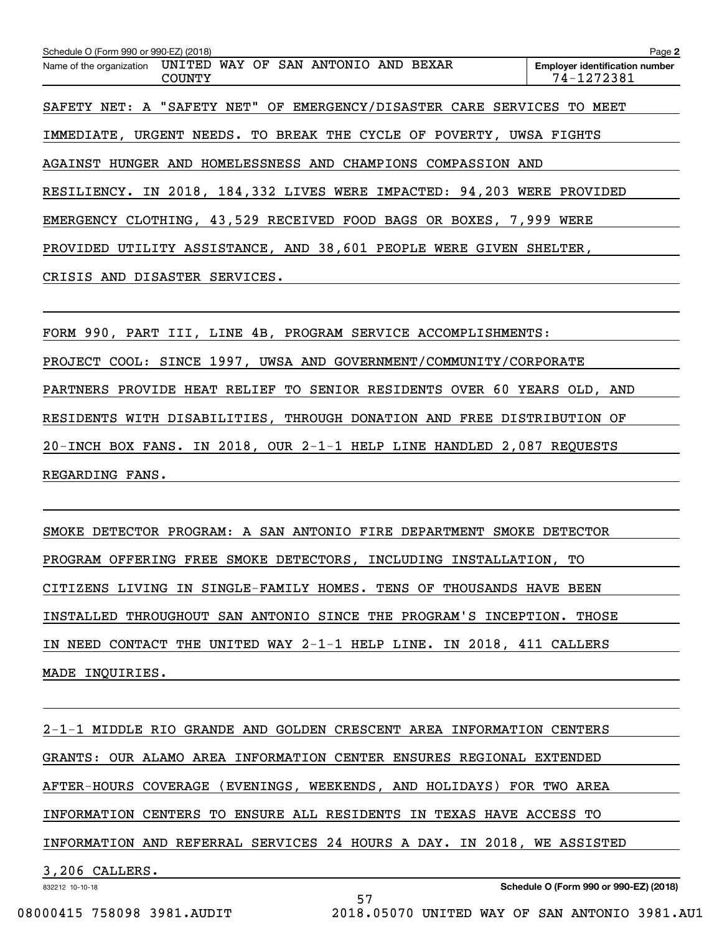| Schedule O (Form 990 or 990-EZ) (2018)    |                                     |                                                                          | Page 2                                              |
|-------------------------------------------|-------------------------------------|--------------------------------------------------------------------------|-----------------------------------------------------|
| Name of the organization<br><b>COUNTY</b> | UNITED WAY OF SAN ANTONIO AND BEXAR |                                                                          | <b>Employer identification number</b><br>74-1272381 |
|                                           |                                     | SAFETY NET: A "SAFETY NET" OF EMERGENCY/DISASTER CARE SERVICES TO MEET   |                                                     |
|                                           |                                     | IMMEDIATE, URGENT NEEDS. TO BREAK THE CYCLE OF POVERTY, UWSA FIGHTS      |                                                     |
|                                           |                                     | AGAINST HUNGER AND HOMELESSNESS AND CHAMPIONS COMPASSION AND             |                                                     |
|                                           |                                     | RESILIENCY. IN 2018, 184, 332 LIVES WERE IMPACTED: 94, 203 WERE PROVIDED |                                                     |
|                                           |                                     | EMERGENCY CLOTHING, 43,529 RECEIVED FOOD BAGS OR BOXES, 7,999 WERE       |                                                     |
|                                           |                                     | PROVIDED UTILITY ASSISTANCE, AND 38,601 PEOPLE WERE GIVEN SHELTER,       |                                                     |
| CRISIS AND DISASTER SERVICES.             |                                     |                                                                          |                                                     |
|                                           |                                     |                                                                          |                                                     |
|                                           |                                     |                                                                          |                                                     |

FORM 990, PART III, LINE 4B, PROGRAM SERVICE ACCOMPLISHMENTS: PROJECT COOL: SINCE 1997, UWSA AND GOVERNMENT/COMMUNITY/CORPORATE PARTNERS PROVIDE HEAT RELIEF TO SENIOR RESIDENTS OVER 60 YEARS OLD, AND RESIDENTS WITH DISABILITIES, THROUGH DONATION AND FREE DISTRIBUTION OF 20-INCH BOX FANS. IN 2018, OUR 2-1-1 HELP LINE HANDLED 2,087 REQUESTS REGARDING FANS.

SMOKE DETECTOR PROGRAM: A SAN ANTONIO FIRE DEPARTMENT SMOKE DETECTOR PROGRAM OFFERING FREE SMOKE DETECTORS, INCLUDING INSTALLATION, TO CITIZENS LIVING IN SINGLE-FAMILY HOMES. TENS OF THOUSANDS HAVE BEEN INSTALLED THROUGHOUT SAN ANTONIO SINCE THE PROGRAM'S INCEPTION. THOSE IN NEED CONTACT THE UNITED WAY 2-1-1 HELP LINE. IN 2018, 411 CALLERS MADE INQUIRIES.

2-1-1 MIDDLE RIO GRANDE AND GOLDEN CRESCENT AREA INFORMATION CENTERS GRANTS: OUR ALAMO AREA INFORMATION CENTER ENSURES REGIONAL EXTENDED AFTER-HOURS COVERAGE (EVENINGS, WEEKENDS, AND HOLIDAYS) FOR TWO AREA INFORMATION CENTERS TO ENSURE ALL RESIDENTS IN TEXAS HAVE ACCESS TO INFORMATION AND REFERRAL SERVICES 24 HOURS A DAY. IN 2018, WE ASSISTED 3,206 CALLERS.

57

832212 10-10-18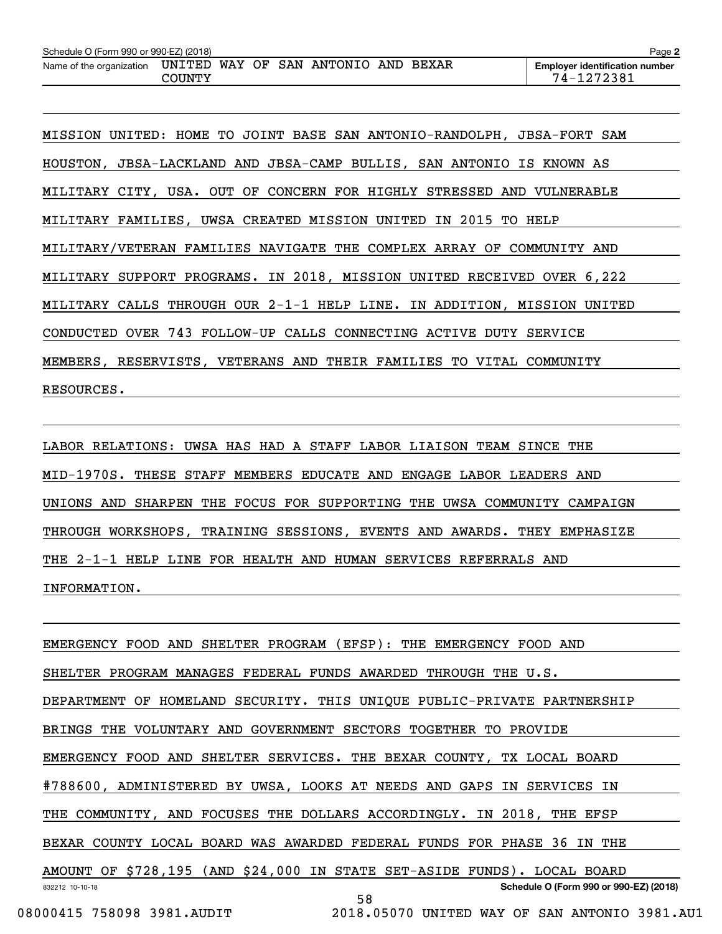| Schedule O (Form 990 or 990-EZ) (2018) |                  |  |                              |  | Page 2                                              |
|----------------------------------------|------------------|--|------------------------------|--|-----------------------------------------------------|
| Name of the organization               | UNITED<br>COUNTY |  | WAY OF SAN ANTONIO AND BEXAR |  | <b>Employer identification number</b><br>74-1272381 |

MISSION UNITED: HOME TO JOINT BASE SAN ANTONIO-RANDOLPH, JBSA-FORT SAM HOUSTON, JBSA-LACKLAND AND JBSA-CAMP BULLIS, SAN ANTONIO IS KNOWN AS MILITARY CITY, USA. OUT OF CONCERN FOR HIGHLY STRESSED AND VULNERABLE MILITARY FAMILIES, UWSA CREATED MISSION UNITED IN 2015 TO HELP MILITARY/VETERAN FAMILIES NAVIGATE THE COMPLEX ARRAY OF COMMUNITY AND MILITARY SUPPORT PROGRAMS. IN 2018, MISSION UNITED RECEIVED OVER 6,222 MILITARY CALLS THROUGH OUR 2-1-1 HELP LINE. IN ADDITION, MISSION UNITED CONDUCTED OVER 743 FOLLOW-UP CALLS CONNECTING ACTIVE DUTY SERVICE MEMBERS, RESERVISTS, VETERANS AND THEIR FAMILIES TO VITAL COMMUNITY RESOURCES.

LABOR RELATIONS: UWSA HAS HAD A STAFF LABOR LIAISON TEAM SINCE THE MID-1970S. THESE STAFF MEMBERS EDUCATE AND ENGAGE LABOR LEADERS AND UNIONS AND SHARPEN THE FOCUS FOR SUPPORTING THE UWSA COMMUNITY CAMPAIGN THROUGH WORKSHOPS, TRAINING SESSIONS, EVENTS AND AWARDS. THEY EMPHASIZE THE 2-1-1 HELP LINE FOR HEALTH AND HUMAN SERVICES REFERRALS AND INFORMATION.

832212 10-10-18 **Schedule O (Form 990 or 990-EZ) (2018)** EMERGENCY FOOD AND SHELTER PROGRAM (EFSP): THE EMERGENCY FOOD AND SHELTER PROGRAM MANAGES FEDERAL FUNDS AWARDED THROUGH THE U.S. DEPARTMENT OF HOMELAND SECURITY. THIS UNIQUE PUBLIC-PRIVATE PARTNERSHIP BRINGS THE VOLUNTARY AND GOVERNMENT SECTORS TOGETHER TO PROVIDE EMERGENCY FOOD AND SHELTER SERVICES. THE BEXAR COUNTY, TX LOCAL BOARD #788600, ADMINISTERED BY UWSA, LOOKS AT NEEDS AND GAPS IN SERVICES IN THE COMMUNITY, AND FOCUSES THE DOLLARS ACCORDINGLY. IN 2018, THE EFSP BEXAR COUNTY LOCAL BOARD WAS AWARDED FEDERAL FUNDS FOR PHASE 36 IN THE AMOUNT OF \$728,195 (AND \$24,000 IN STATE SET-ASIDE FUNDS). LOCAL BOARD 58 08000415 758098 3981.AUDIT 2018.05070 UNITED WAY OF SAN ANTONIO 3981.AU1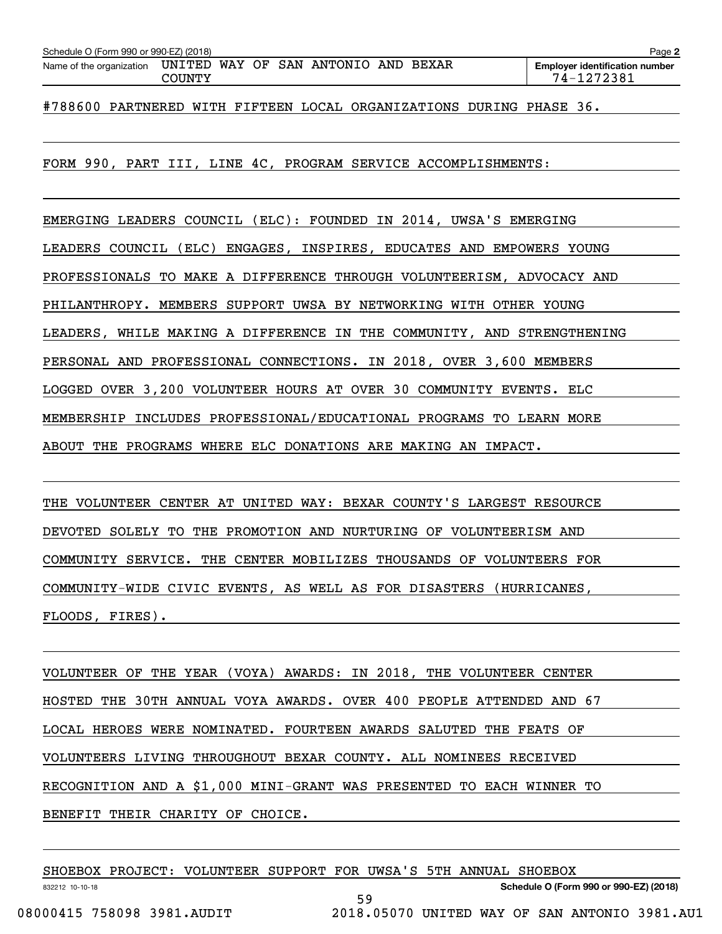|                                                                                                                                  | Page 2 |
|----------------------------------------------------------------------------------------------------------------------------------|--------|
| UNITED WAY OF SAN ANTONIO AND BEXAR<br>Name of the organization<br><b>Employer identification number</b><br>74-1272381<br>COUNTY |        |

#788600 PARTNERED WITH FIFTEEN LOCAL ORGANIZATIONS DURING PHASE 36.

FORM 990, PART III, LINE 4C, PROGRAM SERVICE ACCOMPLISHMENTS:

EMERGING LEADERS COUNCIL (ELC): FOUNDED IN 2014, UWSA'S EMERGING

LEADERS COUNCIL (ELC) ENGAGES, INSPIRES, EDUCATES AND EMPOWERS YOUNG

PROFESSIONALS TO MAKE A DIFFERENCE THROUGH VOLUNTEERISM, ADVOCACY AND

PHILANTHROPY. MEMBERS SUPPORT UWSA BY NETWORKING WITH OTHER YOUNG

LEADERS, WHILE MAKING A DIFFERENCE IN THE COMMUNITY, AND STRENGTHENING

PERSONAL AND PROFESSIONAL CONNECTIONS. IN 2018, OVER 3,600 MEMBERS

LOGGED OVER 3,200 VOLUNTEER HOURS AT OVER 30 COMMUNITY EVENTS. ELC

MEMBERSHIP INCLUDES PROFESSIONAL/EDUCATIONAL PROGRAMS TO LEARN MORE

ABOUT THE PROGRAMS WHERE ELC DONATIONS ARE MAKING AN IMPACT.

THE VOLUNTEER CENTER AT UNITED WAY: BEXAR COUNTY'S LARGEST RESOURCE DEVOTED SOLELY TO THE PROMOTION AND NURTURING OF VOLUNTEERISM AND COMMUNITY SERVICE. THE CENTER MOBILIZES THOUSANDS OF VOLUNTEERS FOR COMMUNITY-WIDE CIVIC EVENTS, AS WELL AS FOR DISASTERS (HURRICANES, FLOODS, FIRES).

VOLUNTEER OF THE YEAR (VOYA) AWARDS: IN 2018, THE VOLUNTEER CENTER HOSTED THE 30TH ANNUAL VOYA AWARDS. OVER 400 PEOPLE ATTENDED AND 67 LOCAL HEROES WERE NOMINATED. FOURTEEN AWARDS SALUTED THE FEATS OF VOLUNTEERS LIVING THROUGHOUT BEXAR COUNTY. ALL NOMINEES RECEIVED RECOGNITION AND A \$1,000 MINI-GRANT WAS PRESENTED TO EACH WINNER TO BENEFIT THEIR CHARITY OF CHOICE.

|                            | SHOEBOX PROJECT: VOLUNTEER SUPPORT FOR UWSA'S 5TH ANNUAL SHOEBOX |  |
|----------------------------|------------------------------------------------------------------|--|
| 832212 10-10-18            | Schedule O (Form 990 or 990-EZ) (2018)                           |  |
|                            | 59                                                               |  |
| 08000415 758098 3981.AUDIT | 2018.05070 UNITED WAY OF SAN ANTONIO 3981.AU1                    |  |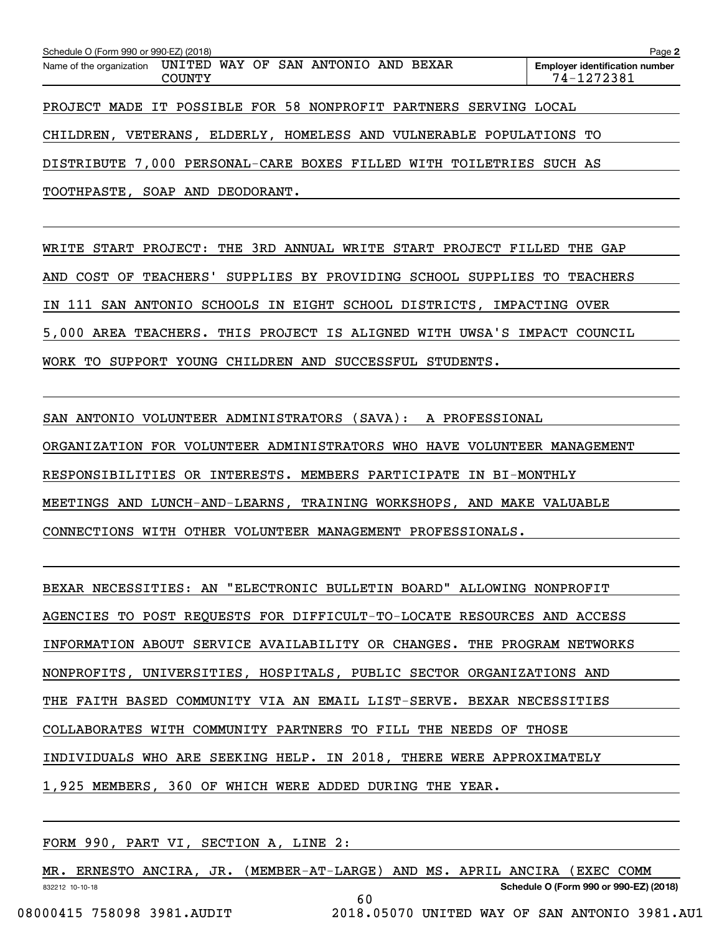| Schedule O (Form 990 or 990-EZ) (2018)                                        | Page 2                                              |
|-------------------------------------------------------------------------------|-----------------------------------------------------|
| Name of the organization UNITED WAY OF SAN ANTONIO AND BEXAR<br><b>COUNTY</b> | <b>Employer identification number</b><br>74-1272381 |
| PROJECT MADE IT POSSIBLE FOR 58 NONPROFIT PARTNERS SERVING LOCAL              |                                                     |
| CHILDREN, VETERANS, ELDERLY, HOMELESS AND VULNERABLE POPULATIONS TO           |                                                     |
| DISTRIBUTE 7,000 PERSONAL-CARE BOXES FILLED WITH TOILETRIES SUCH AS           |                                                     |
| TOOTHPASTE, SOAP AND DEODORANT.                                               |                                                     |

WRITE START PROJECT: THE 3RD ANNUAL WRITE START PROJECT FILLED THE GAP AND COST OF TEACHERS' SUPPLIES BY PROVIDING SCHOOL SUPPLIES TO TEACHERS IN 111 SAN ANTONIO SCHOOLS IN EIGHT SCHOOL DISTRICTS, IMPACTING OVER 5,000 AREA TEACHERS. THIS PROJECT IS ALIGNED WITH UWSA'S IMPACT COUNCIL WORK TO SUPPORT YOUNG CHILDREN AND SUCCESSFUL STUDENTS.

SAN ANTONIO VOLUNTEER ADMINISTRATORS (SAVA): A PROFESSIONAL

ORGANIZATION FOR VOLUNTEER ADMINISTRATORS WHO HAVE VOLUNTEER MANAGEMENT

RESPONSIBILITIES OR INTERESTS. MEMBERS PARTICIPATE IN BI-MONTHLY

MEETINGS AND LUNCH-AND-LEARNS, TRAINING WORKSHOPS, AND MAKE VALUABLE

CONNECTIONS WITH OTHER VOLUNTEER MANAGEMENT PROFESSIONALS.

BEXAR NECESSITIES: AN "ELECTRONIC BULLETIN BOARD" ALLOWING NONPROFIT AGENCIES TO POST REQUESTS FOR DIFFICULT-TO-LOCATE RESOURCES AND ACCESS INFORMATION ABOUT SERVICE AVAILABILITY OR CHANGES. THE PROGRAM NETWORKS NONPROFITS, UNIVERSITIES, HOSPITALS, PUBLIC SECTOR ORGANIZATIONS AND THE FAITH BASED COMMUNITY VIA AN EMAIL LIST-SERVE. BEXAR NECESSITIES COLLABORATES WITH COMMUNITY PARTNERS TO FILL THE NEEDS OF THOSE INDIVIDUALS WHO ARE SEEKING HELP. IN 2018, THERE WERE APPROXIMATELY 1,925 MEMBERS, 360 OF WHICH WERE ADDED DURING THE YEAR.

FORM 990, PART VI, SECTION A, LINE 2:

832212 10-10-18 **Schedule O (Form 990 or 990-EZ) (2018)** MR. ERNESTO ANCIRA, JR. (MEMBER-AT-LARGE) AND MS. APRIL ANCIRA (EXEC COMM 60

08000415 758098 3981.AUDIT 2018.05070 UNITED WAY OF SAN ANTONIO 3981.AU1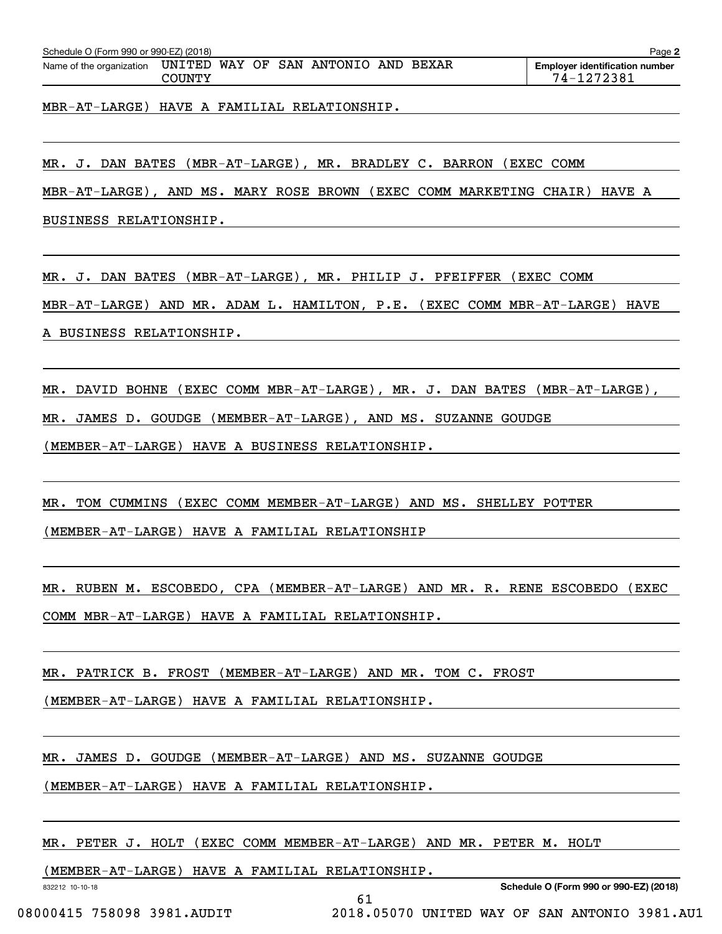| Schedule O (Form 990 or 990-EZ) (2018) |        |  |                                     |  | Page 2                                |
|----------------------------------------|--------|--|-------------------------------------|--|---------------------------------------|
| Name of the organization               |        |  | UNITED WAY OF SAN ANTONIO AND BEXAR |  | <b>Employer identification number</b> |
|                                        | COUNTY |  |                                     |  | 74-1272381                            |

MBR-AT-LARGE) HAVE A FAMILIAL RELATIONSHIP.

MR. J. DAN BATES (MBR-AT-LARGE), MR. BRADLEY C. BARRON (EXEC COMM

MBR-AT-LARGE), AND MS. MARY ROSE BROWN (EXEC COMM MARKETING CHAIR) HAVE A

BUSINESS RELATIONSHIP.

MR. J. DAN BATES (MBR-AT-LARGE), MR. PHILIP J. PFEIFFER (EXEC COMM MBR-AT-LARGE) AND MR. ADAM L. HAMILTON, P.E. (EXEC COMM MBR-AT-LARGE) HAVE A BUSINESS RELATIONSHIP.

MR. DAVID BOHNE (EXEC COMM MBR-AT-LARGE), MR. J. DAN BATES (MBR-AT-LARGE), MR. JAMES D. GOUDGE (MEMBER-AT-LARGE), AND MS. SUZANNE GOUDGE (MEMBER-AT-LARGE) HAVE A BUSINESS RELATIONSHIP.

MR. TOM CUMMINS (EXEC COMM MEMBER-AT-LARGE) AND MS. SHELLEY POTTER (MEMBER-AT-LARGE) HAVE A FAMILIAL RELATIONSHIP

MR. RUBEN M. ESCOBEDO, CPA (MEMBER-AT-LARGE) AND MR. R. RENE ESCOBEDO (EXEC COMM MBR-AT-LARGE) HAVE A FAMILIAL RELATIONSHIP.

MR. PATRICK B. FROST (MEMBER-AT-LARGE) AND MR. TOM C. FROST

(MEMBER-AT-LARGE) HAVE A FAMILIAL RELATIONSHIP.

MR. JAMES D. GOUDGE (MEMBER-AT-LARGE) AND MS. SUZANNE GOUDGE

(MEMBER-AT-LARGE) HAVE A FAMILIAL RELATIONSHIP.

MR. PETER J. HOLT (EXEC COMM MEMBER-AT-LARGE) AND MR. PETER M. HOLT

61

(MEMBER-AT-LARGE) HAVE A FAMILIAL RELATIONSHIP.

832212 10-10-18

**Schedule O (Form 990 or 990-EZ) (2018)**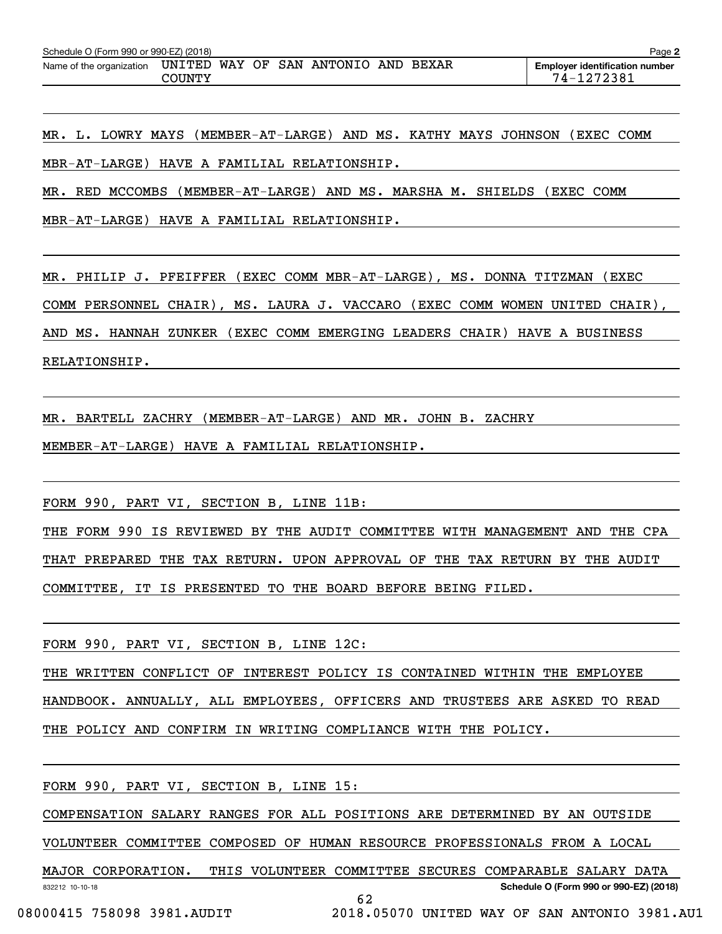| Schedule O (Form 990 or 990-EZ) (2018) |        |  |                                     |  | Page 2                                |
|----------------------------------------|--------|--|-------------------------------------|--|---------------------------------------|
| Name of the organization               |        |  | UNITED WAY OF SAN ANTONIO AND BEXAR |  | <b>Employer identification number</b> |
|                                        | COUNTY |  |                                     |  | 74-1272381                            |

MR. L. LOWRY MAYS (MEMBER-AT-LARGE) AND MS. KATHY MAYS JOHNSON (EXEC COMM MBR-AT-LARGE) HAVE A FAMILIAL RELATIONSHIP.

MR. RED MCCOMBS (MEMBER-AT-LARGE) AND MS. MARSHA M. SHIELDS (EXEC COMM

MBR-AT-LARGE) HAVE A FAMILIAL RELATIONSHIP.

MR. PHILIP J. PFEIFFER (EXEC COMM MBR-AT-LARGE), MS. DONNA TITZMAN (EXEC COMM PERSONNEL CHAIR), MS. LAURA J. VACCARO (EXEC COMM WOMEN UNITED CHAIR), AND MS. HANNAH ZUNKER (EXEC COMM EMERGING LEADERS CHAIR) HAVE A BUSINESS RELATIONSHIP.

MR. BARTELL ZACHRY (MEMBER-AT-LARGE) AND MR. JOHN B. ZACHRY

MEMBER-AT-LARGE) HAVE A FAMILIAL RELATIONSHIP.

FORM 990, PART VI, SECTION B, LINE 11B:

THE FORM 990 IS REVIEWED BY THE AUDIT COMMITTEE WITH MANAGEMENT AND THE CPA THAT PREPARED THE TAX RETURN. UPON APPROVAL OF THE TAX RETURN BY THE AUDIT COMMITTEE, IT IS PRESENTED TO THE BOARD BEFORE BEING FILED.

FORM 990, PART VI, SECTION B, LINE 12C:

THE WRITTEN CONFLICT OF INTEREST POLICY IS CONTAINED WITHIN THE EMPLOYEE

HANDBOOK. ANNUALLY, ALL EMPLOYEES, OFFICERS AND TRUSTEES ARE ASKED TO READ

THE POLICY AND CONFIRM IN WRITING COMPLIANCE WITH THE POLICY.

FORM 990, PART VI, SECTION B, LINE 15:

COMPENSATION SALARY RANGES FOR ALL POSITIONS ARE DETERMINED BY AN OUTSIDE

VOLUNTEER COMMITTEE COMPOSED OF HUMAN RESOURCE PROFESSIONALS FROM A LOCAL

832212 10-10-18 **Schedule O (Form 990 or 990-EZ) (2018)** MAJOR CORPORATION. THIS VOLUNTEER COMMITTEE SECURES COMPARABLE SALARY DATA 62 08000415 758098 3981.AUDIT 2018.05070 UNITED WAY OF SAN ANTONIO 3981.AU1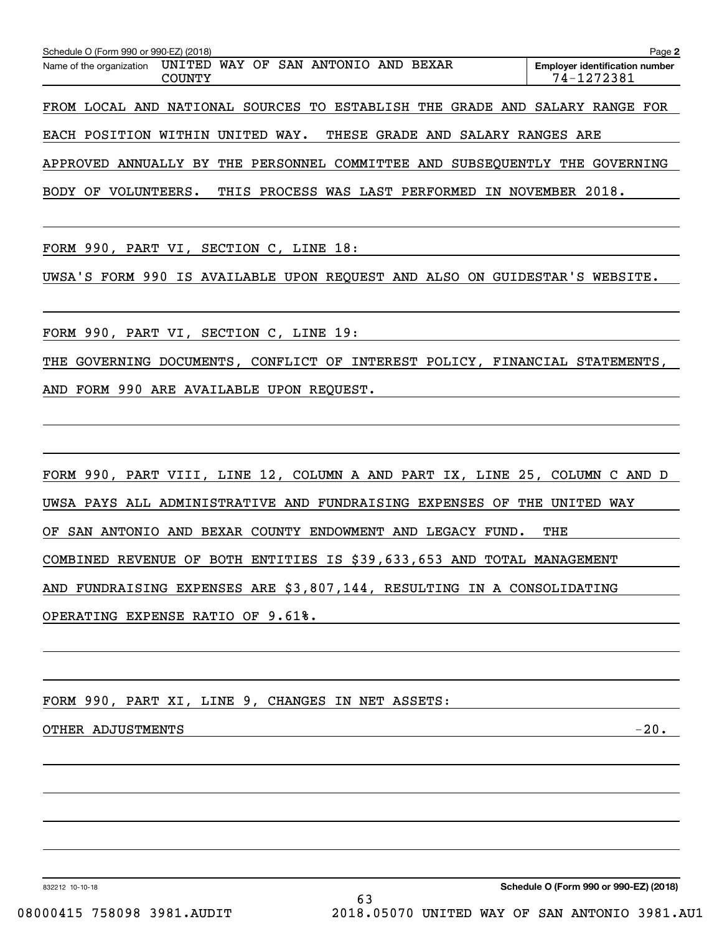|                           | Schedule O (Form 990 or 990-EZ) (2018)<br>Page 2 |                              |                                                                             |                                                     |  |  |  |  |  |  |  |  |  |
|---------------------------|--------------------------------------------------|------------------------------|-----------------------------------------------------------------------------|-----------------------------------------------------|--|--|--|--|--|--|--|--|--|
| Name of the organization  | UNITED<br><b>COUNTY</b>                          | WAY OF SAN ANTONIO AND BEXAR |                                                                             | <b>Employer identification number</b><br>74-1272381 |  |  |  |  |  |  |  |  |  |
|                           |                                                  |                              | FROM LOCAL AND NATIONAL SOURCES TO ESTABLISH THE GRADE AND SALARY RANGE FOR |                                                     |  |  |  |  |  |  |  |  |  |
|                           |                                                  |                              | EACH POSITION WITHIN UNITED WAY. THESE GRADE AND SALARY RANGES ARE          |                                                     |  |  |  |  |  |  |  |  |  |
| APPROVED                  |                                                  |                              | ANNUALLY BY THE PERSONNEL COMMITTEE AND SUBSEQUENTLY THE GOVERNING          |                                                     |  |  |  |  |  |  |  |  |  |
| BODY<br>VOLUNTEERS.<br>OF |                                                  |                              | THIS PROCESS WAS LAST PERFORMED IN NOVEMBER 2018.                           |                                                     |  |  |  |  |  |  |  |  |  |

FORM 990, PART VI, SECTION C, LINE 18:

UWSA'S FORM 990 IS AVAILABLE UPON REQUEST AND ALSO ON GUIDESTAR'S WEBSITE.

FORM 990, PART VI, SECTION C, LINE 19:

THE GOVERNING DOCUMENTS, CONFLICT OF INTEREST POLICY, FINANCIAL STATEMENTS,

AND FORM 990 ARE AVAILABLE UPON REQUEST.

FORM 990, PART VIII, LINE 12, COLUMN A AND PART IX, LINE 25, COLUMN C AND D UWSA PAYS ALL ADMINISTRATIVE AND FUNDRAISING EXPENSES OF THE UNITED WAY OF SAN ANTONIO AND BEXAR COUNTY ENDOWMENT AND LEGACY FUND. THE COMBINED REVENUE OF BOTH ENTITIES IS \$39,633,653 AND TOTAL MANAGEMENT AND FUNDRAISING EXPENSES ARE \$3,807,144, RESULTING IN A CONSOLIDATING OPERATING EXPENSE RATIO OF 9.61%.

FORM 990, PART XI, LINE 9, CHANGES IN NET ASSETS:

OTHER ADJUSTMENTS -20.

832212 10-10-18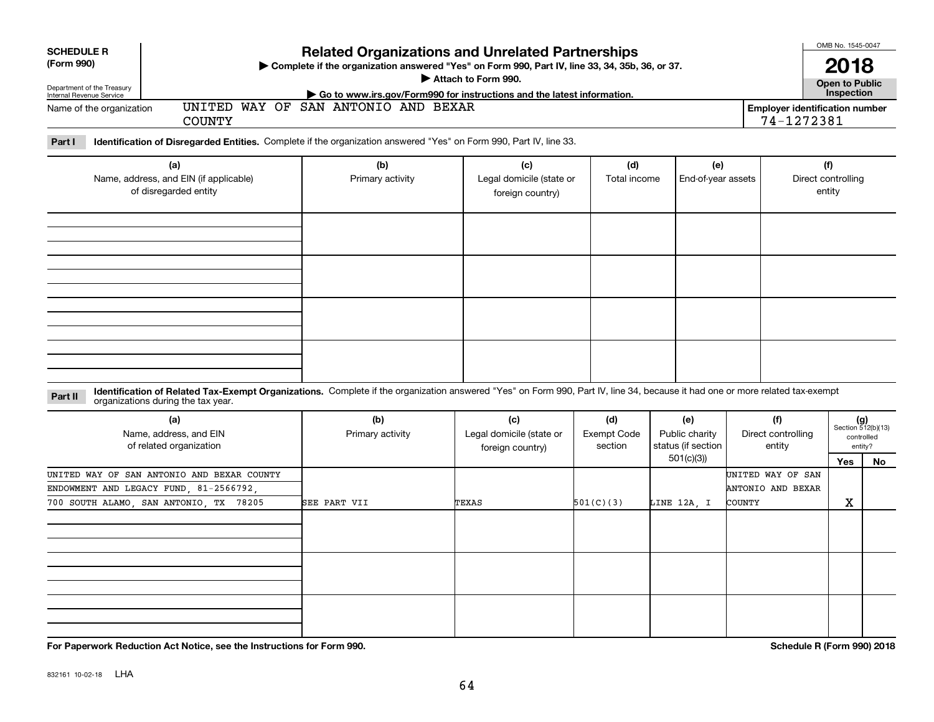| <b>SCHEDULE R</b><br>(Form 990)<br>Department of the Treasury<br>Internal Revenue Service<br>Name of the organization | UNITED WAY OF<br><b>COUNTY</b>                                                                                                                                                               | <b>Related Organizations and Unrelated Partnerships</b><br>> Complete if the organization answered "Yes" on Form 990, Part IV, line 33, 34, 35b, 36, or 37.<br>Go to www.irs.gov/Form990 for instructions and the latest information.<br>SAN ANTONIO AND BEXAR | Attach to Form 990.                                 |                                      |                                                          | <b>Employer identification number</b><br>74-1272381 | OMB No. 1545-0047<br>2018<br><b>Open to Public</b><br>Inspection |
|-----------------------------------------------------------------------------------------------------------------------|----------------------------------------------------------------------------------------------------------------------------------------------------------------------------------------------|----------------------------------------------------------------------------------------------------------------------------------------------------------------------------------------------------------------------------------------------------------------|-----------------------------------------------------|--------------------------------------|----------------------------------------------------------|-----------------------------------------------------|------------------------------------------------------------------|
| Part I                                                                                                                | Identification of Disregarded Entities. Complete if the organization answered "Yes" on Form 990, Part IV, line 33.<br>(a)<br>Name, address, and EIN (if applicable)<br>of disregarded entity | (b)<br>Primary activity                                                                                                                                                                                                                                        | (c)<br>Legal domicile (state or<br>foreign country) | (d)<br>Total income                  | (e)<br>End-of-year assets                                |                                                     | (f)<br>Direct controlling<br>entity                              |
|                                                                                                                       |                                                                                                                                                                                              |                                                                                                                                                                                                                                                                |                                                     |                                      |                                                          |                                                     |                                                                  |
|                                                                                                                       |                                                                                                                                                                                              |                                                                                                                                                                                                                                                                |                                                     |                                      |                                                          |                                                     |                                                                  |
| Part II                                                                                                               | Identification of Related Tax-Exempt Organizations. Complete if the organization answered "Yes" on Form 990, Part IV, line 34, because it had one or more related tax-exempt                 |                                                                                                                                                                                                                                                                |                                                     |                                      |                                                          |                                                     |                                                                  |
|                                                                                                                       | organizations during the tax year.<br>(a)<br>Name, address, and EIN<br>of related organization                                                                                               | (b)<br>Primary activity                                                                                                                                                                                                                                        | (c)<br>Legal domicile (state or<br>foreign country) | (d)<br><b>Exempt Code</b><br>section | (e)<br>Public charity<br>status (if section<br>EOM(A)/Q) | (f)<br>Direct controlling<br>entity                 | $(g)$<br>Section 512(b)(13)<br>controlled<br>entity?             |

| Name, address, and EIN<br>of related organization | <b>Primary activity</b> | Legal domicile (state or<br>foreign country) | Exempt Code<br>section | Public charity<br>status (if section | Direct controlling<br>entity | controlled<br>entity? |    |
|---------------------------------------------------|-------------------------|----------------------------------------------|------------------------|--------------------------------------|------------------------------|-----------------------|----|
|                                                   |                         |                                              |                        | 501(c)(3))                           |                              | Yes                   | No |
| UNITED WAY OF SAN ANTONIO AND BEXAR COUNTY        |                         |                                              |                        |                                      | UNITED WAY OF SAN            |                       |    |
| ENDOWMENT AND LEGACY FUND, 81-2566792,            |                         |                                              |                        |                                      | ANTONIO AND BEXAR            |                       |    |
| 700 SOUTH ALAMO, SAN ANTONIO, TX 78205            | SEE PART VII            | TEXAS                                        | 501(C)(3)              | LINE 12A, I                          | <b>COUNTY</b>                | X                     |    |
|                                                   |                         |                                              |                        |                                      |                              |                       |    |
|                                                   |                         |                                              |                        |                                      |                              |                       |    |
|                                                   |                         |                                              |                        |                                      |                              |                       |    |
|                                                   |                         |                                              |                        |                                      |                              |                       |    |
|                                                   |                         |                                              |                        |                                      |                              |                       |    |
|                                                   |                         |                                              |                        |                                      |                              |                       |    |
|                                                   |                         |                                              |                        |                                      |                              |                       |    |
|                                                   |                         |                                              |                        |                                      |                              |                       |    |
|                                                   |                         |                                              |                        |                                      |                              |                       |    |

**For Paperwork Reduction Act Notice, see the Instructions for Form 990. Schedule R (Form 990) 2018**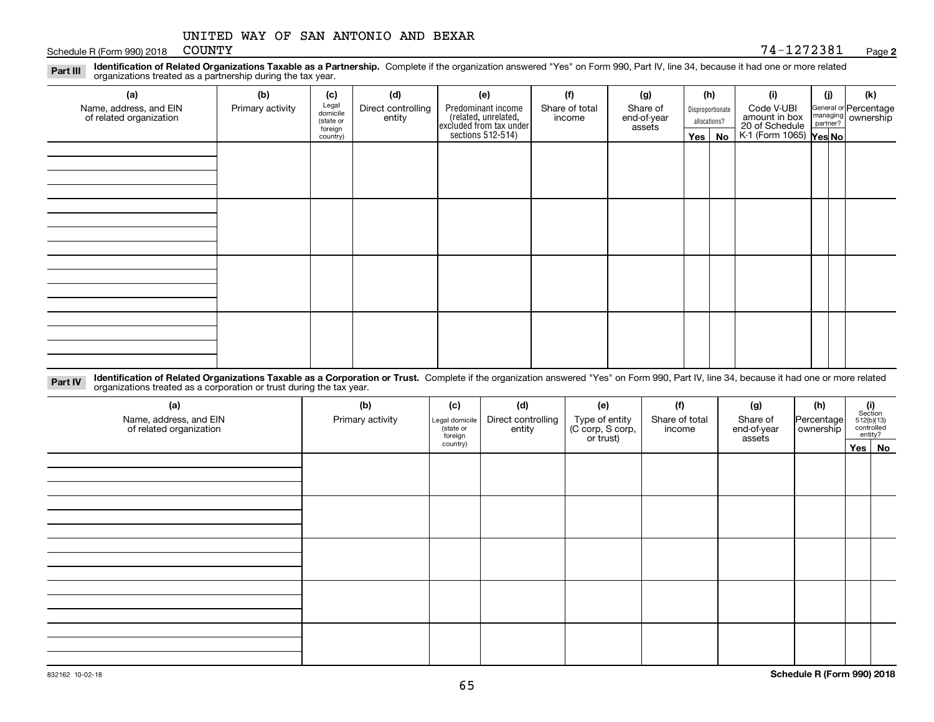Schedule R (Form 990) 2018 COUNTY

#### **2**COUNTY 74-1272381

**Identification of Related Organizations Taxable as a Partnership.** Complete if the organization answered "Yes" on Form 990, Part IV, line 34, because it had one or more related **Part III** organizations treated as a partnership during the tax year.

| (a)                                               | (b)              | (c)                  | (d)                          | (e)                                                                                       | (f)                      | (g)                               |                                  | (h) | (i)                                                       | (j) | (k)                                                       |
|---------------------------------------------------|------------------|----------------------|------------------------------|-------------------------------------------------------------------------------------------|--------------------------|-----------------------------------|----------------------------------|-----|-----------------------------------------------------------|-----|-----------------------------------------------------------|
| Name, address, and EIN<br>of related organization | Primary activity | Legal<br>domicile    | Direct controlling<br>entity | Predominant income<br>related, unrelated,<br>excluded from tax under<br>sections 512-514) | Share of total<br>income | Share of<br>end-of-year<br>assets | Disproportionate<br>allocations? |     | Code V-UBI                                                |     | General or Percentage<br>managing<br>partner?<br>partner? |
|                                                   |                  | (state or<br>foreign |                              |                                                                                           |                          |                                   |                                  |     |                                                           |     |                                                           |
|                                                   |                  | country)             |                              |                                                                                           |                          |                                   | Yes $ $                          | No  | amount in box<br>20 of Schedule<br>K-1 (Form 1065) Yes No |     |                                                           |
|                                                   |                  |                      |                              |                                                                                           |                          |                                   |                                  |     |                                                           |     |                                                           |
|                                                   |                  |                      |                              |                                                                                           |                          |                                   |                                  |     |                                                           |     |                                                           |
|                                                   |                  |                      |                              |                                                                                           |                          |                                   |                                  |     |                                                           |     |                                                           |
|                                                   |                  |                      |                              |                                                                                           |                          |                                   |                                  |     |                                                           |     |                                                           |
|                                                   |                  |                      |                              |                                                                                           |                          |                                   |                                  |     |                                                           |     |                                                           |
|                                                   |                  |                      |                              |                                                                                           |                          |                                   |                                  |     |                                                           |     |                                                           |
|                                                   |                  |                      |                              |                                                                                           |                          |                                   |                                  |     |                                                           |     |                                                           |
|                                                   |                  |                      |                              |                                                                                           |                          |                                   |                                  |     |                                                           |     |                                                           |
|                                                   |                  |                      |                              |                                                                                           |                          |                                   |                                  |     |                                                           |     |                                                           |
|                                                   |                  |                      |                              |                                                                                           |                          |                                   |                                  |     |                                                           |     |                                                           |
|                                                   |                  |                      |                              |                                                                                           |                          |                                   |                                  |     |                                                           |     |                                                           |
|                                                   |                  |                      |                              |                                                                                           |                          |                                   |                                  |     |                                                           |     |                                                           |
|                                                   |                  |                      |                              |                                                                                           |                          |                                   |                                  |     |                                                           |     |                                                           |
|                                                   |                  |                      |                              |                                                                                           |                          |                                   |                                  |     |                                                           |     |                                                           |
|                                                   |                  |                      |                              |                                                                                           |                          |                                   |                                  |     |                                                           |     |                                                           |
|                                                   |                  |                      |                              |                                                                                           |                          |                                   |                                  |     |                                                           |     |                                                           |

**Identification of Related Organizations Taxable as a Corporation or Trust.** Complete if the organization answered "Yes" on Form 990, Part IV, line 34, because it had one or more related **Part IV** organizations treated as a corporation or trust during the tax year.

| (a)<br>Name, address, and EIN<br>of related organization | (b)<br>Primary activity | (c)<br>(d)<br>Direct controlling<br>Legal domicile<br>(state or<br>entity<br>foreign |  | (e)<br>Type of entity<br>(C corp, S corp,<br>or trust) | (f)<br>Share of total<br>income | (g)<br>Share of<br>end-of-year<br>assets | (h)<br>Percentage<br>ownership | $(i)$<br>Section<br>512(b)(13)<br>controlled<br>entity? |  |
|----------------------------------------------------------|-------------------------|--------------------------------------------------------------------------------------|--|--------------------------------------------------------|---------------------------------|------------------------------------------|--------------------------------|---------------------------------------------------------|--|
|                                                          |                         | country)                                                                             |  |                                                        |                                 |                                          |                                | Yes No                                                  |  |
|                                                          |                         |                                                                                      |  |                                                        |                                 |                                          |                                |                                                         |  |
|                                                          |                         |                                                                                      |  |                                                        |                                 |                                          |                                |                                                         |  |
|                                                          |                         |                                                                                      |  |                                                        |                                 |                                          |                                |                                                         |  |
|                                                          |                         |                                                                                      |  |                                                        |                                 |                                          |                                |                                                         |  |
|                                                          |                         |                                                                                      |  |                                                        |                                 |                                          |                                |                                                         |  |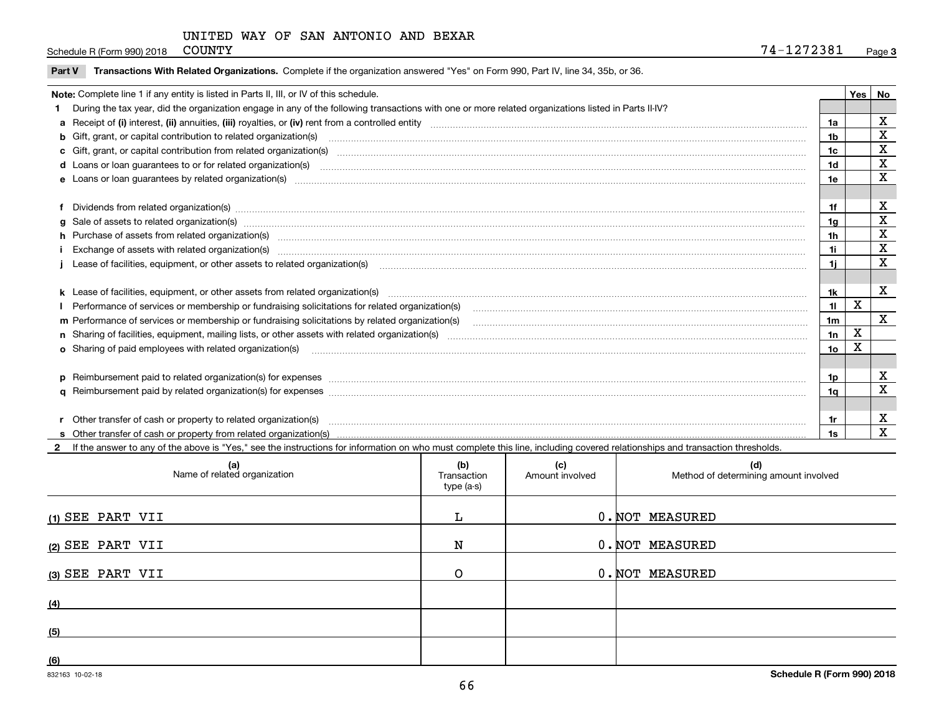Schedule R (Form 990) 2018 COUNTY

|  | Part V Transactions With Related Organizations. Complete if the organization answered "Yes" on Form 990, Part IV, line 34, 35b, or 36. |  |  |
|--|----------------------------------------------------------------------------------------------------------------------------------------|--|--|
|--|----------------------------------------------------------------------------------------------------------------------------------------|--|--|

| Note: Complete line 1 if any entity is listed in Parts II, III, or IV of this schedule.                                                                                                                                        |                | Yes | No                      |
|--------------------------------------------------------------------------------------------------------------------------------------------------------------------------------------------------------------------------------|----------------|-----|-------------------------|
| During the tax year, did the organization engage in any of the following transactions with one or more related organizations listed in Parts II-IV?                                                                            |                |     |                         |
|                                                                                                                                                                                                                                | 1a             |     | X                       |
| b Gift, grant, or capital contribution to related organization(s) manufaction contracts and contribution to related organization(s)                                                                                            | 1b             |     | X                       |
| c Gift, grant, or capital contribution from related organization(s) manufaction(s) and contribution from related organization(s) manufaction contribution from related organization(s) manufaction contribution from related o | 1c             |     | X                       |
|                                                                                                                                                                                                                                | 1d             |     | X                       |
| e Loans or loan guarantees by related organization(s) enconversements and construction of the construction of the constraint of the constraint of the constraint of the constraint of the constraint of the constraint of the  | 1e             |     | X                       |
|                                                                                                                                                                                                                                |                |     |                         |
| f Dividends from related organization(s) material contracts and contracts are contracted as a contract of the contract of the contract of the contract of the contract of the contract of the contract of the contract of the  | 1f             |     | X                       |
| g Sale of assets to related organization(s) www.assettion.com/www.assettion.com/www.assettion.com/www.assettion.com/www.assettion.com/www.assettion.com/www.assettion.com/www.assettion.com/www.assettion.com/www.assettion.co | 1a             |     | $\overline{\mathbf{X}}$ |
| h Purchase of assets from related organization(s) manufactured and content to content the content of assets from related organization(s)                                                                                       | 1 <sub>h</sub> |     | X                       |
| i Exchange of assets with related organization(s) match contains and contain a substantial contains and contains a substantial contains and contains a substantial contains and contains a substantial contains and contains a | 1i             |     | X                       |
| Lease of facilities, equipment, or other assets to related organization(s) [11] manufaction(singularam manufaction in the manufaction (singularam manufaction in the manufaction of facilities, equipment, or other assets to  | 1i.            |     | X                       |
|                                                                                                                                                                                                                                |                |     |                         |
| k Lease of facilities, equipment, or other assets from related organization(s) manufaction content and content to the assets from related organization(s) manufaction content and content and content and content and content  | 1k             |     | X                       |
|                                                                                                                                                                                                                                | 11             | X   |                         |
| m Performance of services or membership or fundraising solicitations by related organization(s)                                                                                                                                | 1 <sub>m</sub> |     | $\mathbf{x}$            |
|                                                                                                                                                                                                                                | 1n             | Х   |                         |
| o Sharing of paid employees with related organization(s) manufaction(since the manufacture of the manufacture of the manufacture of the manufacture of the manufacture of the manufacture of the manufacture of the manufactur | 1o             | Χ   |                         |
|                                                                                                                                                                                                                                |                |     |                         |
| p Reimbursement paid to related organization(s) for expenses [1111] and the content of the content of the content of the content of the content of the content of the content of the content of the content of the content of  | 1p             |     | X                       |
|                                                                                                                                                                                                                                | 1a             |     | X                       |
|                                                                                                                                                                                                                                |                |     |                         |
| r Other transfer of cash or property to related organization(s)                                                                                                                                                                | 1r             |     | х                       |
|                                                                                                                                                                                                                                |                |     | X                       |

**2**If the answer to any of the above is "Yes," see the instructions for information on who must complete this line, including covered relationships and transaction thresholds.

| (a)<br>Name of related organization | (b)<br>Transaction<br>type (a-s) | (c)<br>Amount involved | (d)<br>Method of determining amount involved |
|-------------------------------------|----------------------------------|------------------------|----------------------------------------------|
| (1) SEE PART VII                    |                                  |                        | 0. NOT MEASURED                              |
| (2) SEE PART VII                    | N                                |                        | 0. NOT MEASURED                              |
| (3) SEE PART VII                    | ∩                                |                        | 0. NOT MEASURED                              |
| (4)                                 |                                  |                        |                                              |
| (5)                                 |                                  |                        |                                              |
| (6)                                 |                                  |                        |                                              |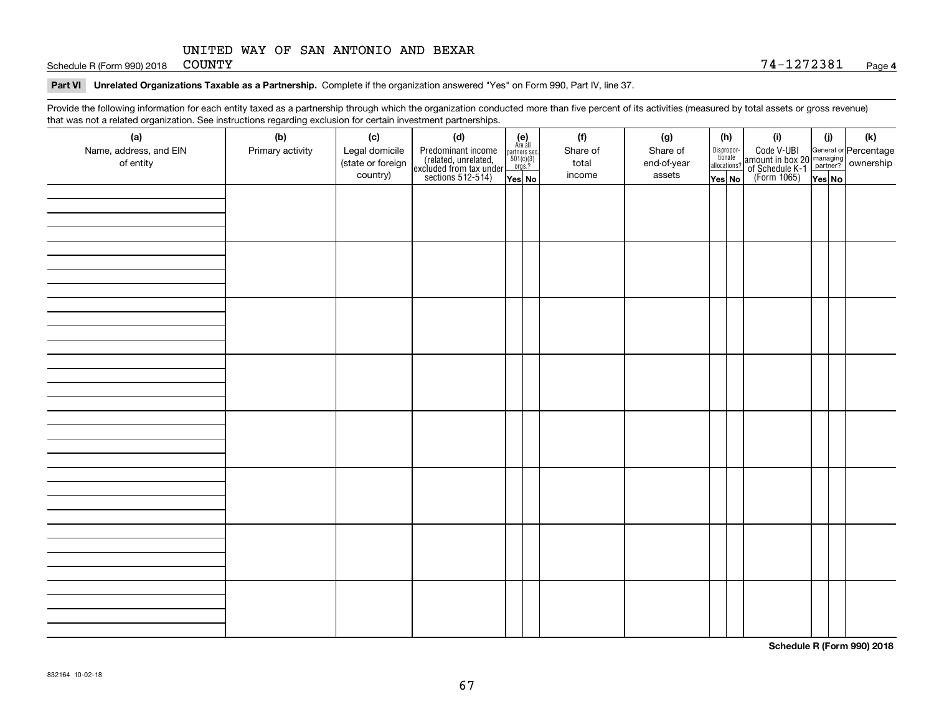Schedule R (Form 990) 2018 COUNTY

#### **Part VI Unrelated Organizations Taxable as a Partnership. Complete if the organization answered "Yes" on Form 990, Part IV, line 37.**

Provide the following information for each entity taxed as a partnership through which the organization conducted more than five percent of its activities (measured by total assets or gross revenue) that was not a related organization. See instructions regarding exclusion for certain investment partnerships.

| that was not a related erganization. See includitions regarding excludion for contain invectment partnerompe.<br>(a) | (b)              | (c)                           | (d)                                                                                        |                                                                                                                  |  | (f)             | (g)                   |  | (h)                              | (i)                                                                                          | (i) | (k) |
|----------------------------------------------------------------------------------------------------------------------|------------------|-------------------------------|--------------------------------------------------------------------------------------------|------------------------------------------------------------------------------------------------------------------|--|-----------------|-----------------------|--|----------------------------------|----------------------------------------------------------------------------------------------|-----|-----|
| Name, address, and EIN                                                                                               | Primary activity | Legal domicile                | Predominant income<br>(related, unrelated,<br>excluded from tax under<br>sections 512-514) | $\begin{array}{c} \textbf{(e)}\\ \text{Are all} \\ \text{partners sec.}\\ 501(c)(3)\\ \text{orgs.?} \end{array}$ |  | Share of        | Share of              |  | Disproportionate<br>allocations? | Code V-UBI<br>amount in box 20 managing<br>of Schedule K-1 partner?<br>(Form 1065)<br>ves No |     |     |
| of entity                                                                                                            |                  | (state or foreign<br>country) |                                                                                            |                                                                                                                  |  | total<br>income | end-of-year<br>assets |  |                                  |                                                                                              |     |     |
|                                                                                                                      |                  |                               |                                                                                            | Yes No                                                                                                           |  |                 |                       |  | Yes No                           |                                                                                              |     |     |
|                                                                                                                      |                  |                               |                                                                                            |                                                                                                                  |  |                 |                       |  |                                  |                                                                                              |     |     |
|                                                                                                                      |                  |                               |                                                                                            |                                                                                                                  |  |                 |                       |  |                                  |                                                                                              |     |     |
|                                                                                                                      |                  |                               |                                                                                            |                                                                                                                  |  |                 |                       |  |                                  |                                                                                              |     |     |
|                                                                                                                      |                  |                               |                                                                                            |                                                                                                                  |  |                 |                       |  |                                  |                                                                                              |     |     |
|                                                                                                                      |                  |                               |                                                                                            |                                                                                                                  |  |                 |                       |  |                                  |                                                                                              |     |     |
|                                                                                                                      |                  |                               |                                                                                            |                                                                                                                  |  |                 |                       |  |                                  |                                                                                              |     |     |
|                                                                                                                      |                  |                               |                                                                                            |                                                                                                                  |  |                 |                       |  |                                  |                                                                                              |     |     |
|                                                                                                                      |                  |                               |                                                                                            |                                                                                                                  |  |                 |                       |  |                                  |                                                                                              |     |     |
|                                                                                                                      |                  |                               |                                                                                            |                                                                                                                  |  |                 |                       |  |                                  |                                                                                              |     |     |
|                                                                                                                      |                  |                               |                                                                                            |                                                                                                                  |  |                 |                       |  |                                  |                                                                                              |     |     |
|                                                                                                                      |                  |                               |                                                                                            |                                                                                                                  |  |                 |                       |  |                                  |                                                                                              |     |     |
|                                                                                                                      |                  |                               |                                                                                            |                                                                                                                  |  |                 |                       |  |                                  |                                                                                              |     |     |
|                                                                                                                      |                  |                               |                                                                                            |                                                                                                                  |  |                 |                       |  |                                  |                                                                                              |     |     |
|                                                                                                                      |                  |                               |                                                                                            |                                                                                                                  |  |                 |                       |  |                                  |                                                                                              |     |     |
|                                                                                                                      |                  |                               |                                                                                            |                                                                                                                  |  |                 |                       |  |                                  |                                                                                              |     |     |
|                                                                                                                      |                  |                               |                                                                                            |                                                                                                                  |  |                 |                       |  |                                  |                                                                                              |     |     |
|                                                                                                                      |                  |                               |                                                                                            |                                                                                                                  |  |                 |                       |  |                                  |                                                                                              |     |     |
|                                                                                                                      |                  |                               |                                                                                            |                                                                                                                  |  |                 |                       |  |                                  |                                                                                              |     |     |
|                                                                                                                      |                  |                               |                                                                                            |                                                                                                                  |  |                 |                       |  |                                  |                                                                                              |     |     |
|                                                                                                                      |                  |                               |                                                                                            |                                                                                                                  |  |                 |                       |  |                                  |                                                                                              |     |     |
|                                                                                                                      |                  |                               |                                                                                            |                                                                                                                  |  |                 |                       |  |                                  |                                                                                              |     |     |
|                                                                                                                      |                  |                               |                                                                                            |                                                                                                                  |  |                 |                       |  |                                  |                                                                                              |     |     |
|                                                                                                                      |                  |                               |                                                                                            |                                                                                                                  |  |                 |                       |  |                                  |                                                                                              |     |     |
|                                                                                                                      |                  |                               |                                                                                            |                                                                                                                  |  |                 |                       |  |                                  |                                                                                              |     |     |
|                                                                                                                      |                  |                               |                                                                                            |                                                                                                                  |  |                 |                       |  |                                  |                                                                                              |     |     |
|                                                                                                                      |                  |                               |                                                                                            |                                                                                                                  |  |                 |                       |  |                                  |                                                                                              |     |     |
|                                                                                                                      |                  |                               |                                                                                            |                                                                                                                  |  |                 |                       |  |                                  |                                                                                              |     |     |